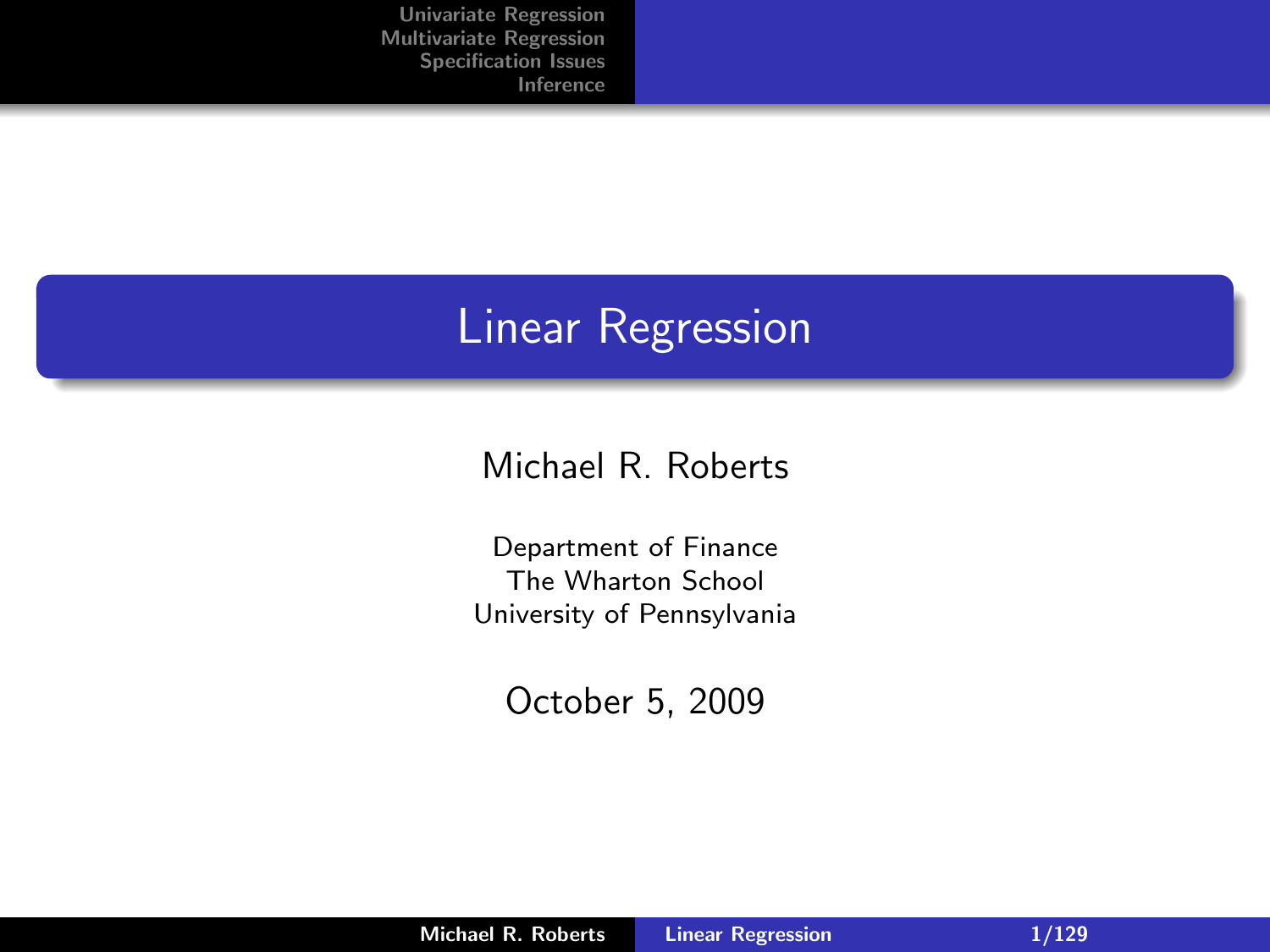#### Linear Regression

#### Michael R. Roberts

Department of Finance The Wharton School University of Pennsylvania

October 5, 2009

<span id="page-0-0"></span>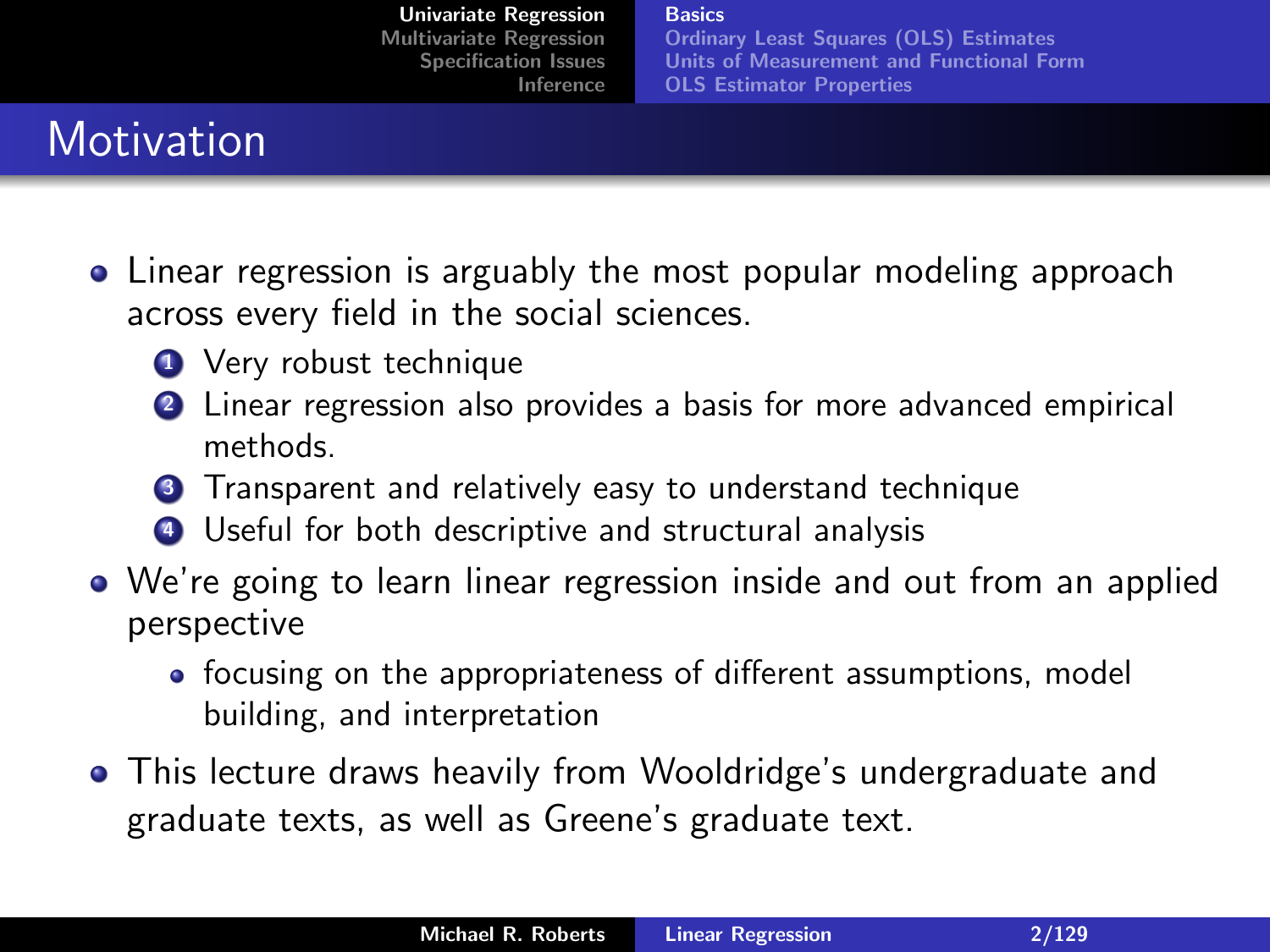**Basics** 

<span id="page-1-0"></span>[Ordinary Least Squares \(OLS\) Estimates](#page-9-0) [Units of Measurement and Functional Form](#page-16-0) [OLS Estimator Properties](#page-28-0)

# **Motivation**

- Linear regression is arguably the most popular modeling approach across every field in the social sciences.
	- **1** Very robust technique
	- <sup>2</sup> Linear regression also provides a basis for more advanced empirical methods.
	- <sup>3</sup> Transparent and relatively easy to understand technique
	- <sup>4</sup> Useful for both descriptive and structural analysis
- We're going to learn linear regression inside and out from an applied perspective
	- focusing on the appropriateness of different assumptions, model building, and interpretation
- This lecture draws heavily from Wooldridge's undergraduate and graduate texts, as well as Greene's graduate text.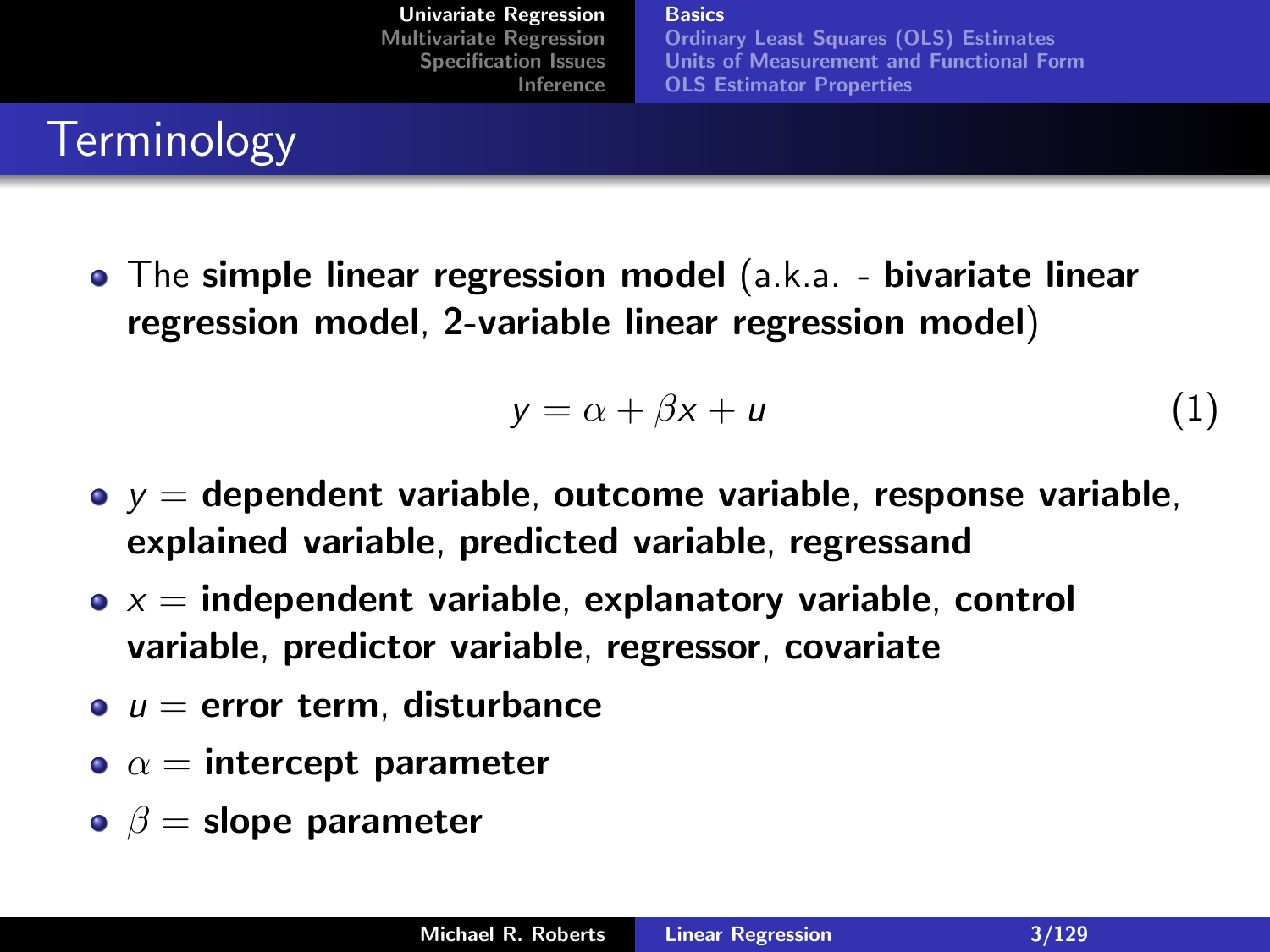| Univariate Regression          | <b>Basics</b>                                 |
|--------------------------------|-----------------------------------------------|
| <b>Multivariate Regression</b> | <b>Ordinary Least Squares (OLS) Estimates</b> |
| <b>Specification Issues</b>    | Units of Measurement and Functional Form      |
| Inference                      | <b>OLS Estimator Properties</b>               |

## **Terminology**

The simple linear regression model (a.k.a. - bivariate linear regression model, 2-variable linear regression model)

$$
y = \alpha + \beta x + u \tag{1}
$$

- $\bullet$  y = dependent variable, outcome variable, response variable, explained variable, predicted variable, regressand
- $\bullet$   $x =$  independent variable, explanatory variable, control variable, predictor variable, regressor, covariate
- $\bullet u =$  error term, disturbance
- $\bullet \ \alpha = \text{intercept parameter}$
- $\beta$  = slope parameter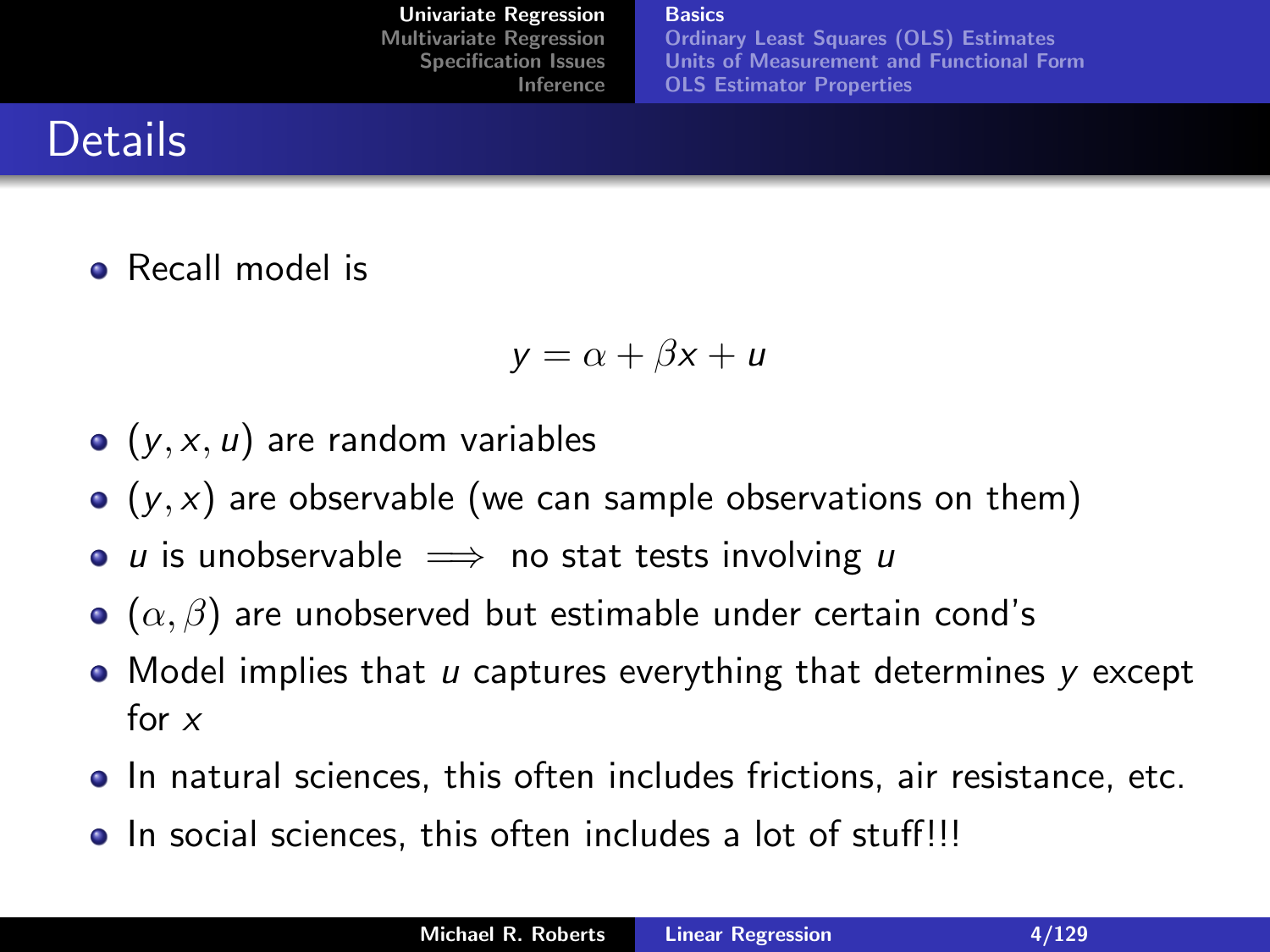[Univariate Regression](#page-1-0) [Multivariate Regression](#page-31-0) [Specification Issues](#page-79-0) [Inference](#page-103-0) **Basics** [Ordinary Least Squares \(OLS\) Estimates](#page-9-0) [Units of Measurement and Functional Form](#page-16-0) [OLS Estimator Properties](#page-28-0)

## **Details**

#### • Recall model is

$$
y = \alpha + \beta x + u
$$

- $\bullet$  (y, x, u) are random variables
- $\bullet$  (y, x) are observable (we can sample observations on them)
- $u$  is unobservable  $\implies$  no stat tests involving  $u$
- $\bullet$  ( $\alpha$ ,  $\beta$ ) are unobserved but estimable under certain cond's
- Model implies that  $u$  captures everything that determines  $y$  except for x
- In natural sciences, this often includes frictions, air resistance, etc.
- In social sciences, this often includes a lot of stuff!!!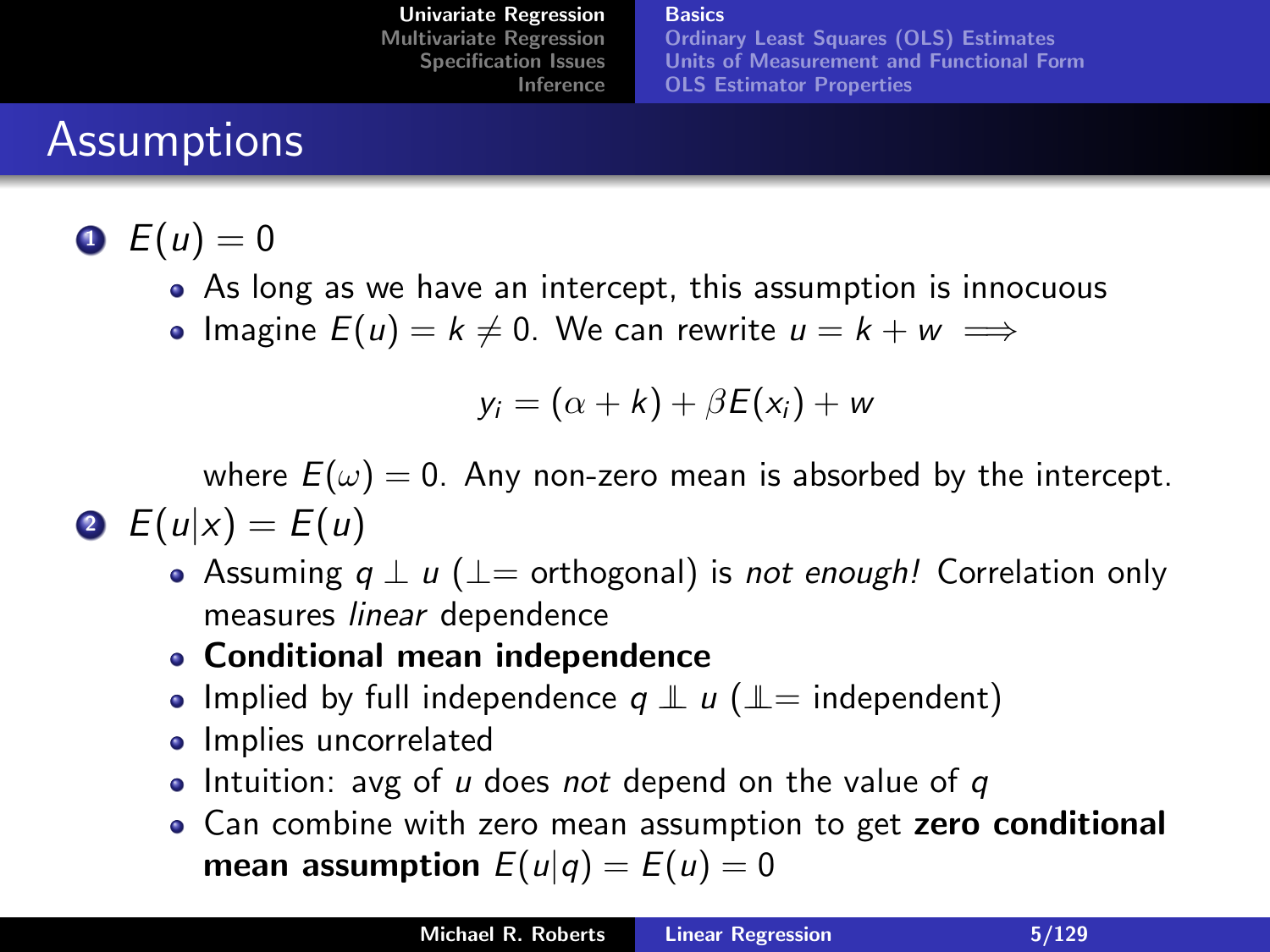| Univariate Regression          | <b>Basics</b>                                 |
|--------------------------------|-----------------------------------------------|
| <b>Multivariate Regression</b> | <b>Ordinary Least Squares (OLS) Estimates</b> |
| <b>Specification Issues</b>    | Units of Measurement and Functional Form      |
| Inference                      | <b>OLS Estimator Properties</b>               |

#### Assumptions

### $E(u) = 0$

- As long as we have an intercept, this assumption is innocuous
- Imagine  $E(u) = k \neq 0$ . We can rewrite  $u = k + w \implies$

$$
y_i = (\alpha + k) + \beta E(x_i) + w
$$

where  $E(\omega) = 0$ . Any non-zero mean is absorbed by the intercept. 2  $E(u|x) = E(u)$ 

- Assuming  $q \perp u$  ( $\perp$  = orthogonal) is *not enough!* Correlation only measures linear dependence
- Conditional mean independence
- Implied by full independence  $q \perp u$  ( $\perp$ = independent)
- Implies uncorrelated
- Intuition: avg of  $u$  does not depend on the value of  $q$
- Can combine with zero mean assumption to get zero conditional mean assumption  $E(u|q) = E(u) = 0$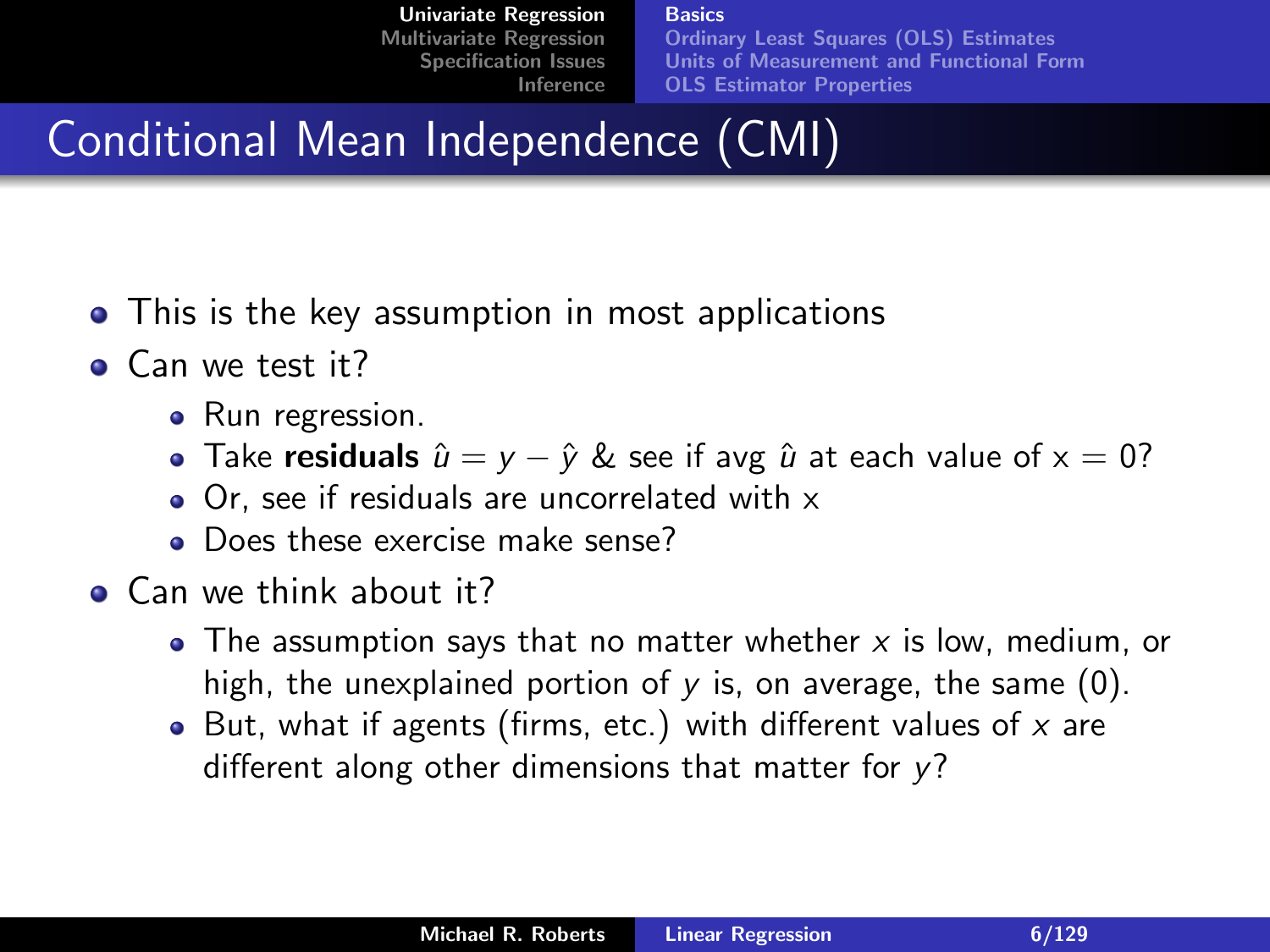**Basics** [Ordinary Least Squares \(OLS\) Estimates](#page-9-0) [Units of Measurement and Functional Form](#page-16-0) [OLS Estimator Properties](#page-28-0)

# Conditional Mean Independence (CMI)

- This is the key assumption in most applications
- Can we test it?
	- Run regression.
	- Take residuals  $\hat{u} = v \hat{v}$  & see if avg  $\hat{u}$  at each value of  $x = 0$ ?
	- Or, see if residuals are uncorrelated with x
	- Does these exercise make sense?
- Can we think about it?
	- The assumption says that no matter whether  $x$  is low, medium, or high, the unexplained portion of  $y$  is, on average, the same  $(0)$ .
	- But, what if agents (firms, etc.) with different values of  $x$  are different along other dimensions that matter for  $y$ ?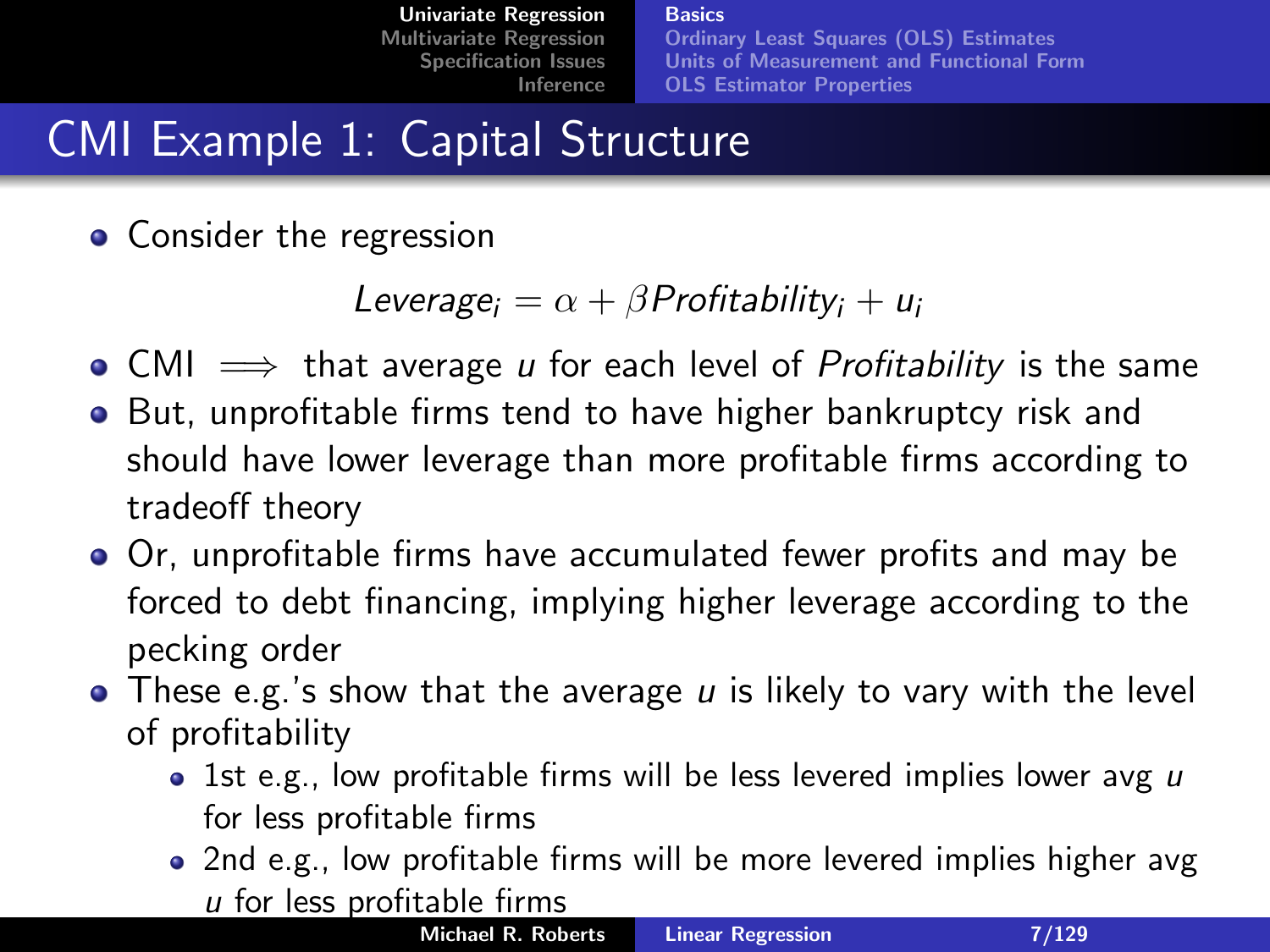**Basics** [Ordinary Least Squares \(OLS\) Estimates](#page-9-0) [Units of Measurement and Functional Form](#page-16-0) [OLS Estimator Properties](#page-28-0)

# CMI Example 1: Capital Structure

• Consider the regression

Leverage<sub>i</sub> =  $\alpha + \beta$ Profitability<sub>i</sub> + u<sub>i</sub>

• CMI  $\implies$  that average u for each level of *Profitability* is the same

- **•** But, unprofitable firms tend to have higher bankruptcy risk and should have lower leverage than more profitable firms according to tradeoff theory
- Or, unprofitable firms have accumulated fewer profits and may be forced to debt financing, implying higher leverage according to the pecking order
- These e.g.'s show that the average  $\mu$  is likely to vary with the level of profitability
	- 1st e.g., low profitable firms will be less levered implies lower avg  $u$ for less profitable firms
	- 2nd e.g., low profitable firms will be more levered implies higher avg  $u$  for less profitable firms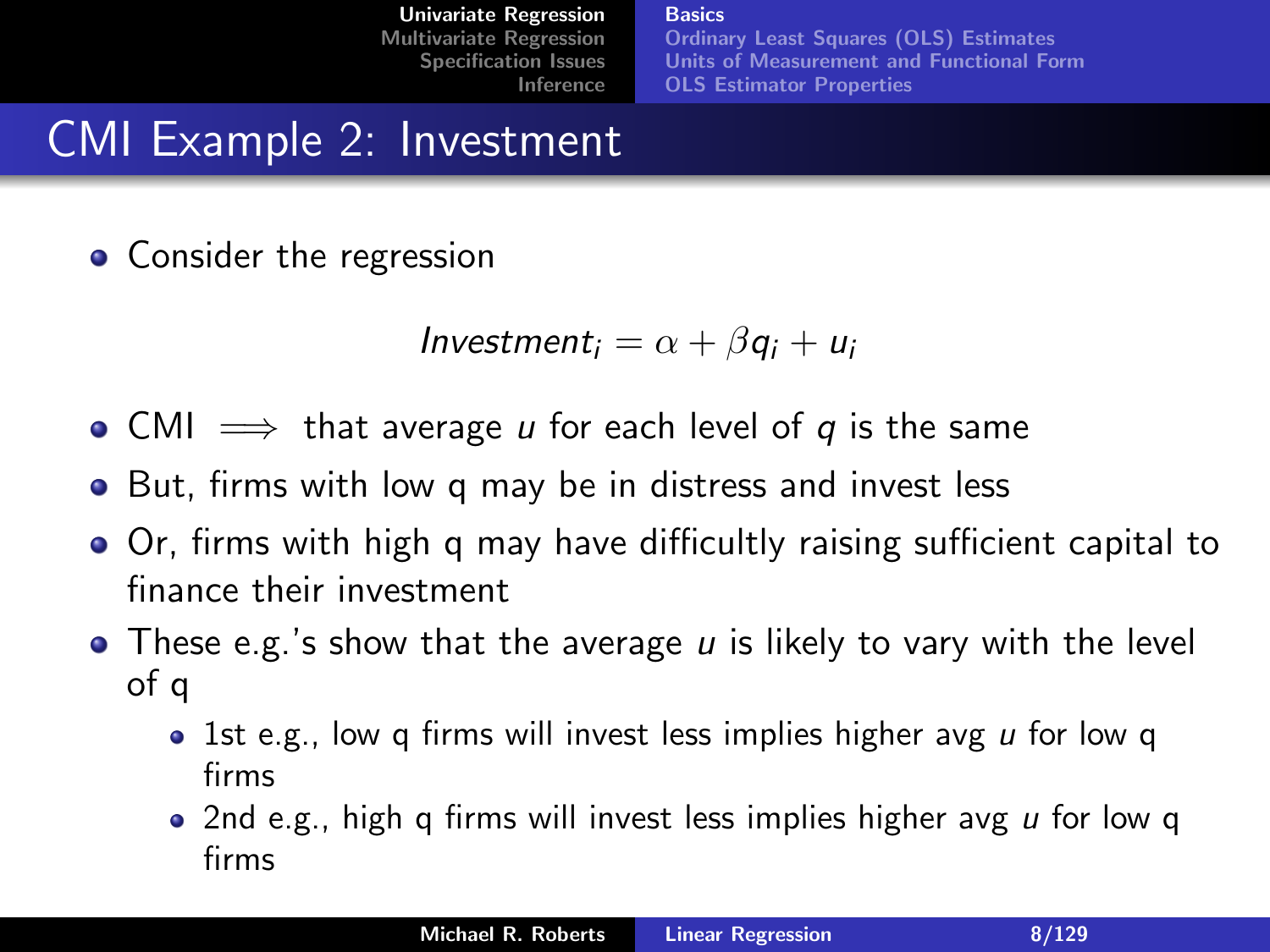**Basics** [Ordinary Least Squares \(OLS\) Estimates](#page-9-0) [Units of Measurement and Functional Form](#page-16-0) [OLS Estimator Properties](#page-28-0)

#### CMI Example 2: Investment

• Consider the regression

Investment<sub>i</sub> =  $\alpha + \beta q_i + u_i$ 

- CMI  $\implies$  that average u for each level of q is the same
- But, firms with low q may be in distress and invest less
- Or, firms with high q may have difficultly raising sufficient capital to finance their investment
- $\bullet$  These e.g.'s show that the average u is likely to vary with the level of q
	- 1st e.g., low q firms will invest less implies higher avg  $u$  for low q firms
	- 2nd e.g., high q firms will invest less implies higher avg  $u$  for low q firms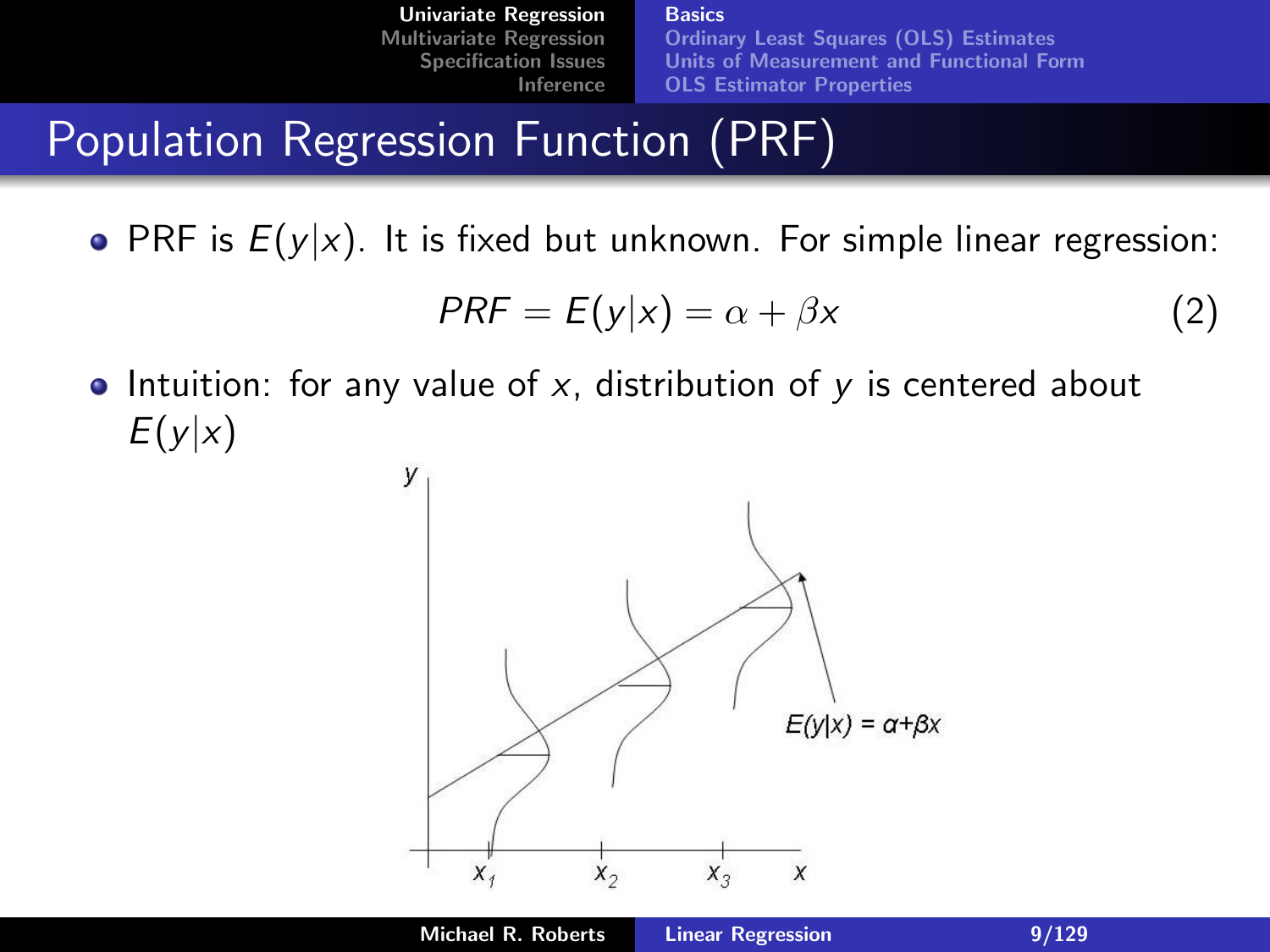[Univariate Regression](#page-1-0) [Multivariate Regression](#page-31-0) [Specification Issues](#page-79-0) [Inference](#page-103-0) **Basics** [Ordinary Least Squares \(OLS\) Estimates](#page-9-0) [Units of Measurement and Functional Form](#page-16-0) [OLS Estimator Properties](#page-28-0)

Population Regression Function (PRF)

• PRF is  $E(y|x)$ . It is fixed but unknown. For simple linear regression:

$$
PRF = E(y|x) = \alpha + \beta x \tag{2}
$$

• Intuition: for any value of x, distribution of  $y$  is centered about  $E(y|x)$ 

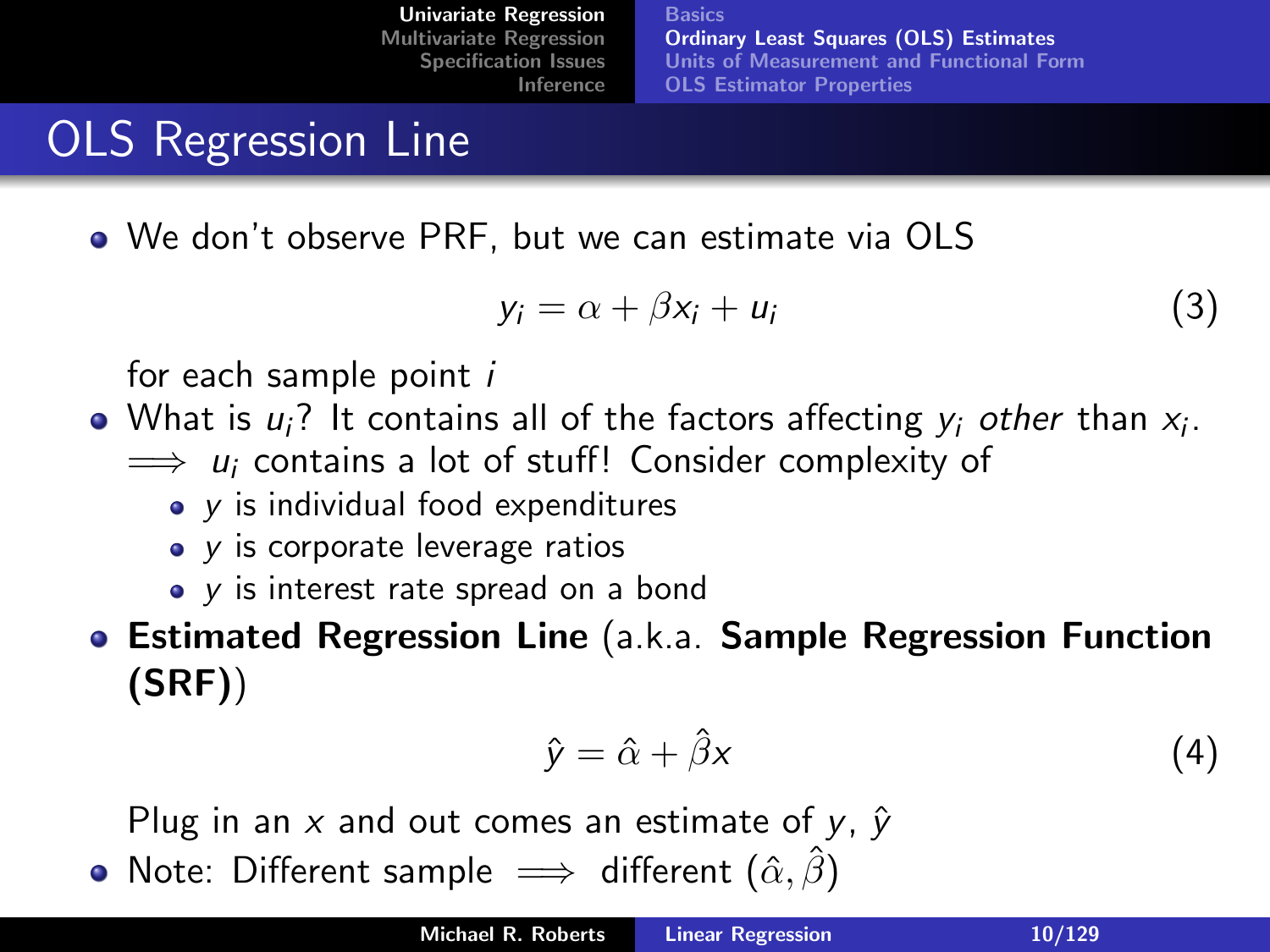[Univariate Regression](#page-1-0) [Multivariate Regression](#page-31-0) [Specification Issues](#page-79-0) [Inference](#page-103-0) **Basics** [Ordinary Least Squares \(OLS\) Estimates](#page-9-0) [Units of Measurement and Functional Form](#page-16-0) [OLS Estimator Properties](#page-28-0)

# OLS Regression Line

We don't observe PRF, but we can estimate via OLS

$$
y_i = \alpha + \beta x_i + u_i \tag{3}
$$

for each sample point *i* 

- What is  $u_i$ ? It contains all of the factors affecting  $y_i$  *other* than  $x_i$ .
	- $\implies u_i$  contains a lot of stuff! Consider complexity of
		- y is individual food expenditures
		- y is corporate leverage ratios
		- y is interest rate spread on a bond

Estimated Regression Line (a.k.a. Sample Regression Function (SRF))

<span id="page-9-0"></span>
$$
\hat{y} = \hat{\alpha} + \hat{\beta}x \tag{4}
$$

Plug in an x and out comes an estimate of y,  $\hat{y}$ 

• Note: Different sample  $\implies$  different  $(\hat{\alpha}, \hat{\beta})$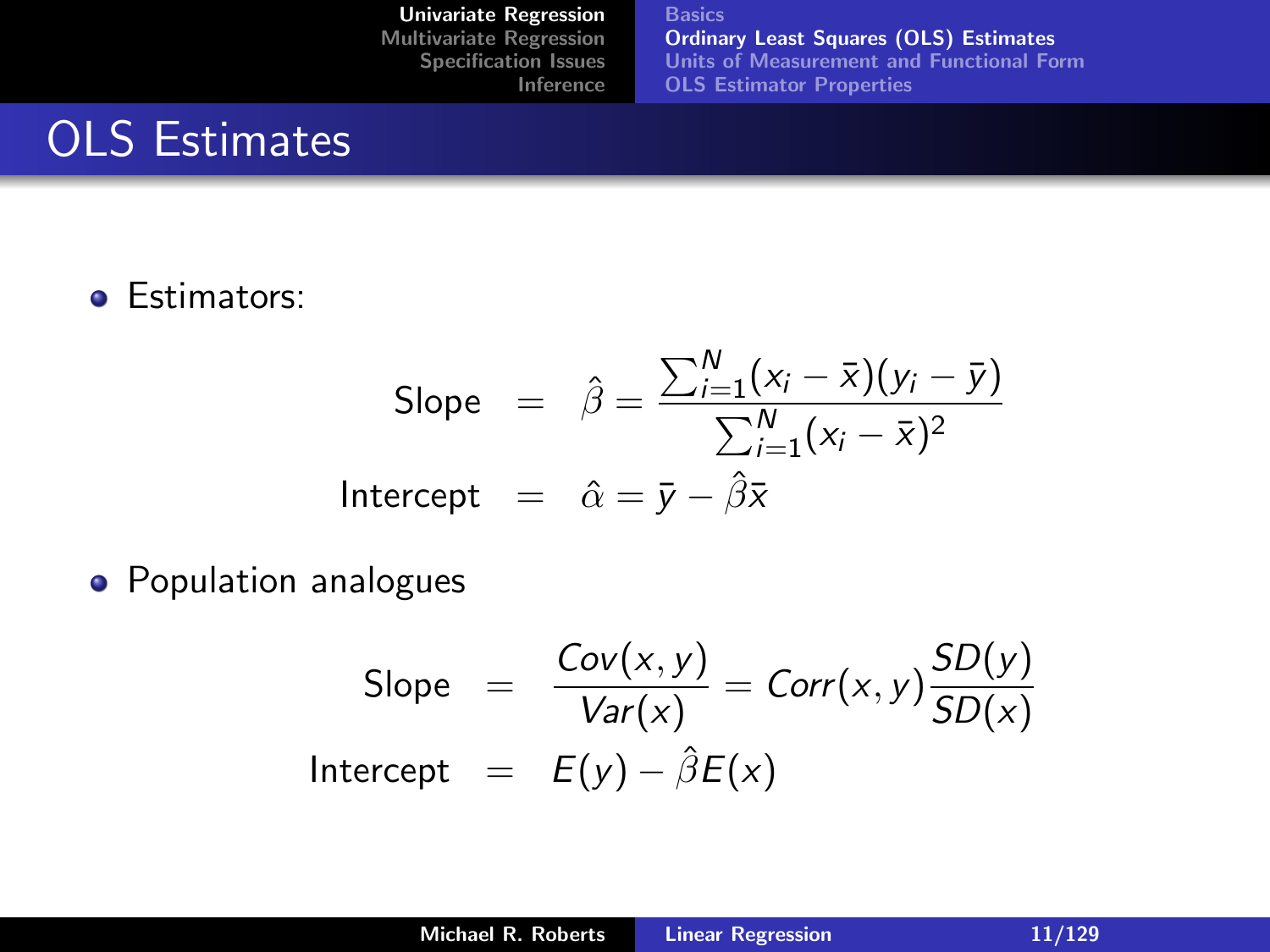**Basics** [Ordinary Least Squares \(OLS\) Estimates](#page-9-0) [Units of Measurement and Functional Form](#page-16-0) [OLS Estimator Properties](#page-28-0)

# OLS Estimates

**•** Estimators:

Slope = 
$$
\hat{\beta} = \frac{\sum_{i=1}^{N} (x_i - \bar{x})(y_i - \bar{y})}{\sum_{i=1}^{N} (x_i - \bar{x})^2}
$$
  
Intercept =  $\hat{\alpha} = \bar{y} - \hat{\beta}\bar{x}$ 

Population analogues

Slope = 
$$
\frac{Cov(x, y)}{Var(x)} = Corr(x, y) \frac{SD(y)}{SD(x)}
$$
  
Intercept =  $E(y) - \hat{\beta}E(x)$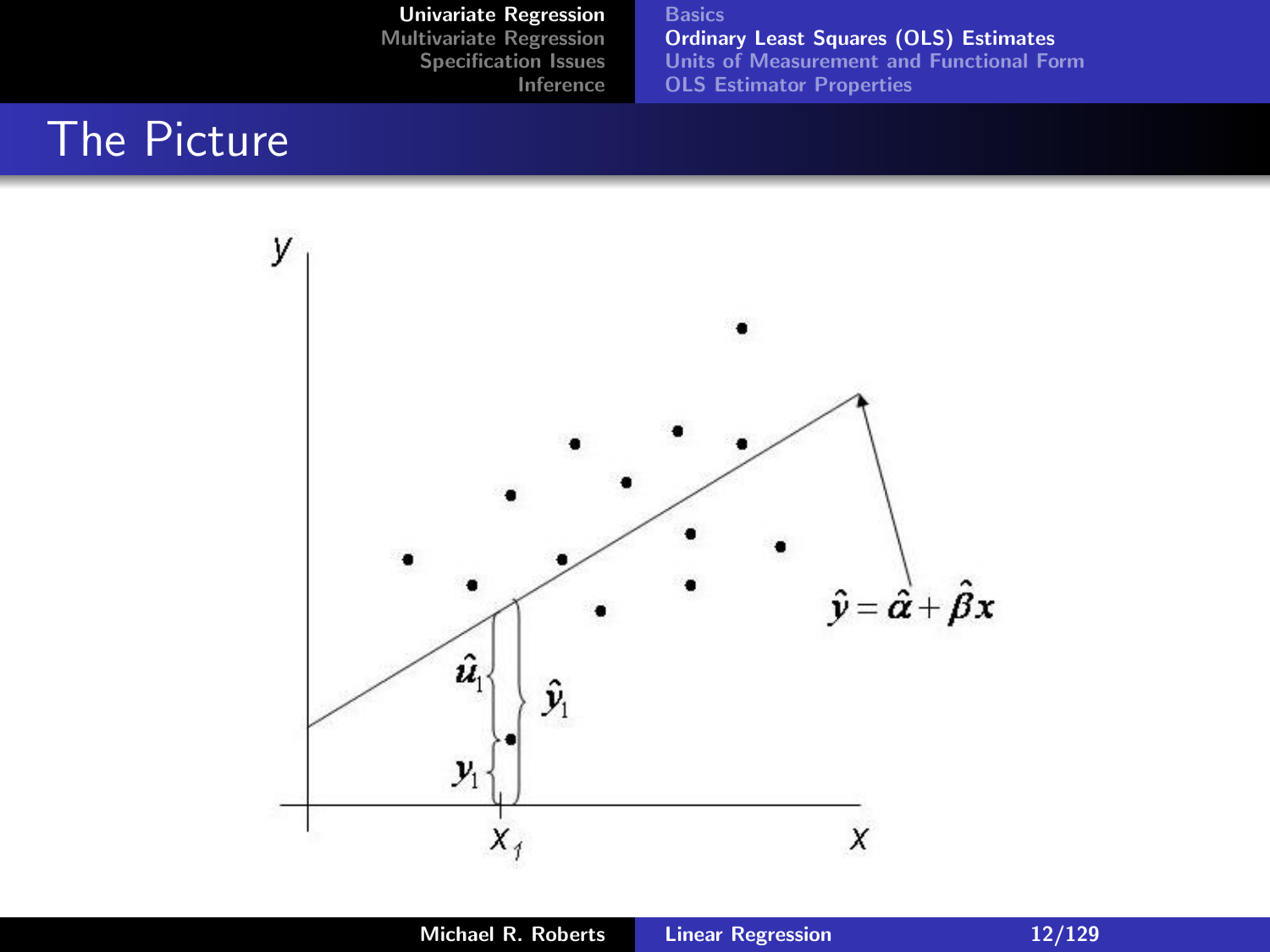[Univariate Regression](#page-1-0)

[Multivariate Regression](#page-31-0) [Specification Issues](#page-79-0) [Inference](#page-103-0) **Basics** [Ordinary Least Squares \(OLS\) Estimates](#page-9-0) [Units of Measurement and Functional Form](#page-16-0) [OLS Estimator Properties](#page-28-0)

### The Picture

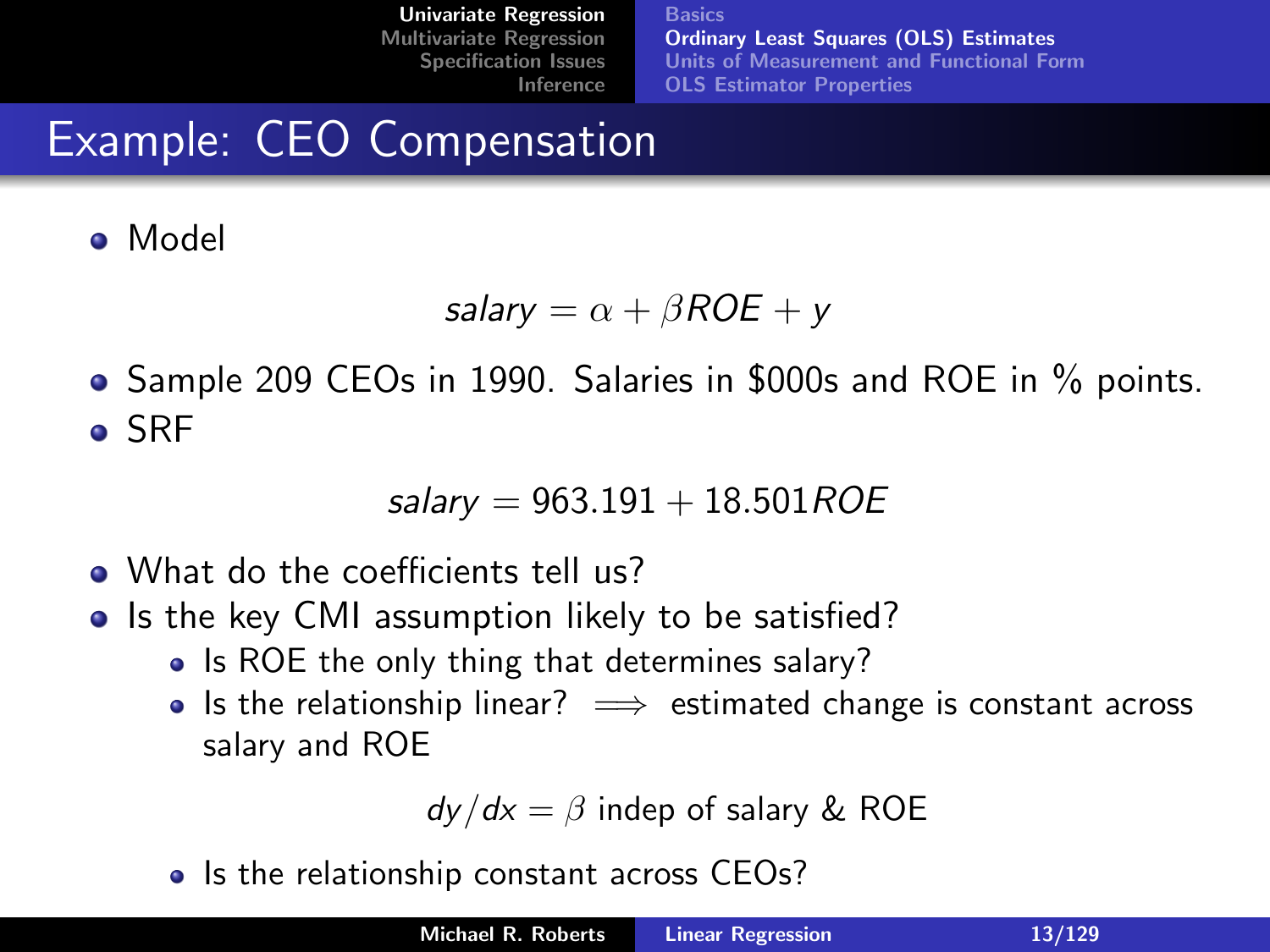**Basics** [Ordinary Least Squares \(OLS\) Estimates](#page-9-0) [Units of Measurement and Functional Form](#page-16-0) [OLS Estimator Properties](#page-28-0)

# Example: CEO Compensation

Model

salary =  $\alpha + \beta ROE + v$ 

• Sample 209 CEOs in 1990. Salaries in \$000s and ROE in % points. o SRF

 $salary = 963.191 + 18.501 ROE$ 

- What do the coefficients tell us?
- Is the key CMI assumption likely to be satisfied?
	- Is ROE the only thing that determines salary?
	- Is the relationship linear?  $\implies$  estimated change is constant across salary and ROE

 $dy/dx = \beta$  indep of salary & ROE

• Is the relationship constant across CEOs?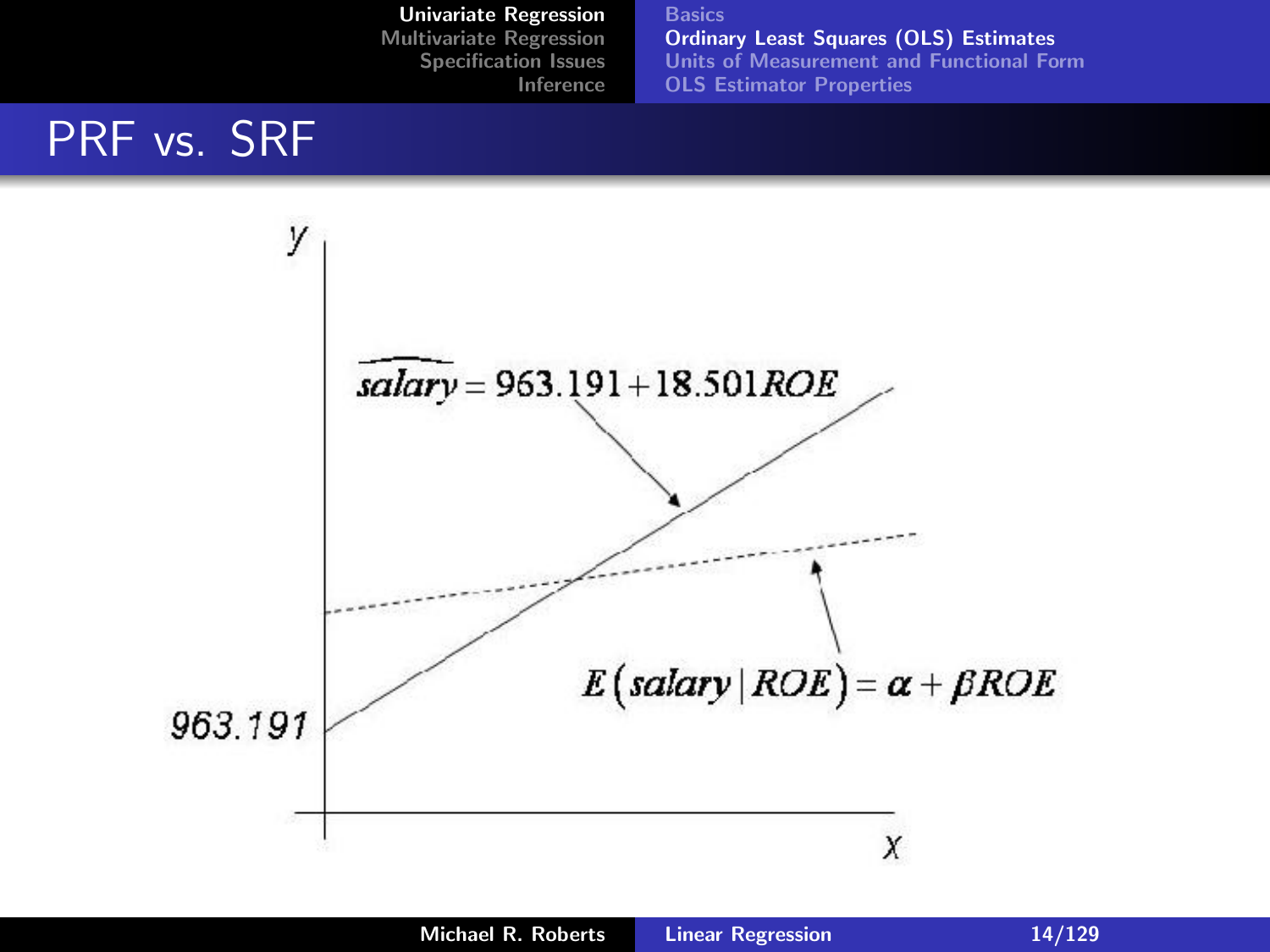Basics [Ordinary Least Squares \(OLS\) Estimates](#page-9-0) [Units of Measurement and Functional Form](#page-16-0) [OLS Estimator Properties](#page-28-0)

### PRF vs. SRF

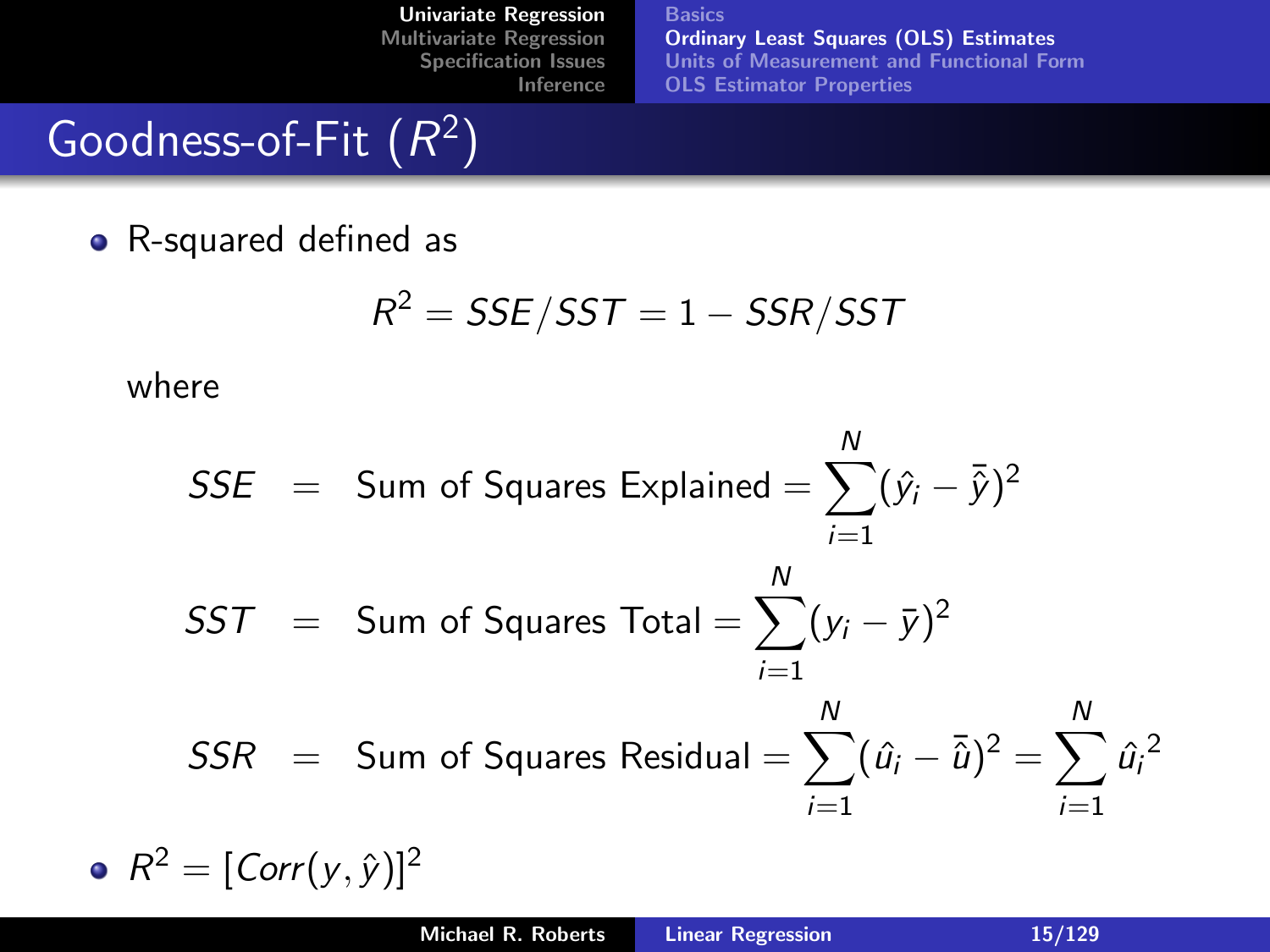Basics [Ordinary Least Squares \(OLS\) Estimates](#page-9-0) [Units of Measurement and Functional Form](#page-16-0) [OLS Estimator Properties](#page-28-0)

# Goodness-of-Fit  $(R^2)$

• R-squared defined as

$$
R^2 = SSE/ SST = 1 - SSR/ SST
$$

where

$$
SSE = \text{Sum of Squares Explained} = \sum_{i=1}^{N} (\hat{y}_i - \bar{\hat{y}})^2
$$
\n
$$
SST = \text{Sum of Squares Total} = \sum_{i=1}^{N} (y_i - \bar{y})^2
$$
\n
$$
SSR = \text{Sum of Squares Residual} = \sum_{i=1}^{N} (\hat{u}_i - \bar{\hat{u}})^2 = \sum_{i=1}^{N} \hat{u}_i^2
$$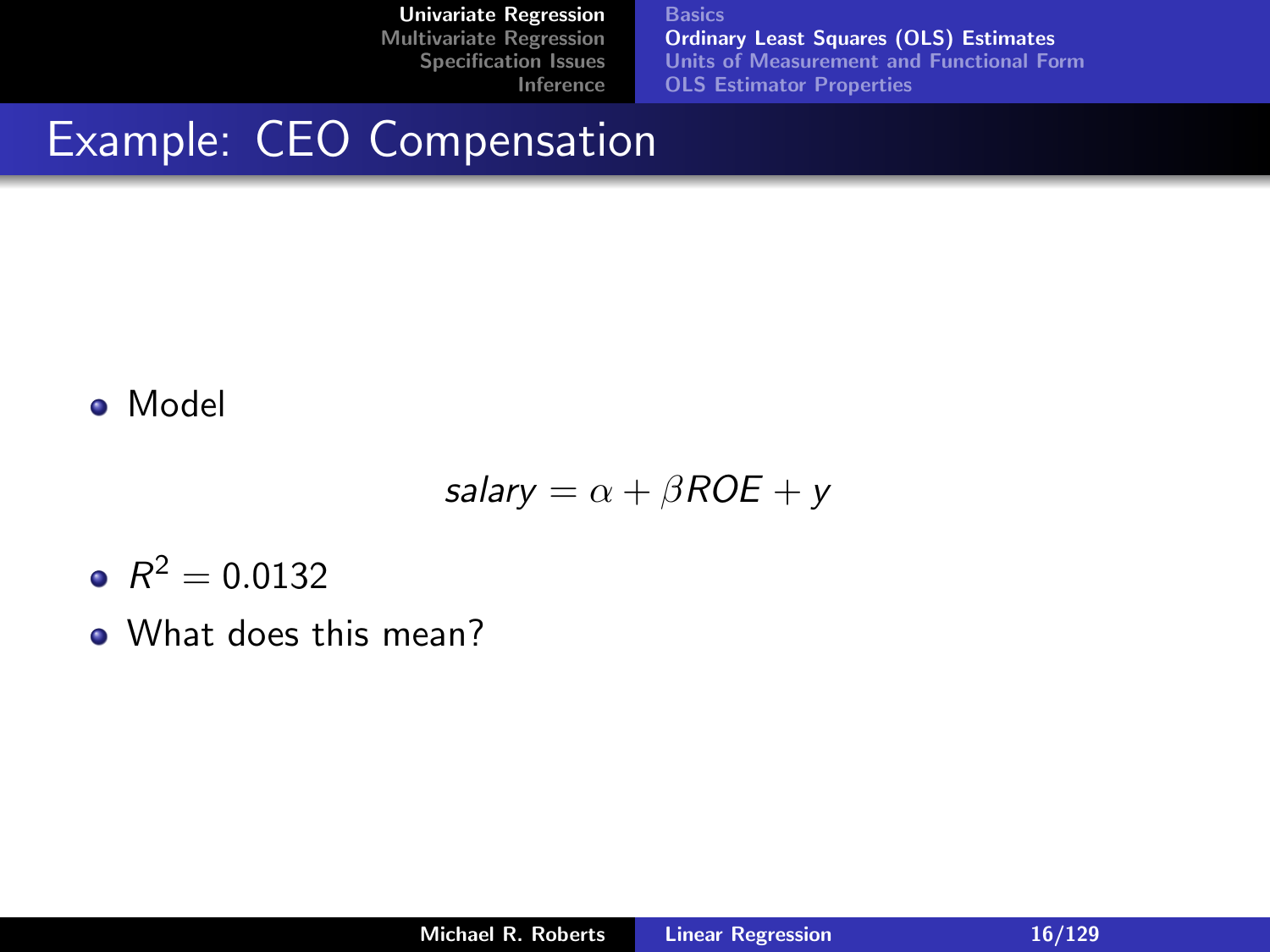**Basics** [Ordinary Least Squares \(OLS\) Estimates](#page-9-0) [Units of Measurement and Functional Form](#page-16-0) [OLS Estimator Properties](#page-28-0)

### Example: CEO Compensation

Model

$$
salary = \alpha + \beta ROE + y
$$

- $R^2 = 0.0132$
- What does this mean?

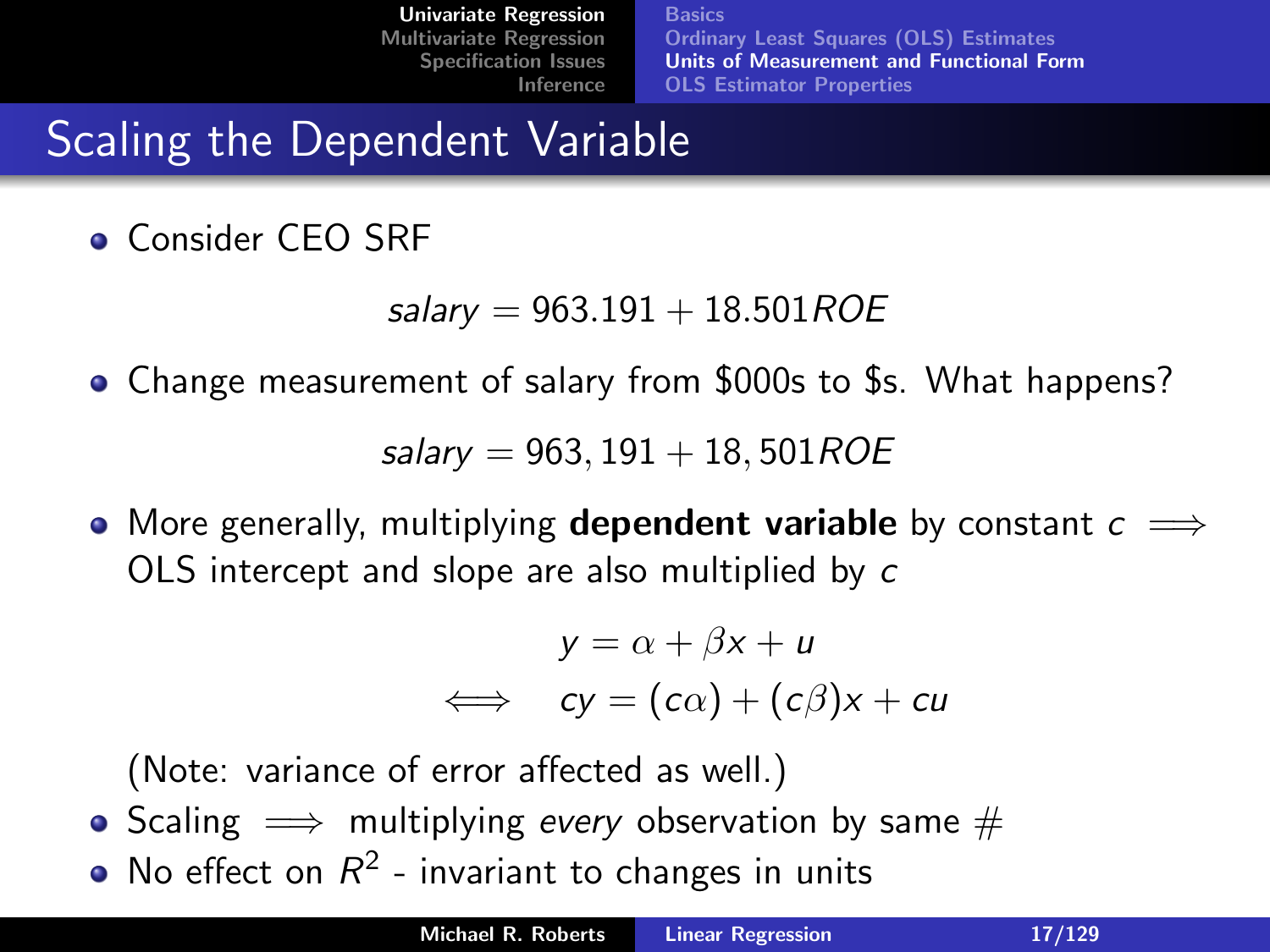**Basics** [Ordinary Least Squares \(OLS\) Estimates](#page-9-0) [Units of Measurement and Functional Form](#page-16-0) [OLS Estimator Properties](#page-28-0)

### Scaling the Dependent Variable

**• Consider CEO SRF** 

 $salary = 963.191 + 18.501 ROE$ 

Change measurement of salary from \$000s to \$s. What happens?

 $salary = 963, 191 + 18, 501 ROE$ 

• More generally, multiplying **dependent variable** by constant  $c \implies$ OLS intercept and slope are also multiplied by c

<span id="page-16-0"></span>
$$
y = \alpha + \beta x + u
$$
  

$$
\iff cy = (c\alpha) + (c\beta)x + cu
$$

(Note: variance of error affected as well.)

- Scaling  $\implies$  multiplying every observation by same  $#$
- No effect on  $R^2$  invariant to changes in units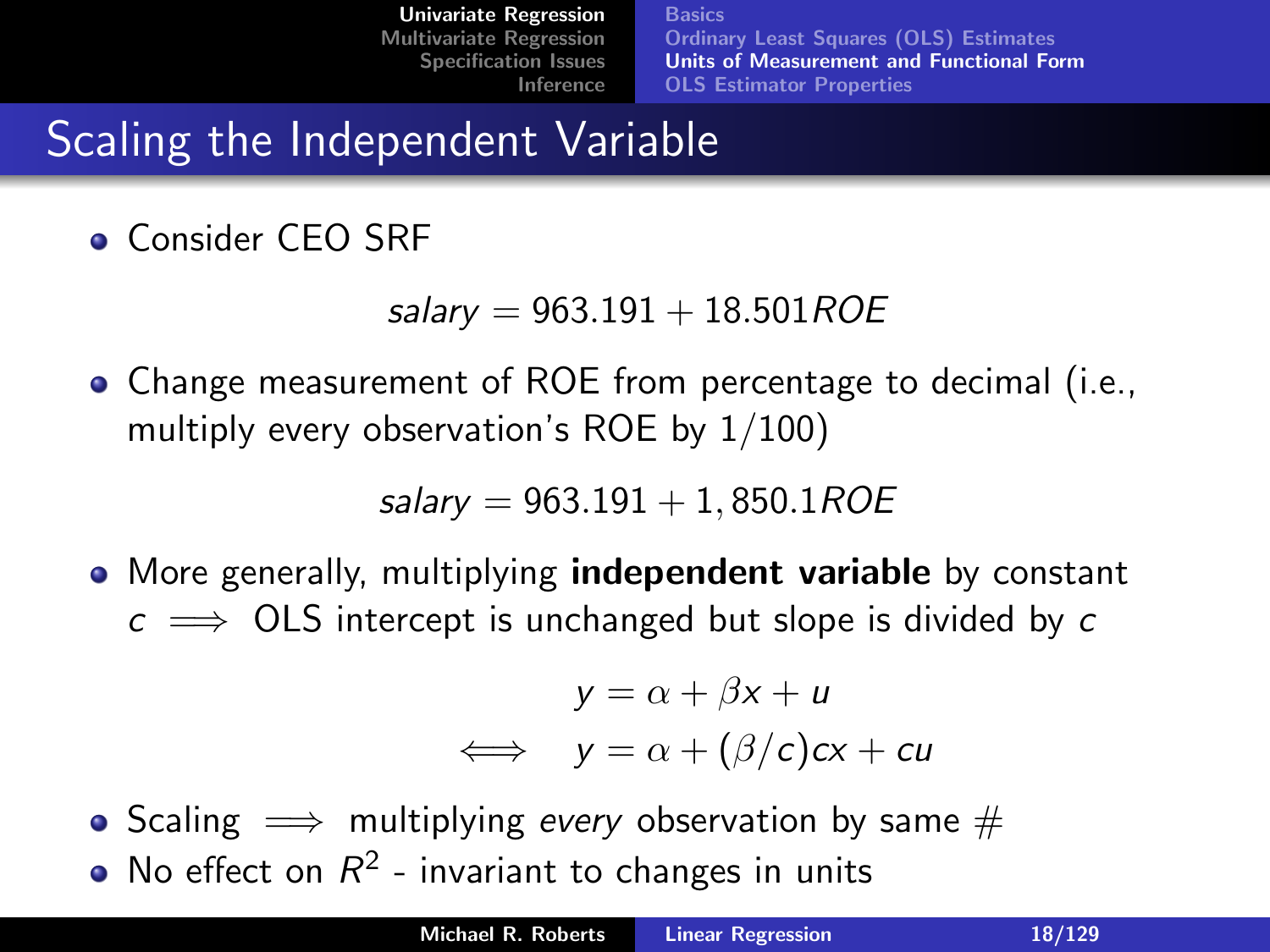**Basics** [Ordinary Least Squares \(OLS\) Estimates](#page-9-0) [Units of Measurement and Functional Form](#page-16-0) [OLS Estimator Properties](#page-28-0)

### Scaling the Independent Variable

**• Consider CEO SRF** 

```
salary = 963.191 + 18.501 ROE
```
Change measurement of ROE from percentage to decimal (i.e., multiply every observation's ROE by 1/100)

 $salary = 963.191 + 1,850.1ROE$ 

• More generally, multiplying **independent variable** by constant  $c \implies$  OLS intercept is unchanged but slope is divided by c

$$
y = \alpha + \beta x + u
$$
  

$$
\iff y = \alpha + (\beta/c)cx + cu
$$

• Scaling  $\implies$  multiplying every observation by same  $#$ No effect on  $R^2$  - invariant to changes in units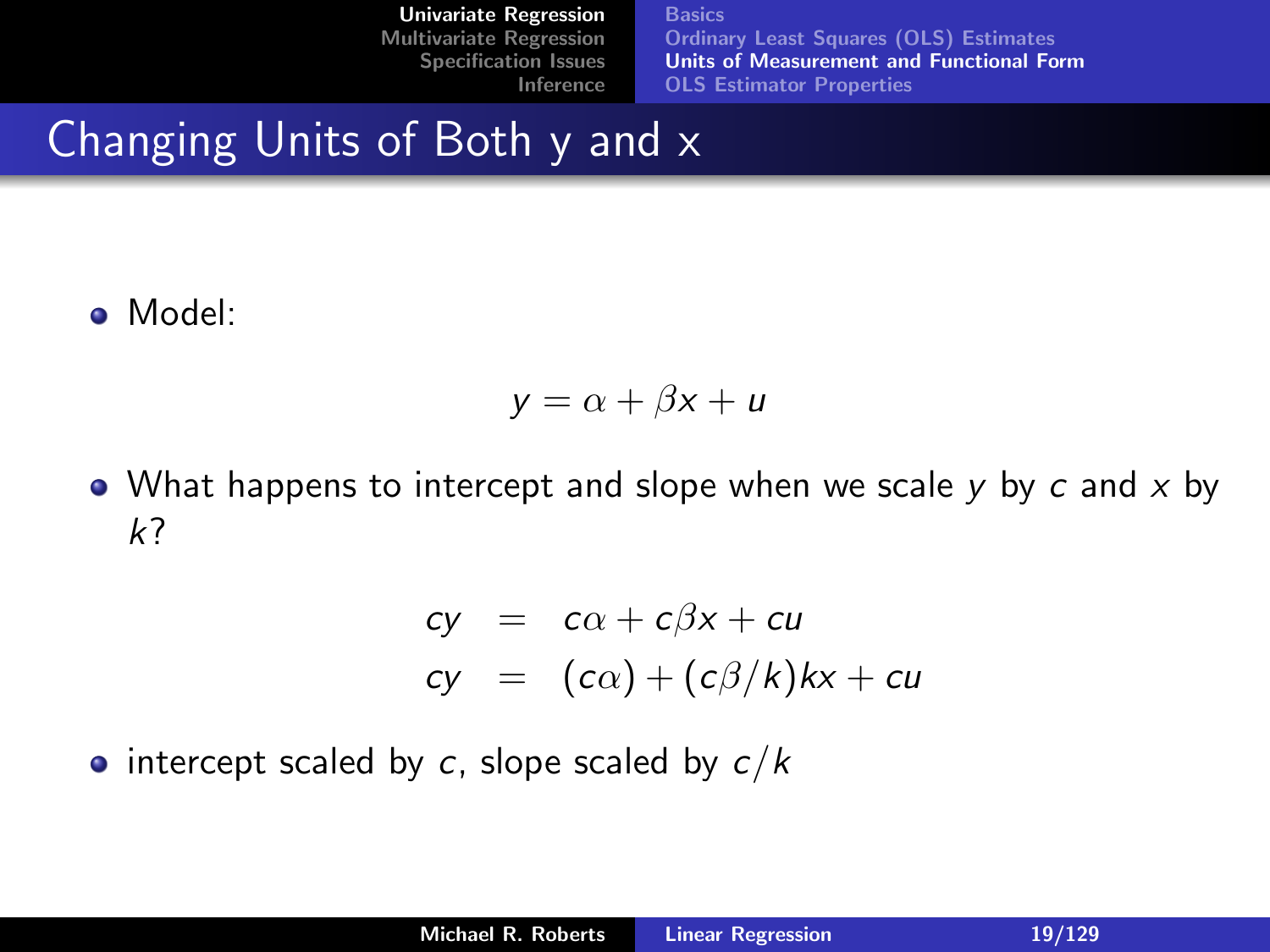**Basics** [Ordinary Least Squares \(OLS\) Estimates](#page-9-0) [Units of Measurement and Functional Form](#page-16-0) [OLS Estimator Properties](#page-28-0)

### Changing Units of Both y and x

Model:

$$
y = \alpha + \beta x + u
$$

• What happens to intercept and slope when we scale y by c and  $x$  by k?

$$
cy = c\alpha + c\beta x + cu
$$
  

$$
cy = (c\alpha) + (c\beta/k)kx + cu
$$

• intercept scaled by c, slope scaled by  $c/k$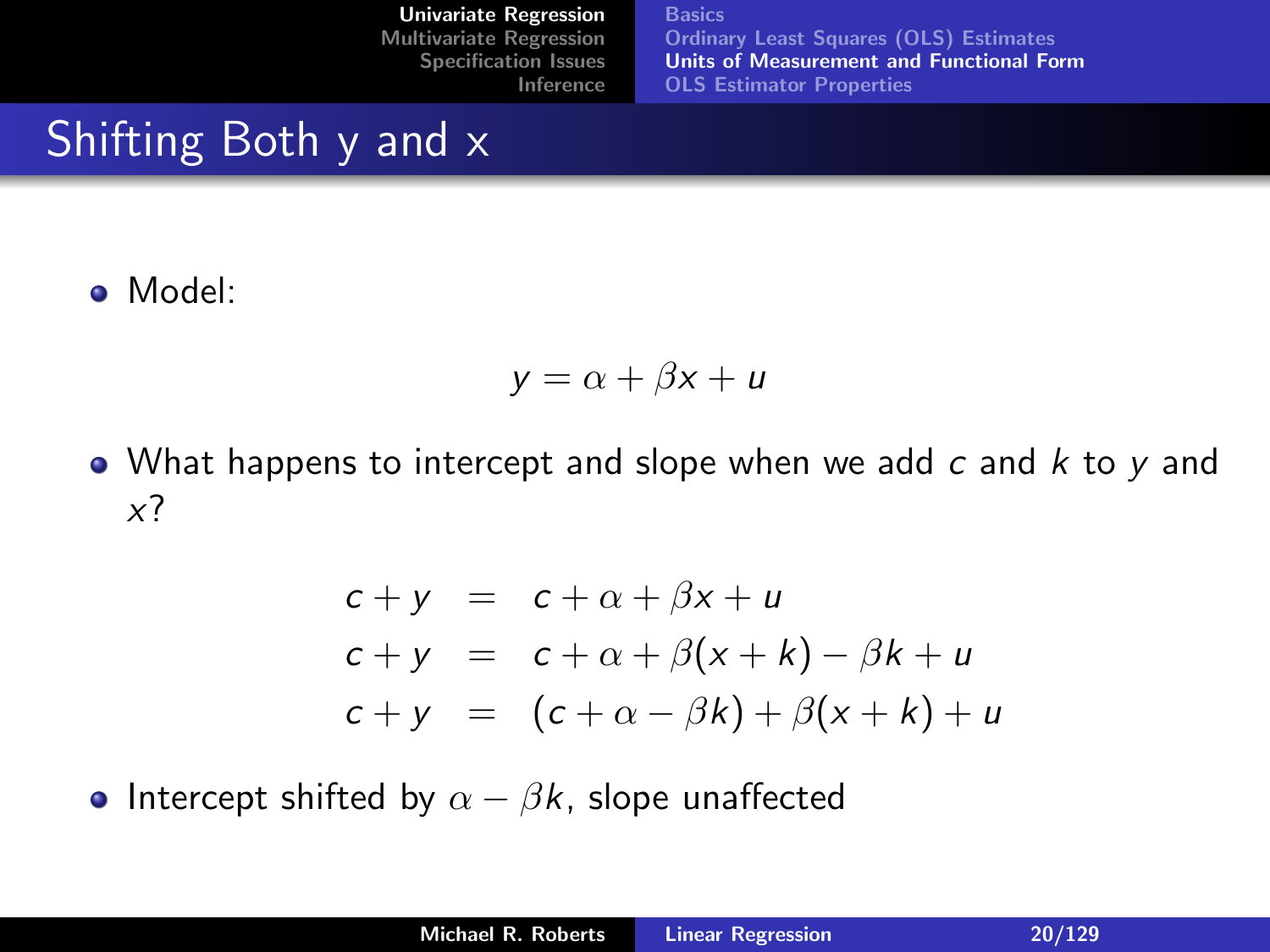**Basics** [Ordinary Least Squares \(OLS\) Estimates](#page-9-0) [Units of Measurement and Functional Form](#page-16-0) [OLS Estimator Properties](#page-28-0)

### Shifting Both y and x

Model:

$$
y = \alpha + \beta x + u
$$

• What happens to intercept and slope when we add  $c$  and  $k$  to  $y$  and x?

$$
c + y = c + \alpha + \beta x + u
$$
  
\n
$$
c + y = c + \alpha + \beta(x + k) - \beta k + u
$$
  
\n
$$
c + y = (c + \alpha - \beta k) + \beta(x + k) + u
$$

• Intercept shifted by  $\alpha - \beta k$ , slope unaffected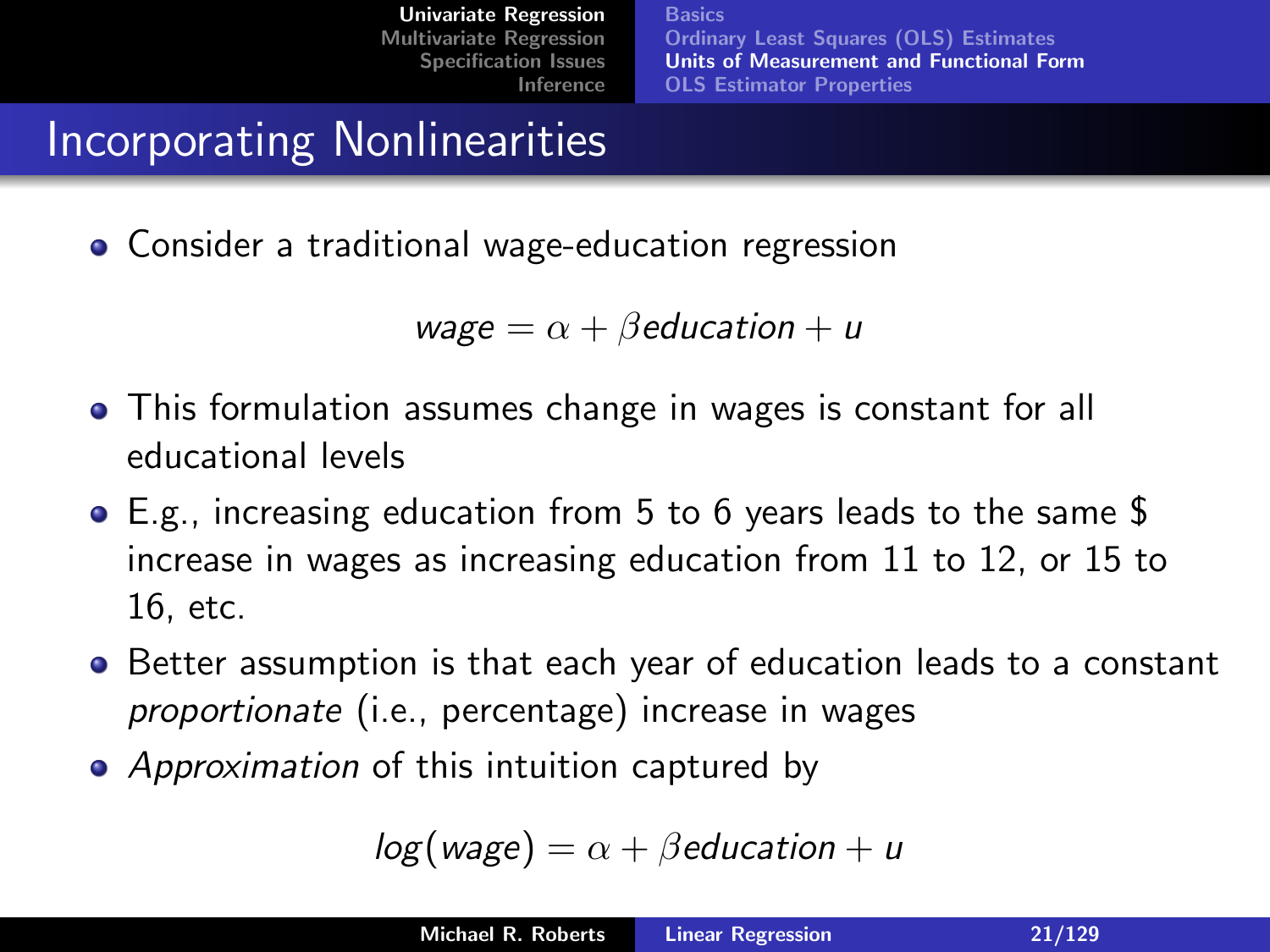**Basics** [Ordinary Least Squares \(OLS\) Estimates](#page-9-0) [Units of Measurement and Functional Form](#page-16-0) [OLS Estimator Properties](#page-28-0)

#### Incorporating Nonlinearities

Consider a traditional wage-education regression

wage  $= \alpha + \beta$ education  $+ u$ 

- This formulation assumes change in wages is constant for all educational levels
- E.g., increasing education from 5 to 6 years leads to the same \$ increase in wages as increasing education from 11 to 12, or 15 to 16, etc.
- Better assumption is that each year of education leads to a constant proportionate (i.e., percentage) increase in wages
- Approximation of this intuition captured by

 $log(wage) = \alpha + \beta$ education + u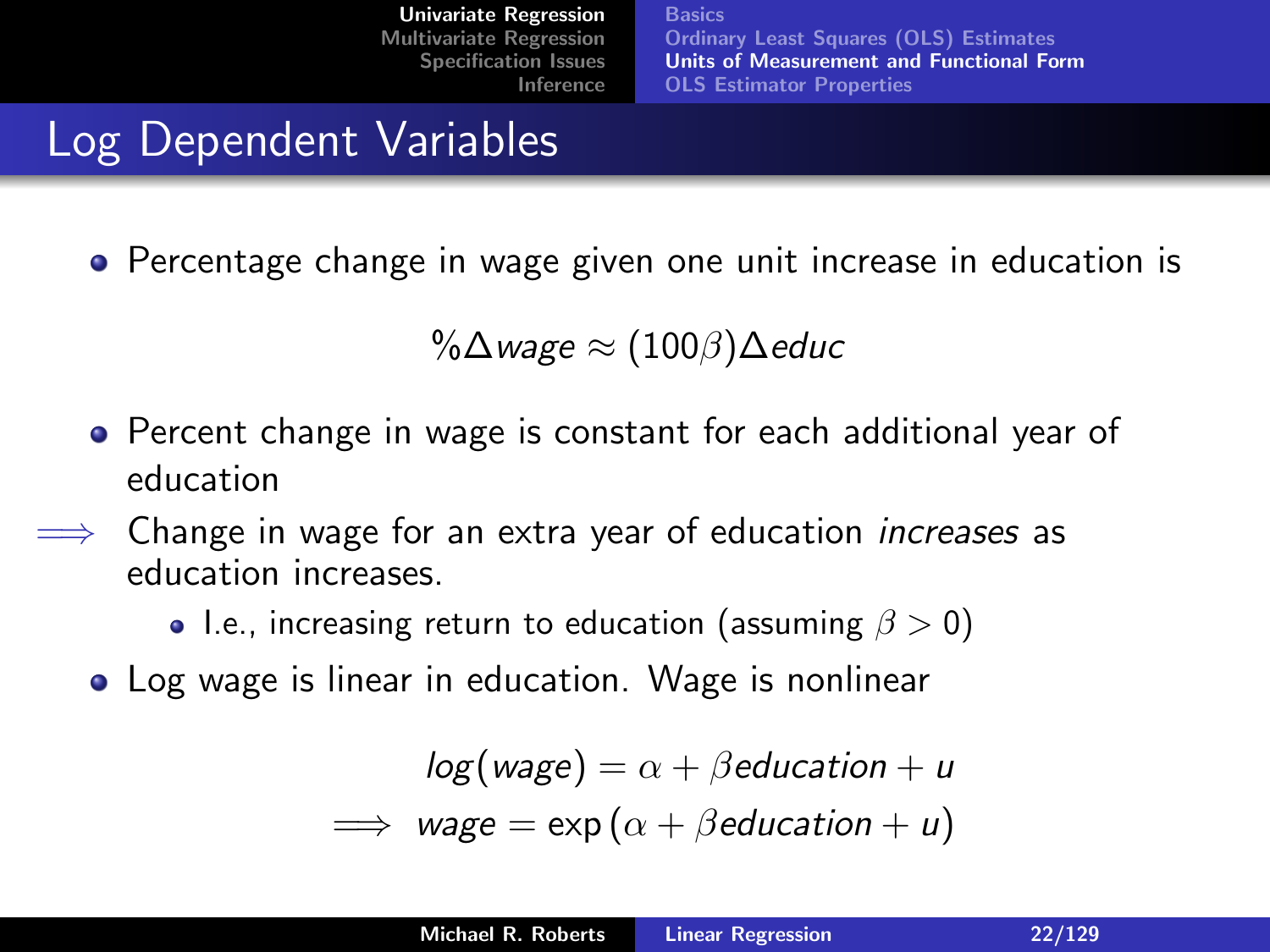**Basics** [Ordinary Least Squares \(OLS\) Estimates](#page-9-0) [Units of Measurement and Functional Form](#page-16-0) [OLS Estimator Properties](#page-28-0)

### Log Dependent Variables

Percentage change in wage given one unit increase in education is

 $\%$  $\Delta$ wage  $\approx$  (100 $\beta$ ) $\Delta$ educ

- Percent change in wage is constant for each additional year of education
- Change in wage for an extra year of education *increases* as education increases.
	- I.e., increasing return to education (assuming  $\beta > 0$ )
	- Log wage is linear in education. Wage is nonlinear

$$
\textit{log}(\textit{wage}) = \alpha + \beta \textit{eduction} + u
$$

$$
\implies \text{ wage} = \exp\left(\alpha + \beta \text{eduction} + u\right)
$$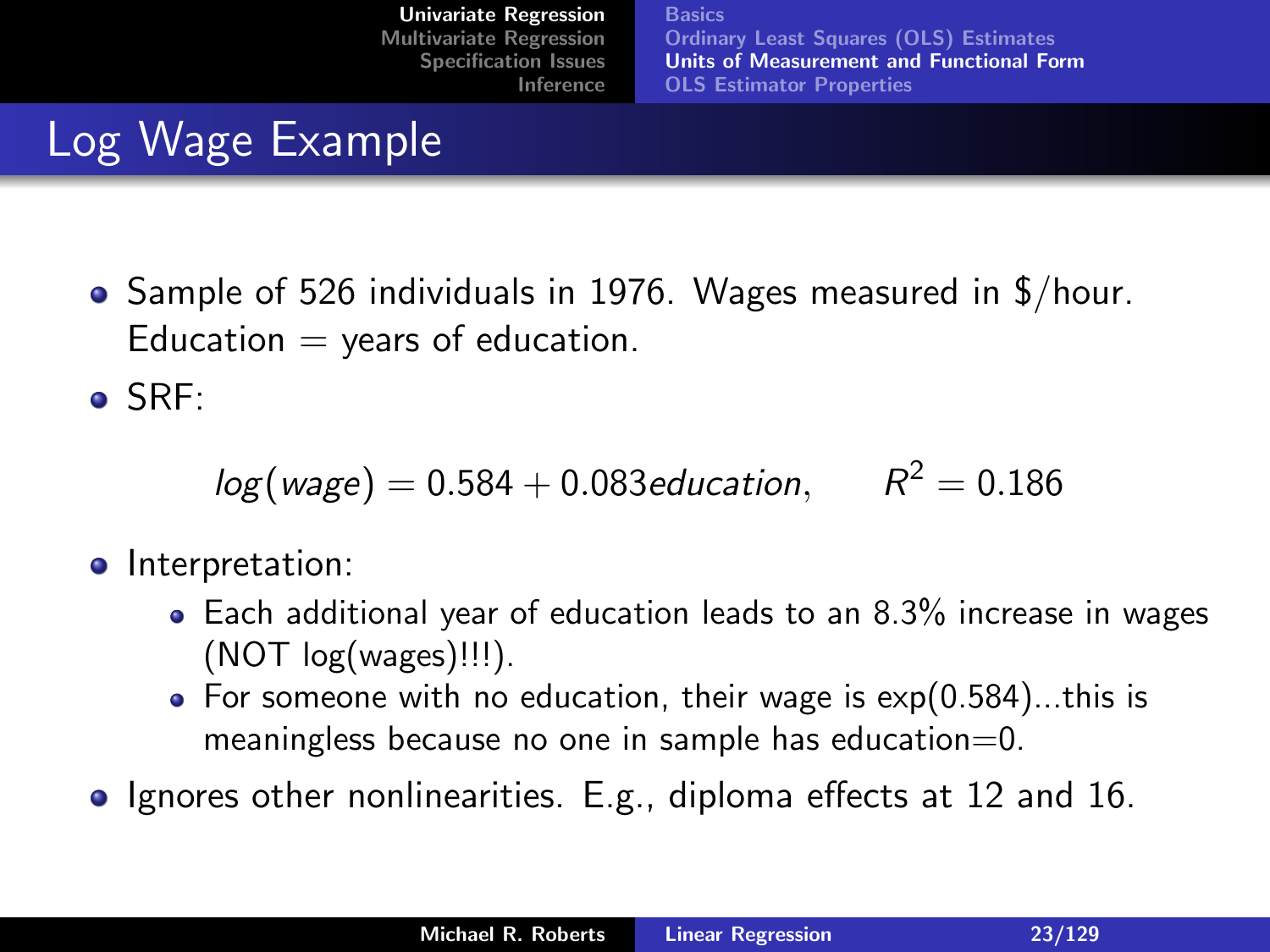[Univariate Regression](#page-1-0) [Multivariate Regression](#page-31-0) [Specification Issues](#page-79-0) [Inference](#page-103-0) **Basics** [Ordinary Least Squares \(OLS\) Estimates](#page-9-0) [Units of Measurement and Functional Form](#page-16-0) [OLS Estimator Properties](#page-28-0)

# Log Wage Example

• Sample of 526 individuals in 1976. Wages measured in \$/hour. Education  $=$  years of education.

SRF:

 $log(wage) = 0.584 + 0.083$ education,  $R^2 = 0.186$ 

- **·** Interpretation:
	- Each additional year of education leads to an 8.3% increase in wages  $(NOT log(wages)!!!)$ .
	- For someone with no education, their wage is  $exp(0.584)$ ...this is meaningless because no one in sample has education=0.
- **Ignores other nonlinearities.** E.g., diploma effects at 12 and 16.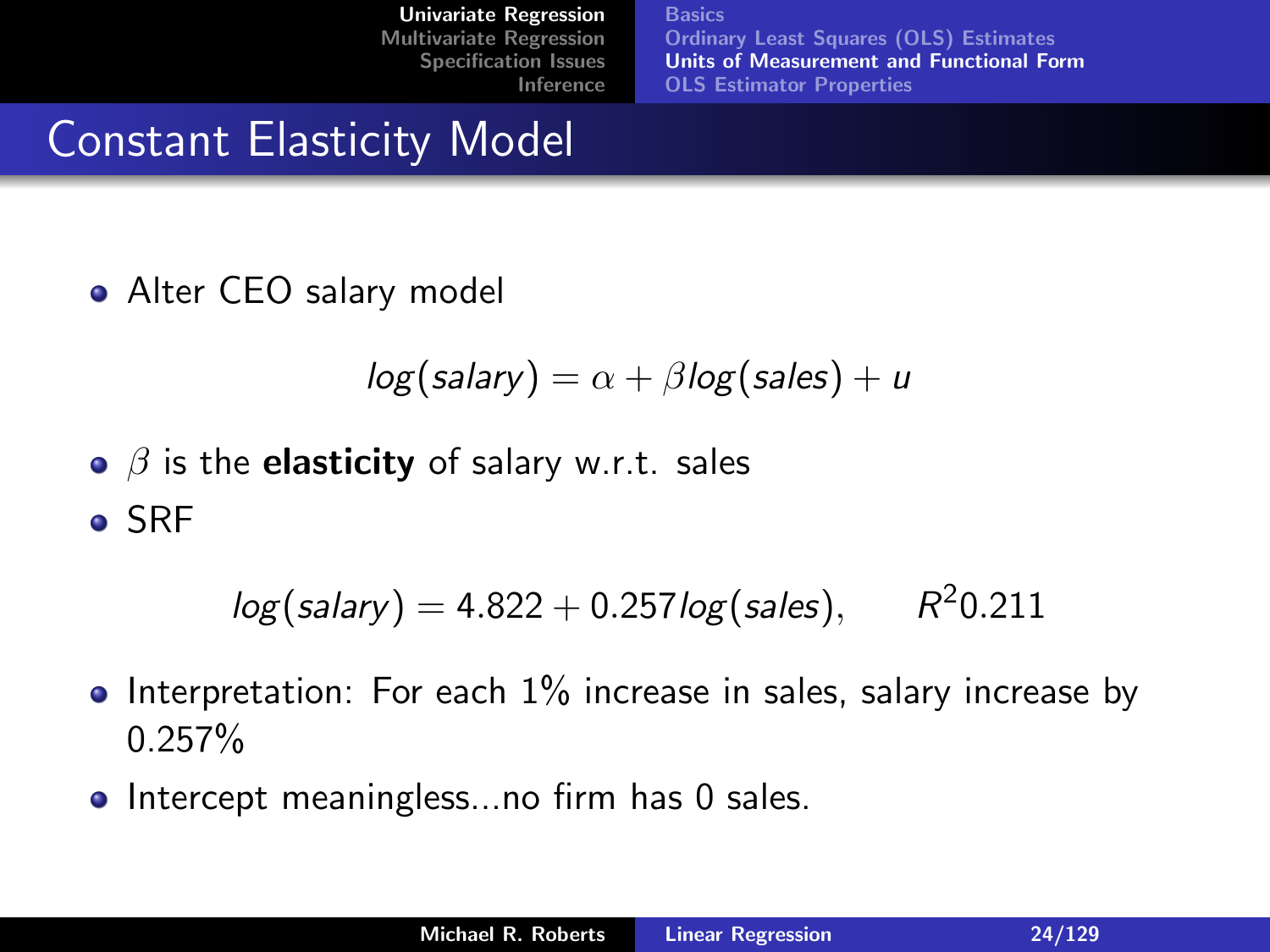**Basics** [Ordinary Least Squares \(OLS\) Estimates](#page-9-0) [Units of Measurement and Functional Form](#page-16-0) [OLS Estimator Properties](#page-28-0)

## Constant Elasticity Model

• Alter CEO salary model

$$
log(salary) = \alpha + \beta log(sales) + u
$$

 $\theta$  is the **elasticity** of salary w.r.t. sales SRF

$$
log(salary) = 4.822 + 0.257 log(sales),
$$
  $R^2 0.211$ 

- $\bullet$  Interpretation: For each  $1\%$  increase in sales, salary increase by 0.257%
- **Intercept meaningless...no firm has 0 sales.**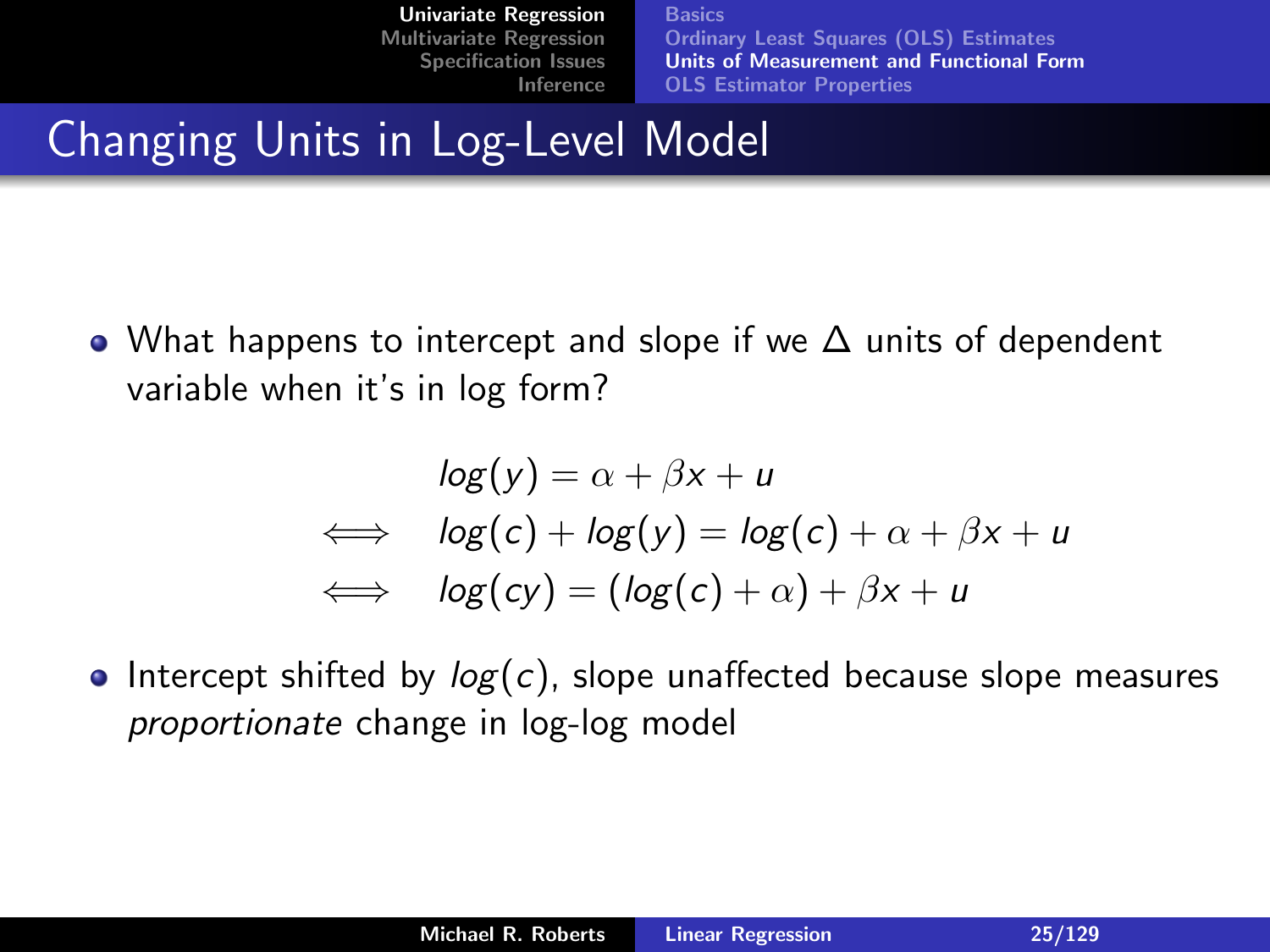**Basics** [Ordinary Least Squares \(OLS\) Estimates](#page-9-0) [Units of Measurement and Functional Form](#page-16-0) [OLS Estimator Properties](#page-28-0)

# Changing Units in Log-Level Model

• What happens to intercept and slope if we  $\Delta$  units of dependent variable when it's in log form?

$$
log(y) = \alpha + \beta x + u
$$
  
\n
$$
\iff log(c) + log(y) = log(c) + \alpha + \beta x + u
$$
  
\n
$$
\iff log(cy) = (log(c) + \alpha) + \beta x + u
$$

• Intercept shifted by  $log(c)$ , slope unaffected because slope measures proportionate change in log-log model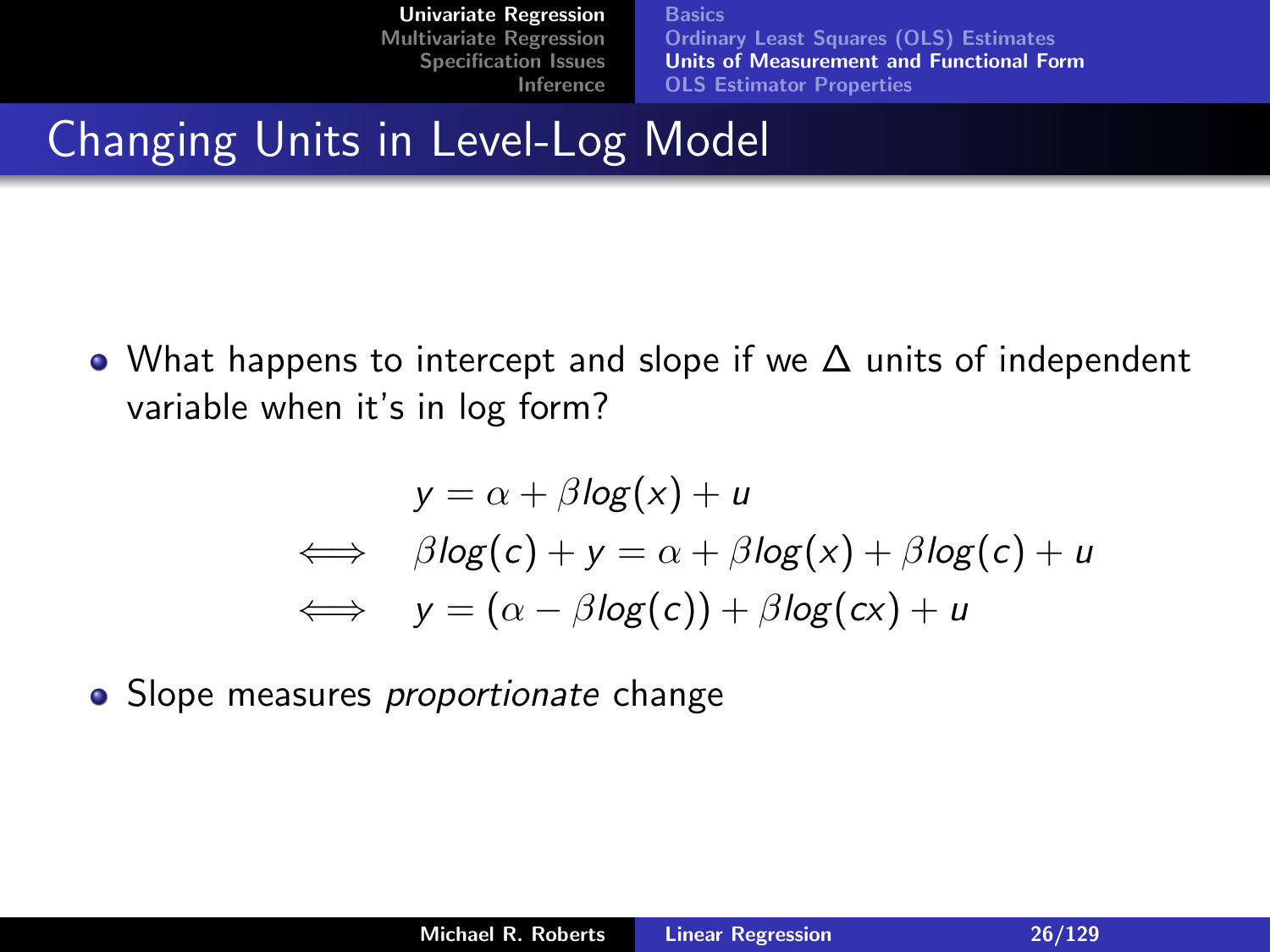**Basics** [Ordinary Least Squares \(OLS\) Estimates](#page-9-0) [Units of Measurement and Functional Form](#page-16-0) [OLS Estimator Properties](#page-28-0)

## Changing Units in Level-Log Model

• What happens to intercept and slope if we  $\Delta$  units of independent variable when it's in log form?

$$
y = \alpha + \beta \log(x) + u
$$
  
\n
$$
\iff \beta \log(c) + y = \alpha + \beta \log(x) + \beta \log(c) + u
$$
  
\n
$$
\iff y = (\alpha - \beta \log(c)) + \beta \log(cx) + u
$$

• Slope measures *proportionate* change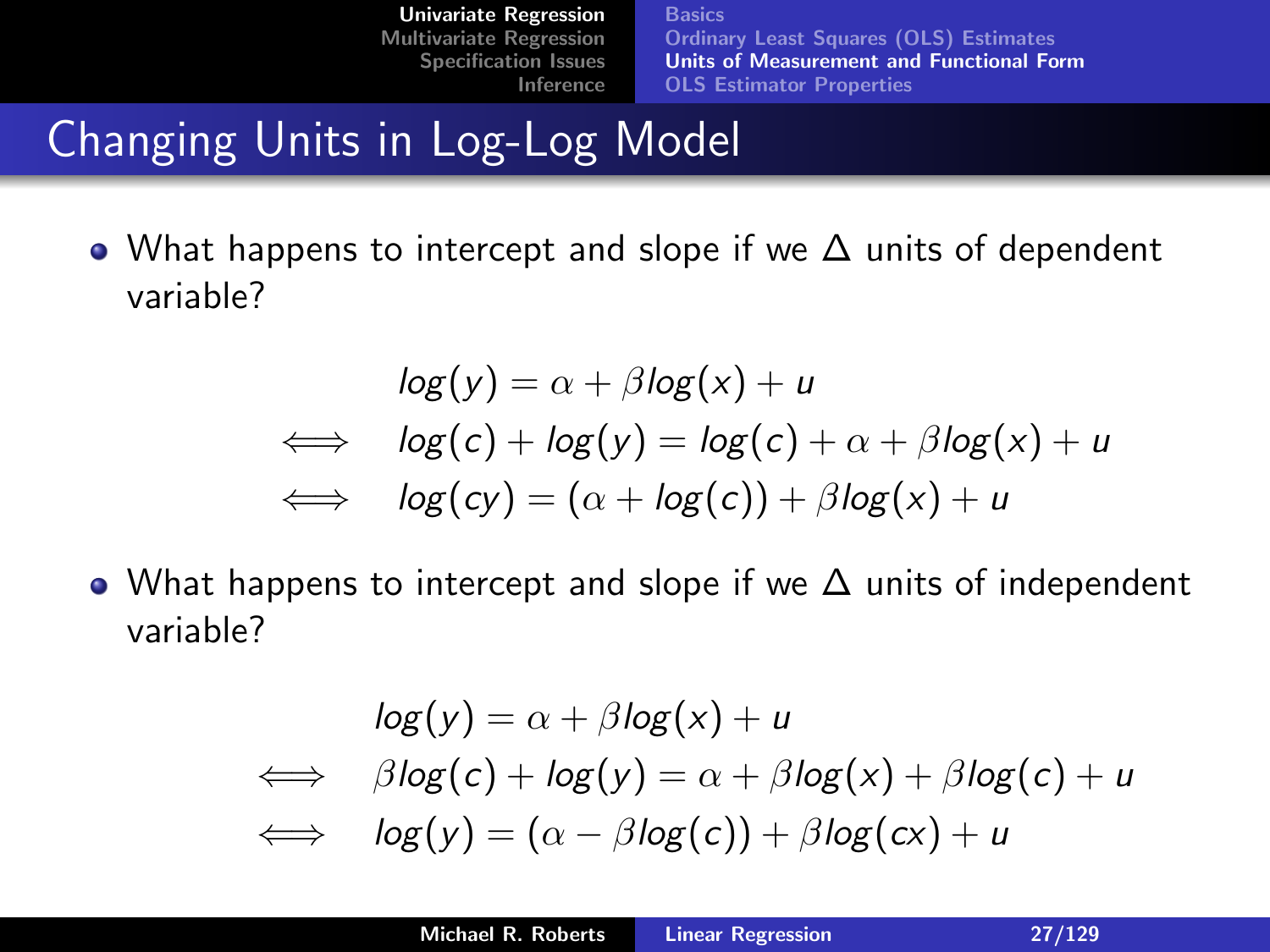**Basics** [Ordinary Least Squares \(OLS\) Estimates](#page-9-0) [Units of Measurement and Functional Form](#page-16-0) [OLS Estimator Properties](#page-28-0)

# Changing Units in Log-Log Model

• What happens to intercept and slope if we  $\Delta$  units of dependent variable?

$$
log(y) = \alpha + \beta log(x) + u
$$
  
\n
$$
\iff log(c) + log(y) = log(c) + \alpha + \beta log(x) + u
$$
  
\n
$$
\iff log(cy) = (\alpha + log(c)) + \beta log(x) + u
$$

• What happens to intercept and slope if we  $\Delta$  units of independent variable?

$$
log(y) = \alpha + \beta log(x) + u
$$
  
\n
$$
\iff \beta log(c) + log(y) = \alpha + \beta log(x) + \beta log(c) + u
$$
  
\n
$$
\iff log(y) = (\alpha - \beta log(c)) + \beta log(cx) + u
$$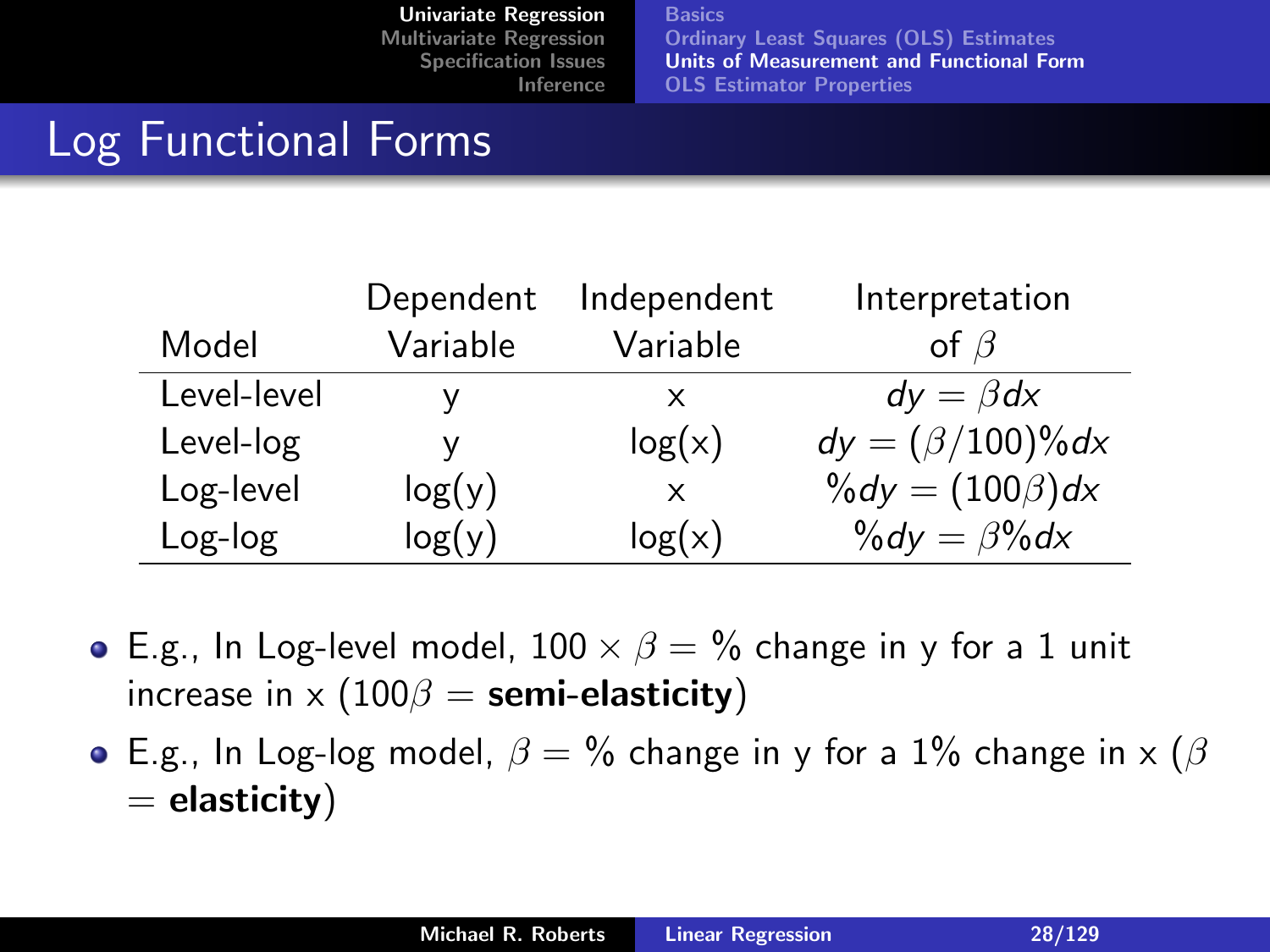**Basics** [Ordinary Least Squares \(OLS\) Estimates](#page-9-0) [Units of Measurement and Functional Form](#page-16-0) [OLS Estimator Properties](#page-28-0)

# Log Functional Forms

|             | Dependent | Independent | Interpretation         |
|-------------|-----------|-------------|------------------------|
| Model       | Variable  | Variable    | of $\beta$             |
| Level-level |           | x           | $dy = \beta dx$        |
| Level-log   |           | log(x)      | $dy = (\beta/100)\%dx$ |
| Log-level   | log(y)    | X           | % $dy = (100\beta)dx$  |
| Log-log     | log(y)    | log(x)      | % $dy = \beta$ %dx     |

- E.g., In Log-level model,  $100 \times \beta = \%$  change in y for a 1 unit increase in  $x(100\beta = \text{semi-elasticity})$
- **E.g., In Log-log model,**  $\beta = \%$  change in y for a 1% change in x ( $\beta$  $=$  elasticity)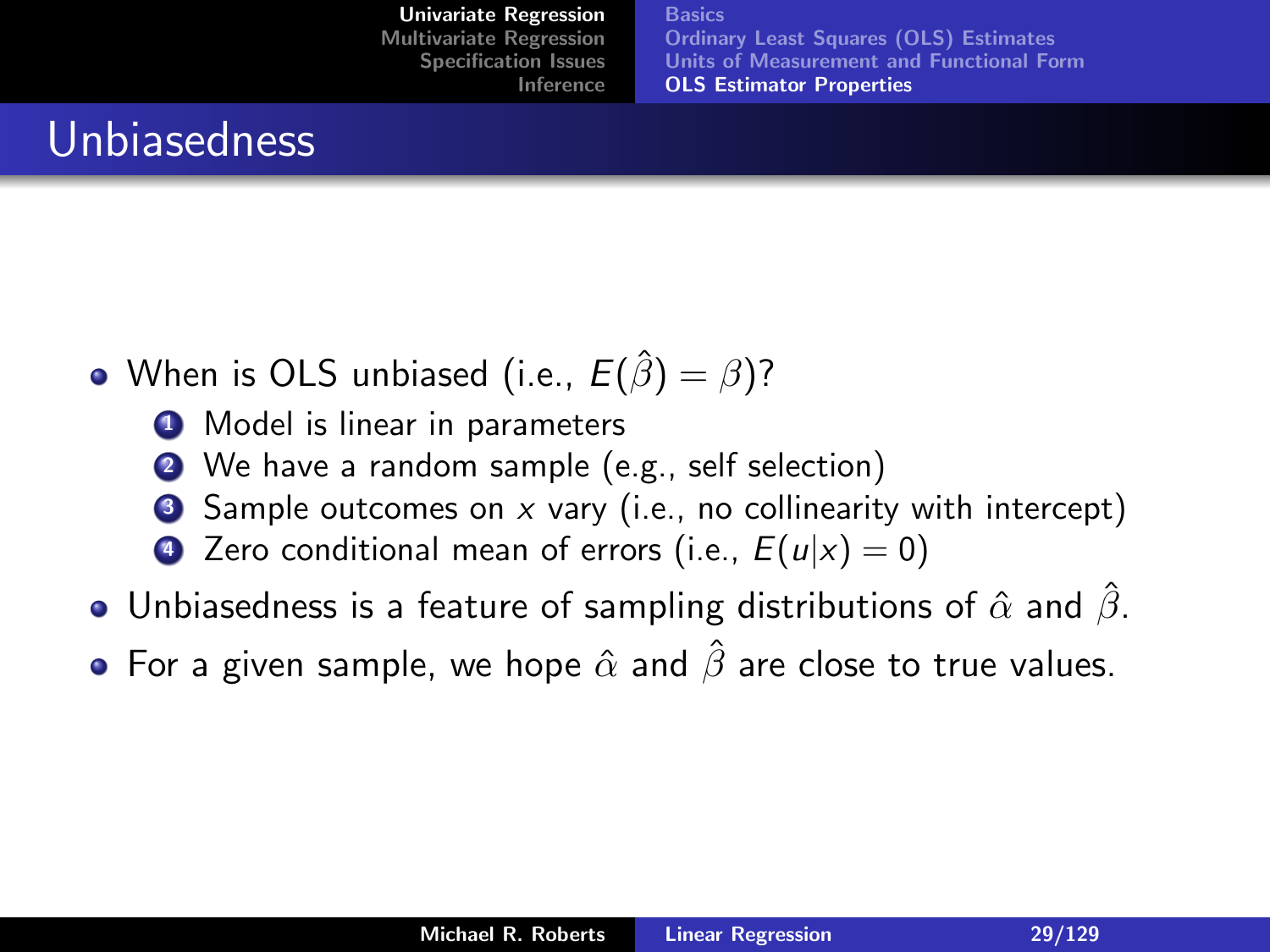<span id="page-28-0"></span>**Basics** [Ordinary Least Squares \(OLS\) Estimates](#page-9-0) [Units of Measurement and Functional Form](#page-16-0) [OLS Estimator Properties](#page-28-0)

# Unbiasedness

- When is OLS unbiased (i.e.,  $E(\hat{\beta}) = \beta$ )?
	- **1** Model is linear in parameters
	- <sup>2</sup> We have a random sample (e.g., self selection)
	- $\bullet$  Sample outcomes on x vary (i.e., no collinearity with intercept)
	- 4 Zero conditional mean of errors (i.e.,  $E(u|x) = 0$ )
- Unbiasedness is a feature of sampling distributions of  $\hat{\alpha}$  and  $\hat{\beta}$ .
- For a given sample, we hope  $\hat{\alpha}$  and  $\hat{\beta}$  are close to true values.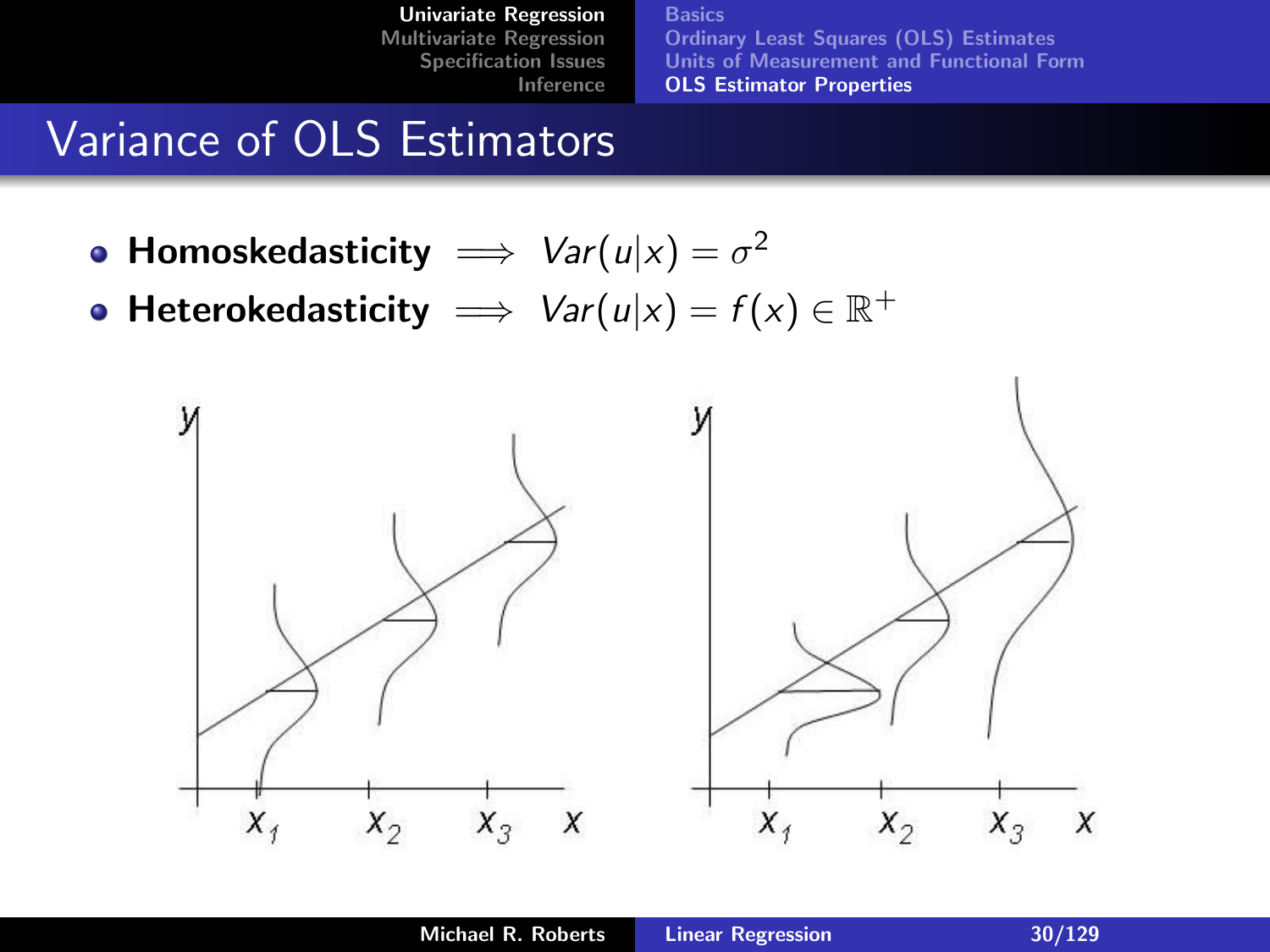Basics [Ordinary Least Squares \(OLS\) Estimates](#page-9-0) [Units of Measurement and Functional Form](#page-16-0) [OLS Estimator Properties](#page-28-0)

#### Variance of OLS Estimators

- Homoskedasticity  $\implies$   $Var(u|x) = \sigma^2$
- Heterokedasticity  $\implies Var(u|x) = f(x) \in \mathbb{R}^+$

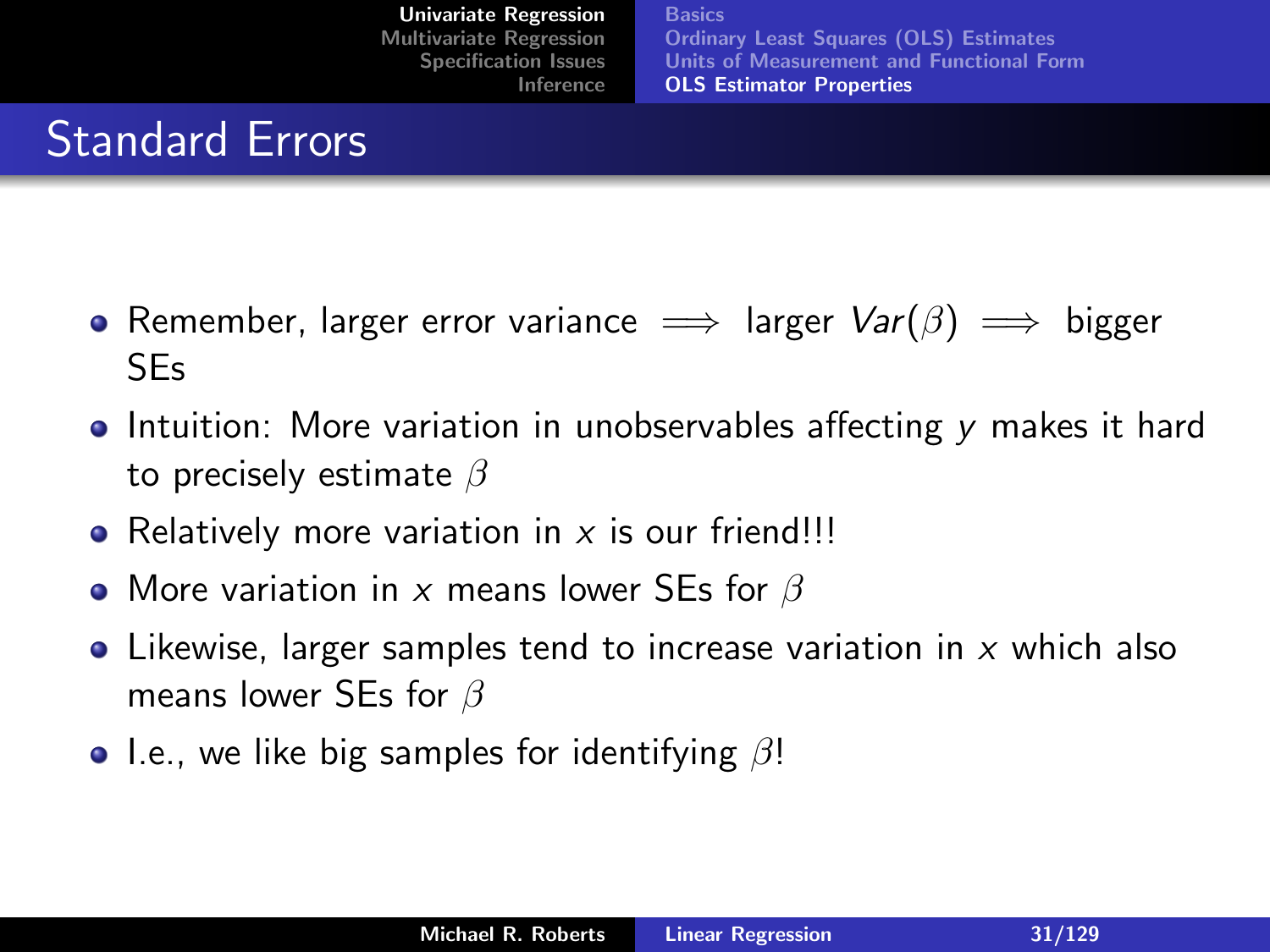[Univariate Regression](#page-1-0) [Multivariate Regression](#page-31-0) [Specification Issues](#page-79-0) [Inference](#page-103-0) **Basics** [Ordinary Least Squares \(OLS\) Estimates](#page-9-0) [Units of Measurement and Functional Form](#page-16-0) [OLS Estimator Properties](#page-28-0)

### Standard Errors

- Remember, larger error variance  $\implies$  larger  $Var(\beta) \implies$  bigger SEs
- $\bullet$  Intuition: More variation in unobservables affecting y makes it hard to precisely estimate  $\beta$
- Relatively more variation in  $x$  is our friend!!!
- More variation in x means lower SEs for  $\beta$
- Likewise, larger samples tend to increase variation in  $x$  which also means lower SEs for  $\beta$
- I.e., we like big samples for identifying  $\beta!$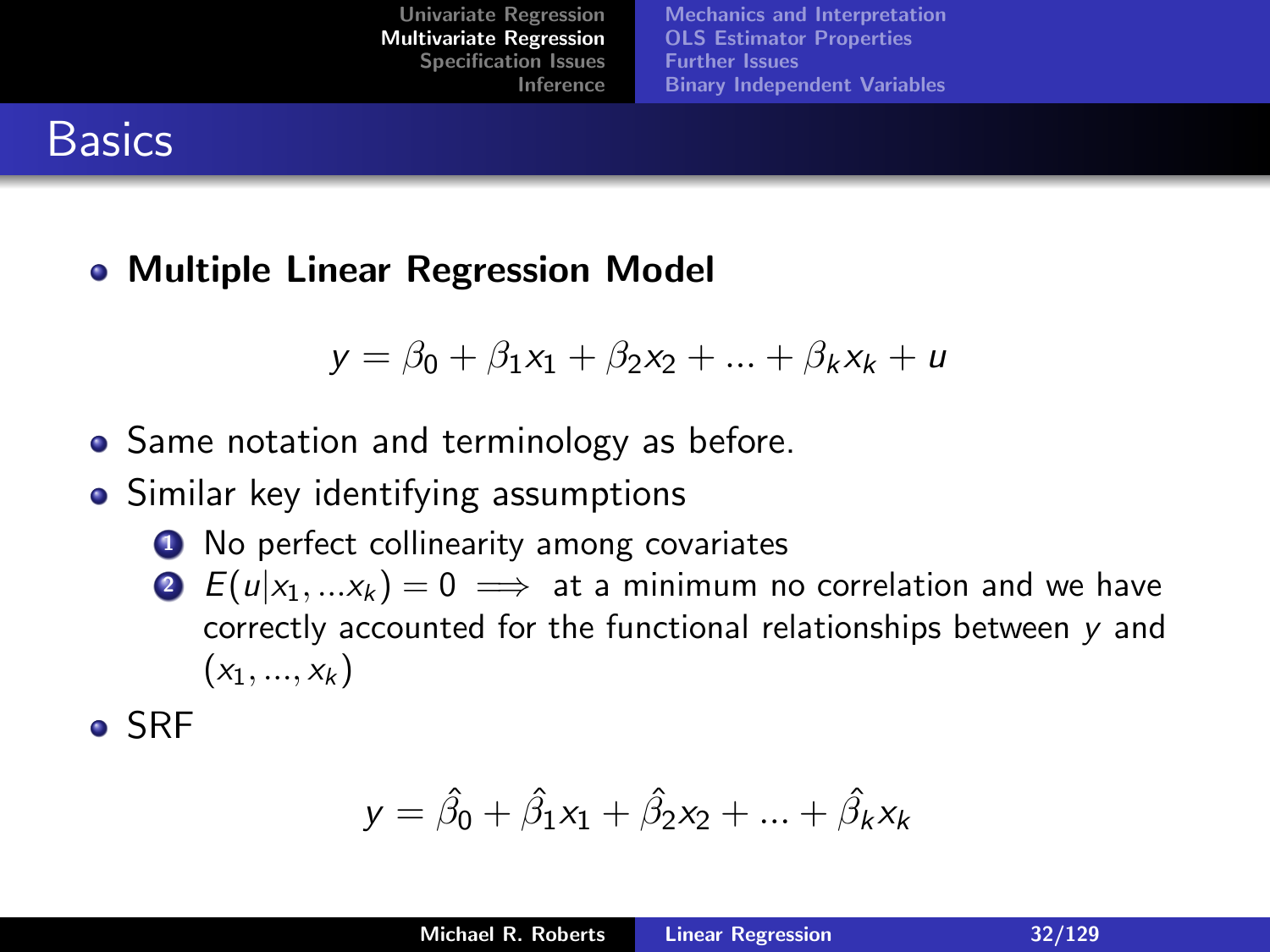[Univariate Regression](#page-1-0) [Multivariate Regression](#page-31-0) [Specification Issues](#page-79-0) [Inference](#page-103-0) [Mechanics and Interpretation](#page-32-0) [OLS Estimator Properties](#page-45-0) [Further Issues](#page-49-0) [Binary Independent Variables](#page-62-0)

#### **Basics**

#### **• Multiple Linear Regression Model**

$$
y = \beta_0 + \beta_1 x_1 + \beta_2 x_2 + \dots + \beta_k x_k + u
$$

- Same notation and terminology as before.
- Similar key identifying assumptions
	- <sup>1</sup> No perfect collinearity among covariates
	- **2**  $E(u|x_1,...x_k) = 0 \implies$  at a minimum no correlation and we have correctly accounted for the functional relationships between y and  $(x_1, ..., x_k)$

o SRF

<span id="page-31-0"></span>
$$
y = \hat{\beta}_0 + \hat{\beta}_1 x_1 + \hat{\beta}_2 x_2 + \dots + \hat{\beta}_k x_k
$$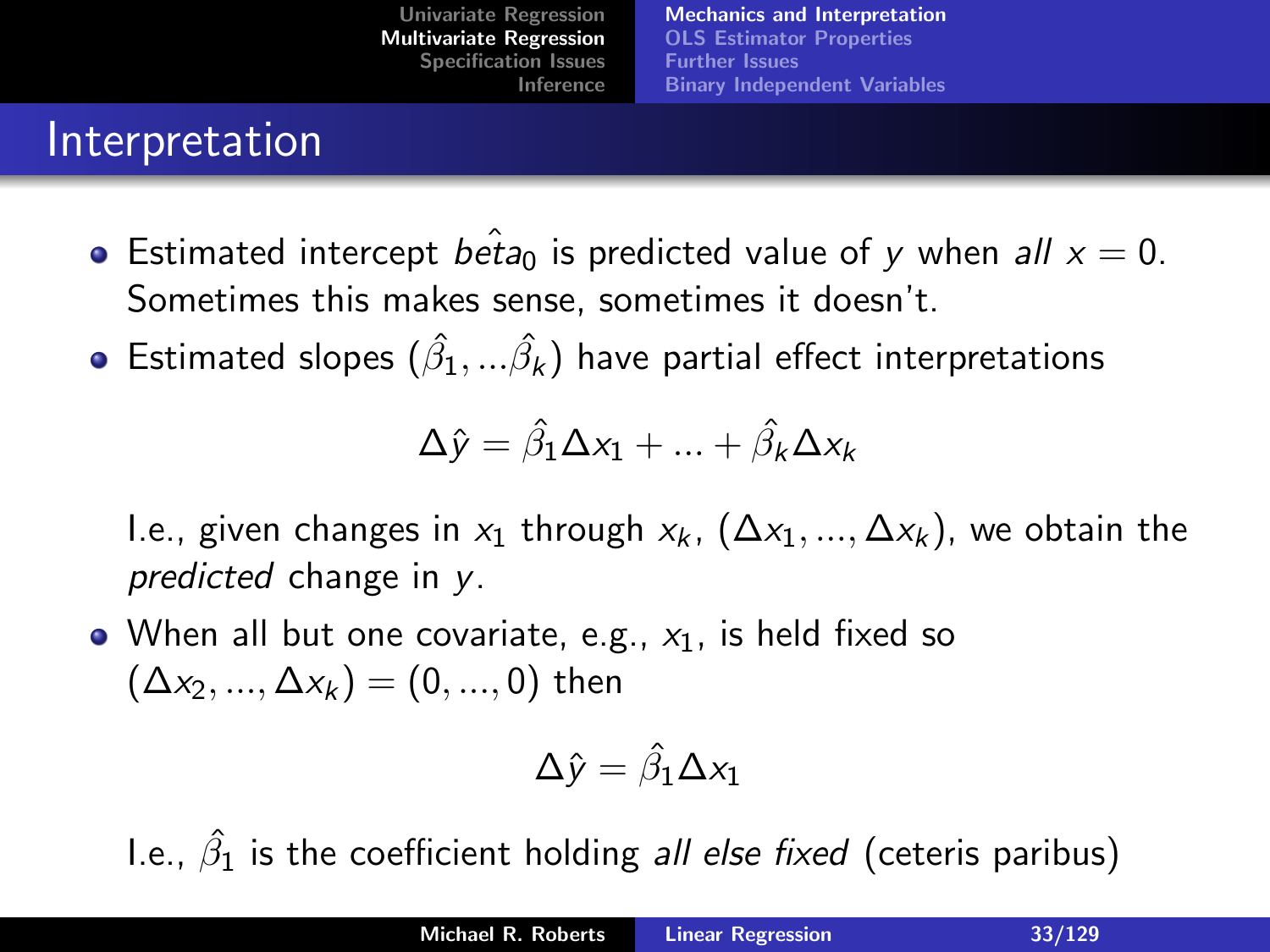[Univariate Regression](#page-1-0) [Multivariate Regression](#page-31-0) [Specification Issues](#page-79-0) [Inference](#page-103-0) [Mechanics and Interpretation](#page-32-0) [OLS Estimator Properties](#page-45-0) [Further Issues](#page-49-0) [Binary Independent Variables](#page-62-0)

#### Interpretation

- Estimated intercept  $\hat{beta}$  is predicted value of y when all  $x = 0$ . Sometimes this makes sense, sometimes it doesn't.
- Estimated slopes  $(\hat{\beta_1}, ... \hat{\beta_k})$  have partial effect interpretations

$$
\Delta \hat{y} = \hat{\beta}_1 \Delta x_1 + \dots + \hat{\beta}_k \Delta x_k
$$

I.e., given changes in  $x_1$  through  $x_k$ ,  $(\Delta x_1, ..., \Delta x_k)$ , we obtain the predicted change in y.

• When all but one covariate, e.g.,  $x_1$ , is held fixed so  $(\Delta x_2, ..., \Delta x_k) = (0, ..., 0)$  then

<span id="page-32-0"></span>
$$
\Delta \hat{y} = \hat{\beta}_1 \Delta x_1
$$

I.e.,  $\hat{\beta_1}$  is the coefficient holding *all else fixed* (ceteris paribus)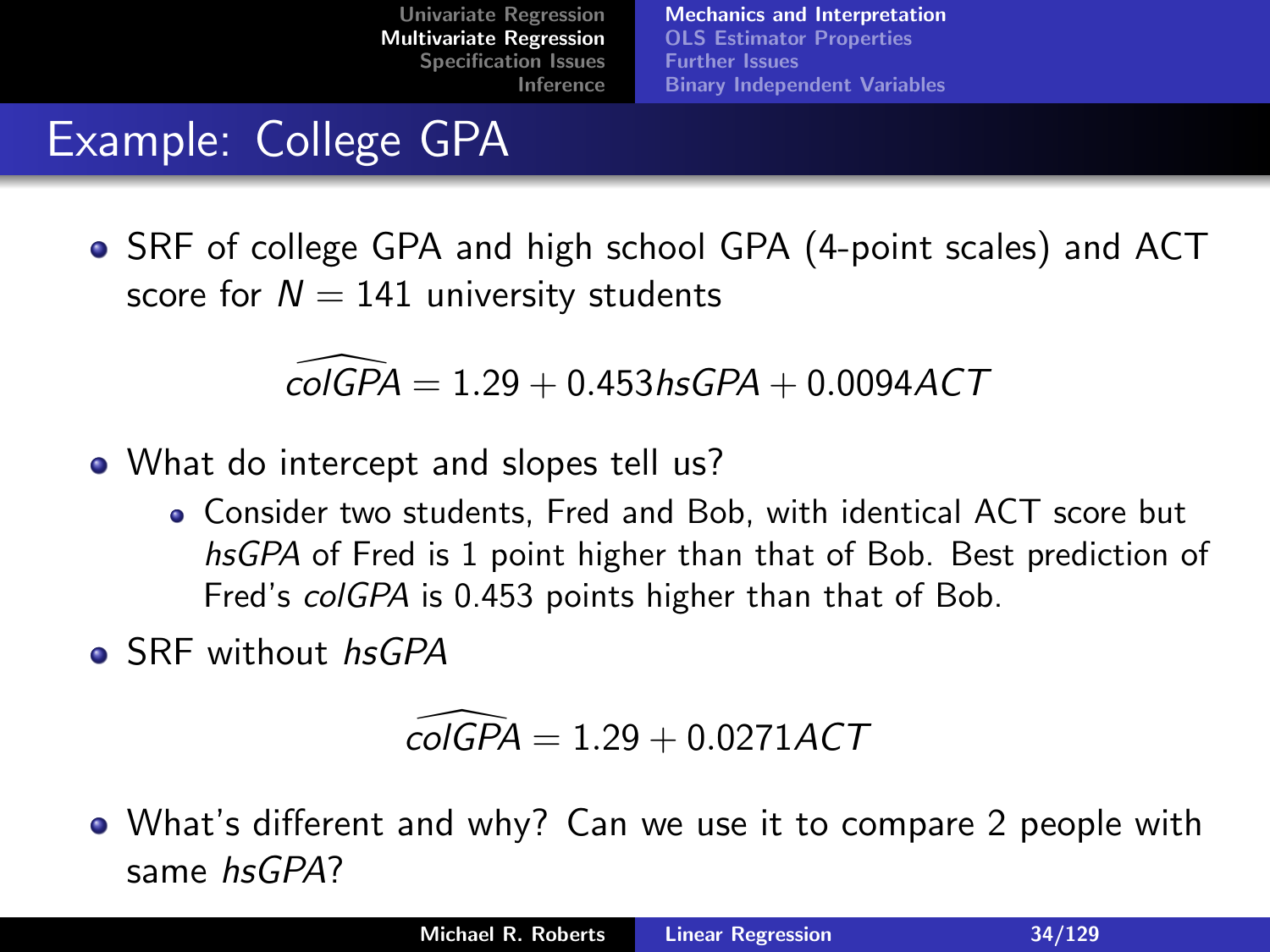[Mechanics and Interpretation](#page-32-0) [OLS Estimator Properties](#page-45-0) [Further Issues](#page-49-0) [Binary Independent Variables](#page-62-0)

# Example: College GPA

SRF of college GPA and high school GPA (4-point scales) and ACT score for  $N = 141$  university students

$$
\widehat{\text{coIGPA}} = 1.29 + 0.453 \text{hsGPA} + 0.0094 \text{ACT}
$$

- What do intercept and slopes tell us?
	- Consider two students, Fred and Bob, with identical ACT score but hsGPA of Fred is 1 point higher than that of Bob. Best prediction of Fred's colGPA is 0.453 points higher than that of Bob.
- SRF without hsGPA

$$
\widehat{\text{colGPA}}=1.29+0.0271\text{ACT}
$$

What's different and why? Can we use it to compare 2 people with same hsGPA?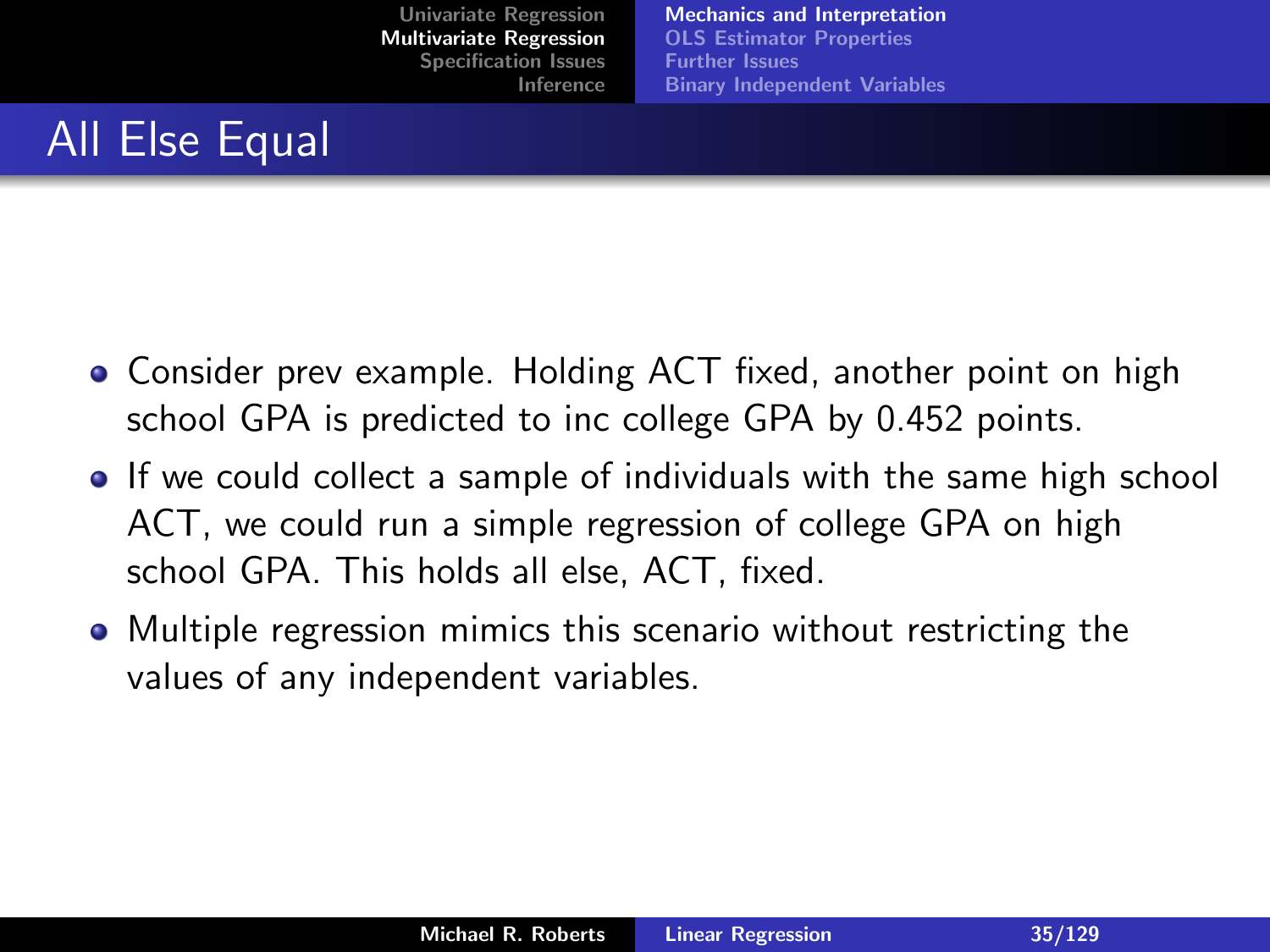[Mechanics and Interpretation](#page-32-0) [OLS Estimator Properties](#page-45-0) [Further Issues](#page-49-0) [Binary Independent Variables](#page-62-0)

### All Else Equal

- Consider prev example. Holding ACT fixed, another point on high school GPA is predicted to inc college GPA by 0.452 points.
- If we could collect a sample of individuals with the same high school ACT, we could run a simple regression of college GPA on high school GPA. This holds all else, ACT, fixed.
- Multiple regression mimics this scenario without restricting the values of any independent variables.

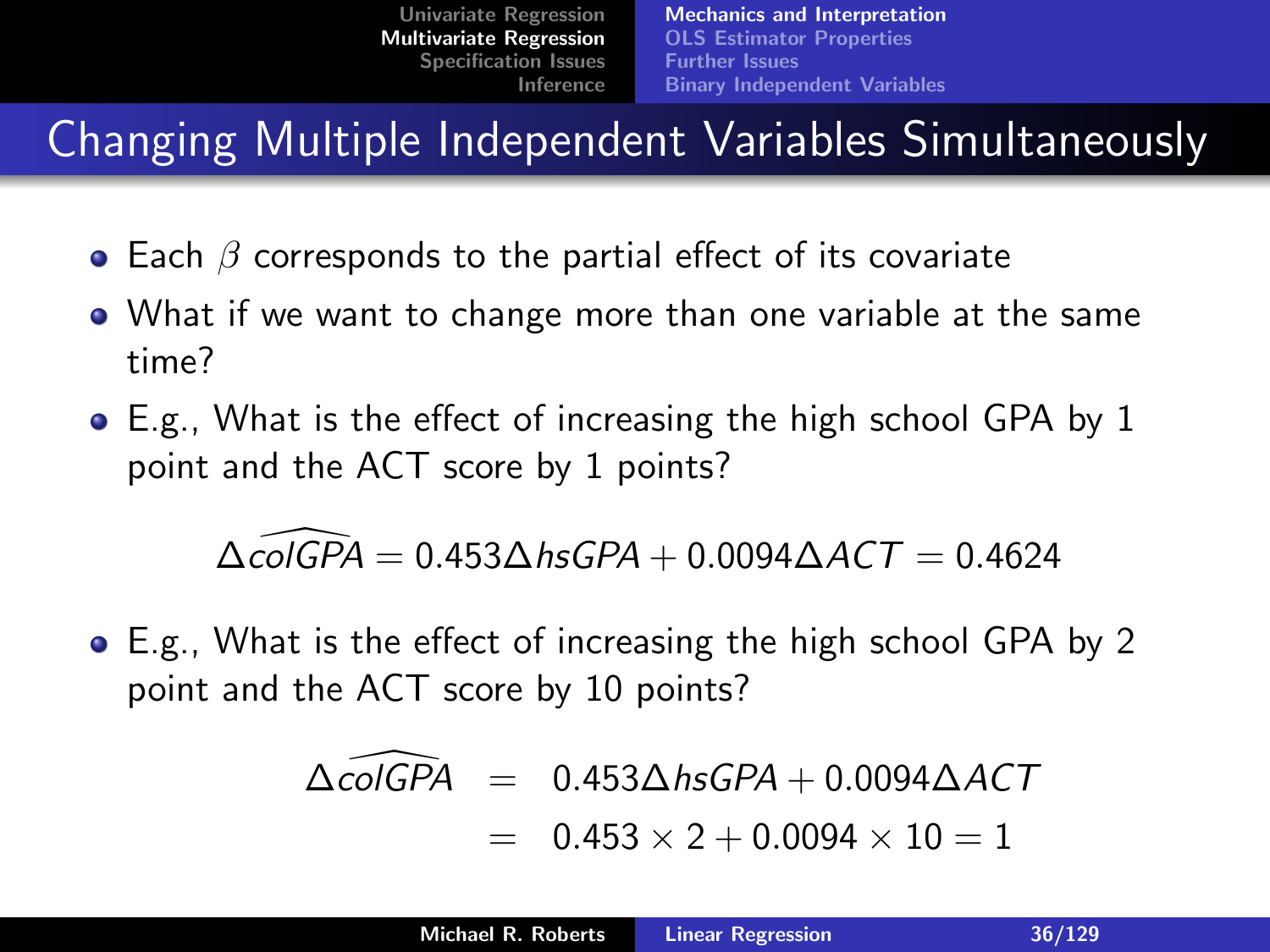[Mechanics and Interpretation](#page-32-0) [OLS Estimator Properties](#page-45-0) [Further Issues](#page-49-0) [Binary Independent Variables](#page-62-0)

### Changing Multiple Independent Variables Simultaneously

- Each  $\beta$  corresponds to the partial effect of its covariate
- What if we want to change more than one variable at the same time?
- E.g., What is the effect of increasing the high school GPA by 1 point and the ACT score by 1 points?

 $\Delta$ colGPA = 0.453 $\Delta$ hsGPA + 0.0094 $\Delta$ ACT = 0.4624

E.g., What is the effect of increasing the high school GPA by 2 point and the ACT score by 10 points?

$$
\widehat{\Delta \text{colGPA}} = 0.453 \Delta \text{hsGPA} + 0.0094 \Delta \text{ACT}
$$
  
= 0.453 × 2 + 0.0094 × 10 = 1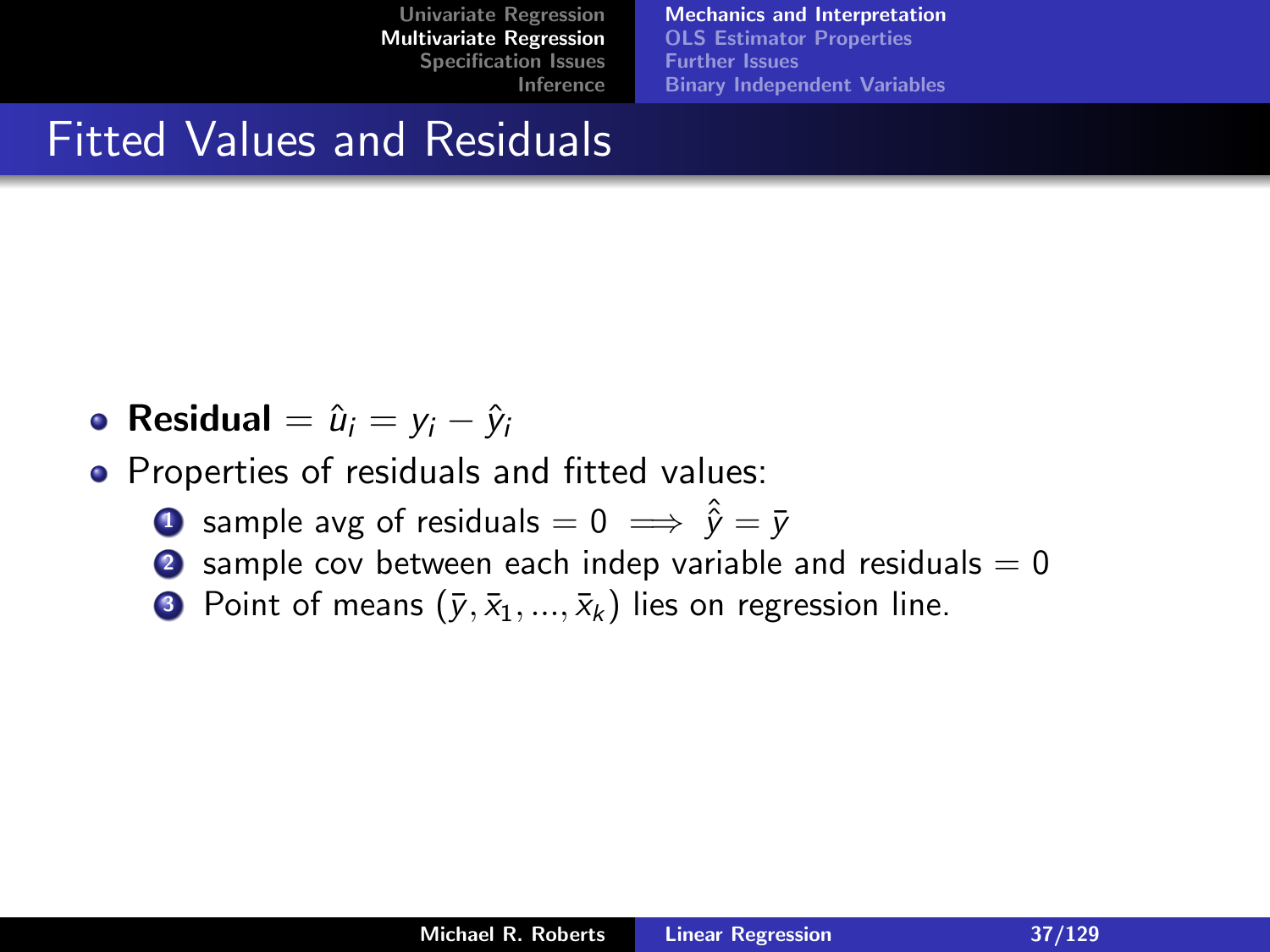[Mechanics and Interpretation](#page-32-0) [OLS Estimator Properties](#page-45-0) [Further Issues](#page-49-0) [Binary Independent Variables](#page-62-0)

### Fitted Values and Residuals

- Residual  $= \hat{u}_i = v_i \hat{v}_i$
- **•** Properties of residuals and fitted values:
	- $\textbf{1}$  sample avg of residuals  $=0\implies\hat{\hat{y}}=\bar{y}$
	- 2 sample cov between each indep variable and residuals  $= 0$
	- **3** Point of means  $(\bar{y}, \bar{x}_1, ..., \bar{x}_k)$  lies on regression line.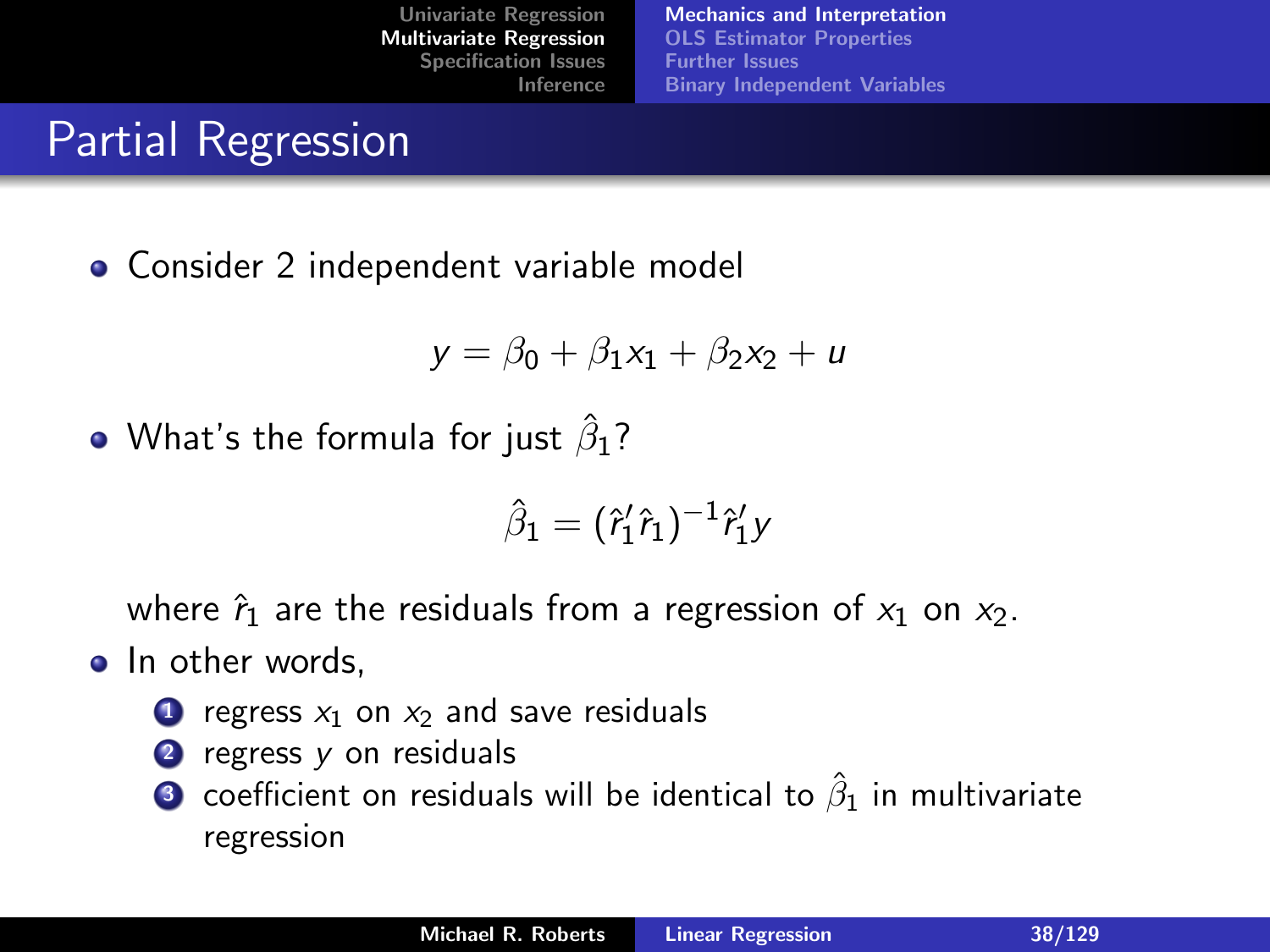[Mechanics and Interpretation](#page-32-0) [OLS Estimator Properties](#page-45-0) [Further Issues](#page-49-0) [Binary Independent Variables](#page-62-0)

## Partial Regression

**• Consider 2 independent variable model** 

$$
y = \beta_0 + \beta_1 x_1 + \beta_2 x_2 + u
$$

What's the formula for just  $\hat{\beta}_1?$ 

$$
\hat{\beta}_1=(\hat{r}_1'\hat{r}_1)^{-1}\hat{r}_1'y
$$

where  $\hat{r}_1$  are the residuals from a regression of  $x_1$  on  $x_2$ .

- In other words,
	- **1** regress  $x_1$  on  $x_2$  and save residuals
	- $\bullet$  regress  $\vee$  on residuals
	- $\bullet$  coefficient on residuals will be identical to  $\hat{\beta}_1$  in multivariate regression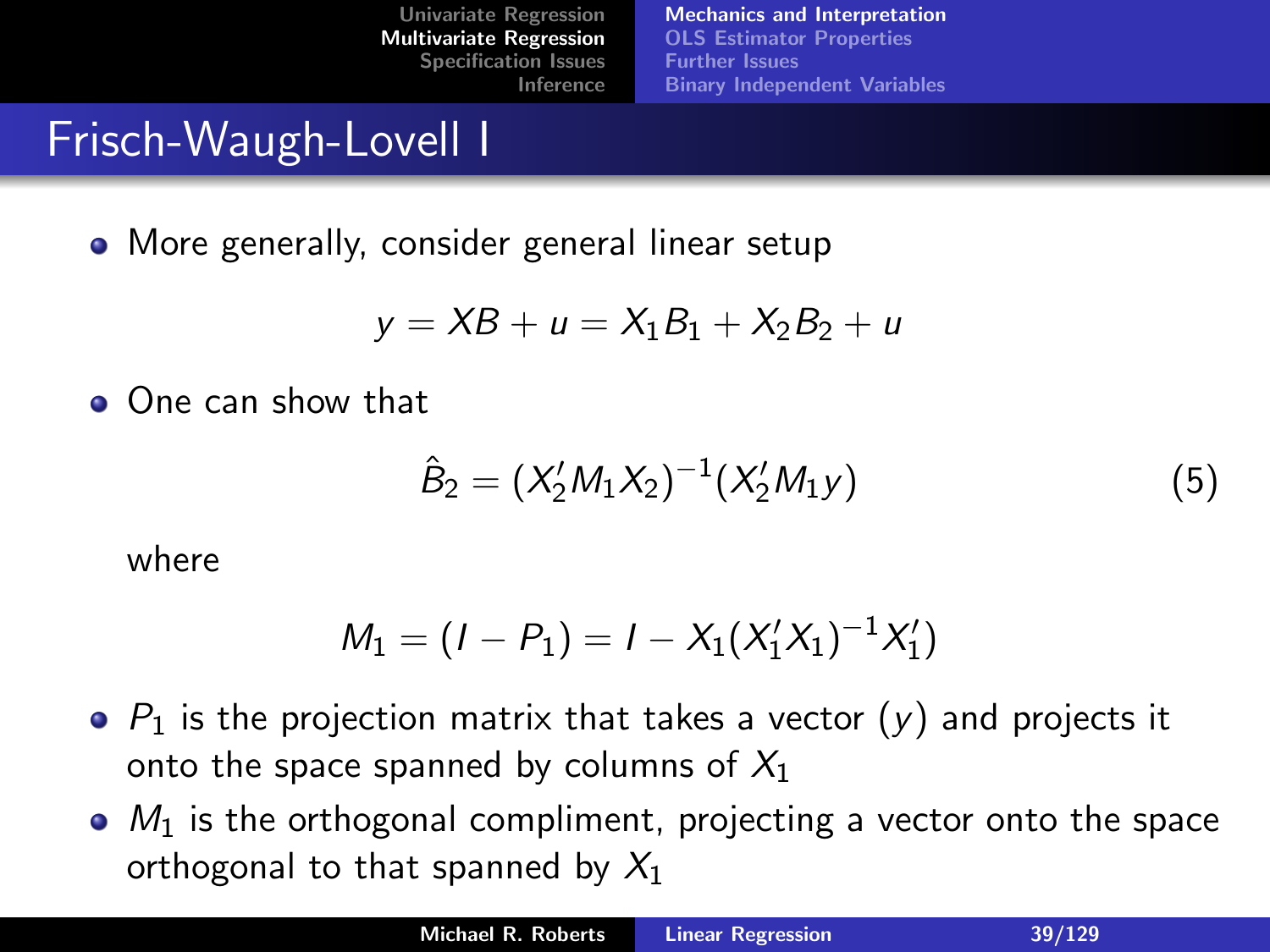[Mechanics and Interpretation](#page-32-0) [OLS Estimator Properties](#page-45-0) [Further Issues](#page-49-0) [Binary Independent Variables](#page-62-0)

### Frisch-Waugh-Lovell I

• More generally, consider general linear setup

$$
y = XB + u = X_1B_1 + X_2B_2 + u
$$

• One can show that

<span id="page-38-0"></span>
$$
\hat{B}_2 = (X_2'M_1X_2)^{-1}(X_2'M_1y) \tag{5}
$$

where

$$
M_1 = (I - P_1) = I - X_1(X_1'X_1)^{-1}X_1'
$$

- $\bullet$   $P_1$  is the projection matrix that takes a vector  $(y)$  and projects it onto the space spanned by columns of  $X_1$
- $\bullet$   $M_1$  is the orthogonal compliment, projecting a vector onto the space orthogonal to that spanned by  $X_1$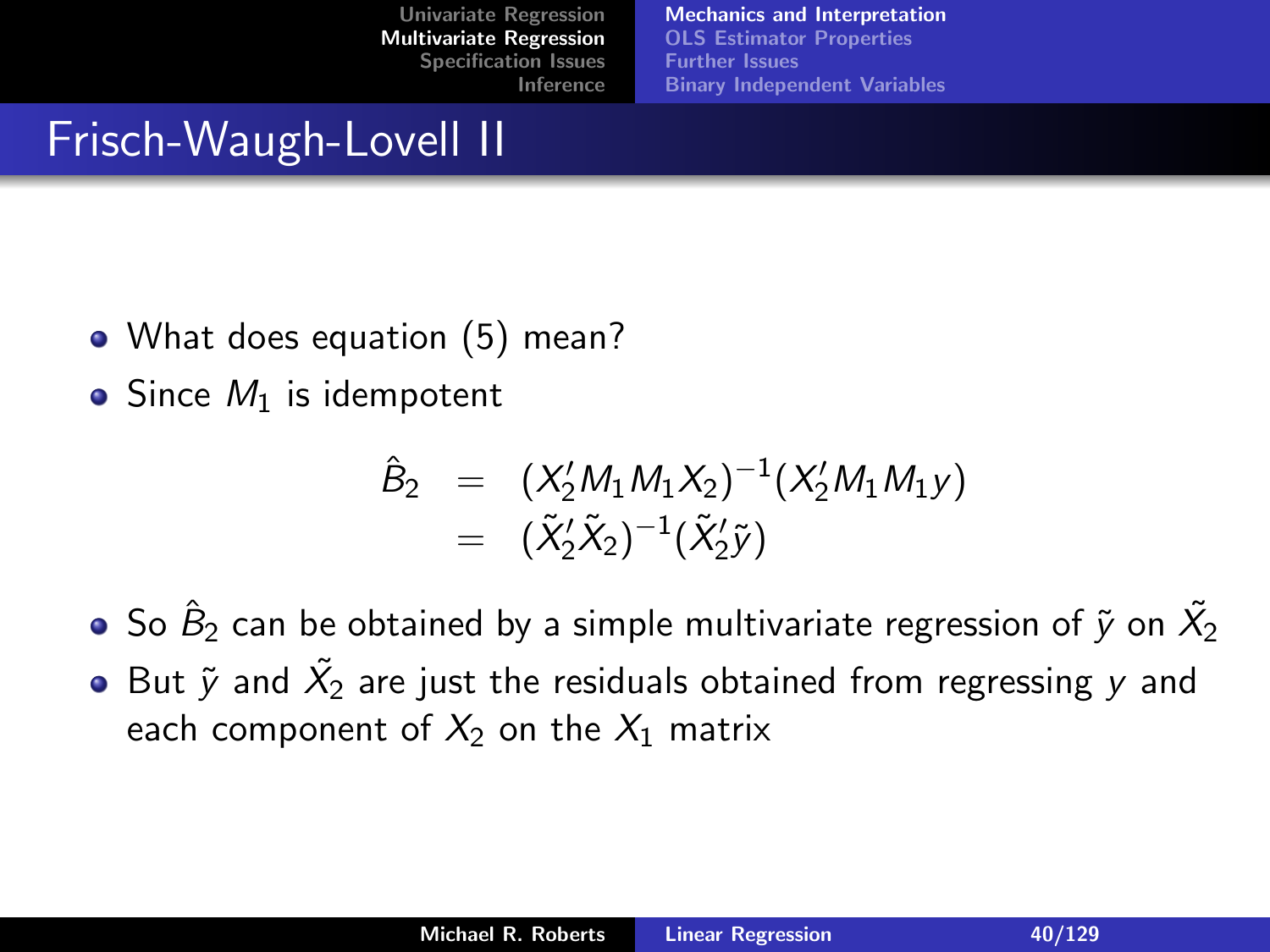[Mechanics and Interpretation](#page-32-0) [OLS Estimator Properties](#page-45-0) [Further Issues](#page-49-0) [Binary Independent Variables](#page-62-0)

### Frisch-Waugh-Lovell II

- What does equation [\(5\)](#page-38-0) mean?
- $\bullet$  Since  $M_1$  is idempotent

$$
\hat{B}_2 = (X_2'M_1M_1X_2)^{-1}(X_2'M_1M_1y) \n= (\tilde{X}_2'\tilde{X}_2)^{-1}(\tilde{X}_2'\tilde{y})
$$

So  $\hat B_2$  can be obtained by a simple multivariate regression of  $\tilde y$  on  $\tilde{\chi_2}$ But  $\tilde{y}$  and  $\tilde{X_2}$  are just the residuals obtained from regressing  $y$  and each component of  $X_2$  on the  $X_1$  matrix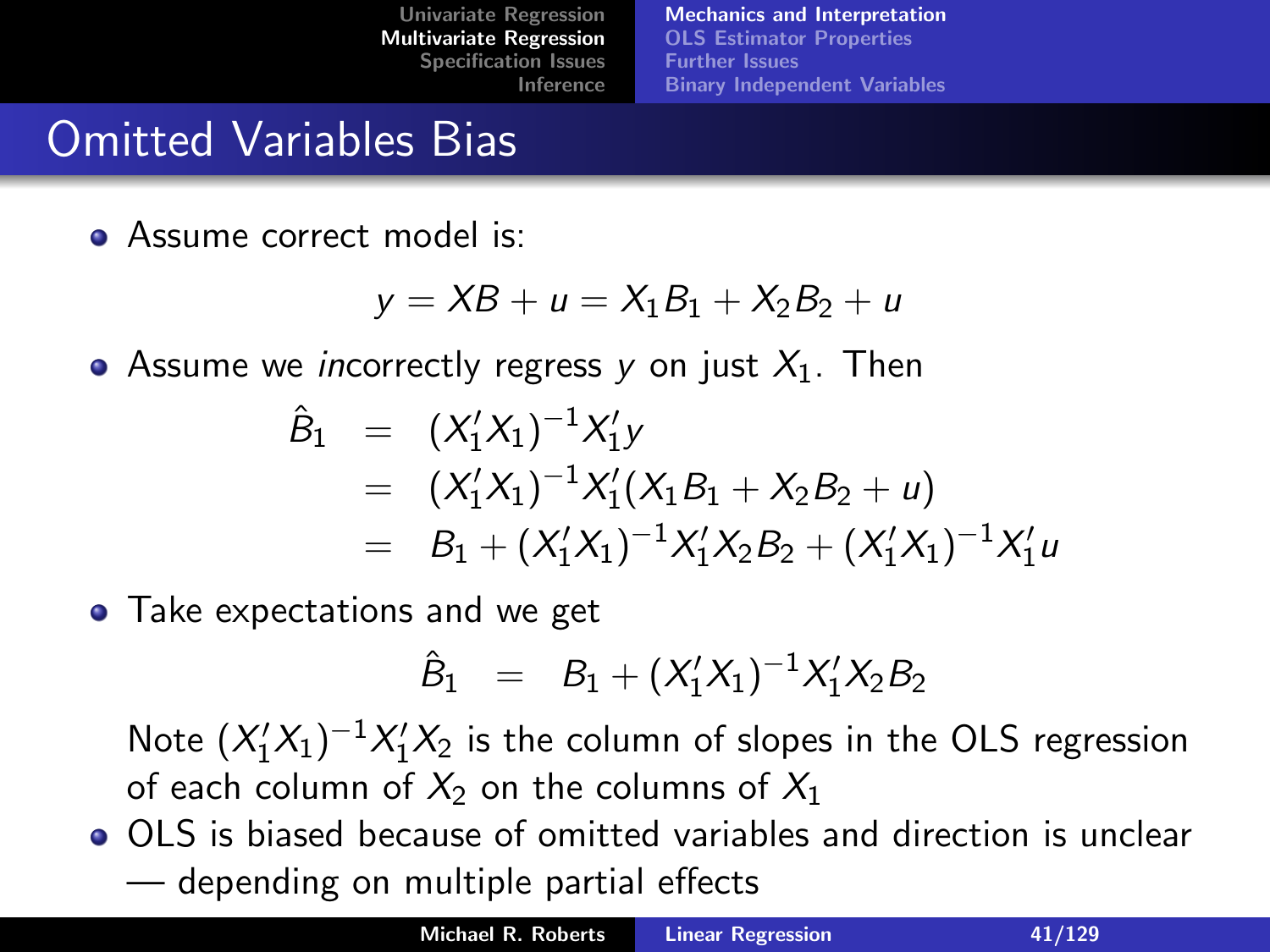[Mechanics and Interpretation](#page-32-0) [OLS Estimator Properties](#page-45-0) [Further Issues](#page-49-0) [Binary Independent Variables](#page-62-0)

### Omitted Variables Bias

**Assume correct model is:** 

$$
y = XB + u = X_1B_1 + X_2B_2 + u
$$

• Assume we *incorrectly regress y* on just  $X_1$ . Then

$$
\hat{B}_1 = (X_1'X_1)^{-1}X_1'y
$$
  
=  $(X_1'X_1)^{-1}X_1'(X_1B_1 + X_2B_2 + u)$   
=  $B_1 + (X_1'X_1)^{-1}X_1'X_2B_2 + (X_1'X_1)^{-1}X_1'u$ 

• Take expectations and we get

$$
\hat{B}_1 = B_1 + (X_1'X_1)^{-1}X_1'X_2B_2
$$

Note  $(X_1'X_1)^{-1}X_1'X_2$  is the column of slopes in the OLS regression of each column of  $X_2$  on the columns of  $X_1$ 

OLS is biased because of omitted variables and direction is unclear — depending on multiple partial effects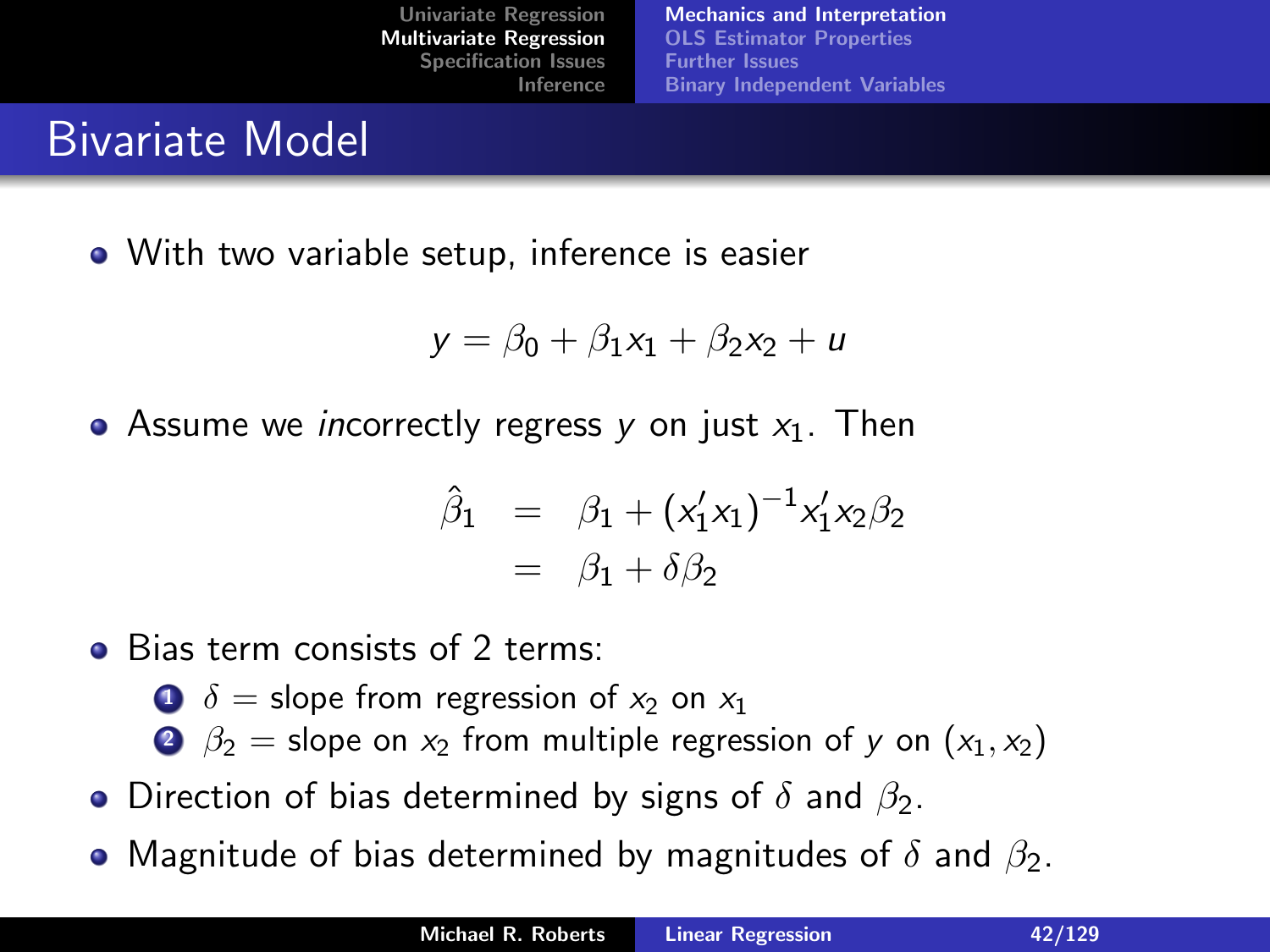[Mechanics and Interpretation](#page-32-0) [OLS Estimator Properties](#page-45-0) [Further Issues](#page-49-0) [Binary Independent Variables](#page-62-0)

### Bivariate Model

With two variable setup, inference is easier

$$
y = \beta_0 + \beta_1 x_1 + \beta_2 x_2 + u
$$

• Assume we *incorrectly regress y on just*  $x_1$ *.* Then

$$
\hat{\beta}_1 = \beta_1 + (x'_1 x_1)^{-1} x'_1 x_2 \beta_2 \n= \beta_1 + \delta \beta_2
$$

- Bias term consists of 2 terms:
	- $\bullet$   $\delta$  = slope from regression of  $x_2$  on  $x_1$
	- **2**  $\beta_2$  = slope on  $x_2$  from multiple regression of y on  $(x_1, x_2)$
- Direction of bias determined by signs of  $\delta$  and  $\beta_2$ .
- Magnitude of bias determined by magnitudes of  $\delta$  and  $\beta_2$ .  $\bullet$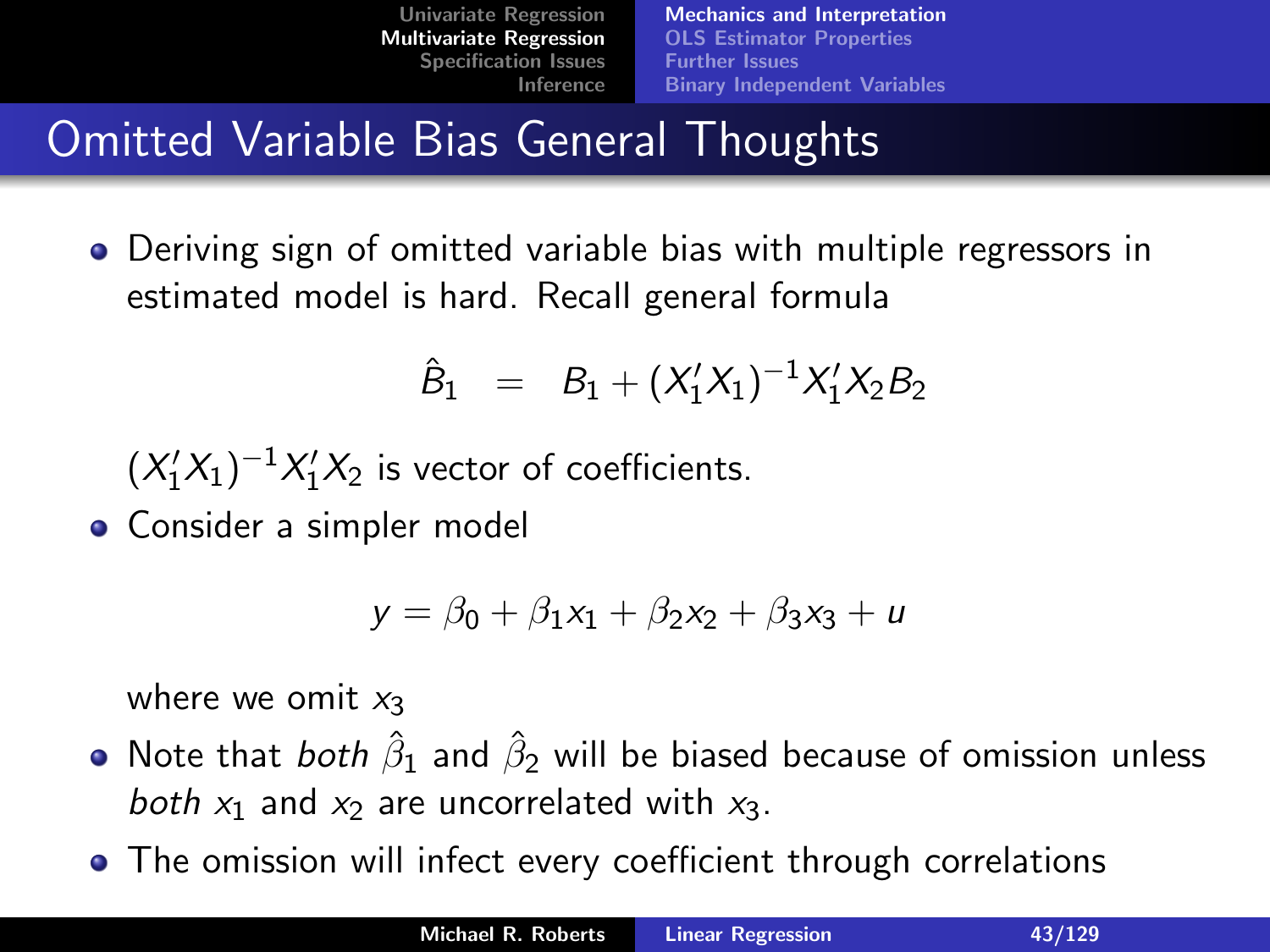[Mechanics and Interpretation](#page-32-0) [OLS Estimator Properties](#page-45-0) [Further Issues](#page-49-0) [Binary Independent Variables](#page-62-0)

# Omitted Variable Bias General Thoughts

Deriving sign of omitted variable bias with multiple regressors in estimated model is hard. Recall general formula

$$
\hat{B}_1 = B_1 + (X_1'X_1)^{-1}X_1'X_2B_2
$$

 $(X_1'X_1)^{-1}X_1'X_2$  is vector of coefficients.

• Consider a simpler model

$$
y = \beta_0 + \beta_1 x_1 + \beta_2 x_2 + \beta_3 x_3 + u
$$

where we omit  $x_3$ 

- Note that  $both$   $\hat{\beta}_1$  and  $\hat{\beta}_2$  will be biased because of omission unless both  $x_1$  and  $x_2$  are uncorrelated with  $x_3$ .
- The omission will infect every coefficient through correlations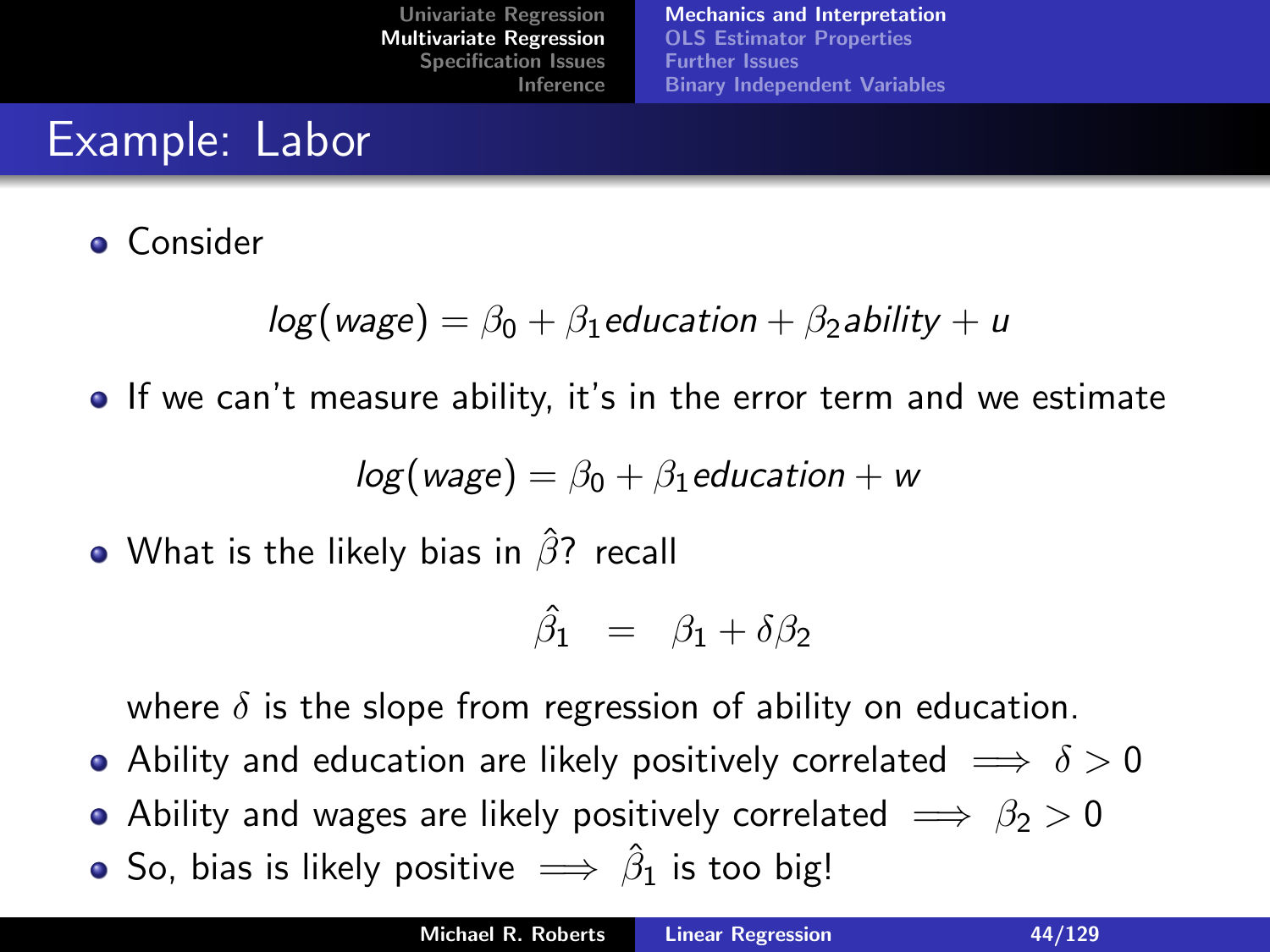### Example: Labor

**o** Consider

$$
log(wage) = \beta_0 + \beta_1
$$
eduction +  $\beta_2$ ability + u

• If we can't measure ability, it's in the error term and we estimate

$$
log(wage) = \beta_0 + \beta_1 education + w
$$

• What is the likely bias in  $\hat{\beta}$ ? recall

$$
\hat{\beta}_1 = \beta_1 + \delta \beta_2
$$

where  $\delta$  is the slope from regression of ability on education.

- Ability and education are likely positively correlated  $\implies \delta > 0$
- Ability and wages are likely positively correlated  $\implies$   $\beta_2 > 0$
- So, bias is likely positive  $\implies \hat \beta_1$  is too big!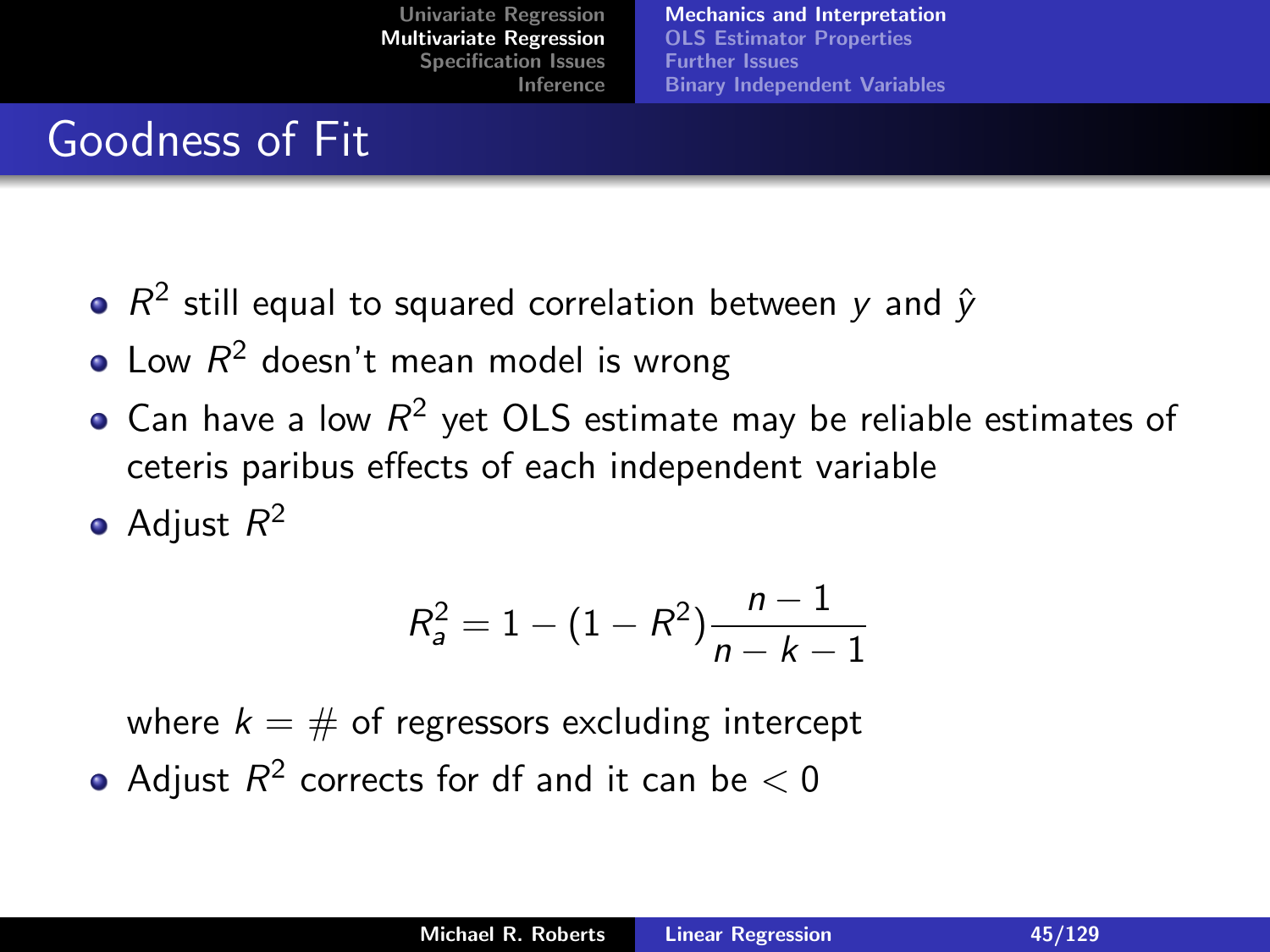[Mechanics and Interpretation](#page-32-0) [OLS Estimator Properties](#page-45-0) [Further Issues](#page-49-0) [Binary Independent Variables](#page-62-0)

### Goodness of Fit

- $R^2$  still equal to squared correlation between y and  $\hat{y}$
- Low  $R^2$  doesn't mean model is wrong
- Can have a low  $R^2$  yet OLS estimate may be reliable estimates of ceteris paribus effects of each independent variable
- Adjust  $R^2$

$$
R_a^2 = 1 - (1 - R^2) \frac{n-1}{n-k-1}
$$

where  $k = #$  of regressors excluding intercept Adjust  $R^2$  corrects for df and it can be  $<$  0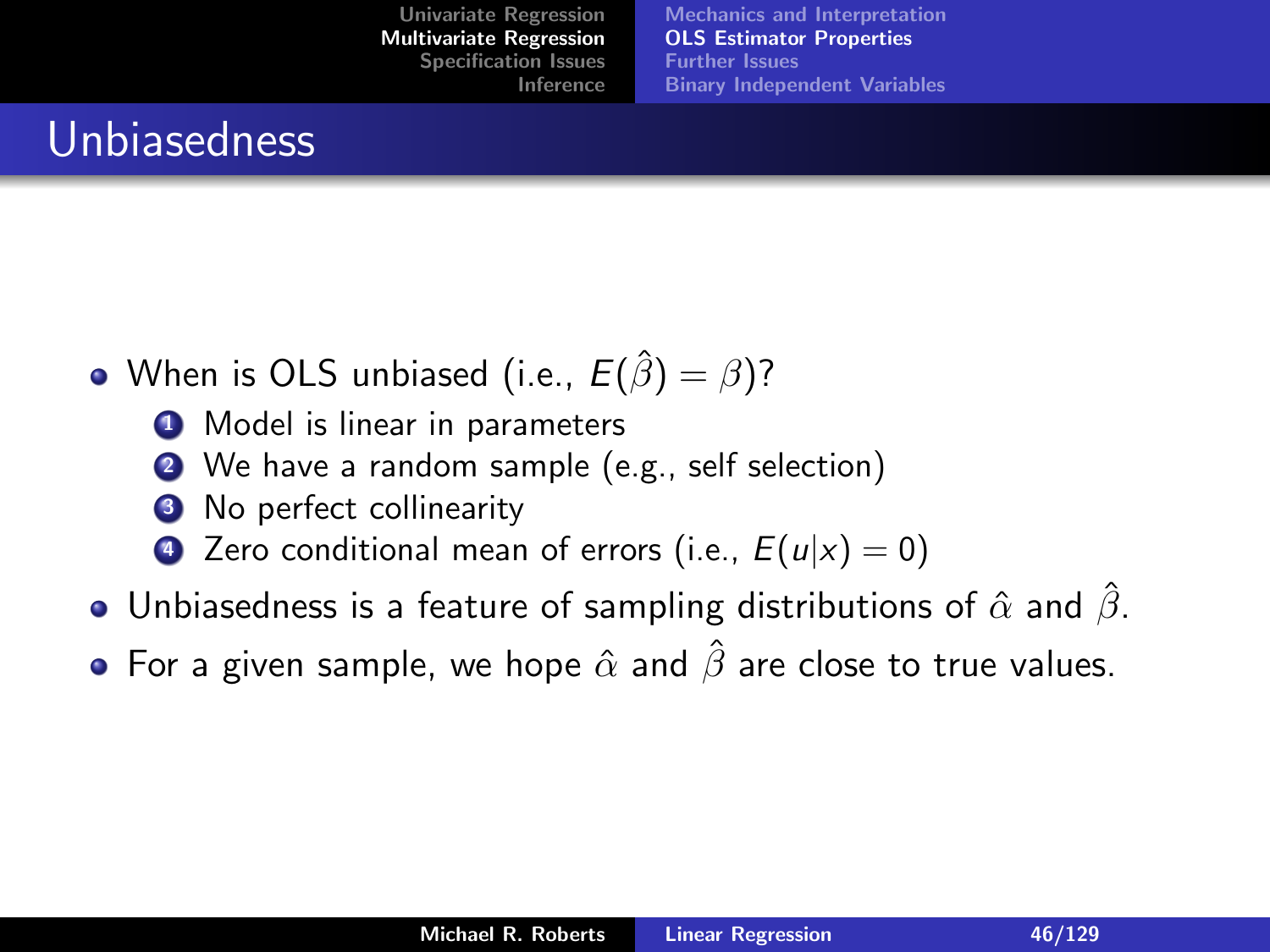<span id="page-45-0"></span>[Mechanics and Interpretation](#page-32-0) [OLS Estimator Properties](#page-45-0) [Further Issues](#page-49-0) [Binary Independent Variables](#page-62-0)

## Unbiasedness

- When is OLS unbiased (i.e.,  $E(\hat{\beta}) = \beta$ )?
	- **1** Model is linear in parameters
	- <sup>2</sup> We have a random sample (e.g., self selection)
	- <sup>3</sup> No perfect collinearity
	- $\bullet$  Zero conditional mean of errors (i.e.,  $E(u|x) = 0$ )
- Unbiasedness is a feature of sampling distributions of  $\hat{\alpha}$  and  $\hat{\beta}$ .
- For a given sample, we hope  $\hat{\alpha}$  and  $\hat{\beta}$  are close to true values.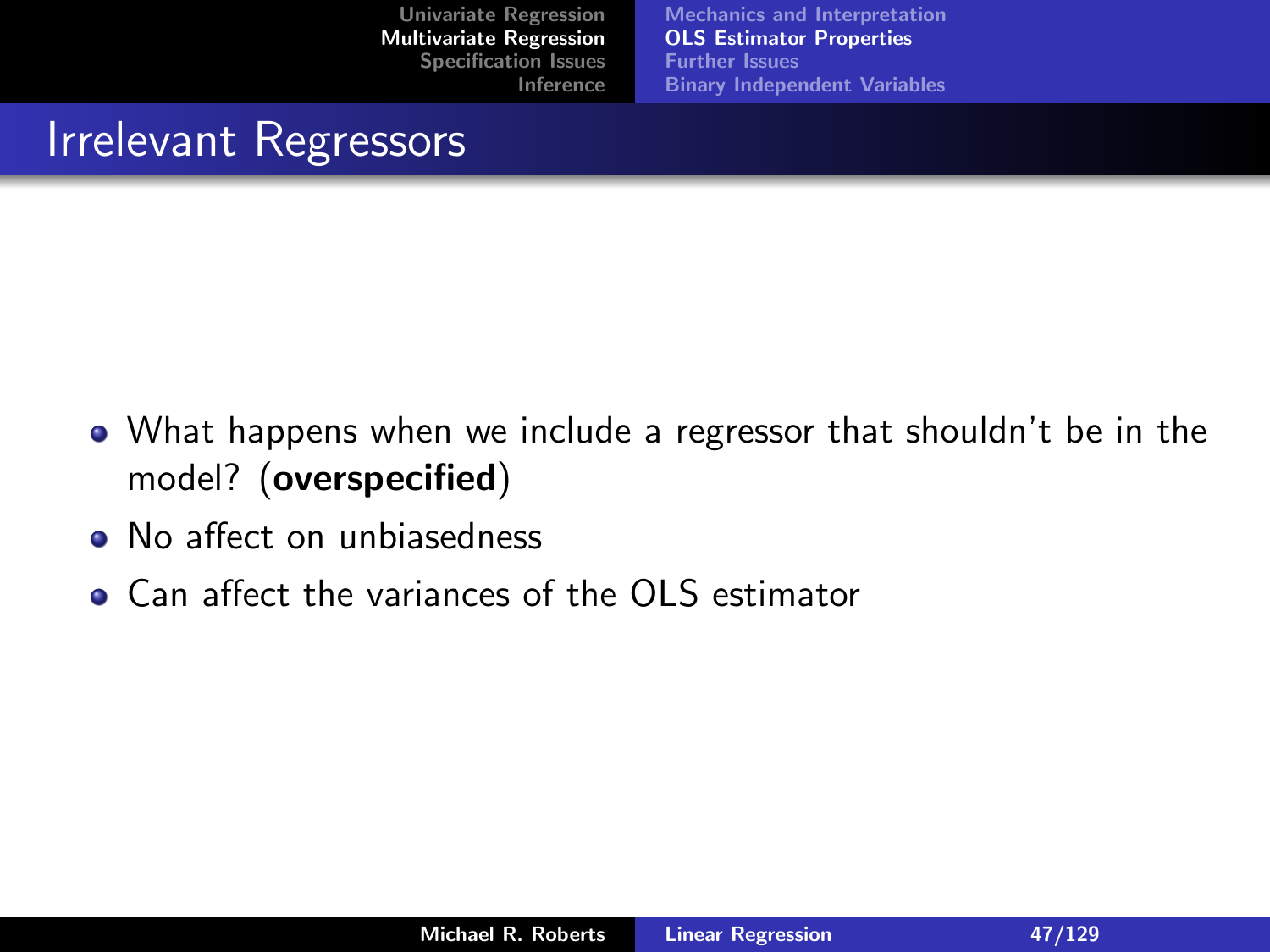[Mechanics and Interpretation](#page-32-0) [OLS Estimator Properties](#page-45-0) [Further Issues](#page-49-0) [Binary Independent Variables](#page-62-0)

### Irrelevant Regressors

- What happens when we include a regressor that shouldn't be in the model? (overspecified)
- No affect on unbiasedness
- Can affect the variances of the OLS estimator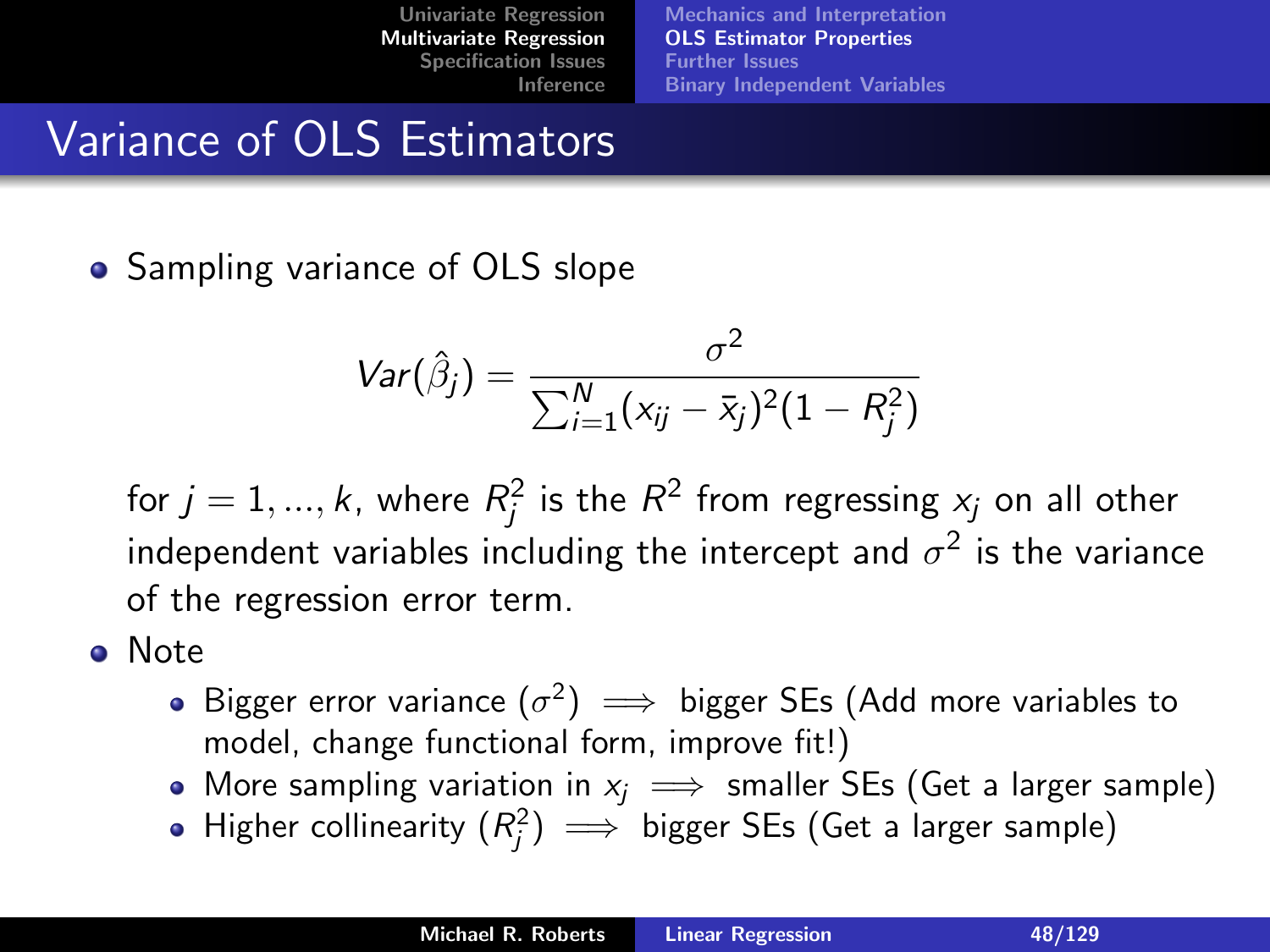[Mechanics and Interpretation](#page-32-0) [OLS Estimator Properties](#page-45-0) [Further Issues](#page-49-0) [Binary Independent Variables](#page-62-0)

## Variance of OLS Estimators

• Sampling variance of OLS slope

$$
Var(\hat{\beta}_j) = \frac{\sigma^2}{\sum_{i=1}^N (x_{ij} - \bar{x}_j)^2 (1 - R_j^2)}
$$

for  $j=1,...,k$ , where  $R^2_j$  is the  $R^2$  from regressing  $\mathsf{x}_j$  on all other independent variables including the intercept and  $\sigma^2$  is the variance of the regression error term.

- Note
	- Bigger error variance  $(\sigma^2) \implies$  bigger SEs (Add more variables to model, change functional form, improve fit!)
	- More sampling variation in  $x_i \implies$  smaller SEs (Get a larger sample)
	- Higher collinearity  $(R_j^2)\implies$  bigger SEs (Get a larger sample)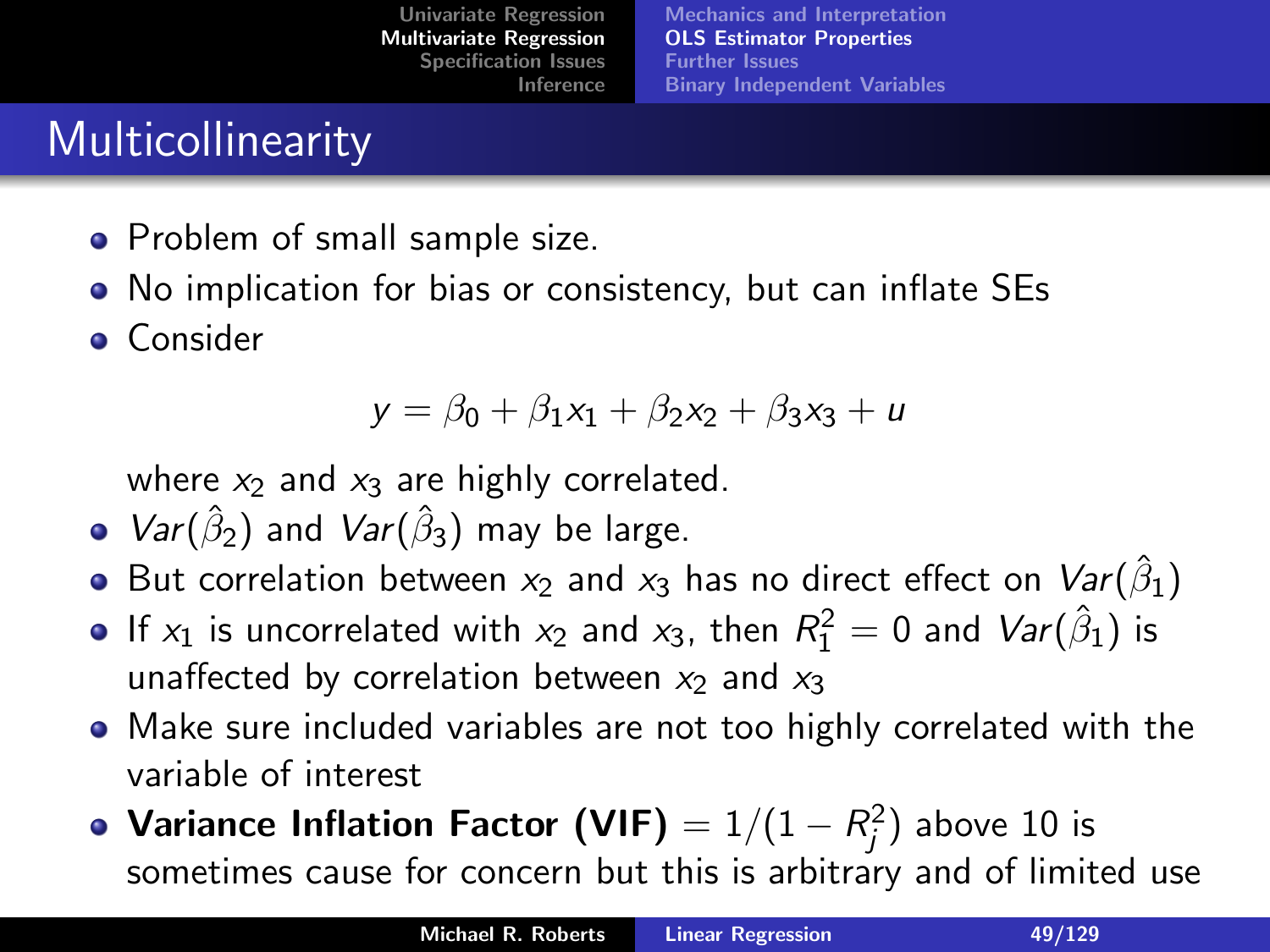[Mechanics and Interpretation](#page-32-0) [OLS Estimator Properties](#page-45-0) [Further Issues](#page-49-0) [Binary Independent Variables](#page-62-0)

# **Multicollinearity**

- Problem of small sample size.
- No implication for bias or consistency, but can inflate SEs
- **Consider**

$$
y = \beta_0 + \beta_1 x_1 + \beta_2 x_2 + \beta_3 x_3 + u
$$

where  $x_2$  and  $x_3$  are highly correlated.

- $Var(\hat{\beta}_2)$  and  $Var(\hat{\beta}_3)$  may be large.
- But correlation between  $x_2$  and  $x_3$  has no direct effect on  $\mathit{Var}(\hat{\beta}_1)$
- If  $x_1$  is uncorrelated with  $x_2$  and  $x_3$ , then  $R_1^2=0$  and  $\text{Var}(\hat{\beta}_1)$  is unaffected by correlation between  $x_2$  and  $x_3$
- Make sure included variables are not too highly correlated with the variable of interest
- **Variance Inflation Factor (VIF)**  $= 1/(1 R_j^2)$  above 10 is sometimes cause for concern but this is arbitrary and of limited use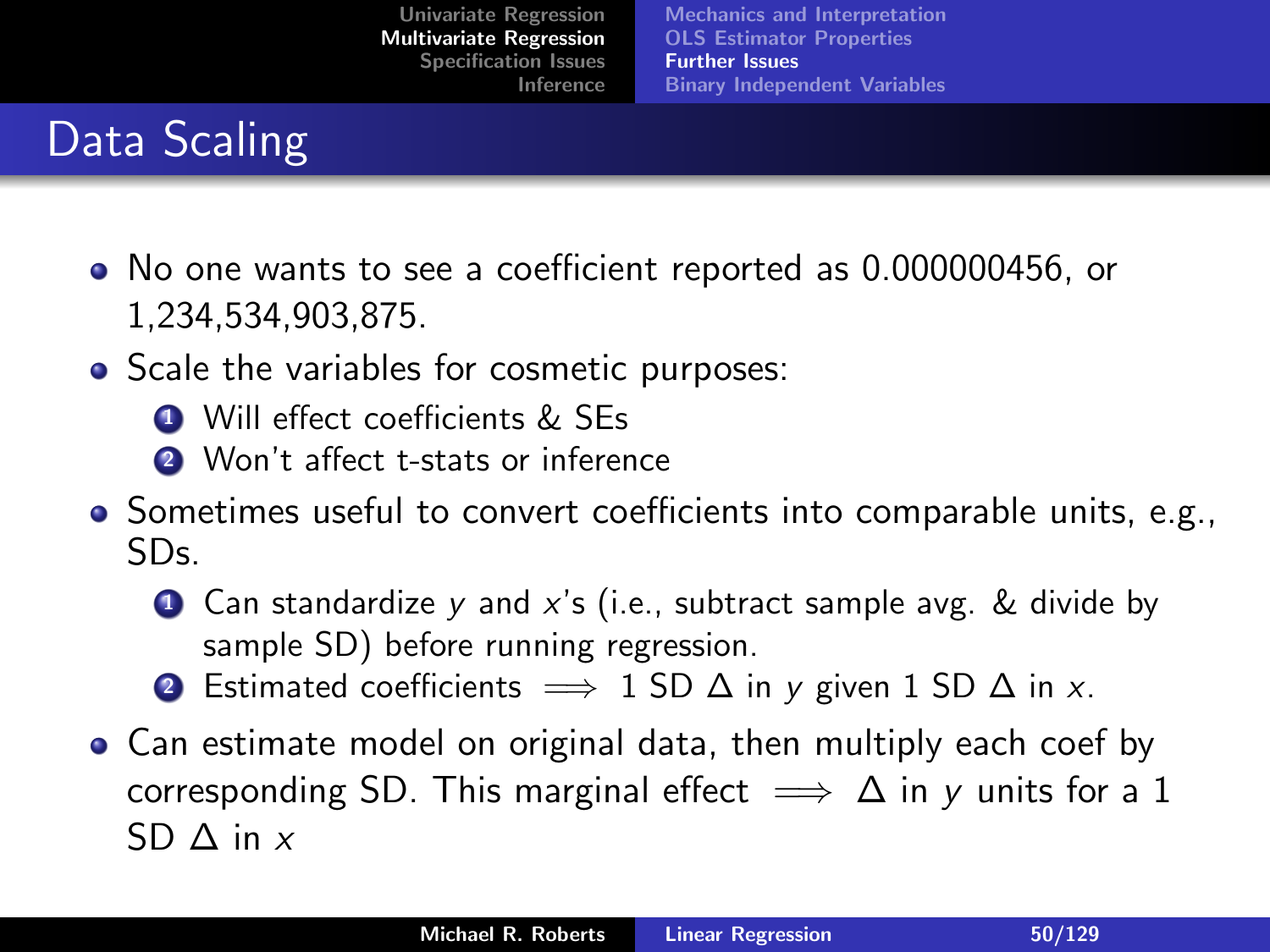# Data Scaling

- No one wants to see a coefficient reported as 0.000000456, or 1,234,534,903,875.
- Scale the variables for cosmetic purposes:
	- **1** Will effect coefficients & SEs
	- **2** Won't affect t-stats or inference
- Sometimes useful to convert coefficients into comparable units, e.g., SDs.
	- $\bullet$  Can standardize y and x's (i.e., subtract sample avg. & divide by sample SD) before running regression.
	- 2 Estimated coefficients  $\implies$  1 SD  $\Delta$  in y given 1 SD  $\Delta$  in x.
- <span id="page-49-0"></span>Can estimate model on original data, then multiply each coef by corresponding SD. This marginal effect  $\implies \Delta$  in y units for a 1 SD  $\triangle$  in  $x$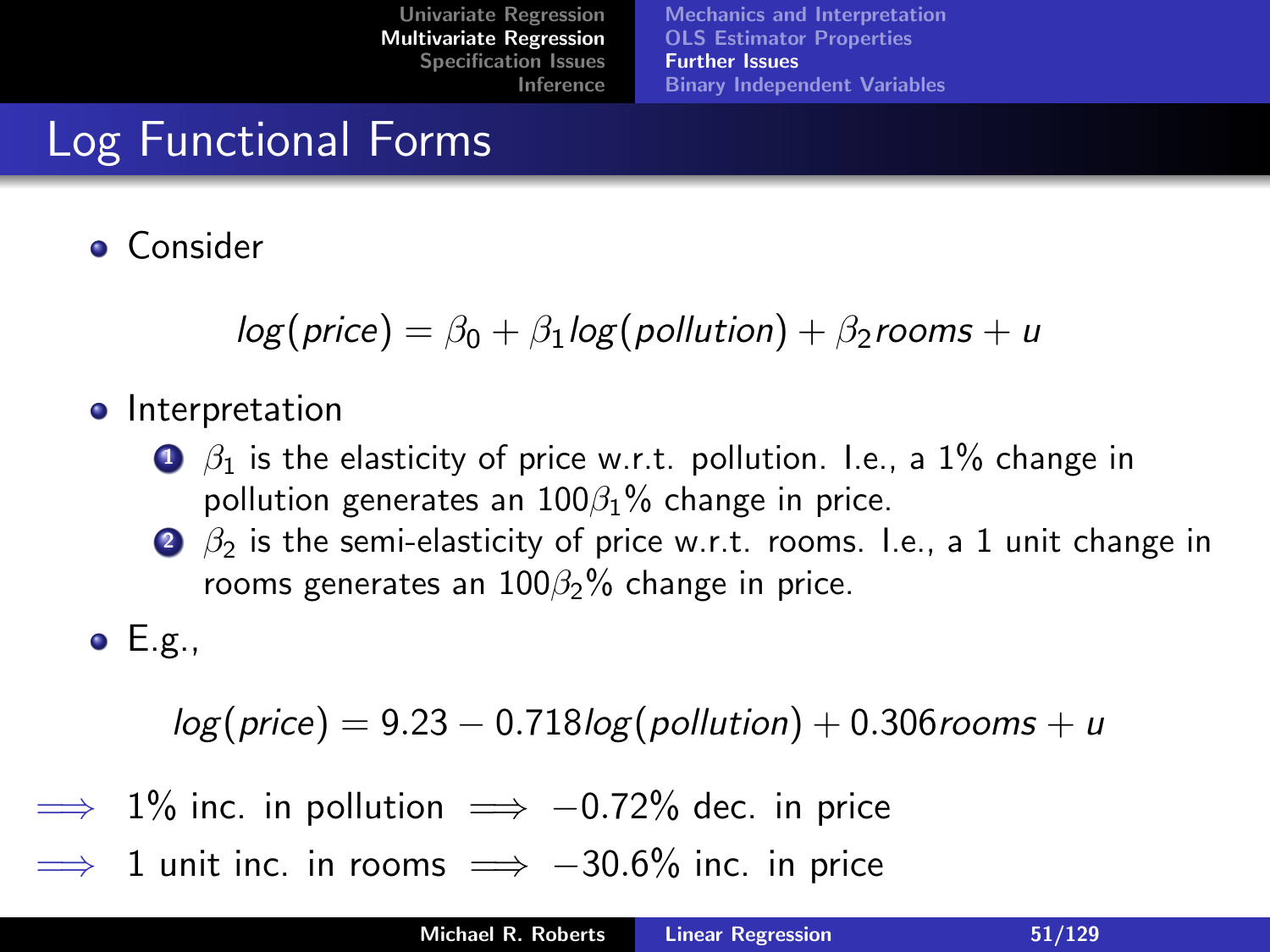[Mechanics and Interpretation](#page-32-0) [OLS Estimator Properties](#page-45-0) [Further Issues](#page-49-0) [Binary Independent Variables](#page-62-0)

# Log Functional Forms

**•** Consider

 $log(price) = \beta_0 + \beta_1 log(pollution) + \beta_2 rooms + u$ 

- **o** Interpretation
	- $\bigcirc$   $\beta_1$  is the elasticity of price w.r.t. pollution. I.e., a 1% change in pollution generates an  $100\beta_1\%$  change in price.
	- 2  $\beta_2$  is the semi-elasticity of price w.r.t. rooms. I.e., a 1 unit change in rooms generates an  $100\beta_2\%$  change in price.

 $\bullet$  E.g.,

 $log(price) = 9.23 - 0.718 log(pollution) + 0.306 rooms + u$ 

- $\implies$  1% inc. in pollution  $\implies$  -0.72% dec. in price
- 1 unit inc. in rooms  $\implies -30.6\%$  inc. in price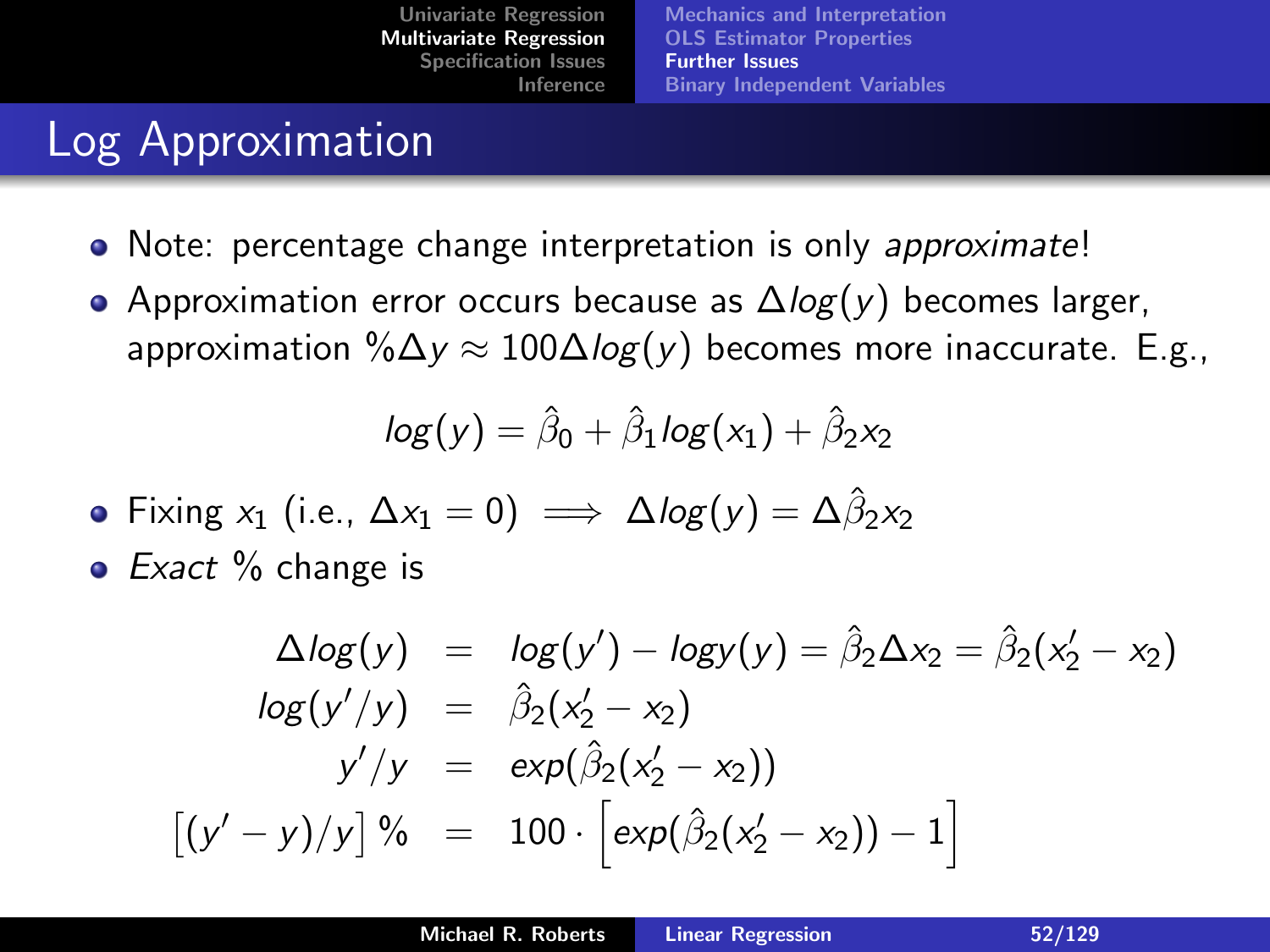# Log Approximation

- Note: percentage change interpretation is only approximate!
- Approximation error occurs because as  $\Delta log(y)$  becomes larger, approximation % $\Delta y \approx 100 \Delta \log(y)$  becomes more inaccurate. E.g.,

$$
log(y) = \hat{\beta}_0 + \hat{\beta}_1 log(x_1) + \hat{\beta}_2 x_2
$$

• Fixing 
$$
x_1
$$
 (i.e.,  $\Delta x_1 = 0$ )  $\implies \Delta \log(y) = \Delta \hat{\beta}_2 x_2$ 

 $\bullet$  Exact % change is

$$
\Delta \log(y) = \log(y') - \log(y') = \hat{\beta}_2 \Delta x_2 = \hat{\beta}_2 (x'_2 - x_2)
$$
  
\n
$$
\log(y'/y) = \hat{\beta}_2 (x'_2 - x_2)
$$
  
\n
$$
y'/y = \exp(\hat{\beta}_2 (x'_2 - x_2))
$$
  
\n
$$
[(y'-y)/y] \% = 100 \cdot [\exp(\hat{\beta}_2 (x'_2 - x_2)) - 1]
$$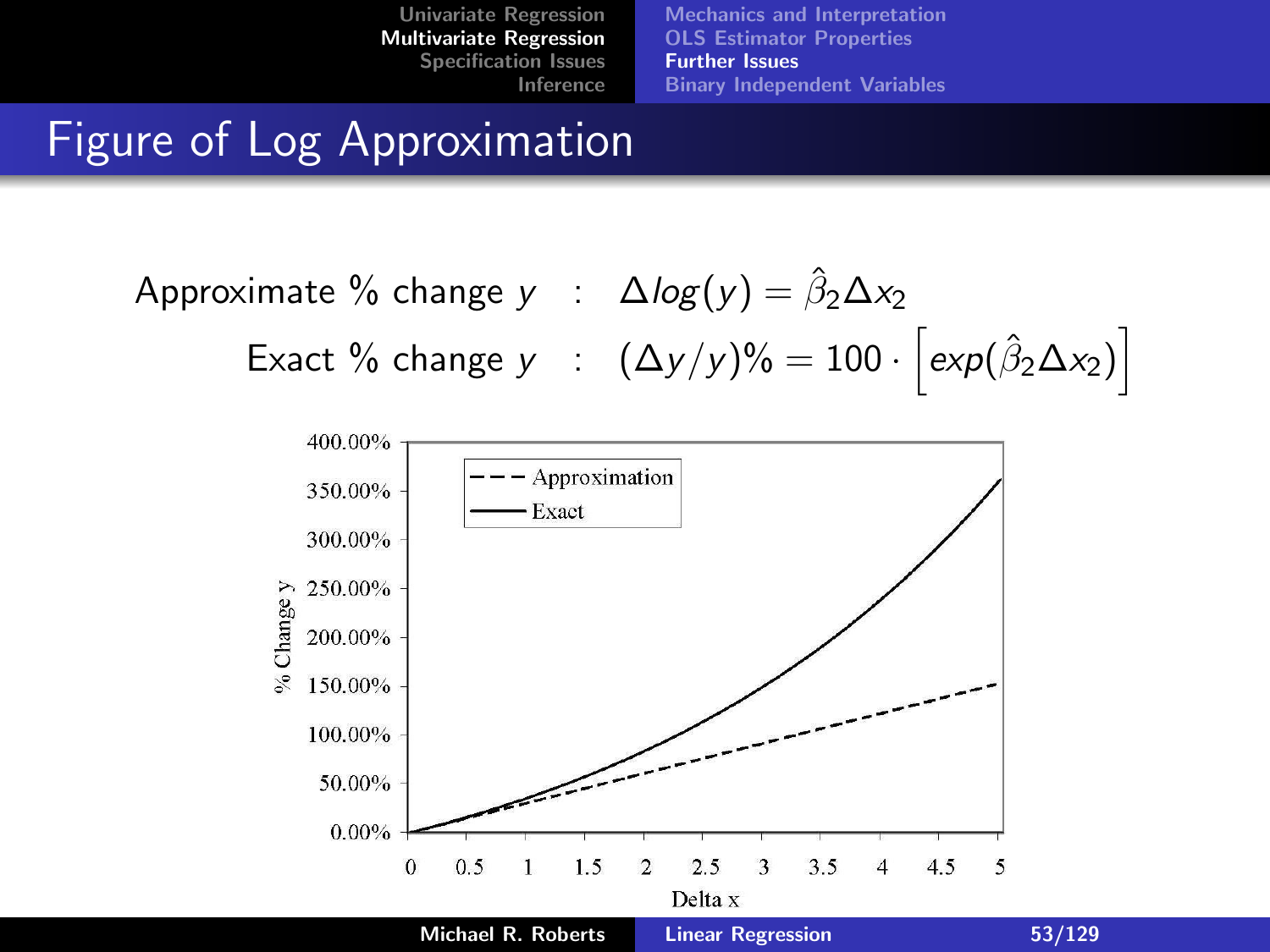[Mechanics and Interpretation](#page-32-0) [OLS Estimator Properties](#page-45-0) [Further Issues](#page-49-0) [Binary Independent Variables](#page-62-0)

### Figure of Log Approximation

Approximate % change  $y$   $\therefore$   $\Delta$ *log*( $y$ )  $= \hat{\beta}_2 \Delta x_2$ Exact % change  $y : (\Delta y/y) \% = 100 \cdot \left[ exp(\hat{\beta}_2 \Delta x_2) \right]$ 

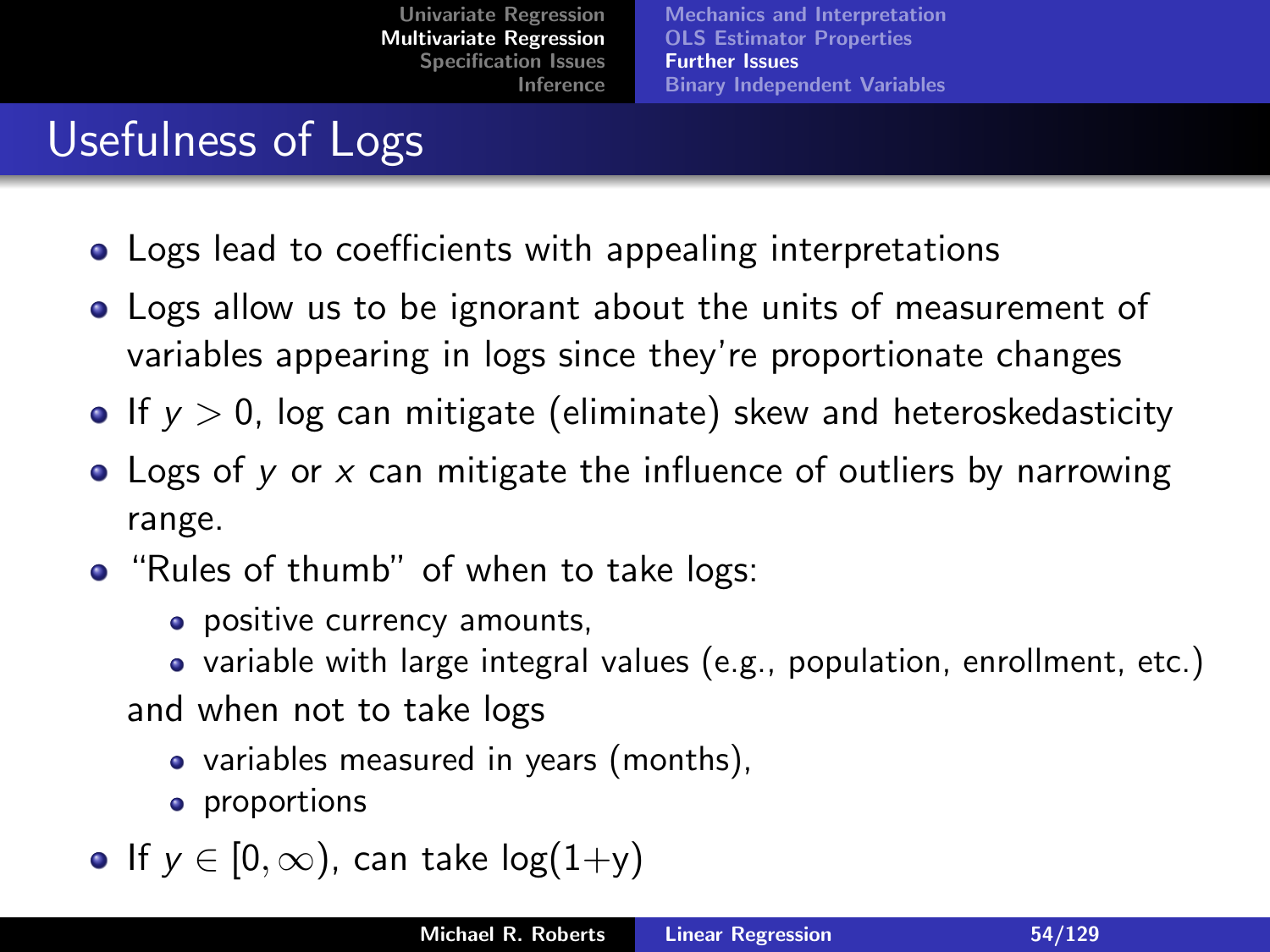# Usefulness of Logs

- Logs lead to coefficients with appealing interpretations
- Logs allow us to be ignorant about the units of measurement of variables appearing in logs since they're proportionate changes
- $\bullet$  If  $y > 0$ , log can mitigate (eliminate) skew and heteroskedasticity
- Logs of y or x can mitigate the influence of outliers by narrowing range.
- "Rules of thumb" of when to take logs:
	- positive currency amounts,
	- variable with large integral values (e.g., population, enrollment, etc.) and when not to take logs
		- variables measured in years (months),
		- proportions

• If 
$$
y \in [0, \infty)
$$
, can take  $log(1+y)$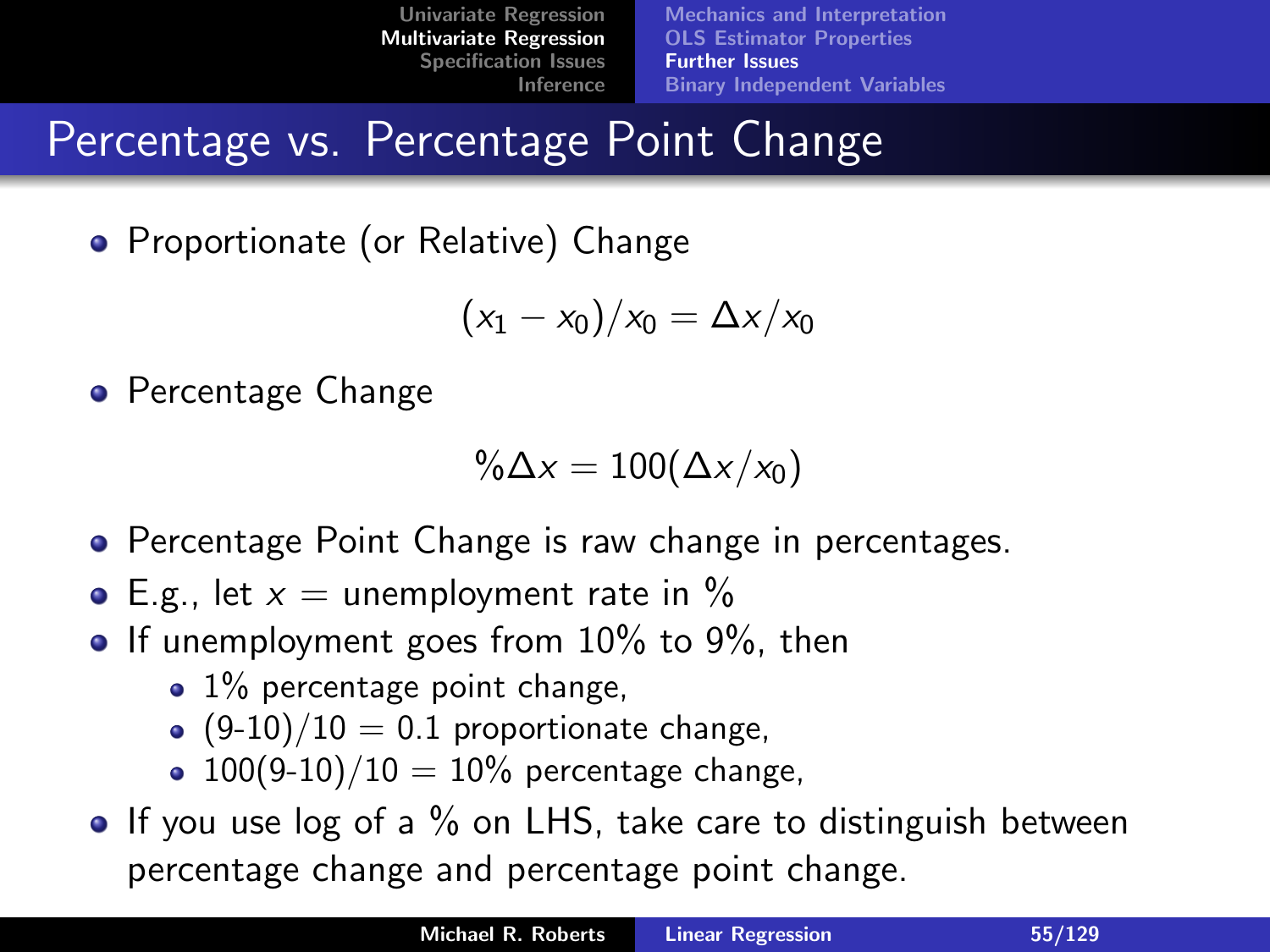[Mechanics and Interpretation](#page-32-0) [OLS Estimator Properties](#page-45-0) [Further Issues](#page-49-0) [Binary Independent Variables](#page-62-0)

# Percentage vs. Percentage Point Change

• Proportionate (or Relative) Change

$$
(x_1-x_0)/x_0=\Delta x/x_0
$$

**•** Percentage Change

$$
\%\Delta x=100(\Delta x/x_0)
$$

- **•** Percentage Point Change is raw change in percentages.
- E.g., let  $x =$  unemployment rate in  $\%$
- **If unemployment goes from 10% to 9%, then** 
	- $\bullet$  1% percentage point change,
	- $(9-10)/10 = 0.1$  proportionate change,
	- $100(9-10)/10 = 10\%$  percentage change,
- $\bullet$  If you use log of a  $\%$  on LHS, take care to distinguish between percentage change and percentage point change.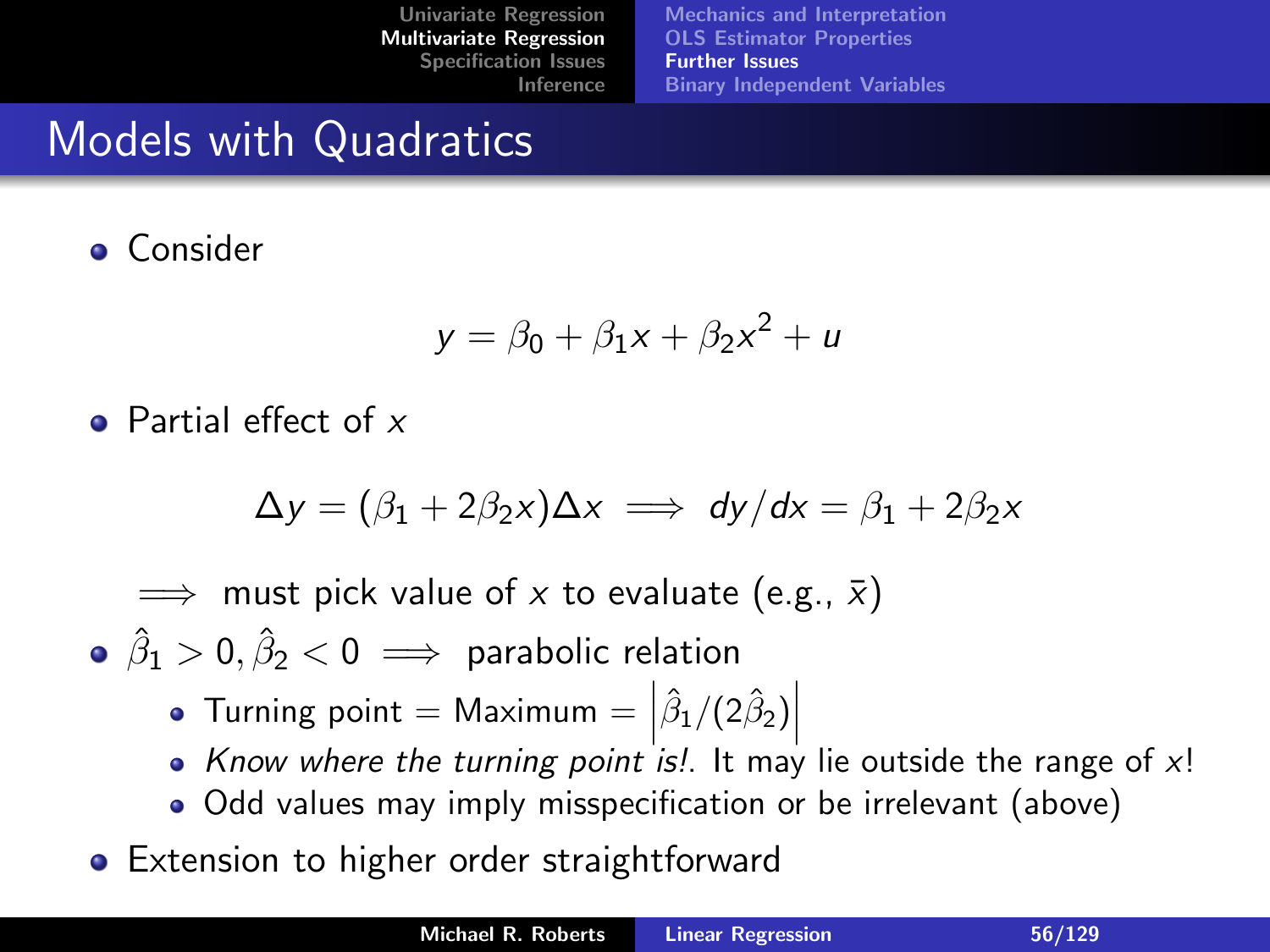[Mechanics and Interpretation](#page-32-0) [OLS Estimator Properties](#page-45-0) [Further Issues](#page-49-0) [Binary Independent Variables](#page-62-0)

### Models with Quadratics

#### **•** Consider

$$
y = \beta_0 + \beta_1 x + \beta_2 x^2 + u
$$

• Partial effect of x

$$
\Delta y = (\beta_1 + 2\beta_2 x)\Delta x \implies dy/dx = \beta_1 + 2\beta_2 x
$$

 $\implies$  must pick value of x to evaluate (e.g.,  $\bar{x}$ )

 $\hat{\beta}_1 > 0, \hat{\beta}_2 < 0 \implies$  parabolic relation

- Turning point = Maximum =  $\left|\hat{\beta}_1/(2\hat{\beta}_2)\right|$
- Know where the turning point is!. It may lie outside the range of  $x!$
- Odd values may imply misspecification or be irrelevant (above)
- Extension to higher order straightforward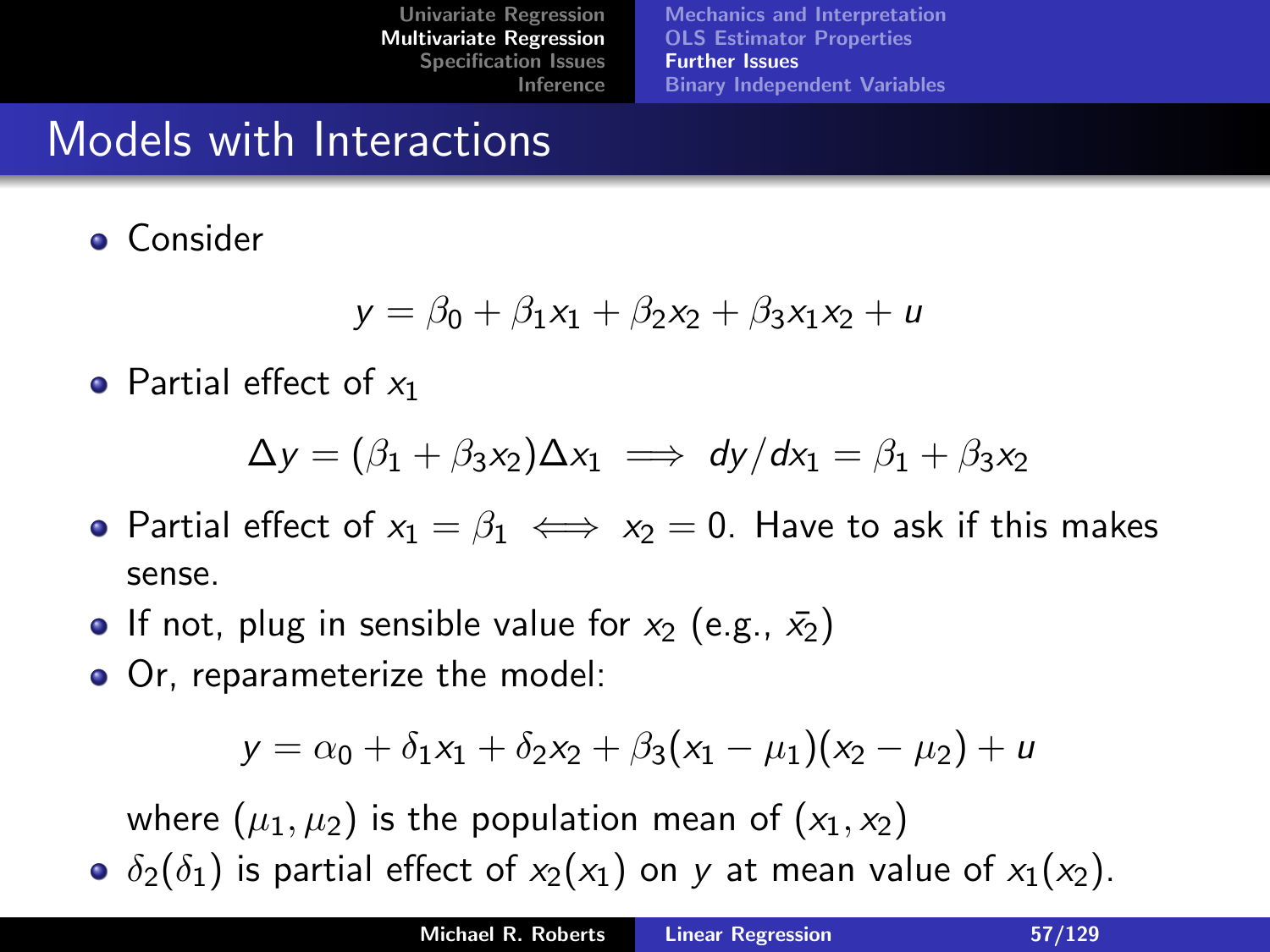[Mechanics and Interpretation](#page-32-0) [OLS Estimator Properties](#page-45-0) [Further Issues](#page-49-0) [Binary Independent Variables](#page-62-0)

### Models with Interactions

**• Consider** 

$$
y = \beta_0 + \beta_1 x_1 + \beta_2 x_2 + \beta_3 x_1 x_2 + u
$$

• Partial effect of  $x_1$ 

$$
\Delta y = (\beta_1 + \beta_3 x_2) \Delta x_1 \implies dy/dx_1 = \beta_1 + \beta_3 x_2
$$

- Partial effect of  $x_1 = \beta_1 \iff x_2 = 0$ . Have to ask if this makes sense.
- If not, plug in sensible value for  $x_2$  (e.g.,  $\bar{x_2}$ )
- Or, reparameterize the model:

$$
y = \alpha_0 + \delta_1 x_1 + \delta_2 x_2 + \beta_3 (x_1 - \mu_1)(x_2 - \mu_2) + u
$$

where  $(\mu_1, \mu_2)$  is the population mean of  $(x_1, x_2)$  $\delta_2(\delta_1)$  is partial effect of  $x_2(x_1)$  on y at mean value of  $x_1(x_2)$ .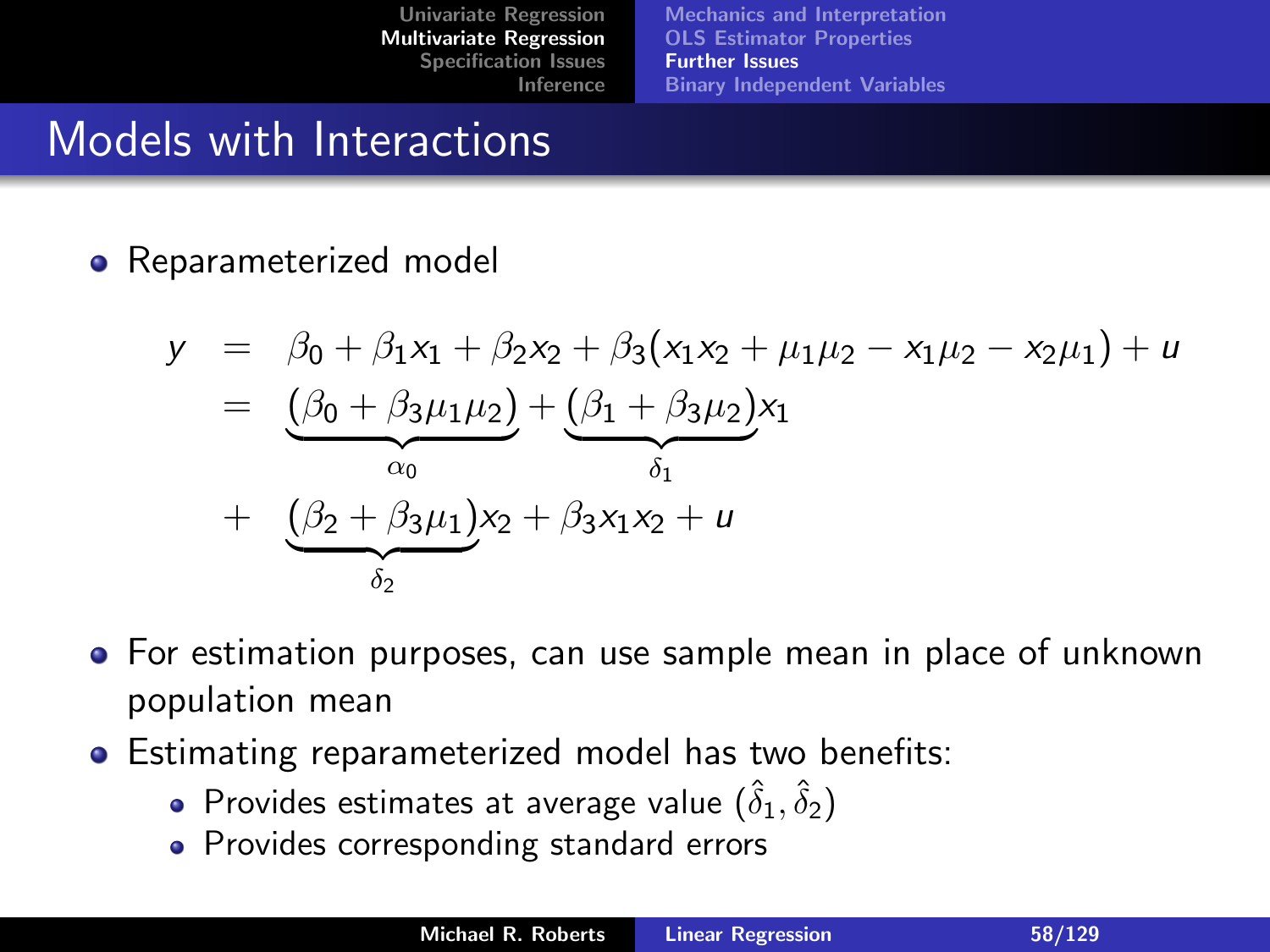[Mechanics and Interpretation](#page-32-0) [OLS Estimator Properties](#page-45-0) [Further Issues](#page-49-0) [Binary Independent Variables](#page-62-0)

### Models with Interactions

Reparameterized model

$$
y = \beta_0 + \beta_1 x_1 + \beta_2 x_2 + \beta_3 (x_1 x_2 + \mu_1 \mu_2 - x_1 \mu_2 - x_2 \mu_1) + u
$$
  
= 
$$
\underbrace{(\beta_0 + \beta_3 \mu_1 \mu_2)}_{\alpha_0} + \underbrace{(\beta_1 + \beta_3 \mu_2)}_{\delta_1} x_1
$$
  
+ 
$$
\underbrace{(\beta_2 + \beta_3 \mu_1)}_{\delta_2} x_2 + \beta_3 x_1 x_2 + u
$$

- For estimation purposes, can use sample mean in place of unknown population mean
- **•** Estimating reparameterized model has two benefits:
	- Provides estimates at average value  $(\hat{\delta}_1, \hat{\delta}_2)$
	- Provides corresponding standard errors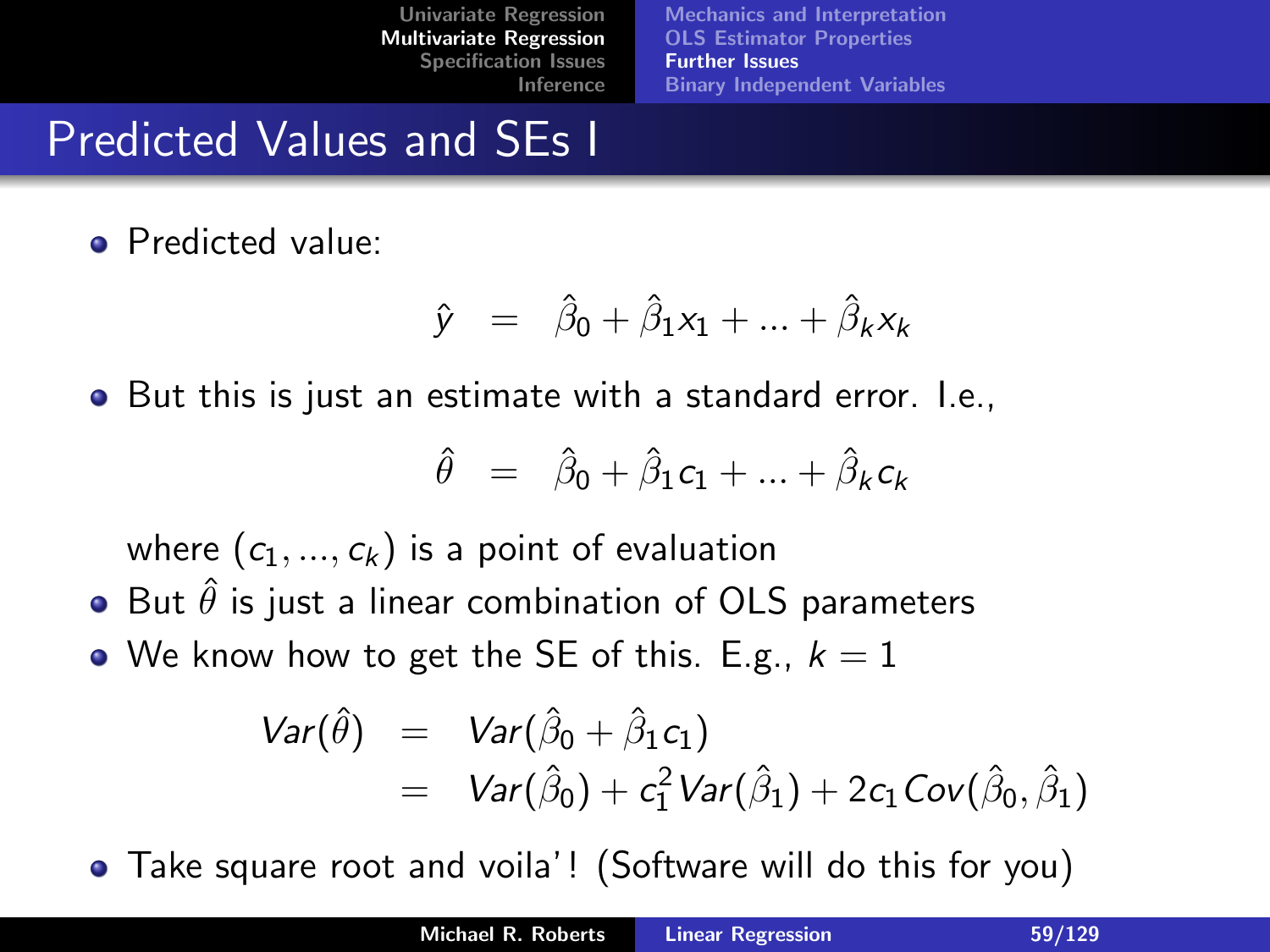[Mechanics and Interpretation](#page-32-0) [OLS Estimator Properties](#page-45-0) [Further Issues](#page-49-0) [Binary Independent Variables](#page-62-0)

### Predicted Values and SEs I

**•** Predicted value:

$$
\hat{y} = \hat{\beta}_0 + \hat{\beta}_1 x_1 + \dots + \hat{\beta}_k x_k
$$

But this is just an estimate with a standard error. I.e.,

$$
\hat{\theta} = \hat{\beta}_0 + \hat{\beta}_1 c_1 + \dots + \hat{\beta}_k c_k
$$

where  $(c_1, ..., c_k)$  is a point of evaluation • But  $\hat{\theta}$  is just a linear combination of OLS parameters • We know how to get the SE of this. E.g.,  $k = 1$ 

$$
Var(\hat{\theta}) = Var(\hat{\beta}_0 + \hat{\beta}_1 c_1)
$$
  
= Var(\hat{\beta}\_0) + c\_1^2 Var(\hat{\beta}\_1) + 2c\_1 Cov(\hat{\beta}\_0, \hat{\beta}\_1)

• Take square root and voila'! (Software will do this for you)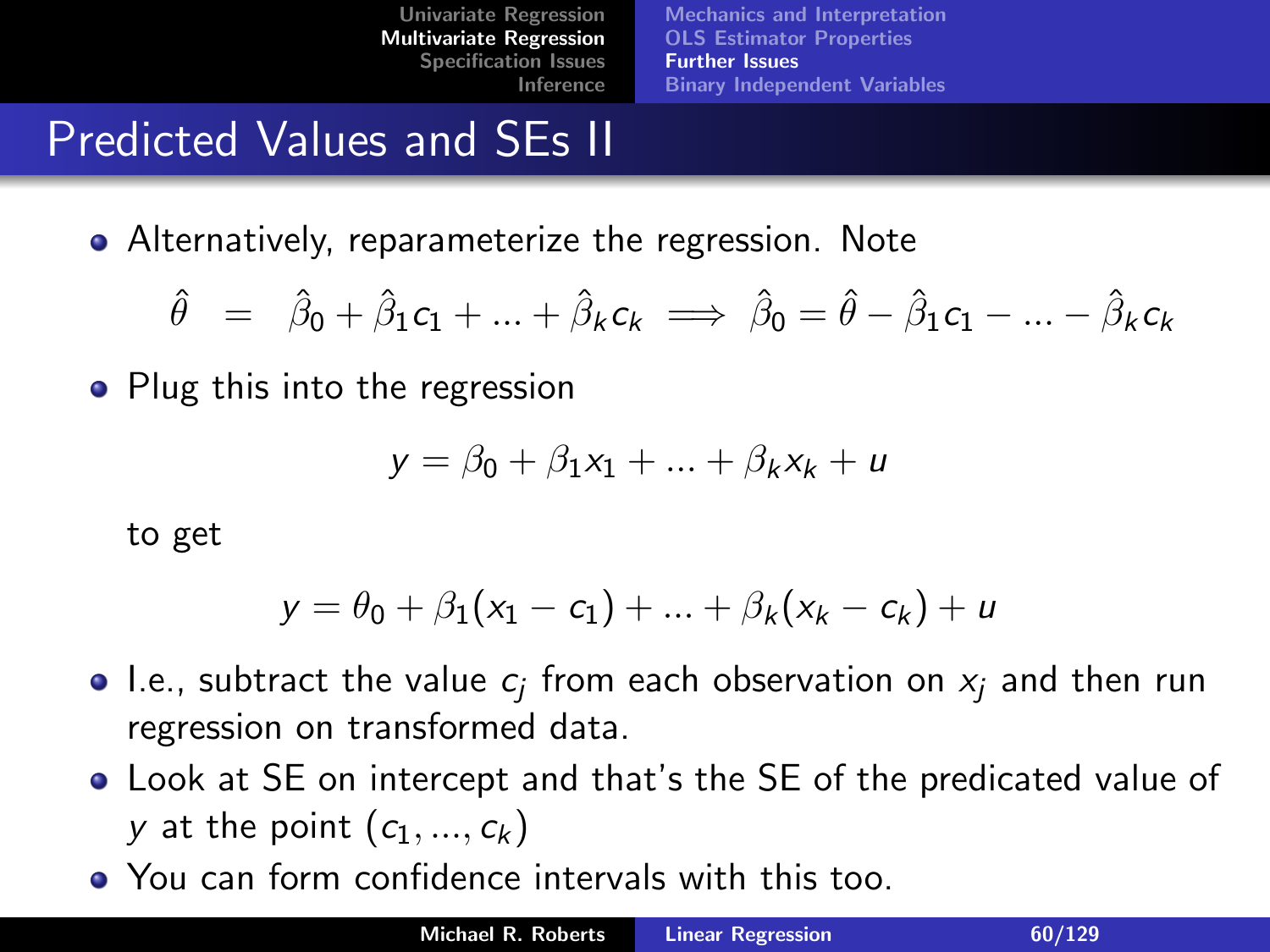### Predicted Values and SEs II

Alternatively, reparameterize the regression. Note

$$
\hat{\theta} = \hat{\beta}_0 + \hat{\beta}_1 c_1 + \dots + \hat{\beta}_k c_k \implies \hat{\beta}_0 = \hat{\theta} - \hat{\beta}_1 c_1 - \dots - \hat{\beta}_k c_k
$$

• Plug this into the regression

$$
y = \beta_0 + \beta_1 x_1 + \dots + \beta_k x_k + u
$$

to get

$$
y = \theta_0 + \beta_1(x_1 - c_1) + \ldots + \beta_k(x_k - c_k) + u
$$

- I.e., subtract the value  $c_j$  from each observation on  $\mathsf{x}_j$  and then run regression on transformed data.
- Look at SE on intercept and that's the SE of the predicated value of y at the point  $(c_1, ..., c_k)$
- You can form confidence intervals with this too.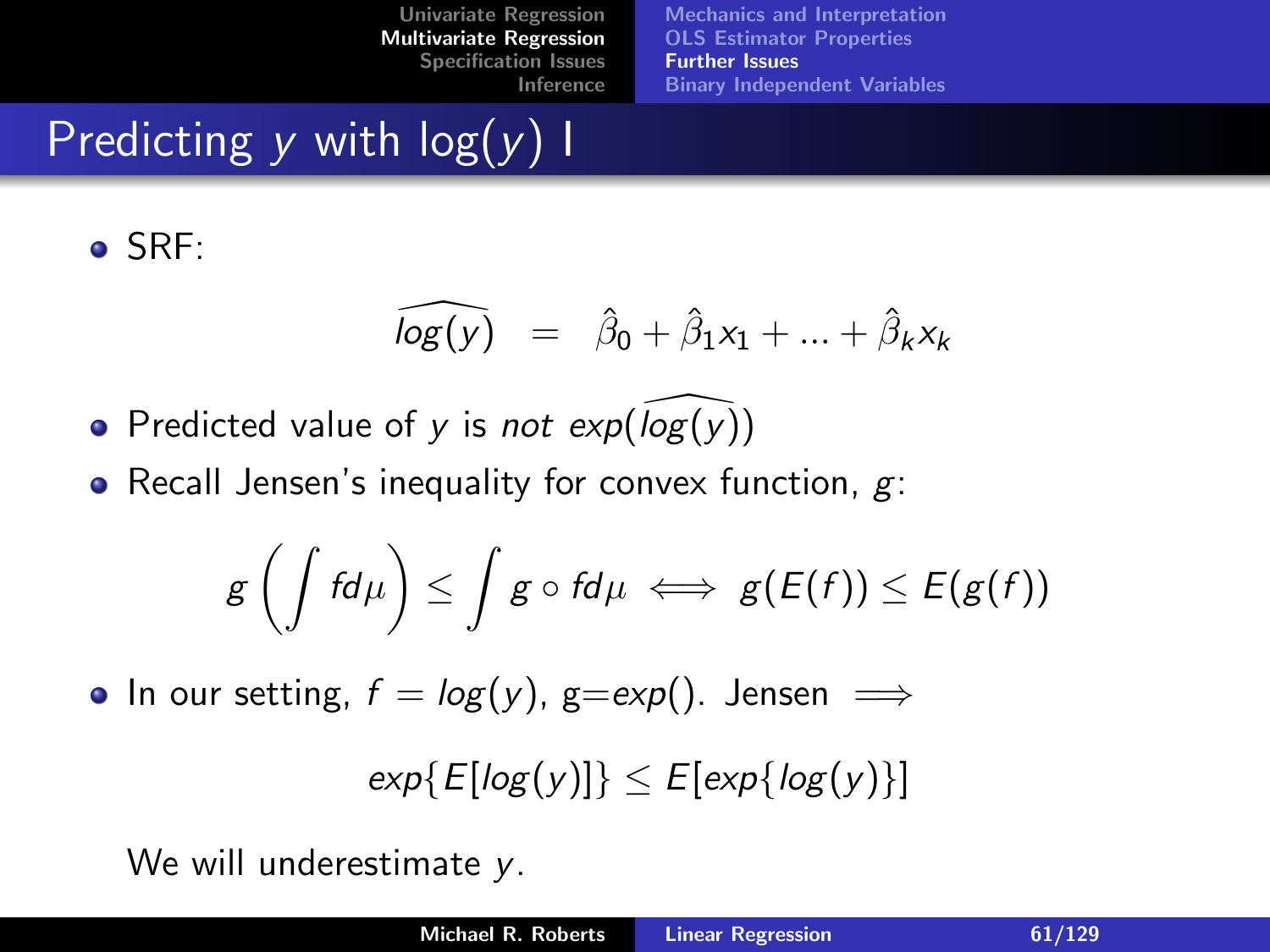[Mechanics and Interpretation](#page-32-0) [OLS Estimator Properties](#page-45-0) [Further Issues](#page-49-0) [Binary Independent Variables](#page-62-0)

# Predicting y with  $log(y)$  I

SRF:

$$
\widehat{\log(y)} = \widehat{\beta}_0 + \widehat{\beta}_1 x_1 + \dots + \widehat{\beta}_k x_k
$$

- Predicted value of y is not  $exp(log(y))$
- Recall Jensen's inequality for convex function,  $g$ :

$$
g\left(\int f d\mu\right) \leq \int g\circ f d\mu \iff g(E(f)) \leq E(g(f))
$$

• In our setting,  $f = log(y)$ ,  $g= exp($ ). Jensen  $\implies$ 

$$
exp{E[log(y)]} \le E[exp{log(y)}]
$$

We will underestimate y.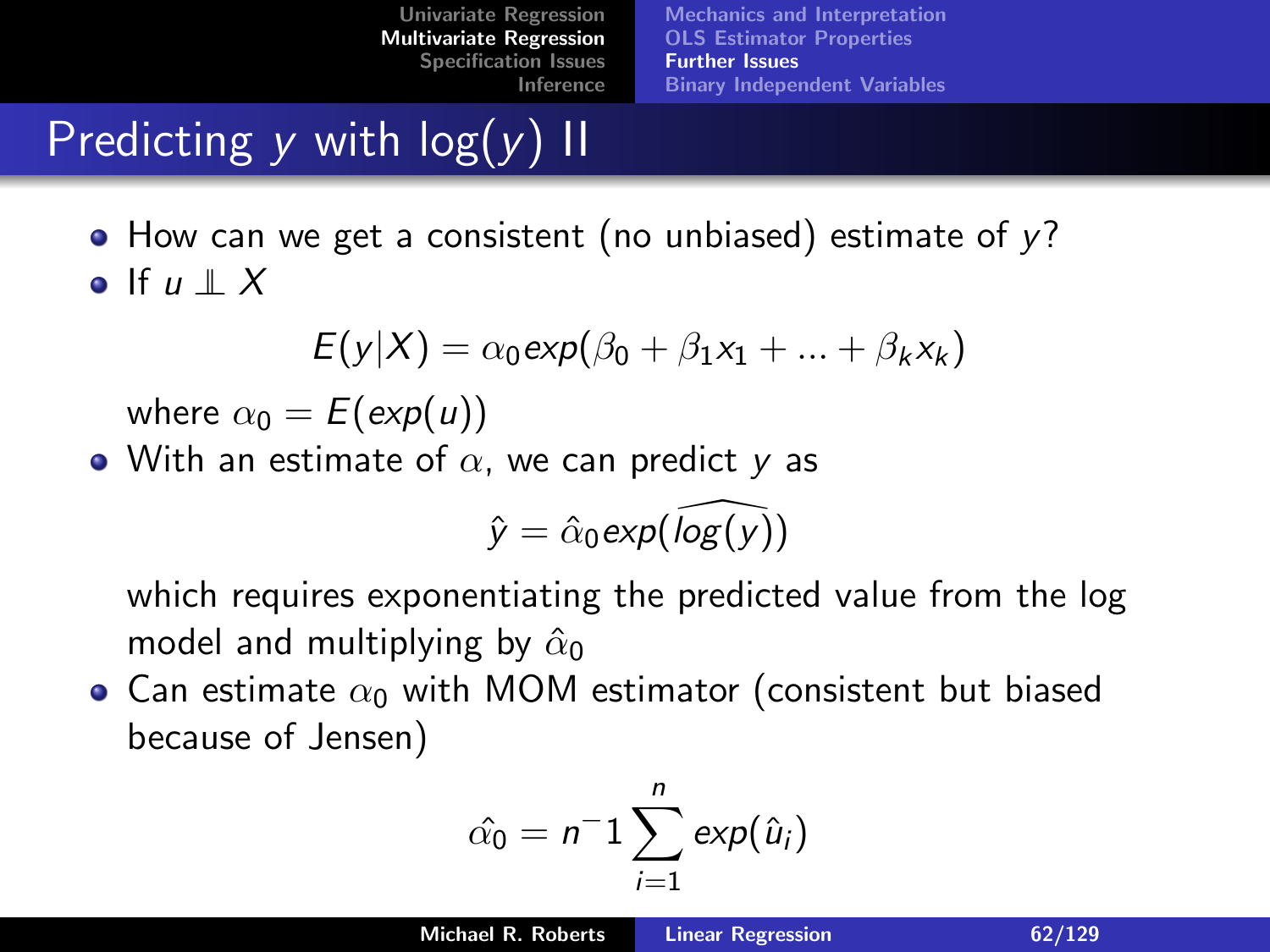[Mechanics and Interpretation](#page-32-0) [OLS Estimator Properties](#page-45-0) [Further Issues](#page-49-0) [Binary Independent Variables](#page-62-0)

# Predicting y with  $log(y)$  II

 $\bullet$  How can we get a consistent (no unbiased) estimate of y? o If  $u \perp X$ 

$$
E(y|X) = \alpha_0 \exp(\beta_0 + \beta_1 x_1 + \dots + \beta_k x_k)
$$

where  $\alpha_0 = E(\exp(u))$ 

• With an estimate of  $\alpha$ , we can predict y as

$$
\hat{y} = \hat{\alpha}_0 \exp(\widehat{\log(y)})
$$

which requires exponentiating the predicted value from the log model and multiplying by  $\hat{\alpha}_0$ 

• Can estimate  $\alpha_0$  with MOM estimator (consistent but biased because of Jensen)

$$
\hat{\alpha_0} = n^{-1} \sum_{i=1}^n \exp(\hat{u}_i)
$$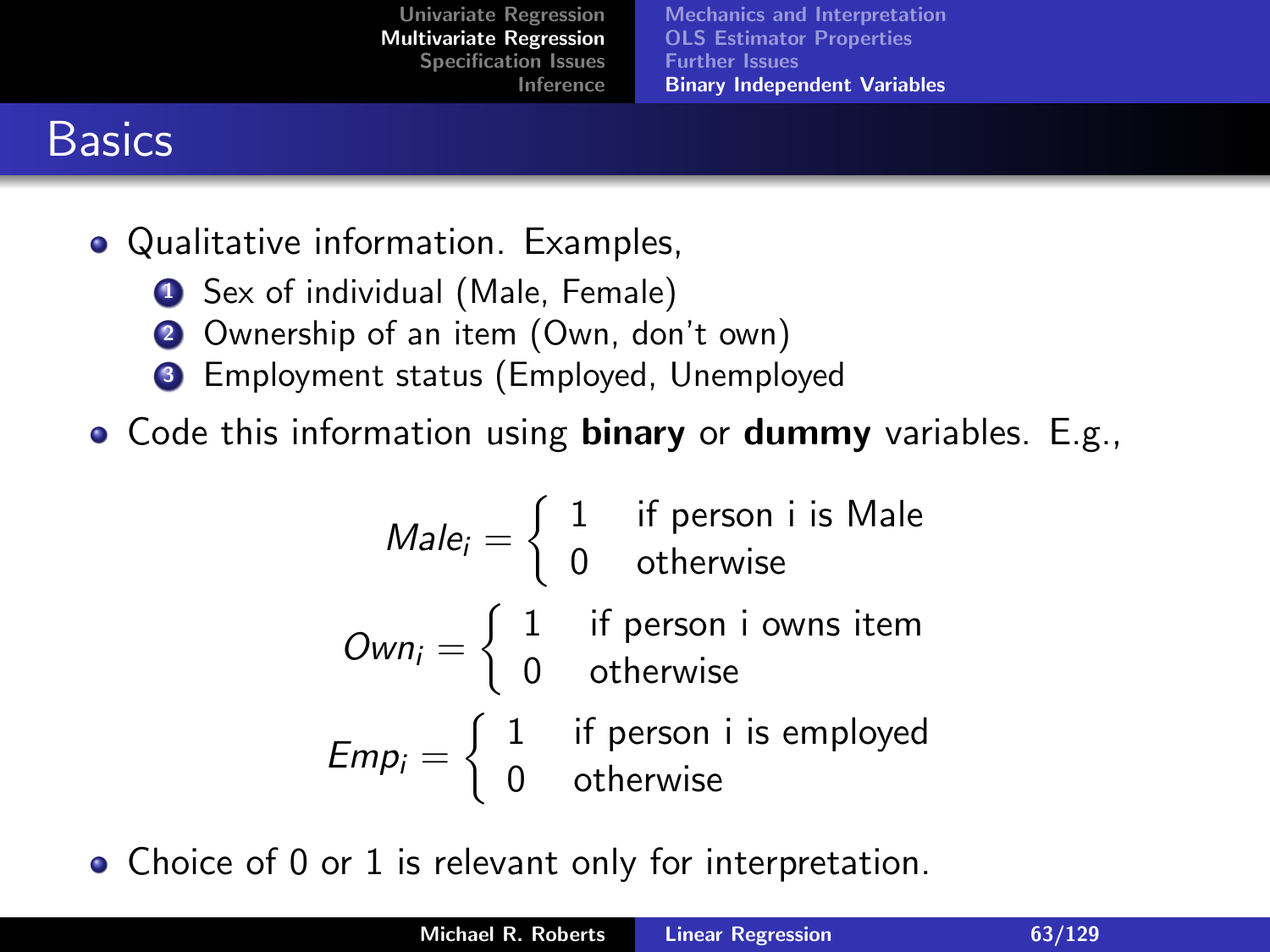## **Basics**

- Qualitative information. Examples,
	- **1** Sex of individual (Male, Female)
	- 2 Ownership of an item (Own, don't own)
	- <sup>3</sup> Employment status (Employed, Unemployed
- $\bullet$  Code this information using **binary** or **dummy** variables. E.g.,

<span id="page-62-0"></span>
$$
Male_i = \begin{cases} 1 & \text{if person i is Male} \\ 0 & \text{otherwise} \end{cases}
$$
  

$$
Own_i = \begin{cases} 1 & \text{if person i owns item} \\ 0 & \text{otherwise} \end{cases}
$$
  

$$
Emp_i = \begin{cases} 1 & \text{if person i is employed} \\ 0 & \text{otherwise} \end{cases}
$$

Choice of 0 or 1 is relevant only for interpretation.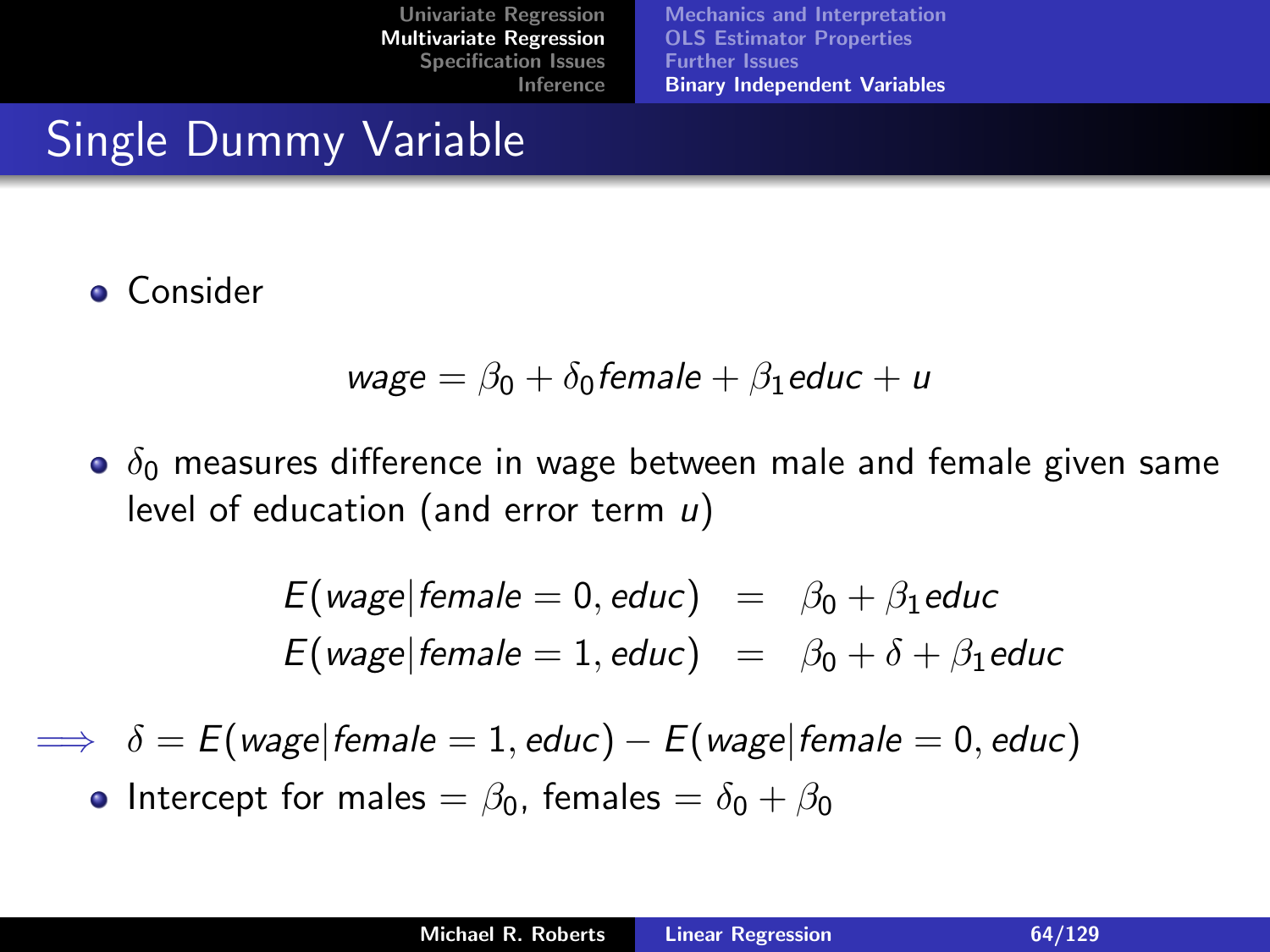[Mechanics and Interpretation](#page-32-0) [OLS Estimator Properties](#page-45-0) [Further Issues](#page-49-0) [Binary Independent Variables](#page-62-0)

# Single Dummy Variable

**•** Consider

$$
\textit{wage} = \beta_0 + \delta_0 \textit{female} + \beta_1 \textit{educ} + u
$$

 $\delta$ <sub>0</sub> measures difference in wage between male and female given same level of education (and error term  $u$ )

$$
E(wage|female = 0, educ) = \beta_0 + \beta_1 educ
$$
  

$$
E(wage|female = 1, educ) = \beta_0 + \delta + \beta_1 educ
$$

 $\implies \delta = E(wage|female = 1, educ) - E(wage|female = 0, educ)$ 

• Intercept for males  $= \beta_0$ , females  $= \delta_0 + \beta_0$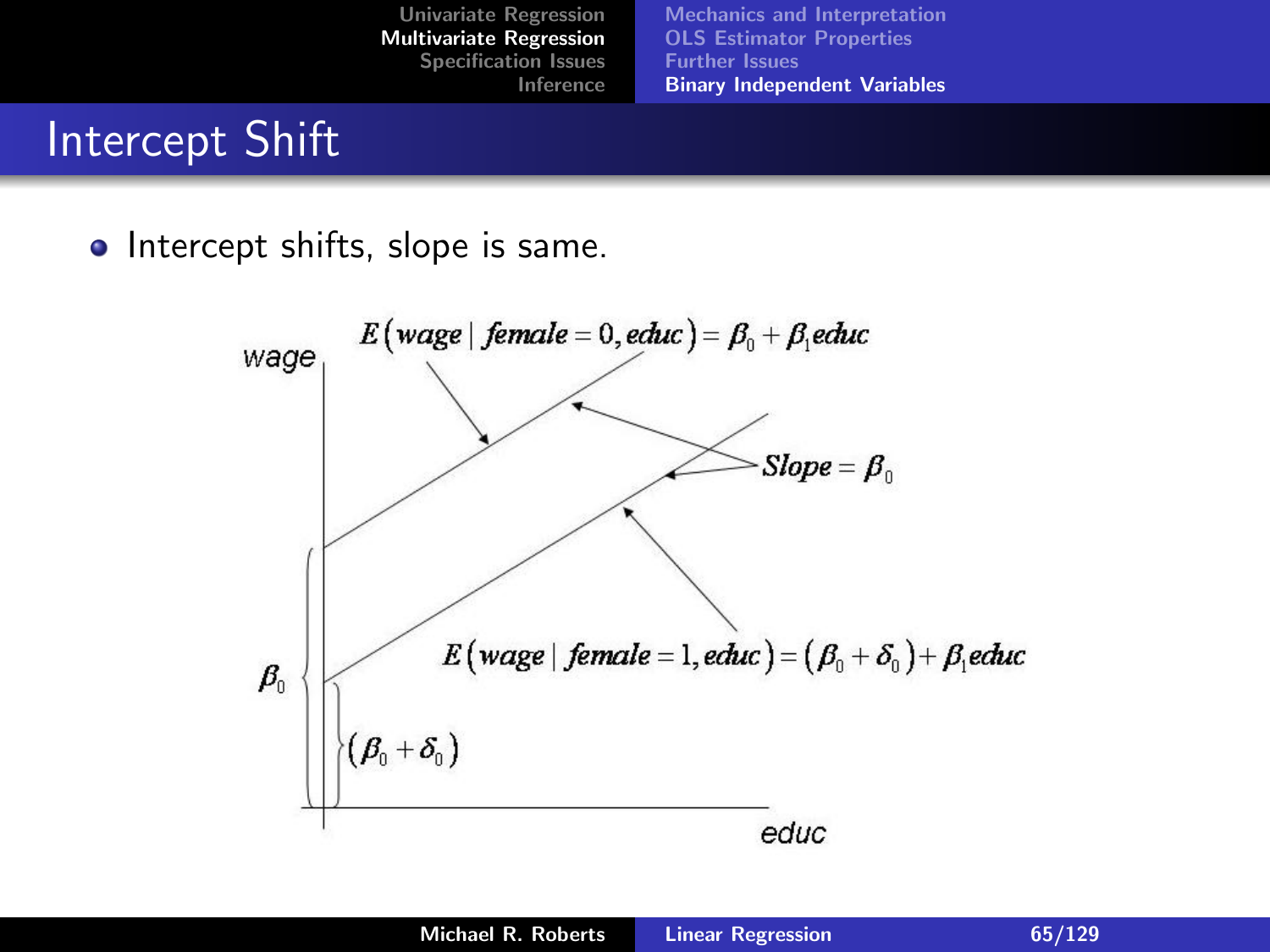### Intercept Shift

• Intercept shifts, slope is same.

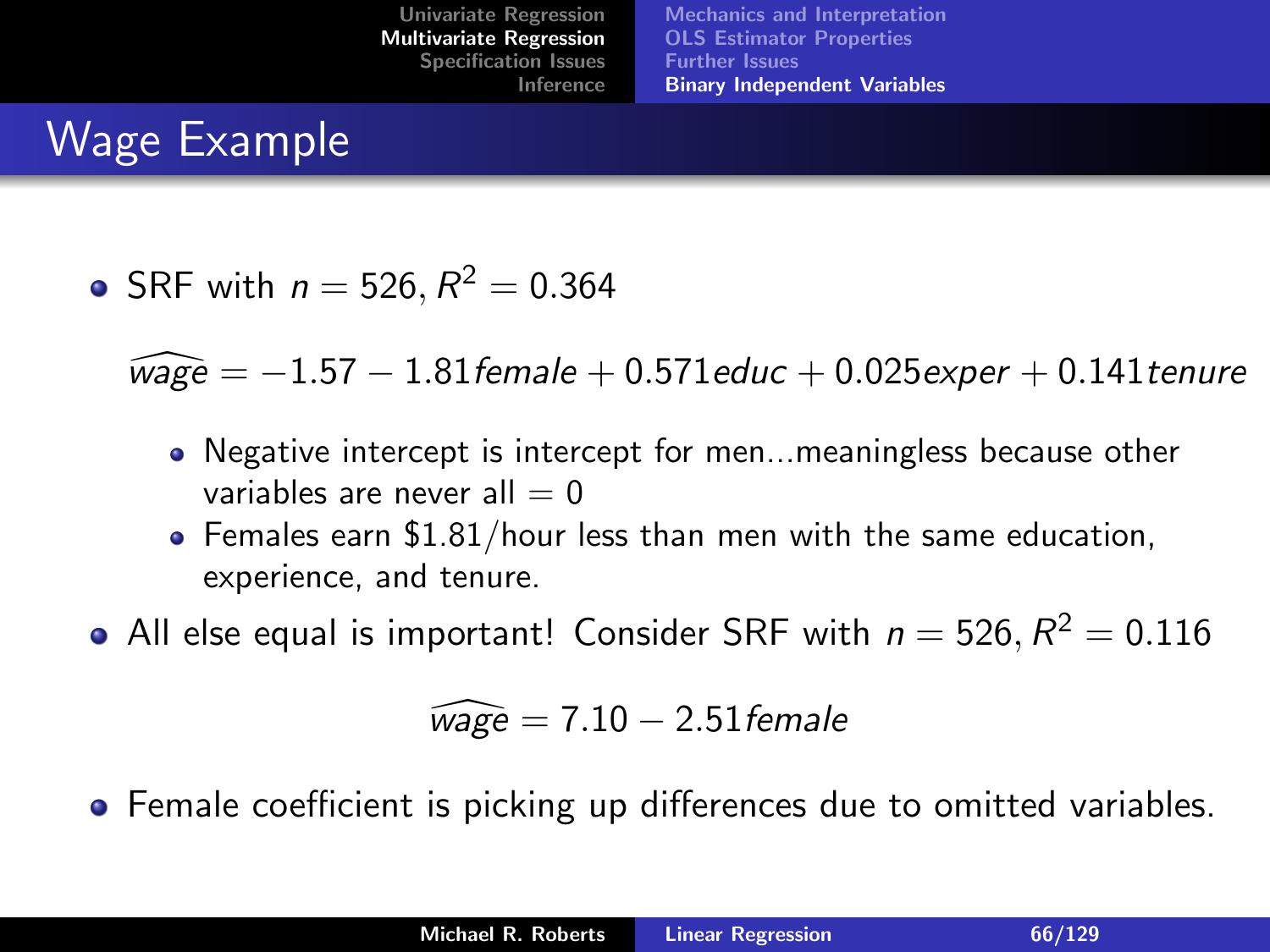# Wage Example

SRF with  $n = 526, R^2 = 0.364$ 

 $\widehat{wage} = -1.57 - 1.81$ female + 0.571educ + 0.025exper + 0.141tenure

- Negative intercept is intercept for men...meaningless because other variables are never all  $= 0$
- Females earn \$1.81/hour less than men with the same education, experience, and tenure.

All else equal is important! Consider SRF with  $n=526, R^2=0.116$ 

$$
\widehat{\text{wage}} = 7.10 - 2.51 \text{female}
$$

Female coefficient is picking up differences due to omitted variables.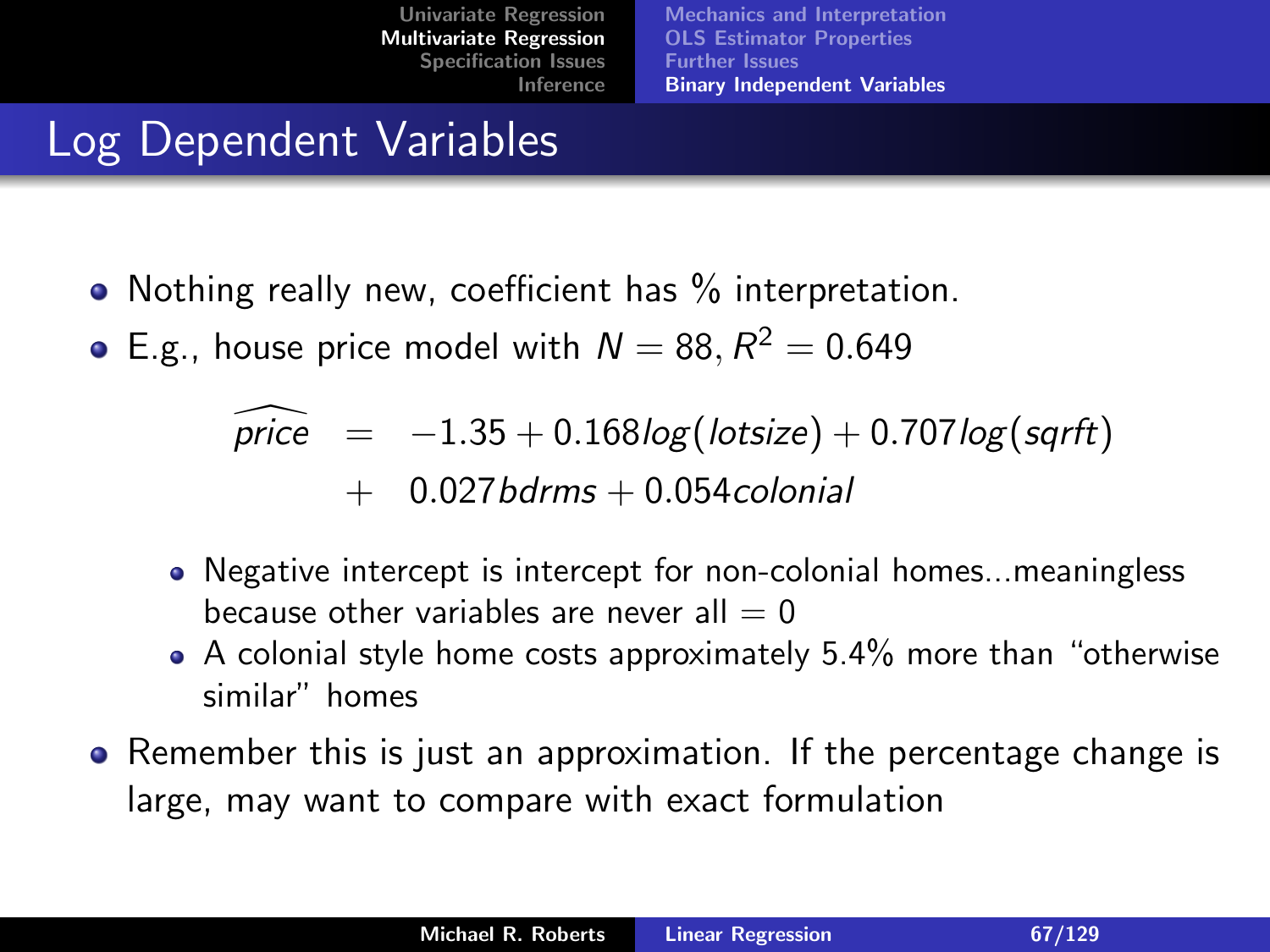[Mechanics and Interpretation](#page-32-0) [OLS Estimator Properties](#page-45-0) [Further Issues](#page-49-0) [Binary Independent Variables](#page-62-0)

# Log Dependent Variables

- Nothing really new, coefficient has % interpretation.
- E.g., house price model with  $N = 88, R^2 = 0.649$

$$
\widehat{price} = -1.35 + 0.168 \log(\text{dotsize}) + 0.707 \log(\text{sqrtf})
$$
  
+ 0.027 \text{bdrms} + 0.054 \text{colonial}

- Negative intercept is intercept for non-colonial homes...meaningless because other variables are never all  $= 0$
- A colonial style home costs approximately 5.4% more than "otherwise similar" homes
- Remember this is just an approximation. If the percentage change is large, may want to compare with exact formulation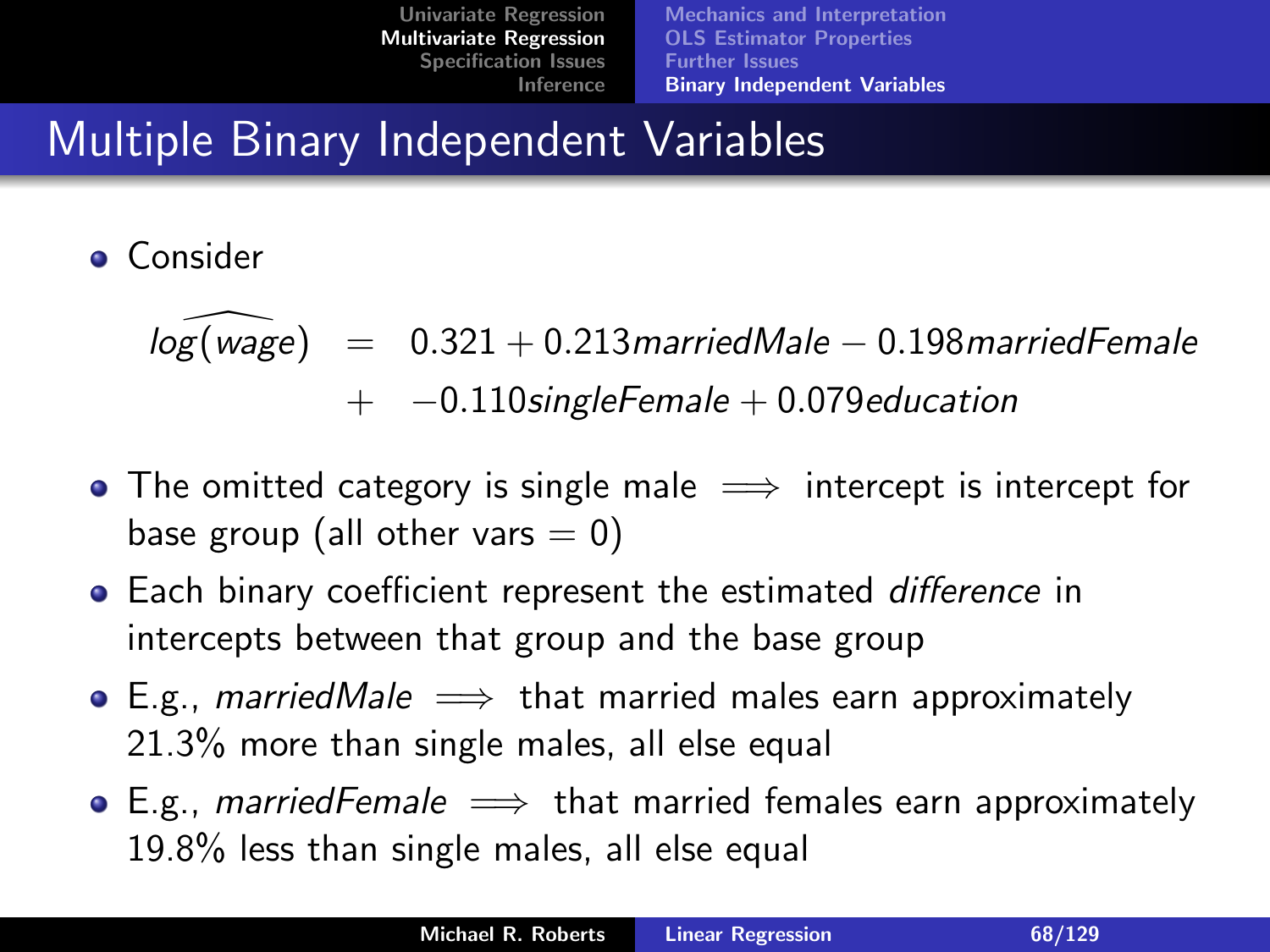# Multiple Binary Independent Variables

**o** Consider

 $log(wage) = 0.321 + 0.213$ marriedMale – 0.198 married Female  $+ -0.110$ singleFemale  $+ 0.079$ education

- The omitted category is single male  $\implies$  intercept is intercept for base group (all other vars  $= 0$ )
- **•** Each binary coefficient represent the estimated *difference* in intercepts between that group and the base group
- E.g., marriedMale  $\implies$  that married males earn approximately 21.3% more than single males, all else equal
- E.g., marriedFemale  $\implies$  that married females earn approximately 19.8% less than single males, all else equal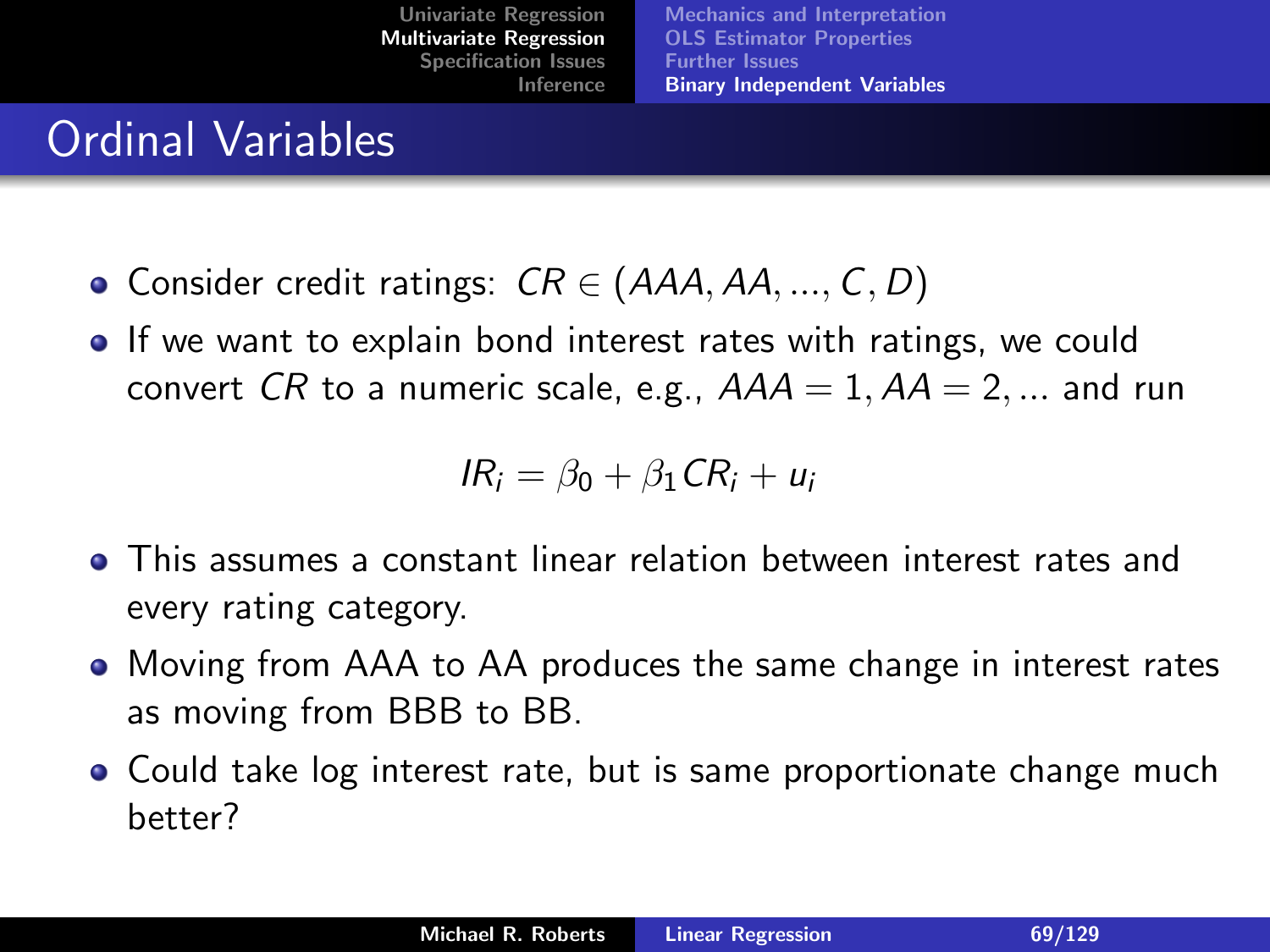| Univariate Regression<br><b>Multivariate Regression</b> | <b>Mechanics and Interpretation</b><br><b>OLS Estimator Properties</b> |
|---------------------------------------------------------|------------------------------------------------------------------------|
|                                                         |                                                                        |
| <b>Specification Issues</b>                             | <b>Further Issues</b>                                                  |
| Inference                                               | <b>Binary Independent Variables</b>                                    |

### Ordinal Variables

- Consider credit ratings:  $CR \in (AAA, AA, ..., C, D)$
- **If we want to explain bond interest rates with ratings, we could** convert CR to a numeric scale, e.g.,  $AAA = 1, AA = 2, ...$  and run

$$
IR_i = \beta_0 + \beta_1 CR_i + u_i
$$

- This assumes a constant linear relation between interest rates and every rating category.
- Moving from AAA to AA produces the same change in interest rates as moving from BBB to BB.
- Could take log interest rate, but is same proportionate change much better?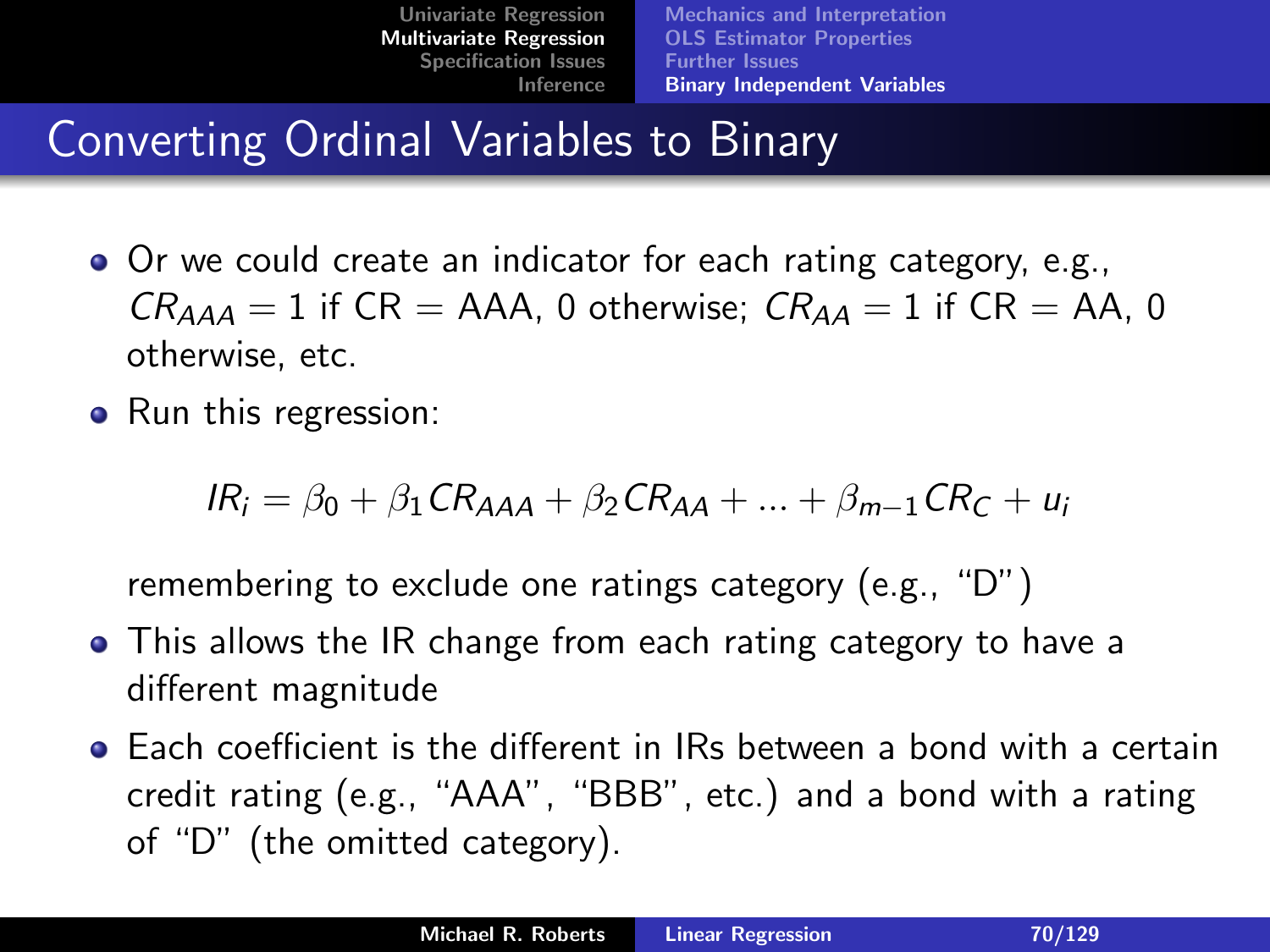## Converting Ordinal Variables to Binary

- Or we could create an indicator for each rating category, e.g.,  $CR_{AAA} = 1$  if  $CR = AAA$ , 0 otherwise;  $CR_{AA} = 1$  if  $CR = AA$ , 0 otherwise, etc.
- Run this regression:

 $IR_i = \beta_0 + \beta_1 C R_{AAA} + \beta_2 C R_{AA} + ... + \beta_{m-1} C R_C + u_i$ 

remembering to exclude one ratings category (e.g., "D")

- This allows the IR change from each rating category to have a different magnitude
- Each coefficient is the different in IRs between a bond with a certain credit rating (e.g., "AAA", "BBB", etc.) and a bond with a rating of "D" (the omitted category).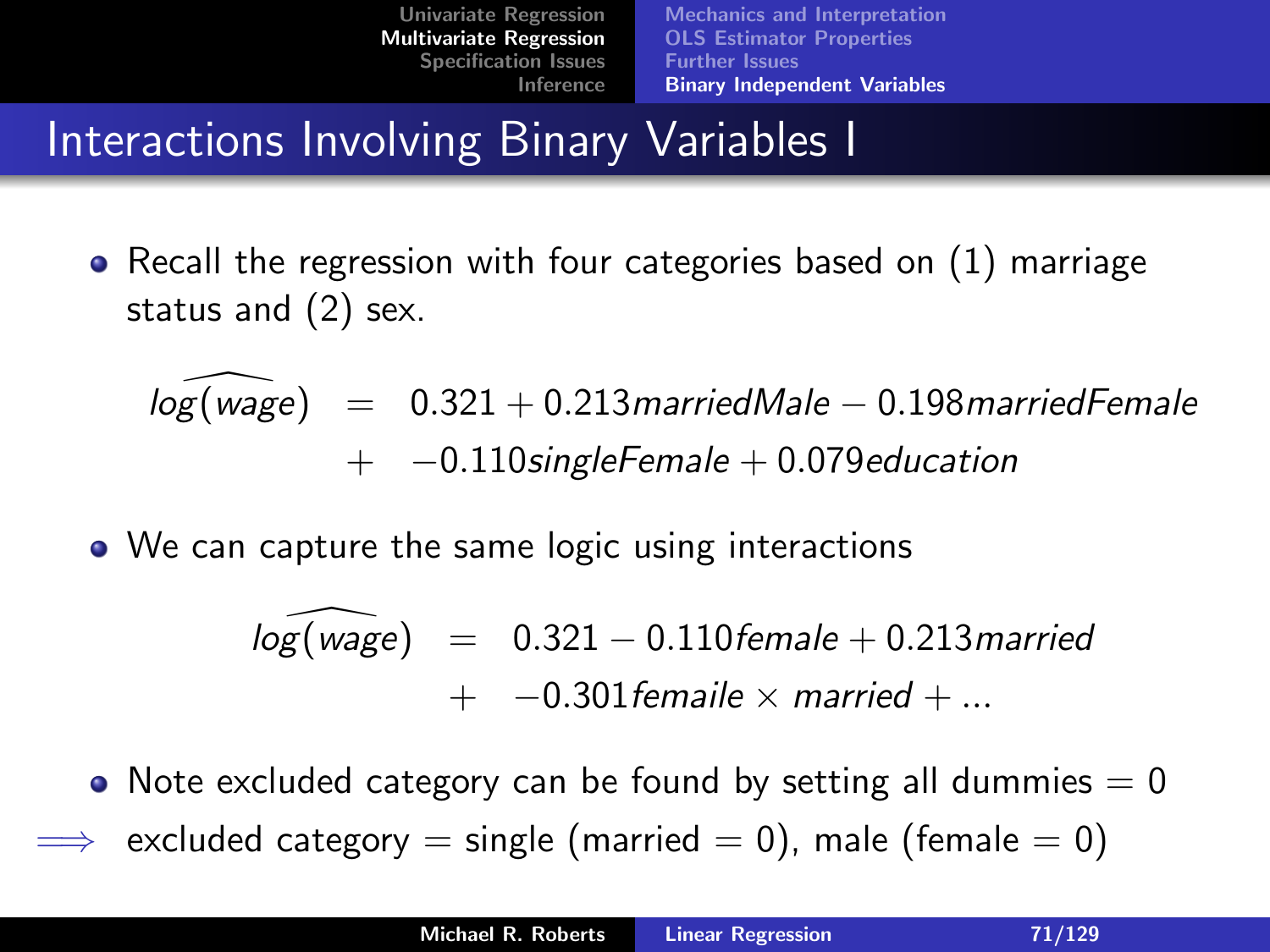# Interactions Involving Binary Variables I

• Recall the regression with four categories based on  $(1)$  marriage status and (2) sex.

 $log(wage) = 0.321 + 0.213$ marriedMale – 0.198 married Female  $+ -0.110$ singleFemale  $+ 0.079$ education

• We can capture the same logic using interactions

 $log(wage) = 0.321 - 0.110$  female + 0.213 married  $+$  -0.301 femaile  $\times$  married  $+...$ 

• Note excluded category can be found by setting all dummies  $= 0$ excluded category = single (married = 0), male (female = 0)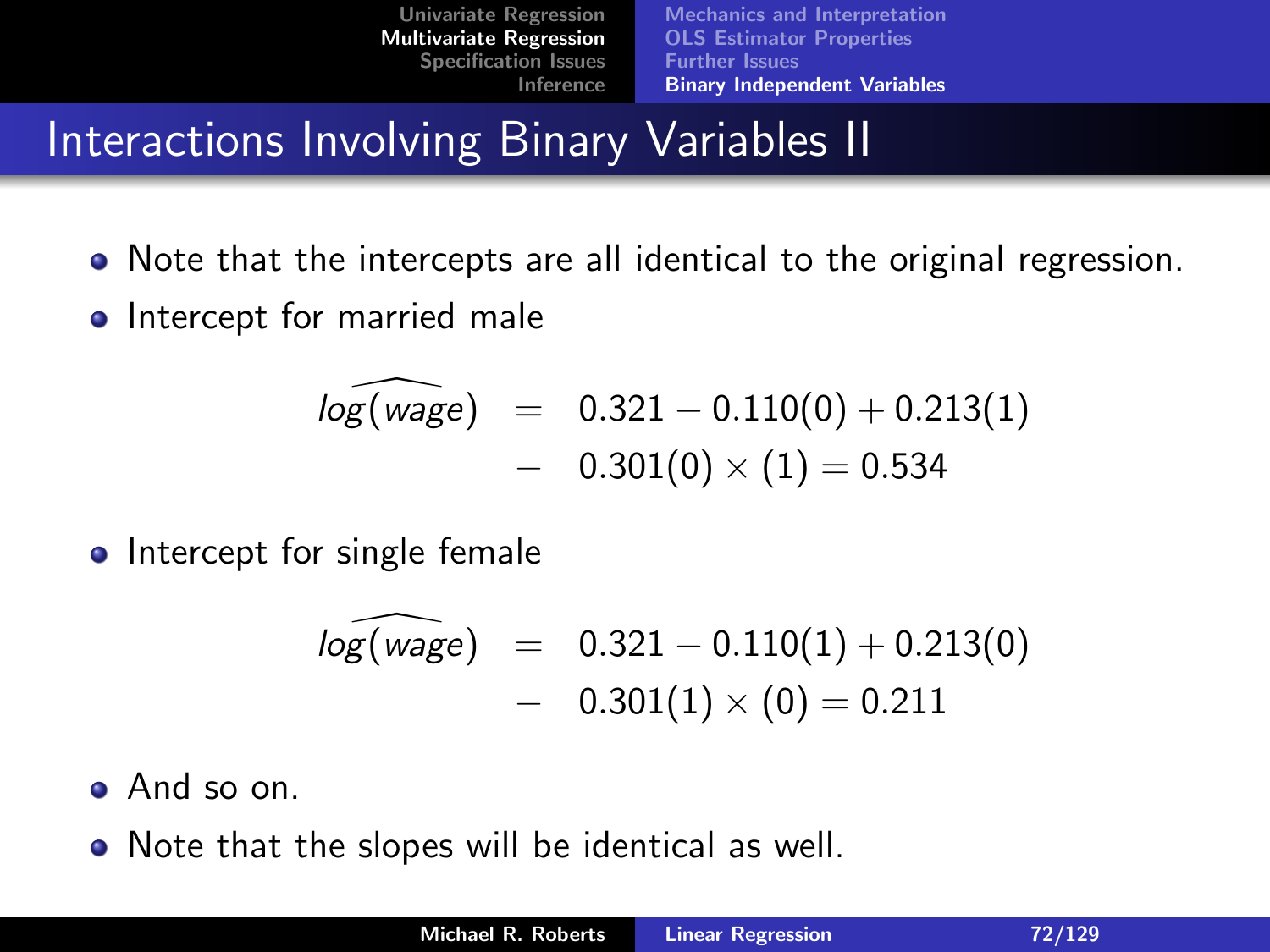# Interactions Involving Binary Variables II

- Note that the intercepts are all identical to the original regression.
- Intercept for married male

$$
log(wage) = 0.321 - 0.110(0) + 0.213(1) - 0.301(0) \times (1) = 0.534
$$

• Intercept for single female

$$
log(wage) = 0.321 - 0.110(1) + 0.213(0) - 0.301(1) \times (0) = 0.211
$$

- And so on.
- Note that the slopes will be identical as well.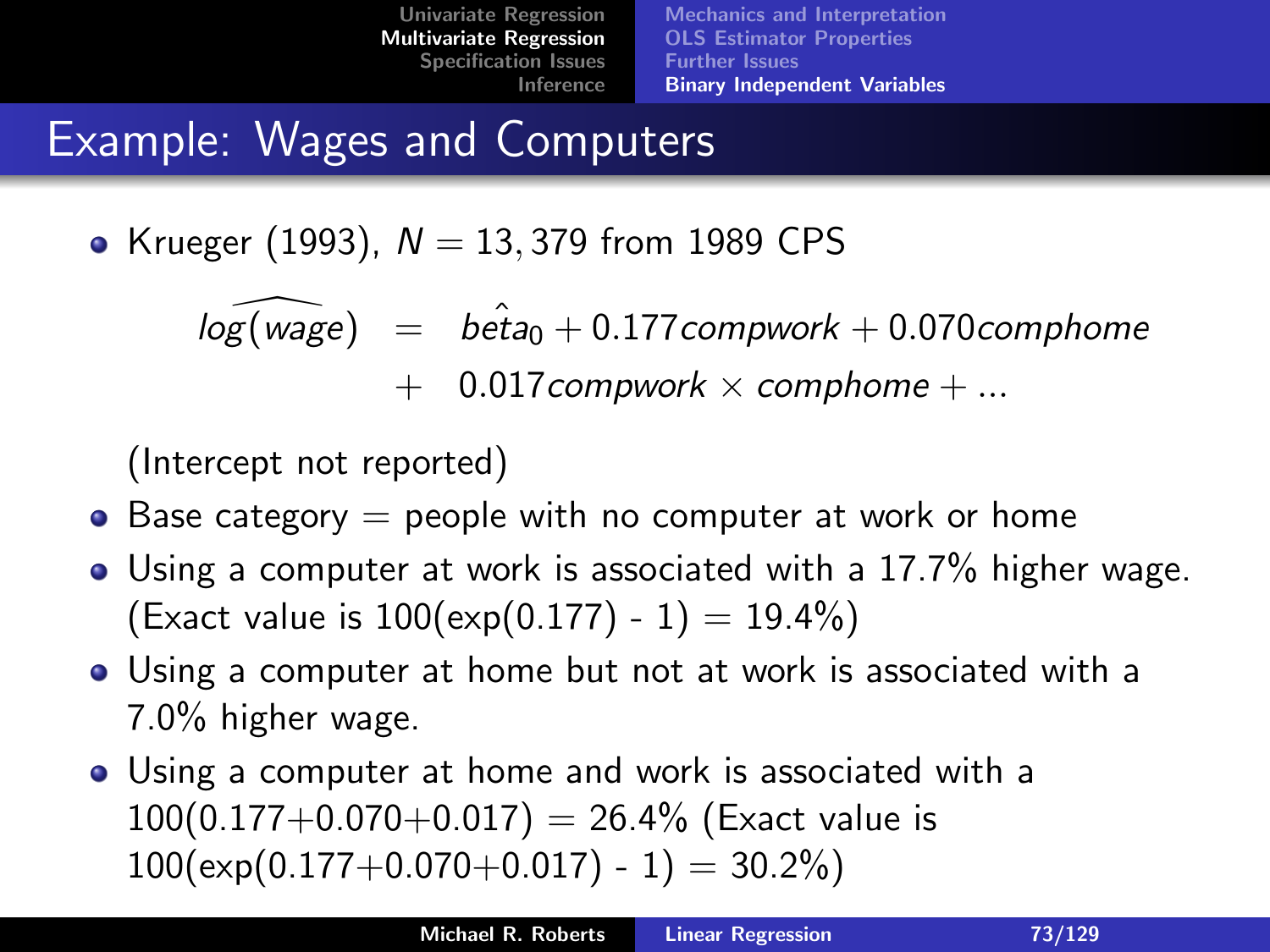# Example: Wages and Computers

• Krueger (1993),  $N = 13,379$  from 1989 CPS

 $log(\widehat{wage}) = beta_0 + 0.177$ compwork + 0.070 comphome  $+$  0.017 compwork  $\times$  comphome  $+...$ 

(Intercept not reported)

- $\bullet$  Base category  $=$  people with no computer at work or home
- Using a computer at work is associated with a 17.7% higher wage. (Exact value is  $100(\exp(0.177) - 1) = 19.4\%)$
- Using a computer at home but not at work is associated with a 7.0% higher wage.
- Using a computer at home and work is associated with a  $100(0.177+0.070+0.017) = 26.4\%$  (Exact value is  $100(\exp(0.177+0.070+0.017) - 1) = 30.2\%)$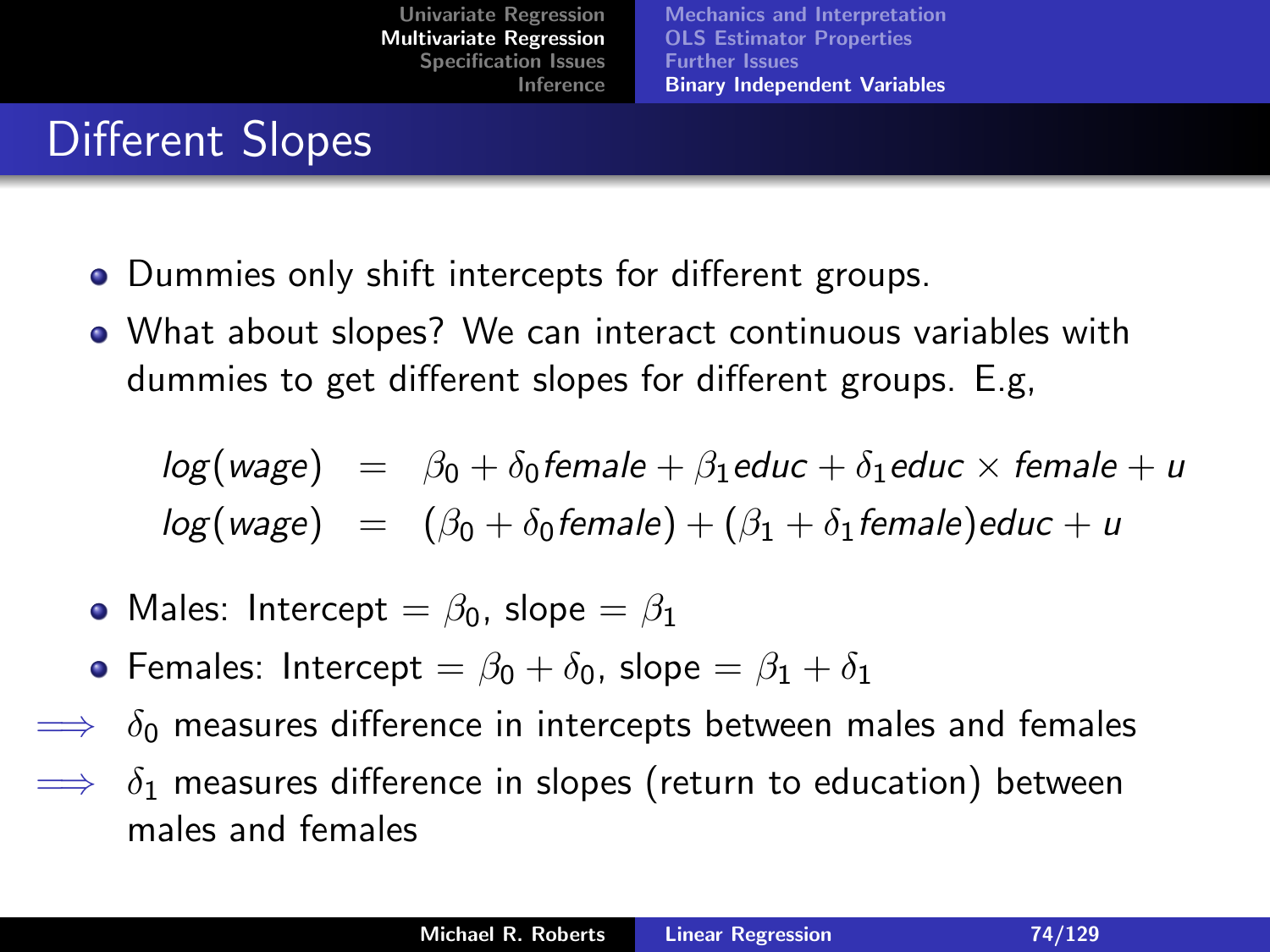## Different Slopes

- Dummies only shift intercepts for different groups.  $\bullet$
- What about slopes? We can interact continuous variables with dummies to get different slopes for different groups. E.g,

$$
log(wage) = \beta_0 + \delta_0 female + \beta_1 educ + \delta_1 educ \times female + u
$$
  
 $log(wage) = (\beta_0 + \delta_0 female) + (\beta_1 + \delta_1 female) educ + u$ 

- Males: Intercept =  $\beta_0$ , slope =  $\beta_1$
- **•** Females: Intercept =  $\beta_0 + \delta_0$ , slope =  $\beta_1 + \delta_1$
- $\delta_0$  measures difference in intercepts between males and females
- $\implies$   $\delta_1$  measures difference in slopes (return to education) between males and females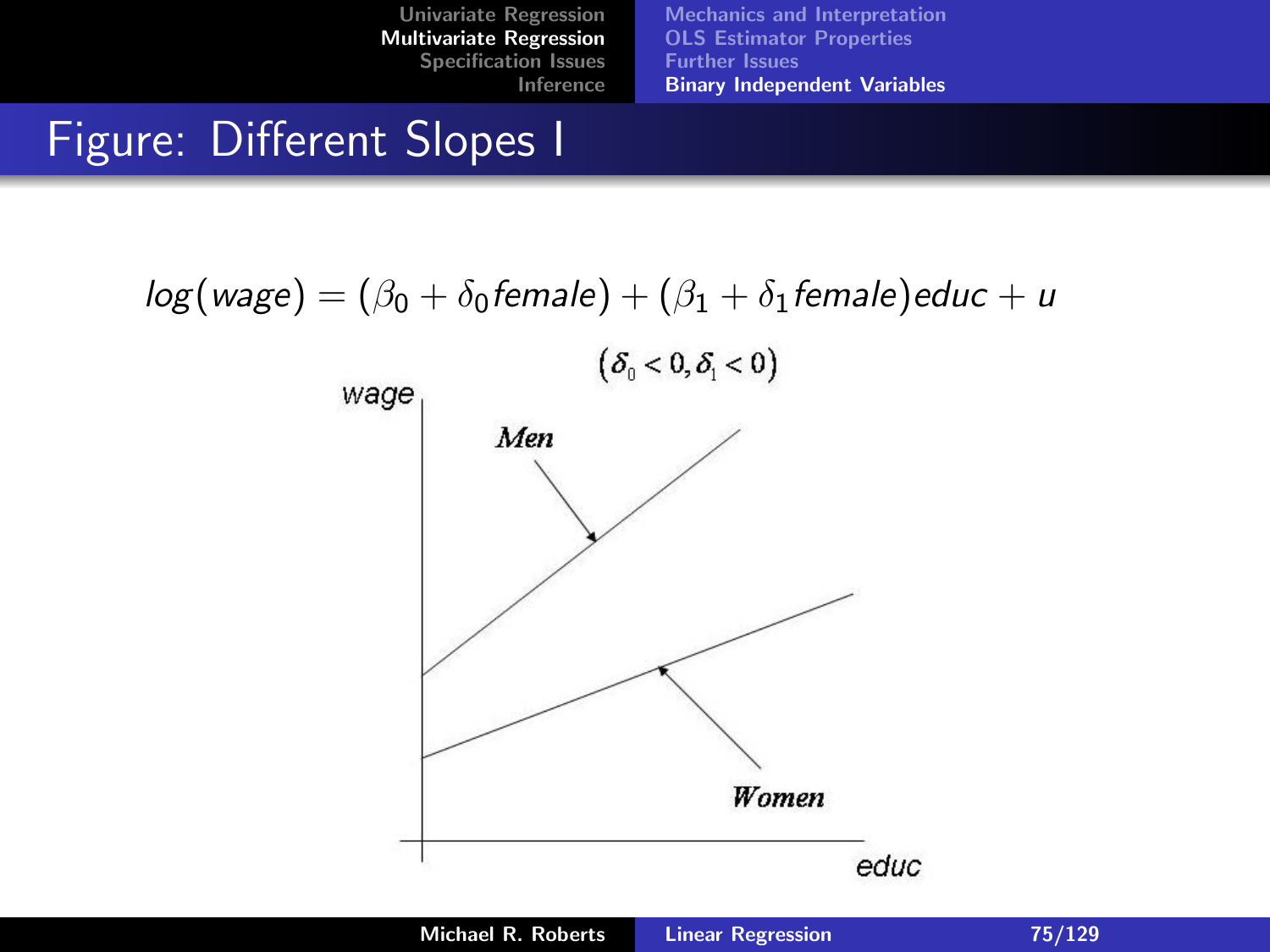## Figure: Different Slopes I



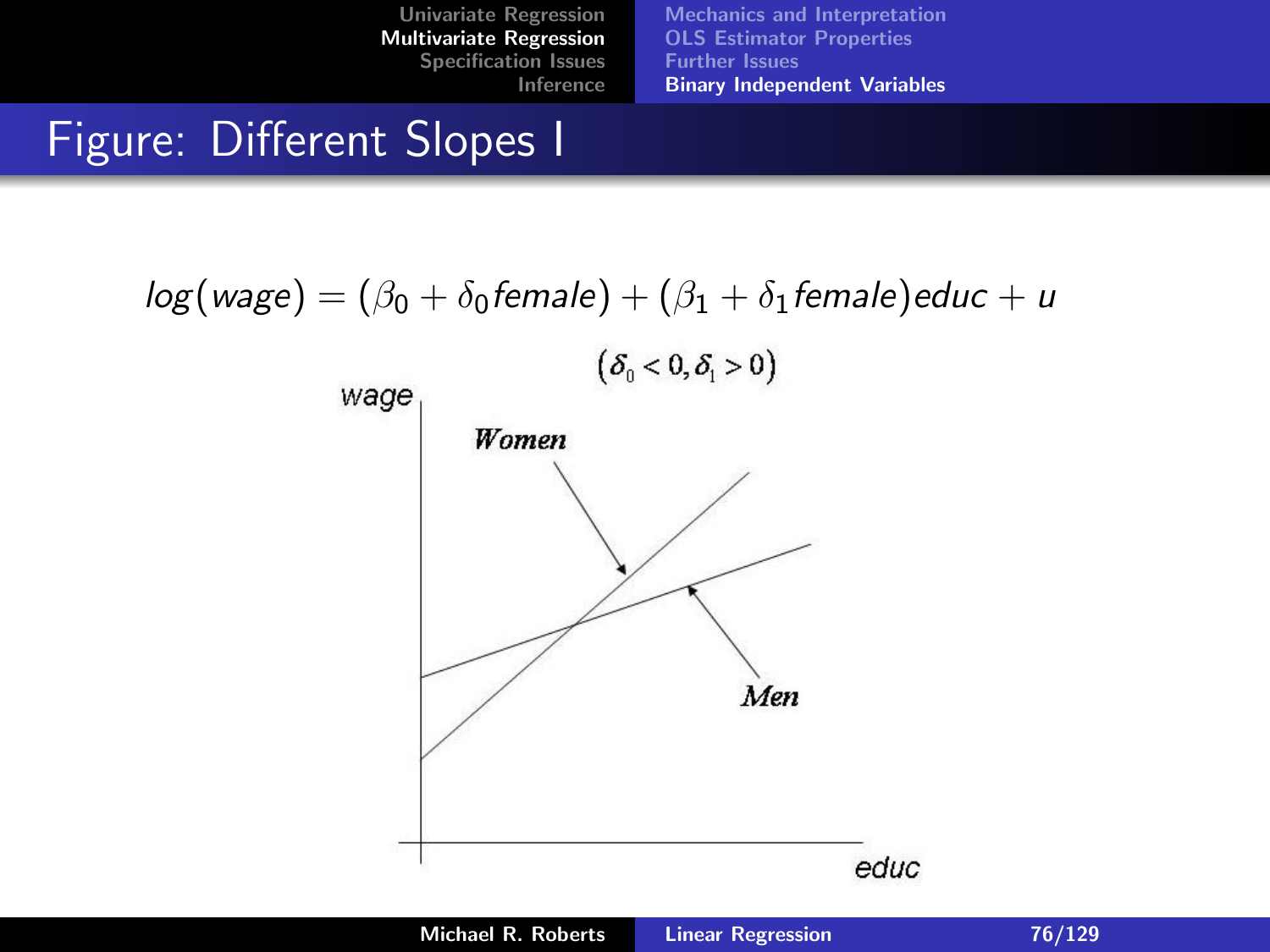### Figure: Different Slopes I



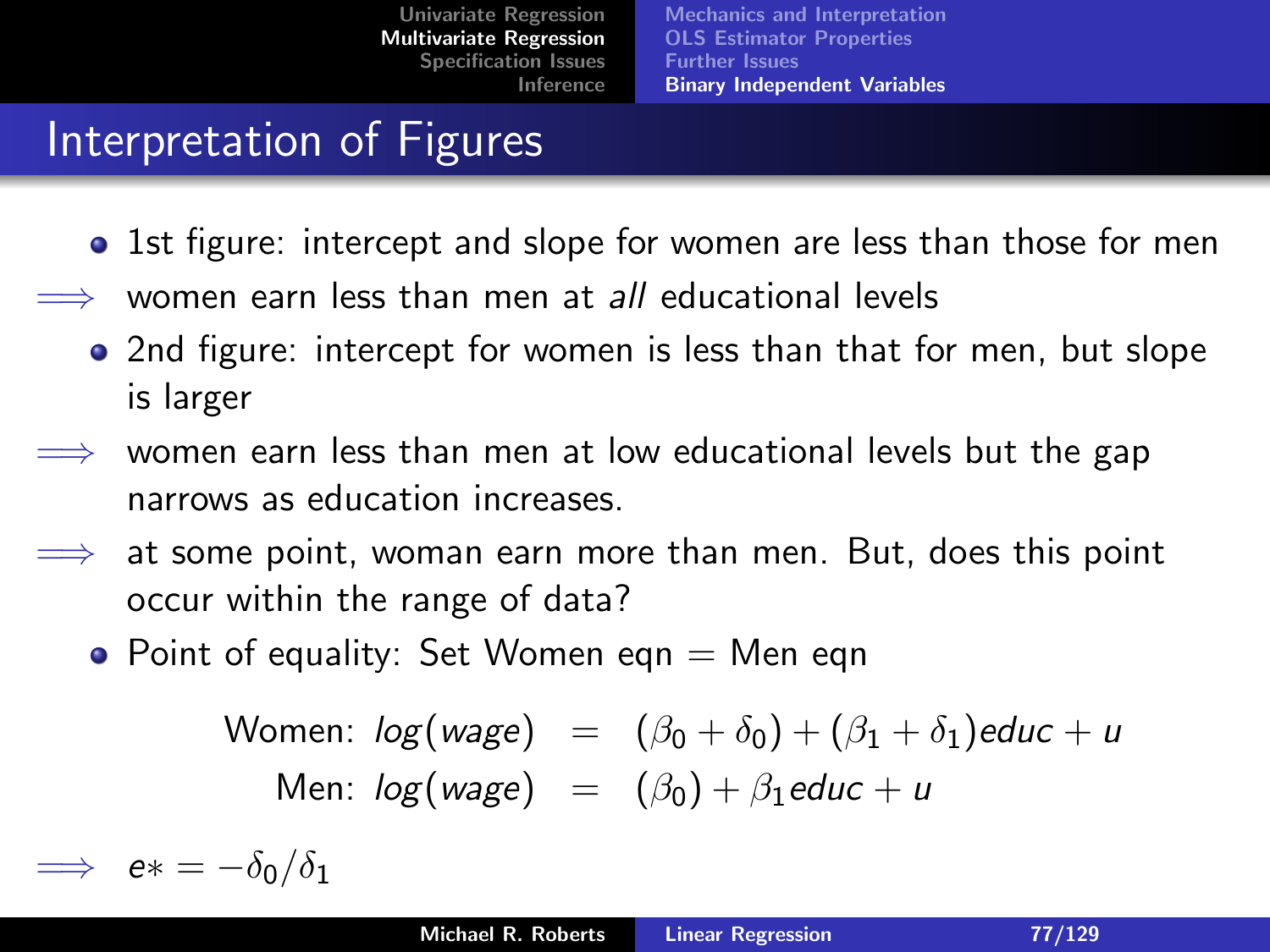## Interpretation of Figures

- 1st figure: intercept and slope for women are less than those for men
- women earn less than men at *all* educational levels
	- 2nd figure: intercept for women is less than that for men, but slope is larger
- women earn less than men at low educational levels but the gap narrows as education increases.
- $\implies$  at some point, woman earn more than men. But, does this point occur within the range of data?
	- Point of equality: Set Women eqn  $=$  Men eqn

Women: 
$$
log(wage) = (\beta_0 + \delta_0) + (\beta_1 + \delta_1)educ + u
$$

\nMen:  $log(wage) = (\beta_0) + \beta_1 educ + u$ 

 $\implies$  e\* =  $-\delta_0/\delta_1$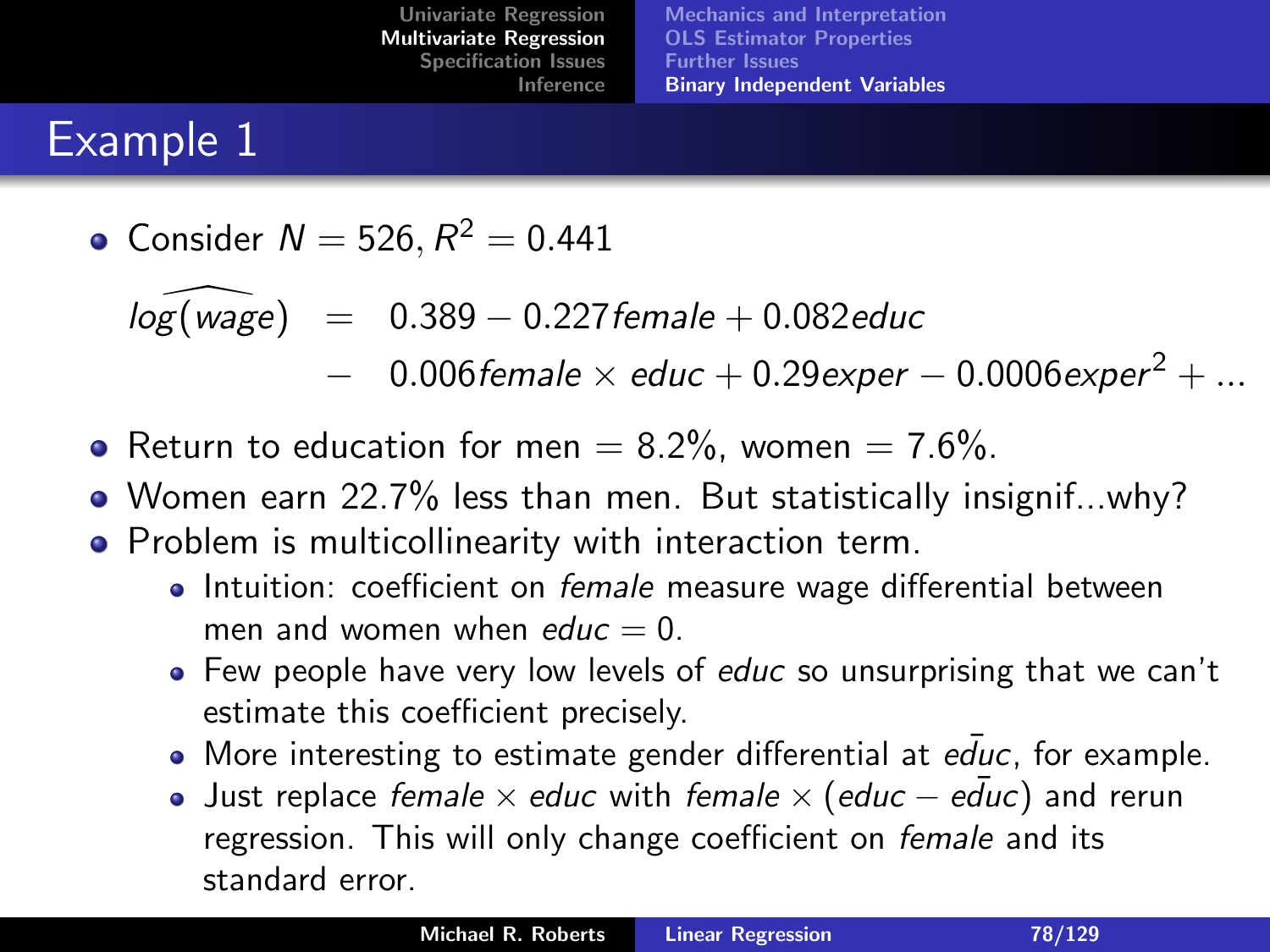| Univariate Regression          | <b>Mechanics and Interpretation</b> |
|--------------------------------|-------------------------------------|
| <b>Multivariate Regression</b> | <b>OLS Estimator Properties</b>     |
| <b>Specification Issues</b>    | <b>Further Issues</b>               |
| Inference                      | <b>Binary Independent Variables</b> |

# Example 1

Consider  $N = 526, R^2 = 0.441$ 

 $log(wage) = 0.389 - 0.227$ female + 0.082educ

- $0.006$ female  $\times$  educ  $+$  0.29exper  $-$  0.0006exper<sup>2</sup>  $+$  ...
- Return to education for men =  $8.2\%$ , women =  $7.6\%$ .
- Women earn 22.7% less than men. But statistically insignif...why?
- **•** Problem is multicollinearity with interaction term.
	- Intuition: coefficient on *female* measure wage differential between men and women when  $educ = 0$ .
	- Few people have very low levels of educ so unsurprising that we can't estimate this coefficient precisely.
	- $\bullet$  More interesting to estimate gender differential at educ, for example.
	- Just replace female  $\times$  educ with female  $\times$  (educ educ) and rerun regression. This will only change coefficient on female and its standard error.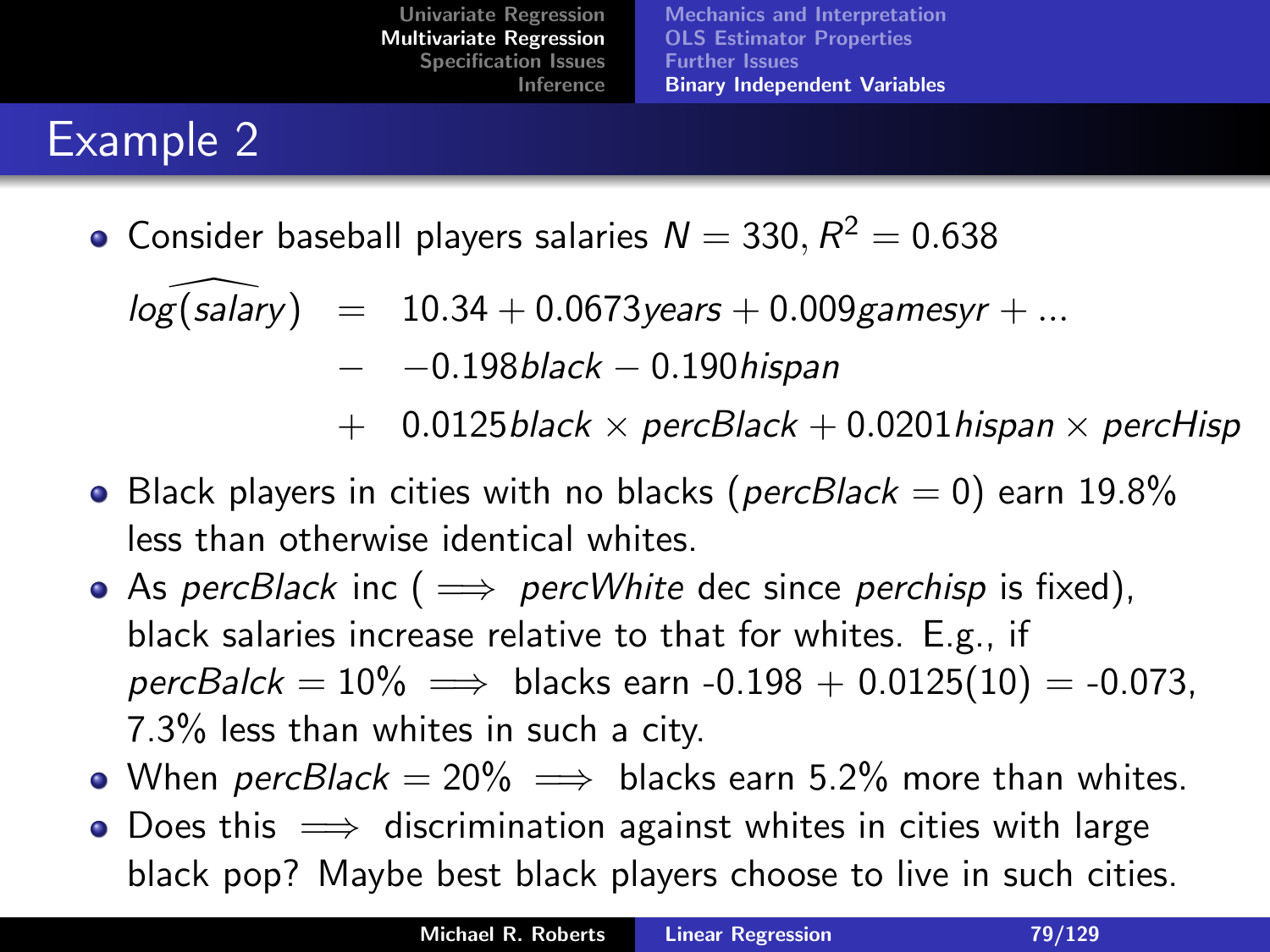| Univariate Regression          | <b>Mechanics and Interpretation</b> |
|--------------------------------|-------------------------------------|
| <b>Multivariate Regression</b> | <b>OLS Estimator Properties</b>     |
| <b>Specification Issues</b>    | <b>Further Issues</b>               |
| Inference                      | <b>Binary Independent Variables</b> |

# Example 2

Consider baseball players salaries  $N = 330, R^2 = 0.638$ 

 $log(salary) = 10.34 + 0.0673$ years + 0.009gamesyr + ...

− −0.198black − 0.190hispan

- $+$  0.0125*black*  $\times$  percBlack  $+$  0.0201*hispan*  $\times$  percHisp
- Black players in cities with no blacks (percBlack  $= 0$ ) earn 19.8% less than otherwise identical whites.
- As percBlack inc ( $\implies$  percWhite dec since perchisp is fixed), black salaries increase relative to that for whites. E.g., if  $percBalck = 10\% \implies$  blacks earn -0.198 + 0.0125(10) = -0.073, 7.3% less than whites in such a city.
- When percBlack =  $20\% \implies$  blacks earn 5.2% more than whites.
- Does this  $\implies$  discrimination against whites in cities with large black pop? Maybe best black players choose to live in such cities.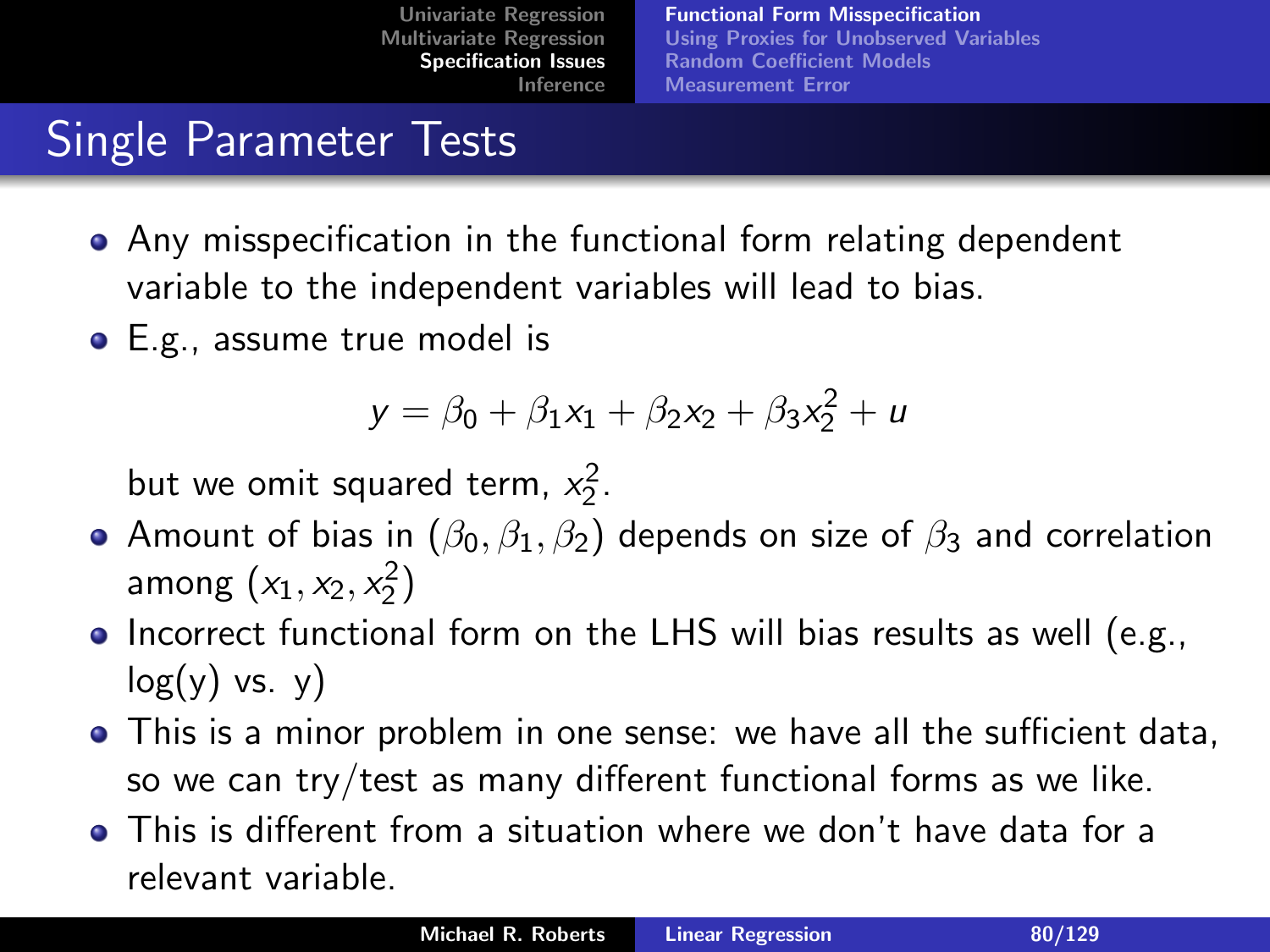[Functional Form Misspecification](#page-79-0) [Using Proxies for Unobserved Variables](#page-84-0) [Random Coefficient Models](#page-92-0) [Measurement Error](#page-94-0)

# Single Parameter Tests

- Any misspecification in the functional form relating dependent variable to the independent variables will lead to bias.
- E.g., assume true model is

<span id="page-79-0"></span>
$$
y = \beta_0 + \beta_1 x_1 + \beta_2 x_2 + \beta_3 x_2^2 + u
$$

but we omit squared term,  $x_2^2$ .

- Amount of bias in  $(\beta_0, \beta_1, \beta_2)$  depends on size of  $\beta_3$  and correlation among  $(x_1, x_2, x_2^2)$
- Incorrect functional form on the LHS will bias results as well (e.g.,  $log(y)$  vs.  $y)$
- This is a minor problem in one sense: we have all the sufficient data, so we can try/test as many different functional forms as we like.
- This is different from a situation where we don't have data for a relevant variable.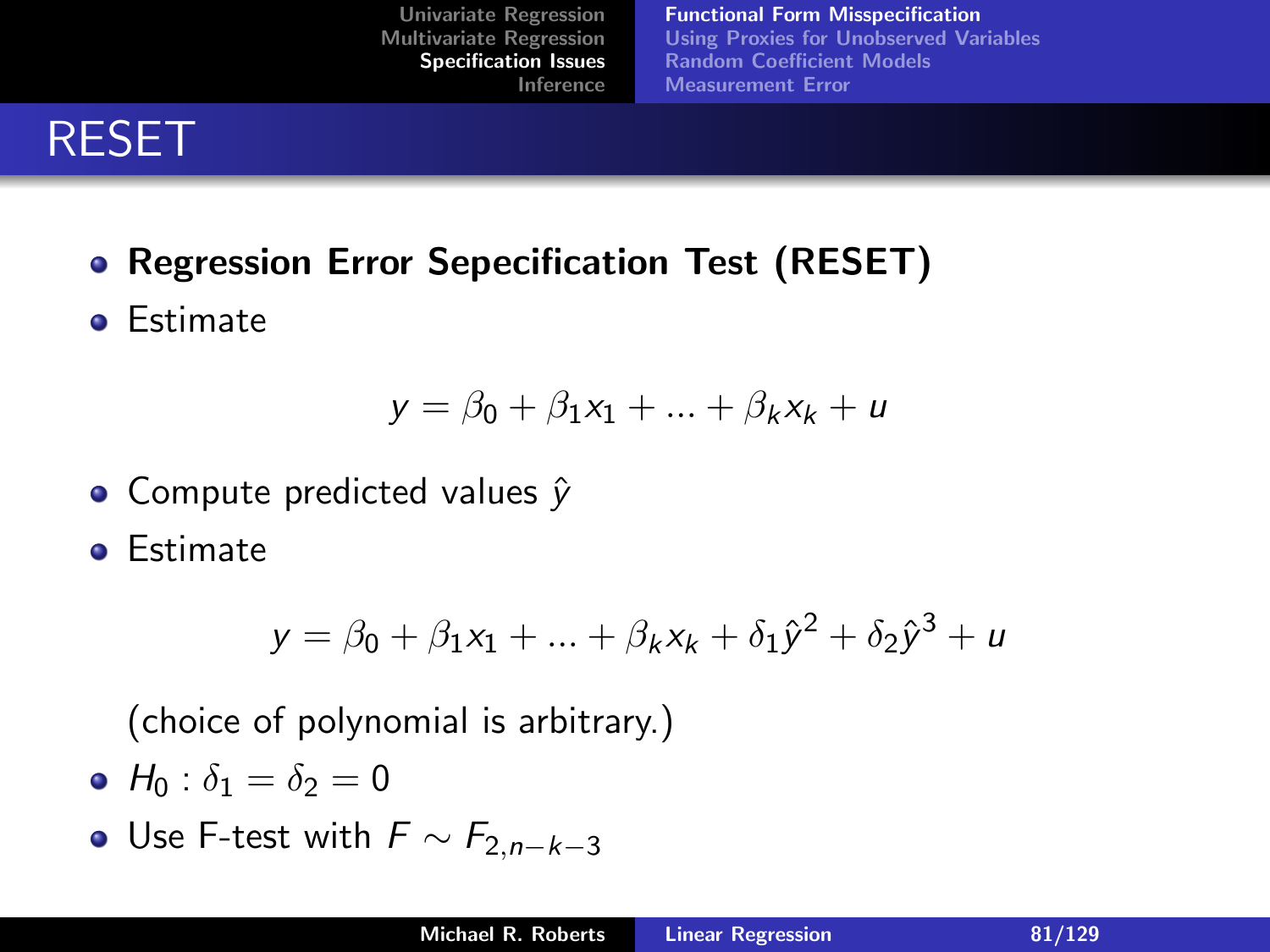[Functional Form Misspecification](#page-79-0) [Using Proxies for Unobserved Variables](#page-84-0) [Random Coefficient Models](#page-92-0) [Measurement Error](#page-94-0)

## RESET

• Regression Error Sepecification Test (RESET)

Estimate

$$
y = \beta_0 + \beta_1 x_1 + \dots + \beta_k x_k + u
$$

- Compute predicted values  $\hat{v}$
- Estimate

$$
y = \beta_0 + \beta_1 x_1 + ... + \beta_k x_k + \delta_1 \hat{y}^2 + \delta_2 \hat{y}^3 + u
$$

(choice of polynomial is arbitrary.)

- $\bullet$  H<sub>0</sub> :  $\delta_1 = \delta_2 = 0$
- Use F-test with  $F \sim F_{2,n-k-3}$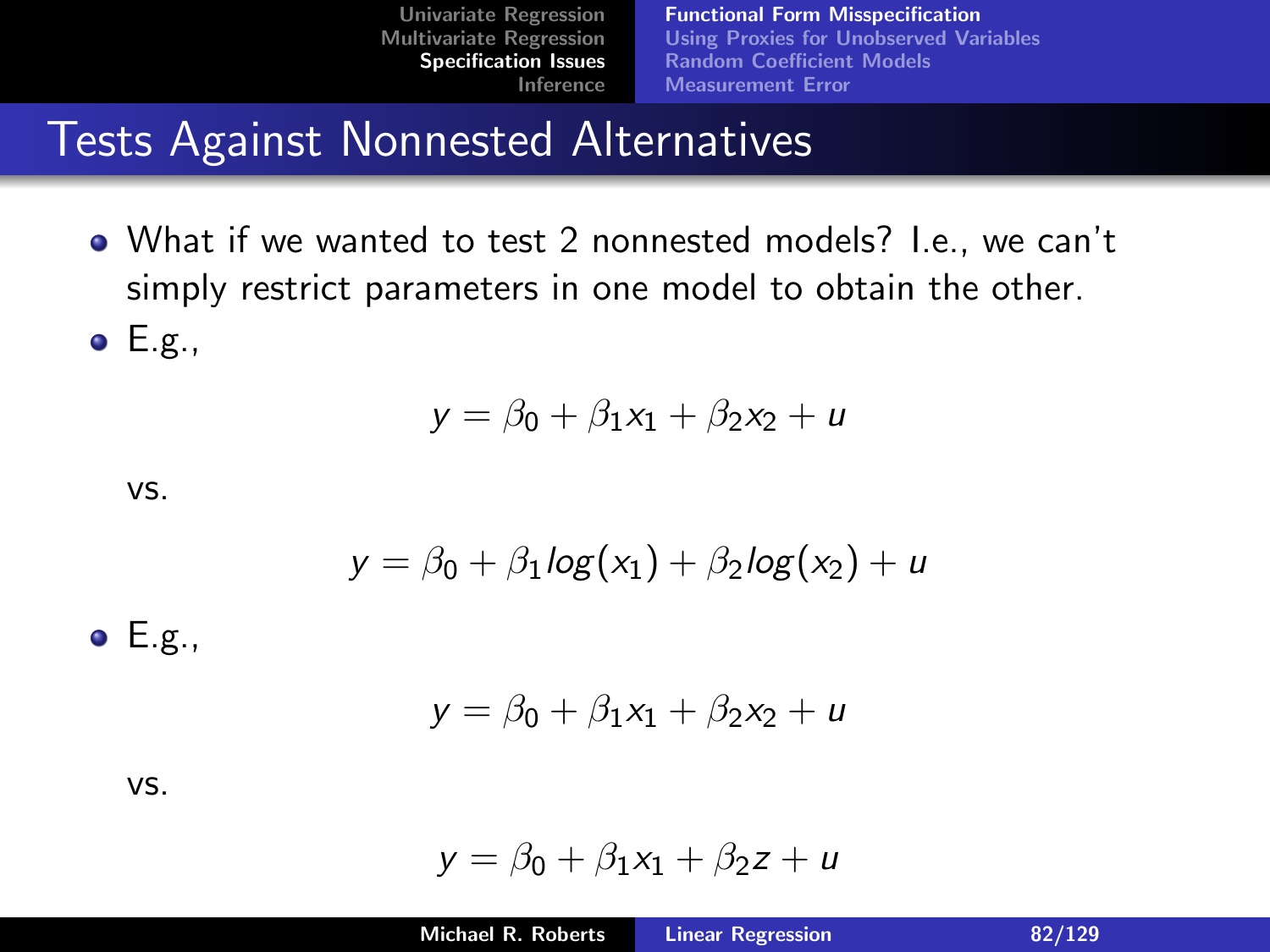[Functional Form Misspecification](#page-79-0) [Using Proxies for Unobserved Variables](#page-84-0) [Random Coefficient Models](#page-92-0) [Measurement Error](#page-94-0)

## Tests Against Nonnested Alternatives

- What if we wanted to test 2 nonnested models? I.e., we can't simply restrict parameters in one model to obtain the other.
- $\bullet$  E.g.,

$$
y = \beta_0 + \beta_1 x_1 + \beta_2 x_2 + u
$$

#### vs.

$$
y = \beta_0 + \beta_1 \log(x_1) + \beta_2 \log(x_2) + u
$$

 $\bullet$  E.g.,

$$
y = \beta_0 + \beta_1 x_1 + \beta_2 x_2 + u
$$

vs.

$$
y = \beta_0 + \beta_1 x_1 + \beta_2 z + u
$$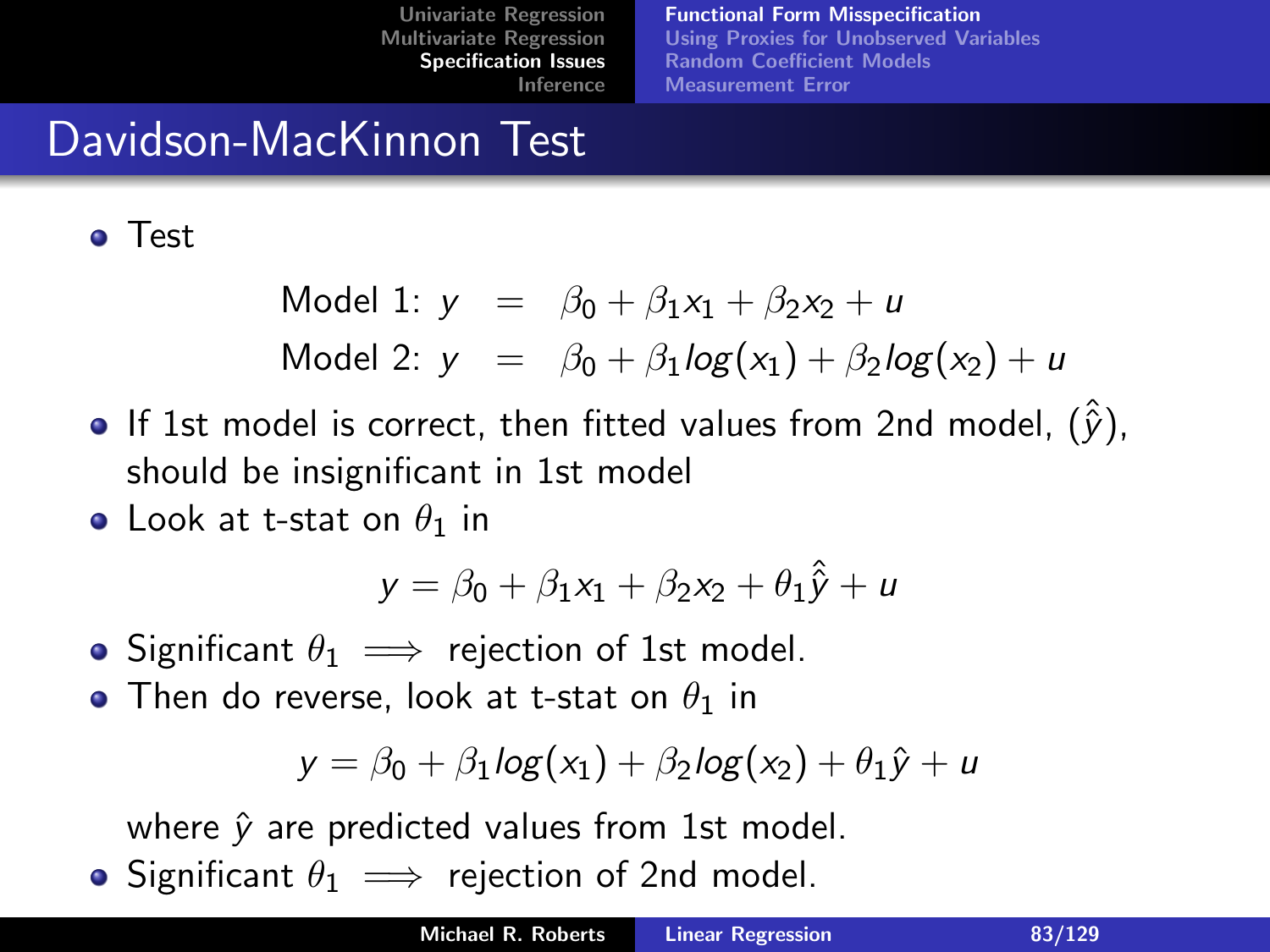[Functional Form Misspecification](#page-79-0) [Using Proxies for Unobserved Variables](#page-84-0) [Random Coefficient Models](#page-92-0) [Measurement Error](#page-94-0)

# Davidson-MacKinnon Test

Test

Model 1: 
$$
y = \beta_0 + \beta_1 x_1 + \beta_2 x_2 + u
$$
  
Model 2:  $y = \beta_0 + \beta_1 \log(x_1) + \beta_2 \log(x_2) + u$ 

- **If 1st model is correct, then fitted values from 2nd model, (** $\hat{v}$ **)**, should be insignificant in 1st model
- Look at t-stat on  $\theta_1$  in

$$
y = \beta_0 + \beta_1 x_1 + \beta_2 x_2 + \theta_1 \hat{\hat{y}} + u
$$

- Significant  $\theta_1 \implies$  rejection of 1st model.
- Then do reverse, look at t-stat on  $\theta_1$  in

$$
y = \beta_0 + \beta_1 \log(x_1) + \beta_2 \log(x_2) + \theta_1 \hat{y} + u
$$

where  $\hat{y}$  are predicted values from 1st model.

• Significant  $\theta_1 \implies$  rejection of 2nd model.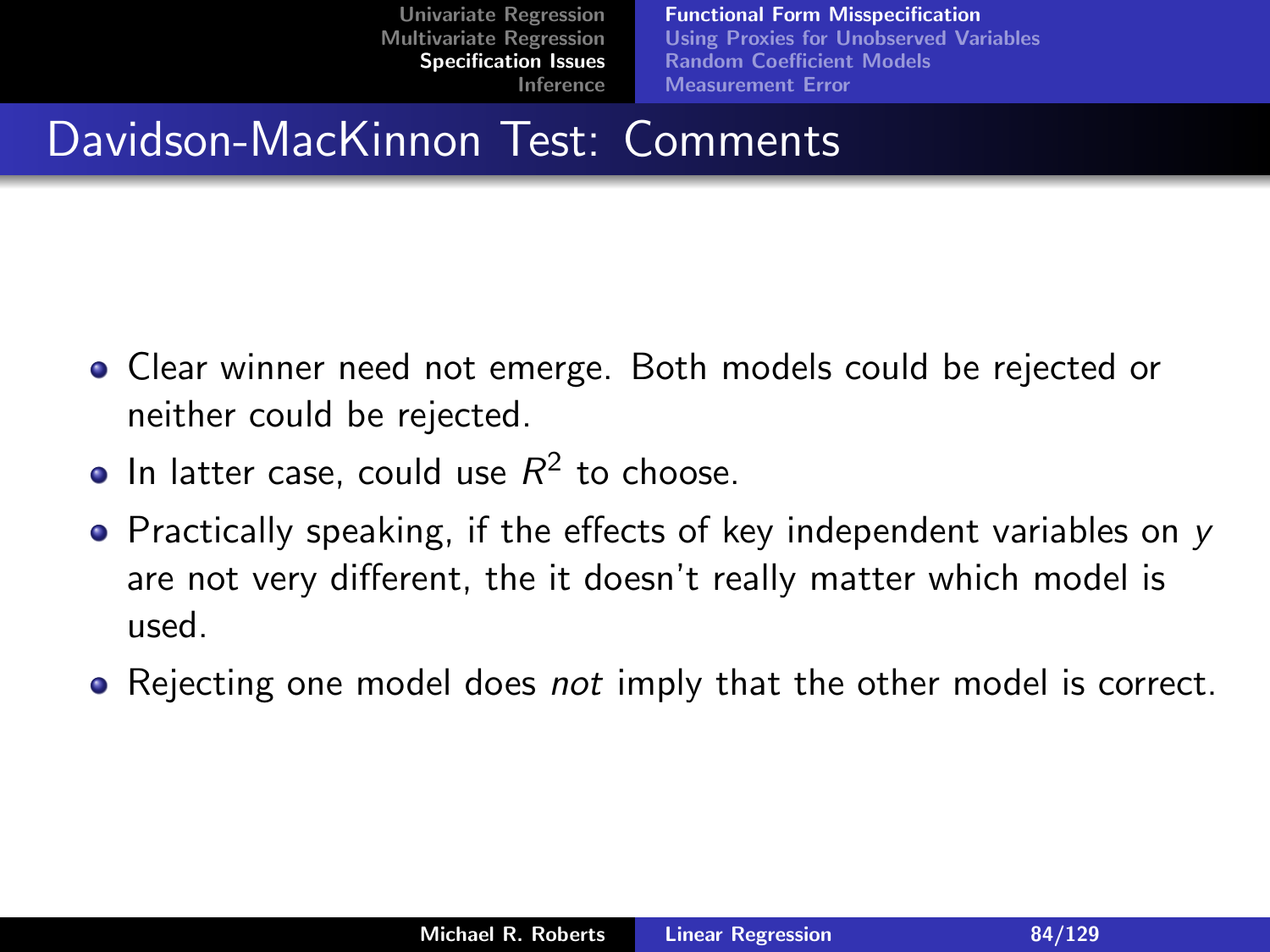[Functional Form Misspecification](#page-79-0) [Using Proxies for Unobserved Variables](#page-84-0) [Random Coefficient Models](#page-92-0) [Measurement Error](#page-94-0)

## Davidson-MacKinnon Test: Comments

- Clear winner need not emerge. Both models could be rejected or neither could be rejected.
- In latter case, could use  $R^2$  to choose.
- $\bullet$  Practically speaking, if the effects of key independent variables on y are not very different, the it doesn't really matter which model is used.
- Rejecting one model does not imply that the other model is correct.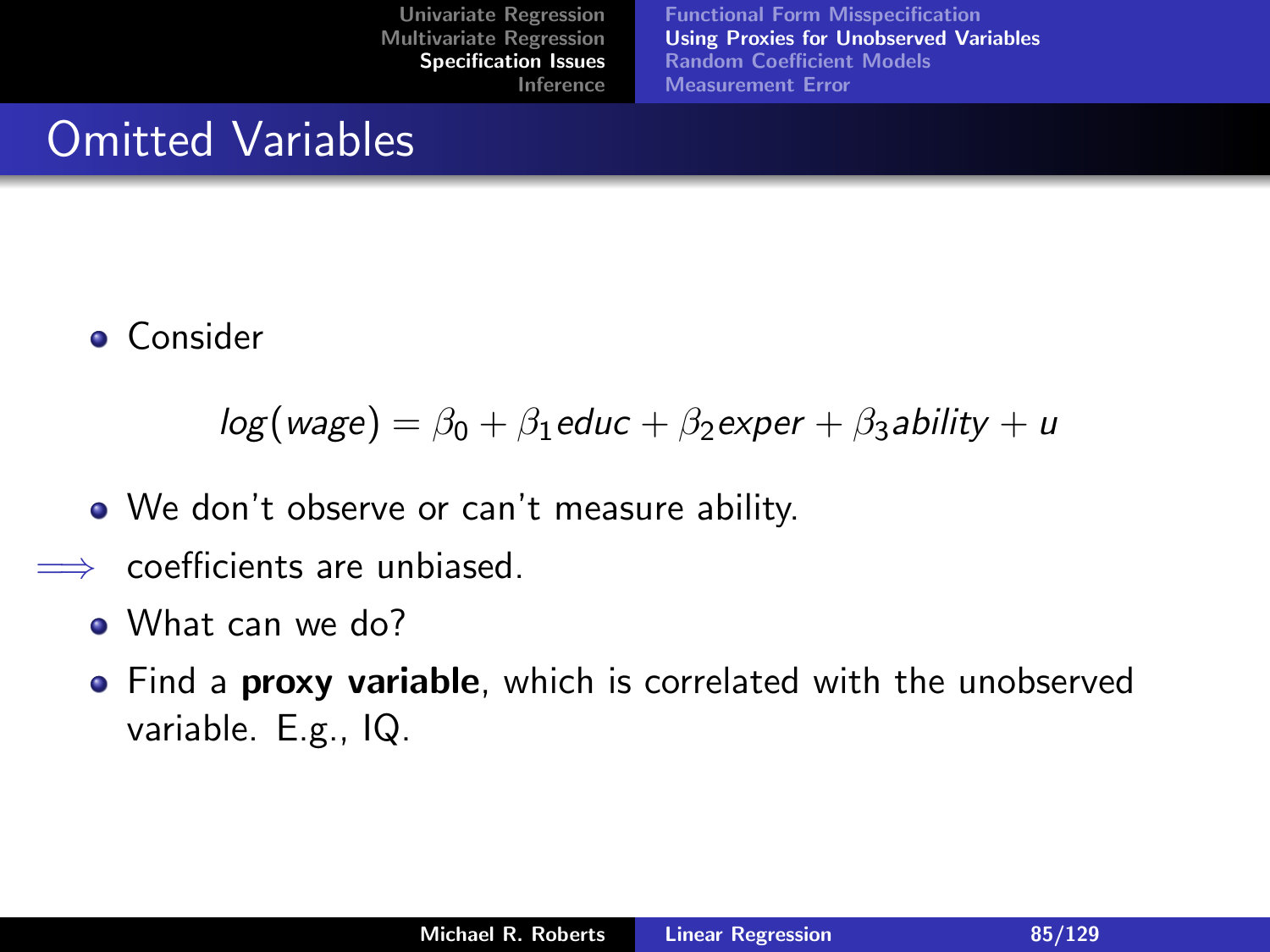#### Omitted Variables

**•** Consider

<span id="page-84-0"></span> $log(wage) = \beta_0 + \beta_1$ educ +  $\beta_2$ exper +  $\beta_3$ ability + u

- We don't observe or can't measure ability.
- coefficients are unbiased
	- What can we do?
	- Find a **proxy variable**, which is correlated with the unobserved variable. E.g., IQ.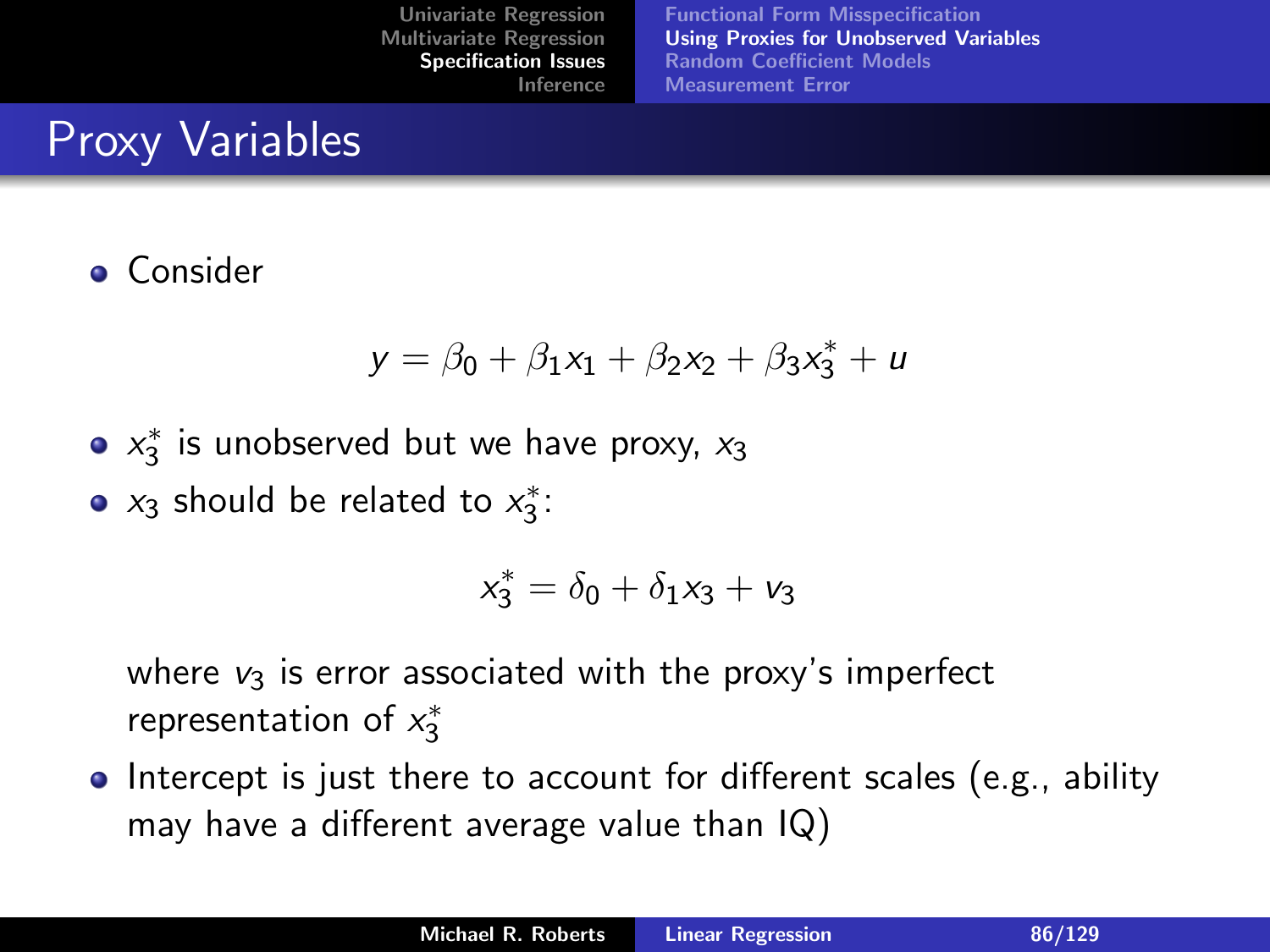## Proxy Variables

**o** Consider

$$
y = \beta_0 + \beta_1 x_1 + \beta_2 x_2 + \beta_3 x_3^* + u
$$

- $x_3^*$  is unobserved but we have proxy,  $x_3$
- $x_3$  should be related to  $x_3^*$ :

$$
x_3^* = \delta_0 + \delta_1 x_3 + v_3
$$

where  $v_3$  is error associated with the proxy's imperfect representation of  $x_3^*$ 

• Intercept is just there to account for different scales (e.g., ability may have a different average value than IQ)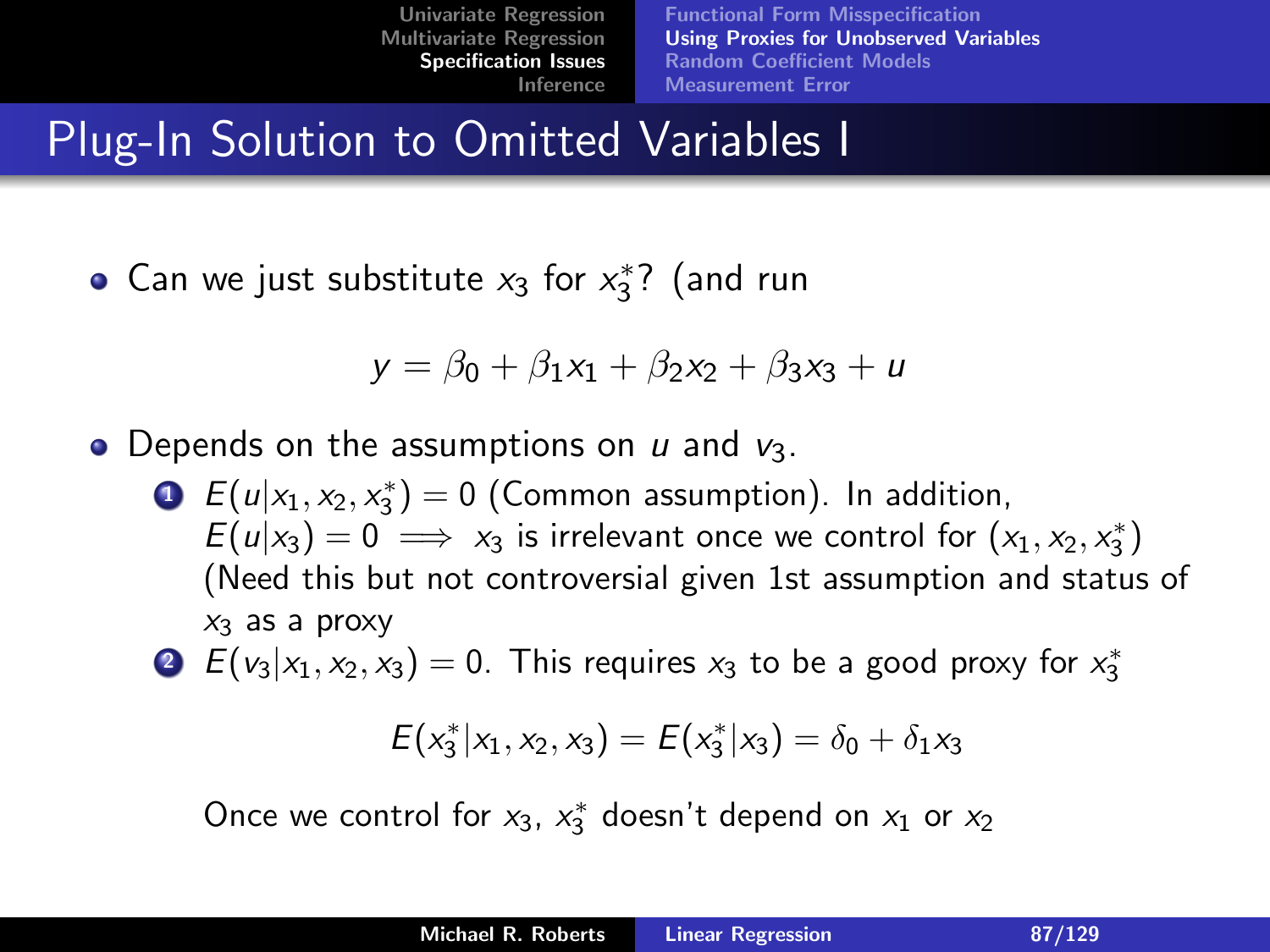[Functional Form Misspecification](#page-79-0) [Using Proxies for Unobserved Variables](#page-84-0) [Random Coefficient Models](#page-92-0) [Measurement Error](#page-94-0)

## Plug-In Solution to Omitted Variables I

Can we just substitute  $x_3$  for  $x_3^*$ ? (and run

$$
y = \beta_0 + \beta_1 x_1 + \beta_2 x_2 + \beta_3 x_3 + u
$$

• Depends on the assumptions on  $u$  and  $v_3$ .

**D**  $E(u|x_1, x_2, x_3^*) = 0$  (Common assumption). In addition,  $E(u|x_3) = 0 \implies x_3$  is irrelevant once we control for  $(x_1, x_2, x_3^*)$ (Need this but not controversial given 1st assumption and status of  $x_3$  as a proxy

2  $E(v_3|x_1, x_2, x_3) = 0$ . This requires  $x_3$  to be a good proxy for  $x_3^*$ 

$$
E(x_3^*|x_1, x_2, x_3) = E(x_3^*|x_3) = \delta_0 + \delta_1 x_3
$$

Once we control for  $x_3$ ,  $x_3^*$  doesn't depend on  $x_1$  or  $x_2$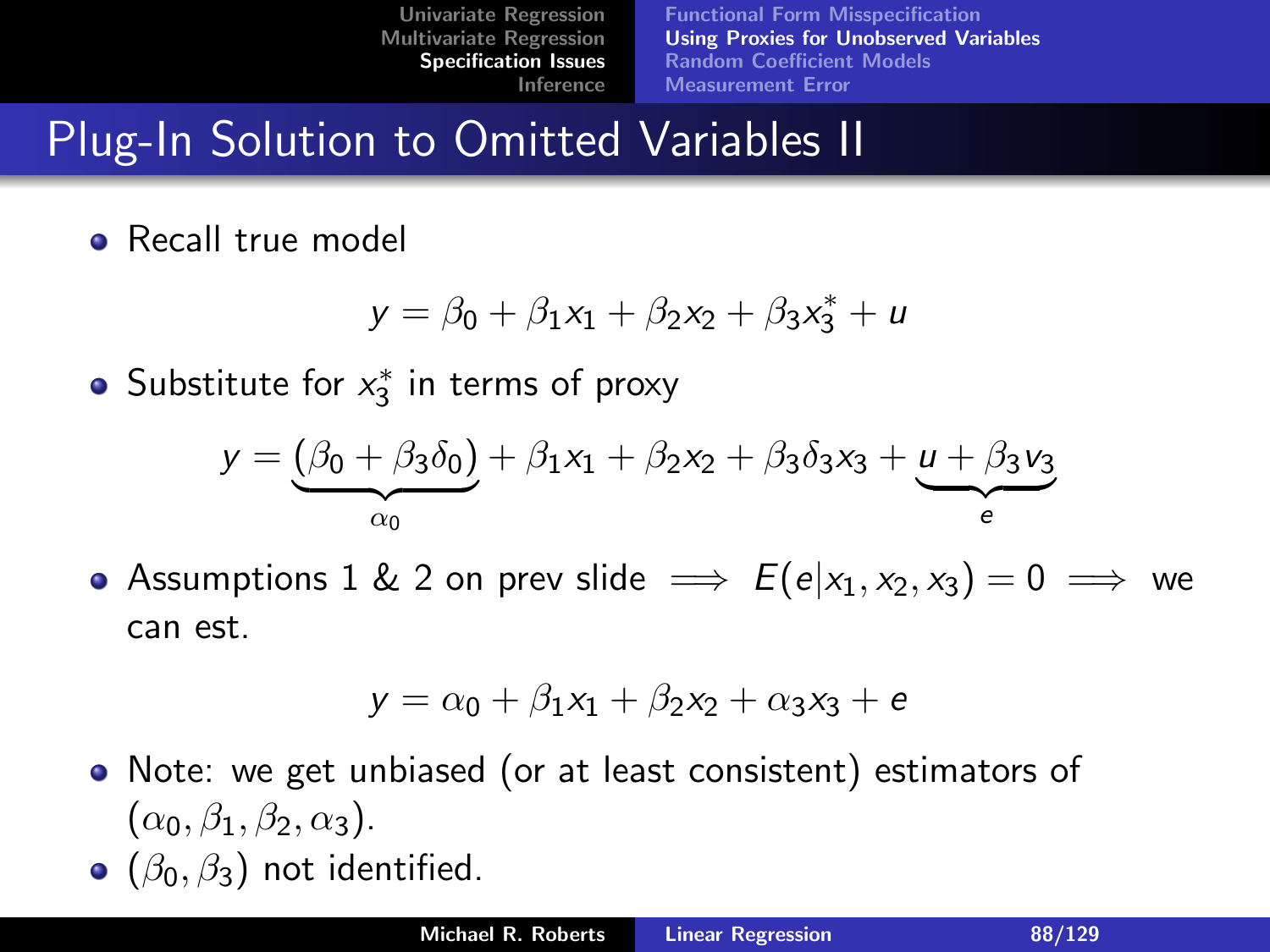[Functional Form Misspecification](#page-79-0) [Using Proxies for Unobserved Variables](#page-84-0) [Random Coefficient Models](#page-92-0) [Measurement Error](#page-94-0)

## Plug-In Solution to Omitted Variables II

• Recall true model

$$
y = \beta_0 + \beta_1 x_1 + \beta_2 x_2 + \beta_3 x_3^* + u
$$

Substitute for  $x_3^*$  in terms of proxy

$$
y = \underbrace{(\beta_0 + \beta_3 \delta_0)}_{\alpha_0} + \beta_1 x_1 + \beta_2 x_2 + \beta_3 \delta_3 x_3 + \underbrace{u + \beta_3 v_3}_{e}
$$

• Assumptions 1 & 2 on prev slide  $\implies E(e|x_1, x_2, x_3) = 0 \implies$  we can est.

$$
y = \alpha_0 + \beta_1 x_1 + \beta_2 x_2 + \alpha_3 x_3 + e
$$

- Note: we get unbiased (or at least consistent) estimators of  $(\alpha_0, \beta_1, \beta_2, \alpha_3).$
- $\bullet$  ( $\beta_0$ ,  $\beta_3$ ) not identified.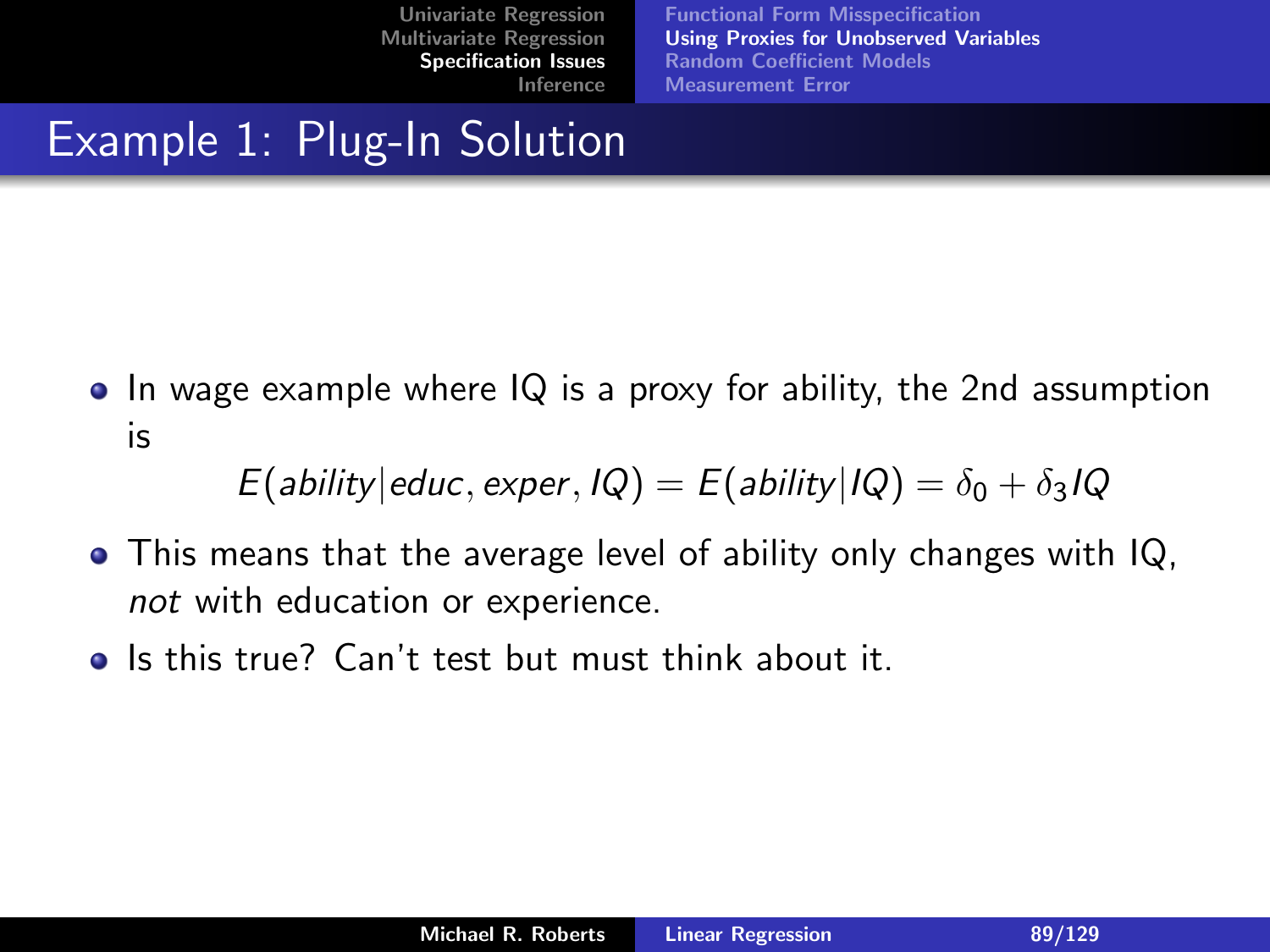[Functional Form Misspecification](#page-79-0) [Using Proxies for Unobserved Variables](#page-84-0) [Random Coefficient Models](#page-92-0) [Measurement Error](#page-94-0)

### Example 1: Plug-In Solution

 $\bullet$  In wage example where IQ is a proxy for ability, the 2nd assumption is

 $E(ability|educ, exper, IQ) = E(ability|IQ) = \delta_0 + \delta_3IQ$ 

- This means that the average level of ability only changes with IQ, not with education or experience.
- Is this true? Can't test but must think about it.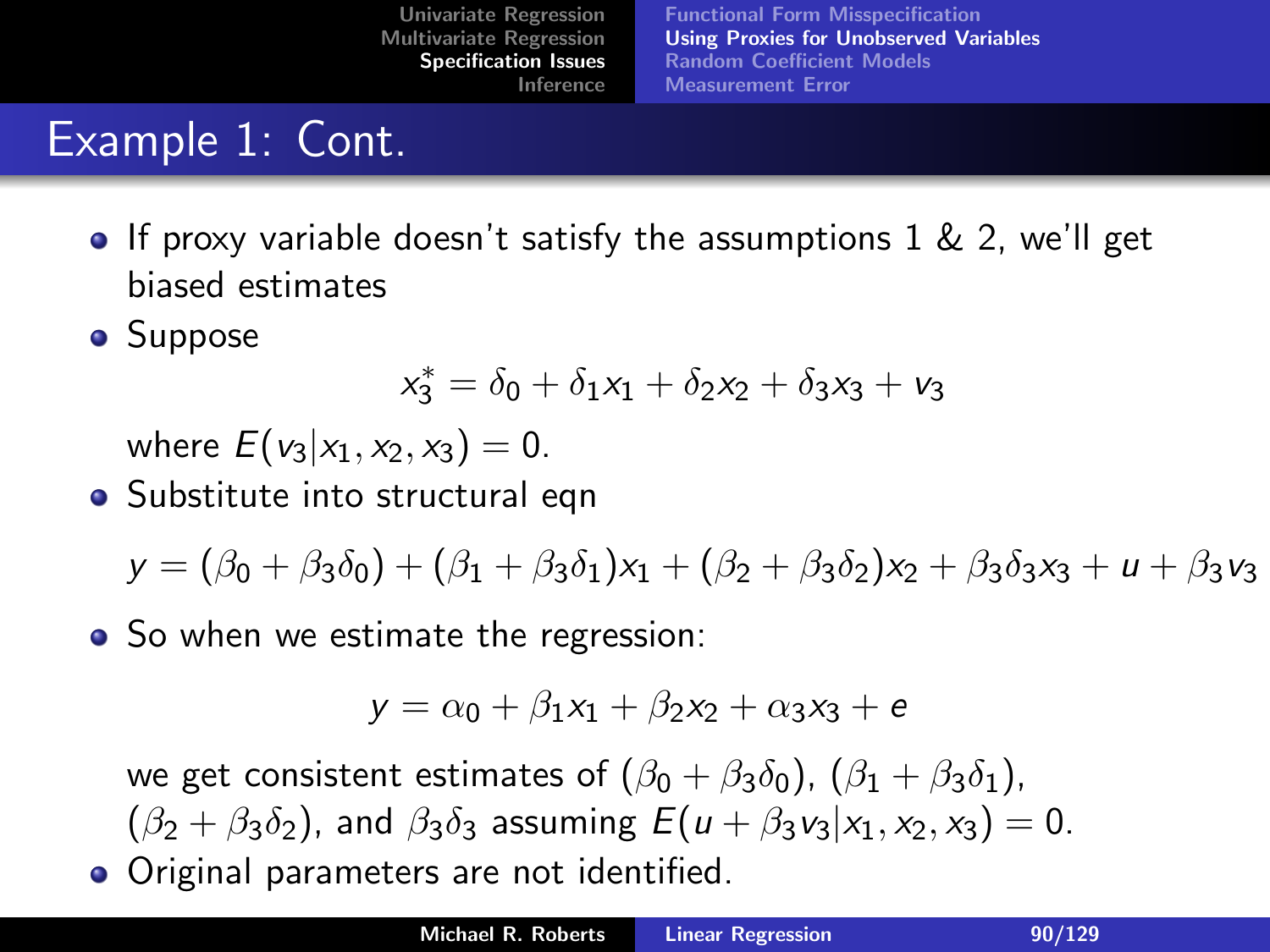# Example 1: Cont.

- **If proxy variable doesn't satisfy the assumptions 1 & 2, we'll get** biased estimates
- Suppose

$$
x_3^* = \delta_0 + \delta_1 x_1 + \delta_2 x_2 + \delta_3 x_3 + v_3
$$

where  $E(v_3|x_1, x_2, x_3) = 0$ .

• Substitute into structural eqn

 $y = (\beta_0 + \beta_3\delta_0) + (\beta_1 + \beta_3\delta_1)x_1 + (\beta_2 + \beta_3\delta_2)x_2 + \beta_3\delta_3x_3 + u + \beta_3v_3$ 

• So when we estimate the regression:

$$
y = \alpha_0 + \beta_1 x_1 + \beta_2 x_2 + \alpha_3 x_3 + e
$$

we get consistent estimates of  $(\beta_0 + \beta_3\delta_0)$ ,  $(\beta_1 + \beta_3\delta_1)$ ,  $(\beta_2 + \beta_3 \delta_2)$ , and  $\beta_3 \delta_3$  assuming  $E(u + \beta_3 v_3 | x_1, x_2, x_3) = 0$ . Original parameters are not identified.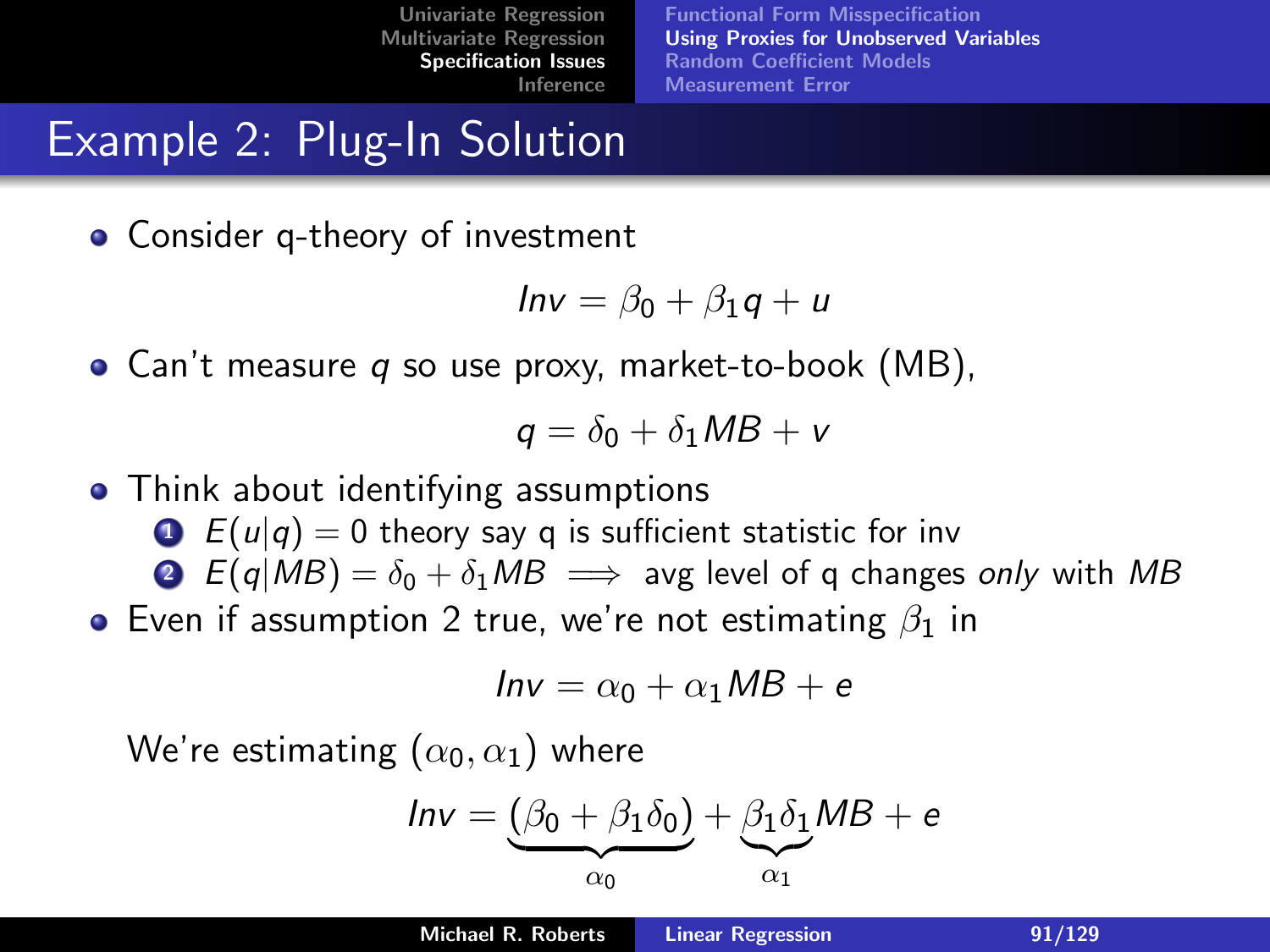[Functional Form Misspecification](#page-79-0) [Using Proxies for Unobserved Variables](#page-84-0) [Random Coefficient Models](#page-92-0) [Measurement Error](#page-94-0)

## Example 2: Plug-In Solution

• Consider g-theory of investment

$$
Inv = \beta_0 + \beta_1 q + u
$$

• Can't measure q so use proxy, market-to-book  $(MB)$ ,

$$
q=\delta_0+\delta_1\textit{MB}+\textit{v}
$$

• Think about identifying assumptions

 $\bullet$   $E(u|q) = 0$  theory say q is sufficient statistic for inv

**2**  $E(q|MB) = \delta_0 + \delta_1 MB \implies$  avg level of q changes only with MB

**•** Even if assumption 2 true, we're not estimating  $\beta_1$  in

$$
Inv = \alpha_0 + \alpha_1 MB + e
$$

We're estimating  $(\alpha_0, \alpha_1)$  where

$$
Inv = (\beta_0 + \beta_1 \delta_0) + \underbrace{\beta_1 \delta_1}_{\alpha_1} MB + e
$$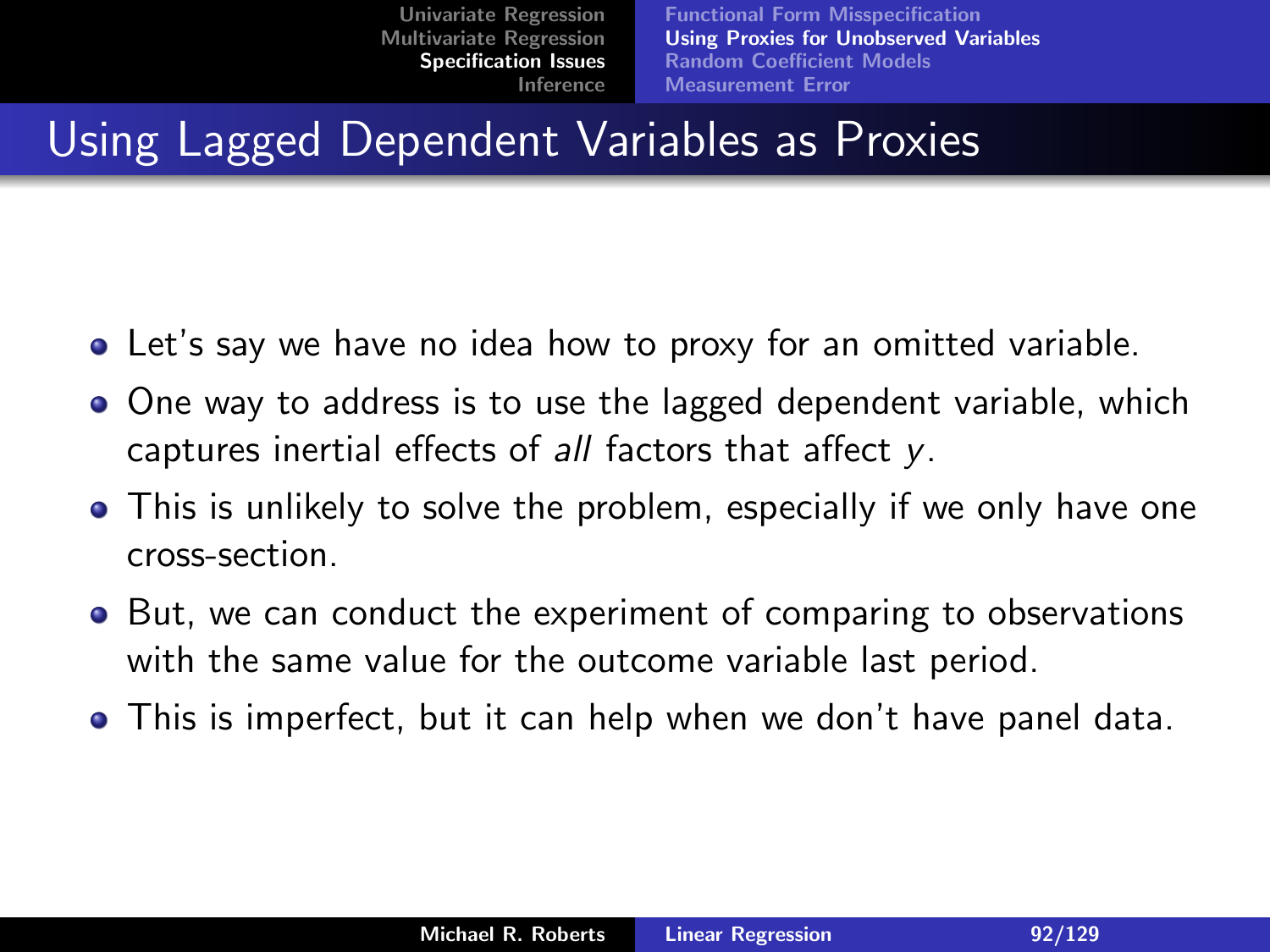[Functional Form Misspecification](#page-79-0) [Using Proxies for Unobserved Variables](#page-84-0) [Random Coefficient Models](#page-92-0) [Measurement Error](#page-94-0)

## Using Lagged Dependent Variables as Proxies

- Let's say we have no idea how to proxy for an omitted variable.
- One way to address is to use the lagged dependent variable, which captures inertial effects of  $all$  factors that affect  $y$ .
- This is unlikely to solve the problem, especially if we only have one cross-section.
- But, we can conduct the experiment of comparing to observations with the same value for the outcome variable last period.
- This is imperfect, but it can help when we don't have panel data.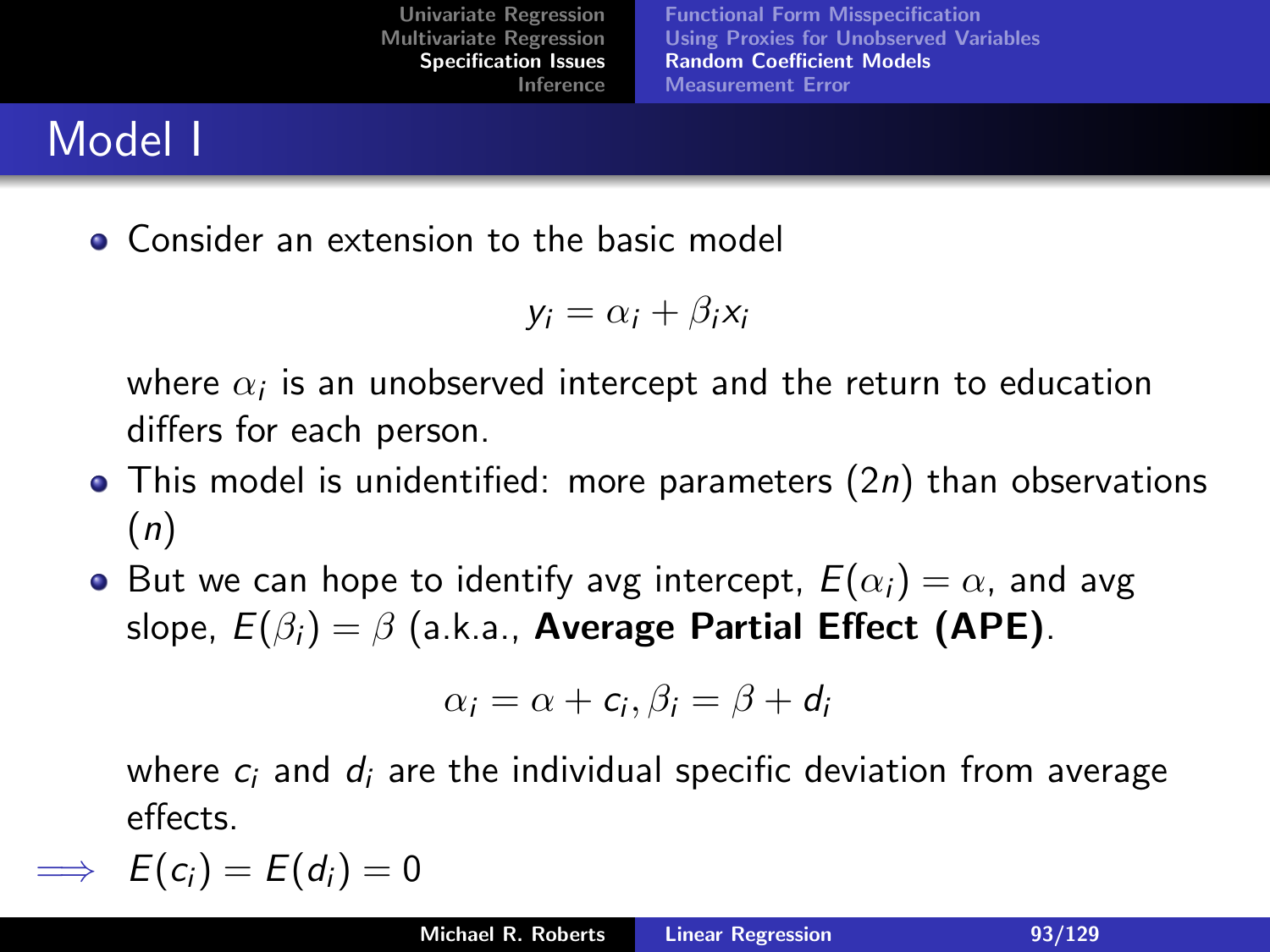#### Model I

**• Consider an extension to the basic model** 

$$
y_i = \alpha_i + \beta_i x_i
$$

where  $\alpha_i$  is an unobserved intercept and the return to education differs for each person.

- $\bullet$  This model is unidentified: more parameters  $(2n)$  than observations (n)
- But we can hope to identify avg intercept,  $E(\alpha_i) = \alpha$ , and avg slope,  $E(\beta_i) = \beta$  (a.k.a., Average Partial Effect (APE).

<span id="page-92-0"></span>
$$
\alpha_i = \alpha + c_i, \beta_i = \beta + d_i
$$

where  $c_i$  and  $d_i$  are the individual specific deviation from average effects.

$$
\implies E(c_i) = E(d_i) = 0
$$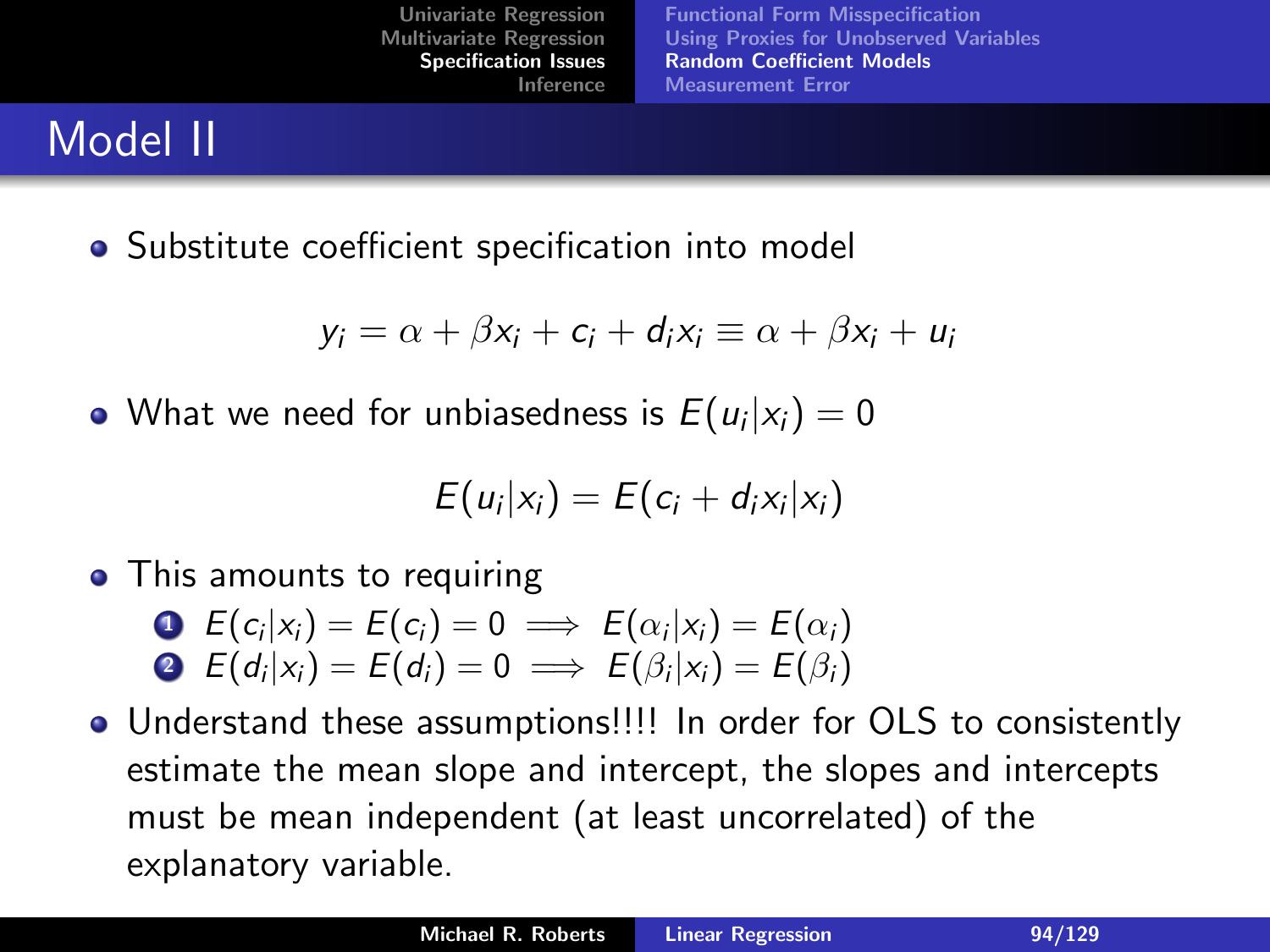### Model II

Substitute coefficient specification into model

$$
y_i = \alpha + \beta x_i + c_i + d_i x_i \equiv \alpha + \beta x_i + u_i
$$

What we need for unbiasedness is  $E(u_i | x_i) = 0$ 

$$
E(u_i|x_i)=E(c_i+d_ix_i|x_i)
$$

• This amounts to requiring

\n
$$
E(c_i|x_i) = E(c_i) = 0 \implies E(\alpha_i|x_i) = E(\alpha_i)
$$
\n

\n\n $E(d_i|x_i) = E(d_i) = 0 \implies E(\beta_i|x_i) = E(\beta_i)$ \n

Understand these assumptions!!!! In order for OLS to consistently estimate the mean slope and intercept, the slopes and intercepts must be mean independent (at least uncorrelated) of the explanatory variable.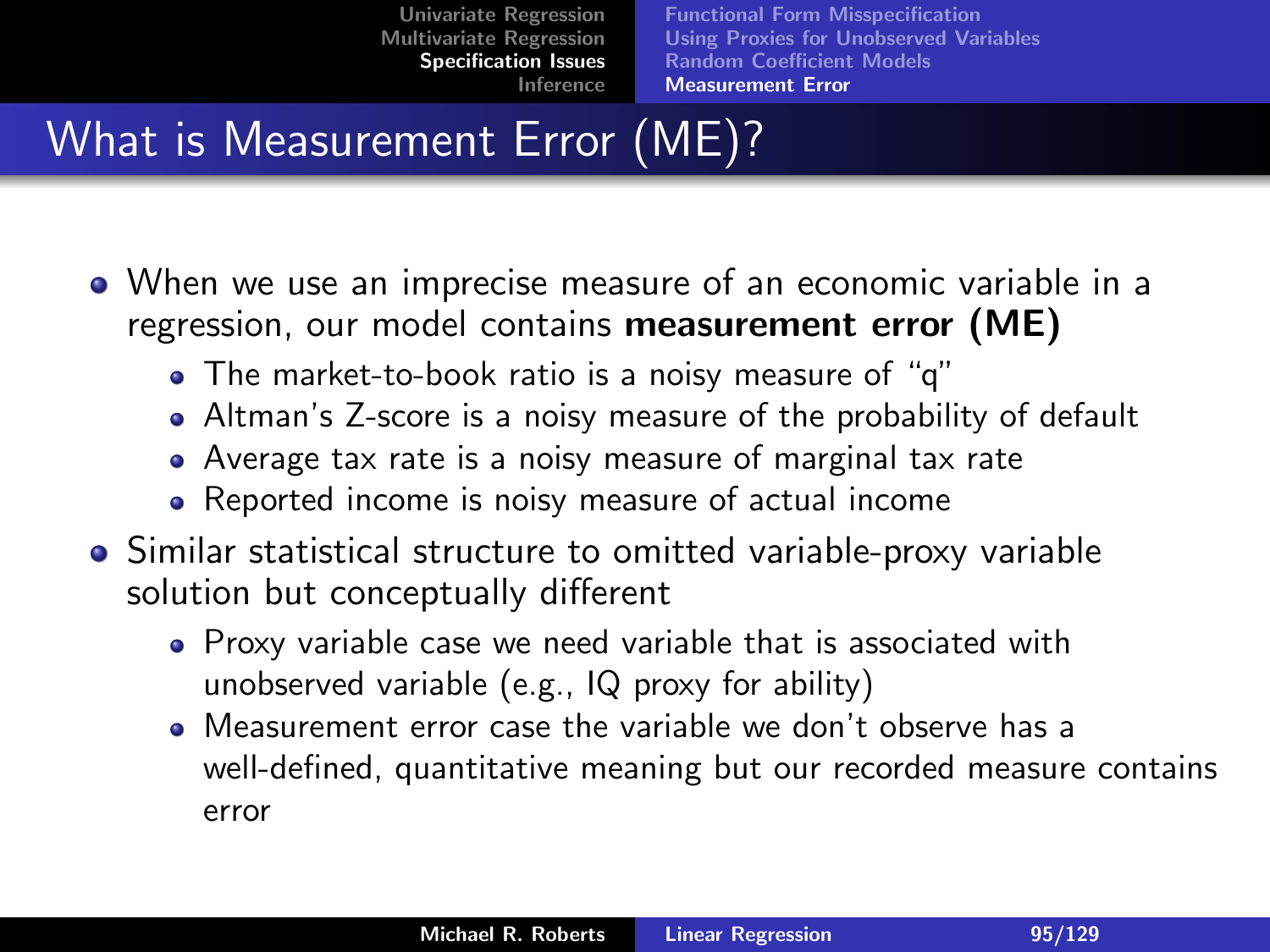<span id="page-94-0"></span>[Functional Form Misspecification](#page-79-0) [Using Proxies for Unobserved Variables](#page-84-0) [Random Coefficient Models](#page-92-0) [Measurement Error](#page-94-0)

# What is Measurement Error (ME)?

- When we use an imprecise measure of an economic variable in a regression, our model contains measurement error (ME)
	- The market-to-book ratio is a noisy measure of "q"
	- Altman's Z-score is a noisy measure of the probability of default
	- Average tax rate is a noisy measure of marginal tax rate
	- Reported income is noisy measure of actual income
- Similar statistical structure to omitted variable-proxy variable solution but conceptually different
	- Proxy variable case we need variable that is associated with unobserved variable (e.g., IQ proxy for ability)
	- Measurement error case the variable we don't observe has a well-defined, quantitative meaning but our recorded measure contains error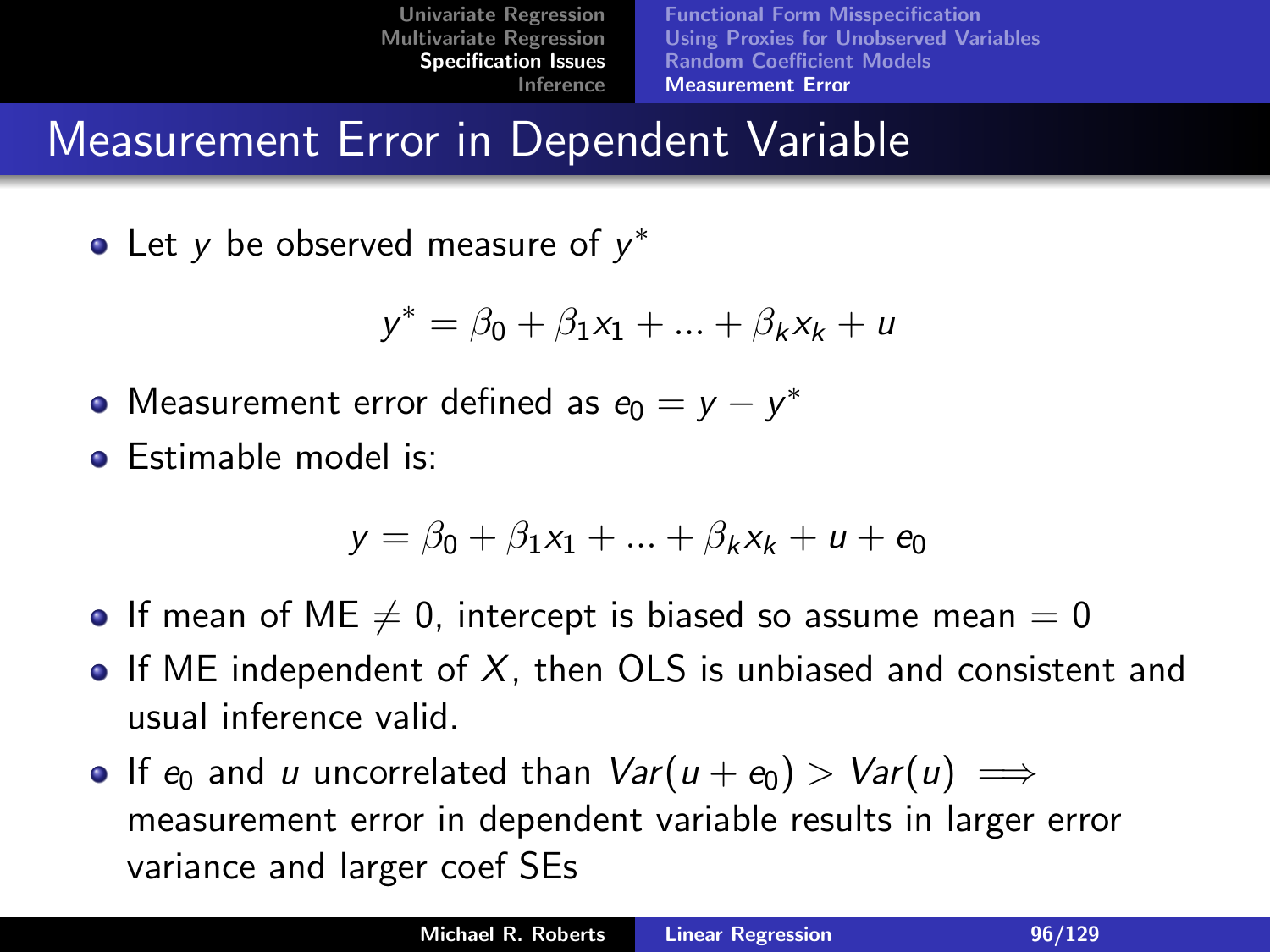### Measurement Error in Dependent Variable

Let  $y$  be observed measure of  $y^*$ 

$$
y^* = \beta_0 + \beta_1 x_1 + \dots + \beta_k x_k + u
$$

- Measurement error defined as  $e_0 = y y^*$
- **•** Estimable model is:

$$
y = \beta_0 + \beta_1 x_1 + \ldots + \beta_k x_k + u + e_0
$$

- If mean of ME  $\neq$  0, intercept is biased so assume mean  $= 0$
- $\bullet$  If ME independent of X, then OLS is unbiased and consistent and usual inference valid.
- If  $e_0$  and u uncorrelated than  $Var(u + e_0) > Var(u) \implies$ measurement error in dependent variable results in larger error variance and larger coef SEs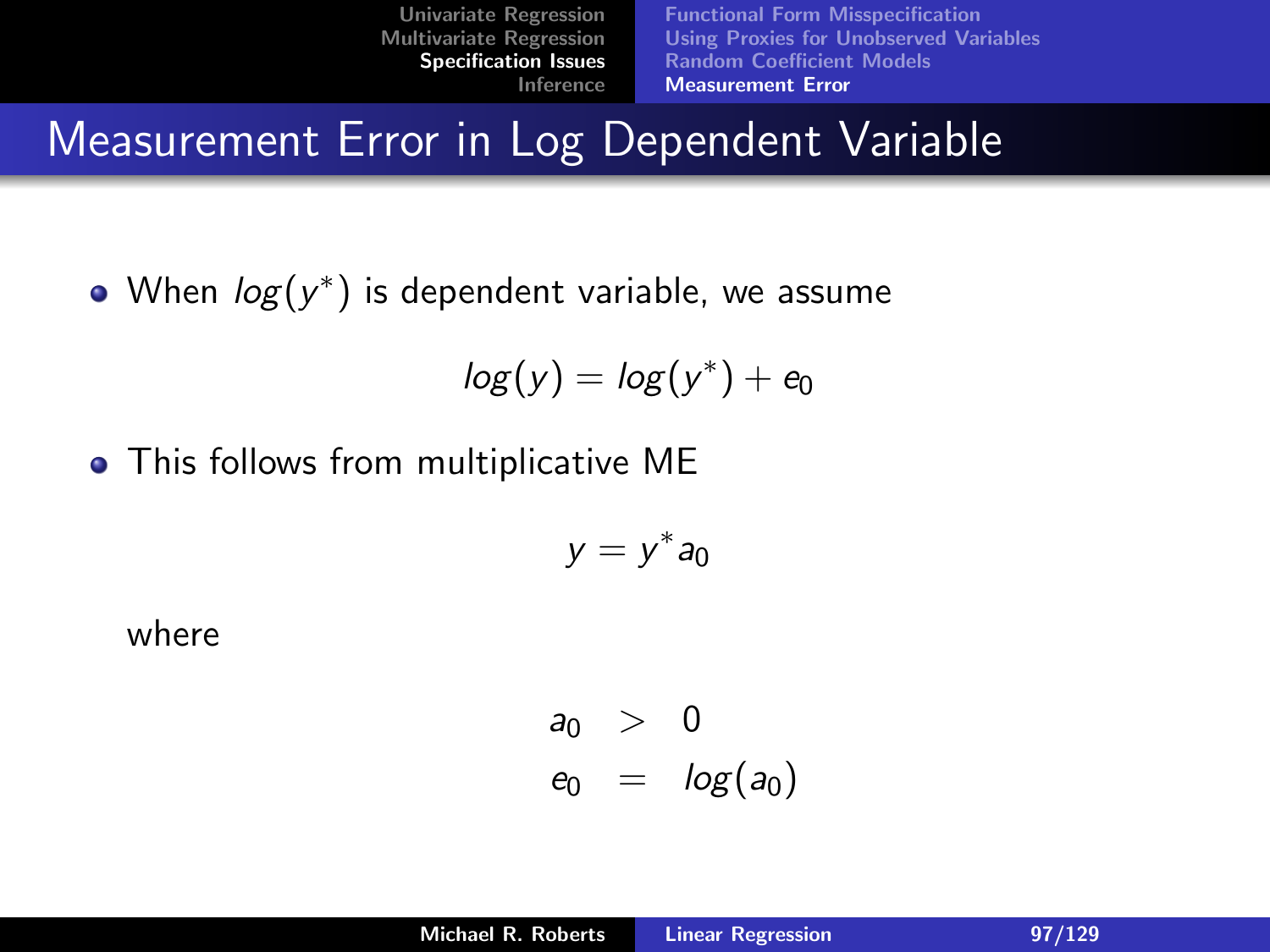[Functional Form Misspecification](#page-79-0) [Using Proxies for Unobserved Variables](#page-84-0) [Random Coefficient Models](#page-92-0) [Measurement Error](#page-94-0)

## Measurement Error in Log Dependent Variable

When  $log(y^*)$  is dependent variable, we assume

$$
log(y) = log(y^*) + e_0
$$

• This follows from multiplicative ME

$$
y=y^*a_0
$$

where

$$
a_0 > 0
$$
  

$$
e_0 = log(a_0)
$$

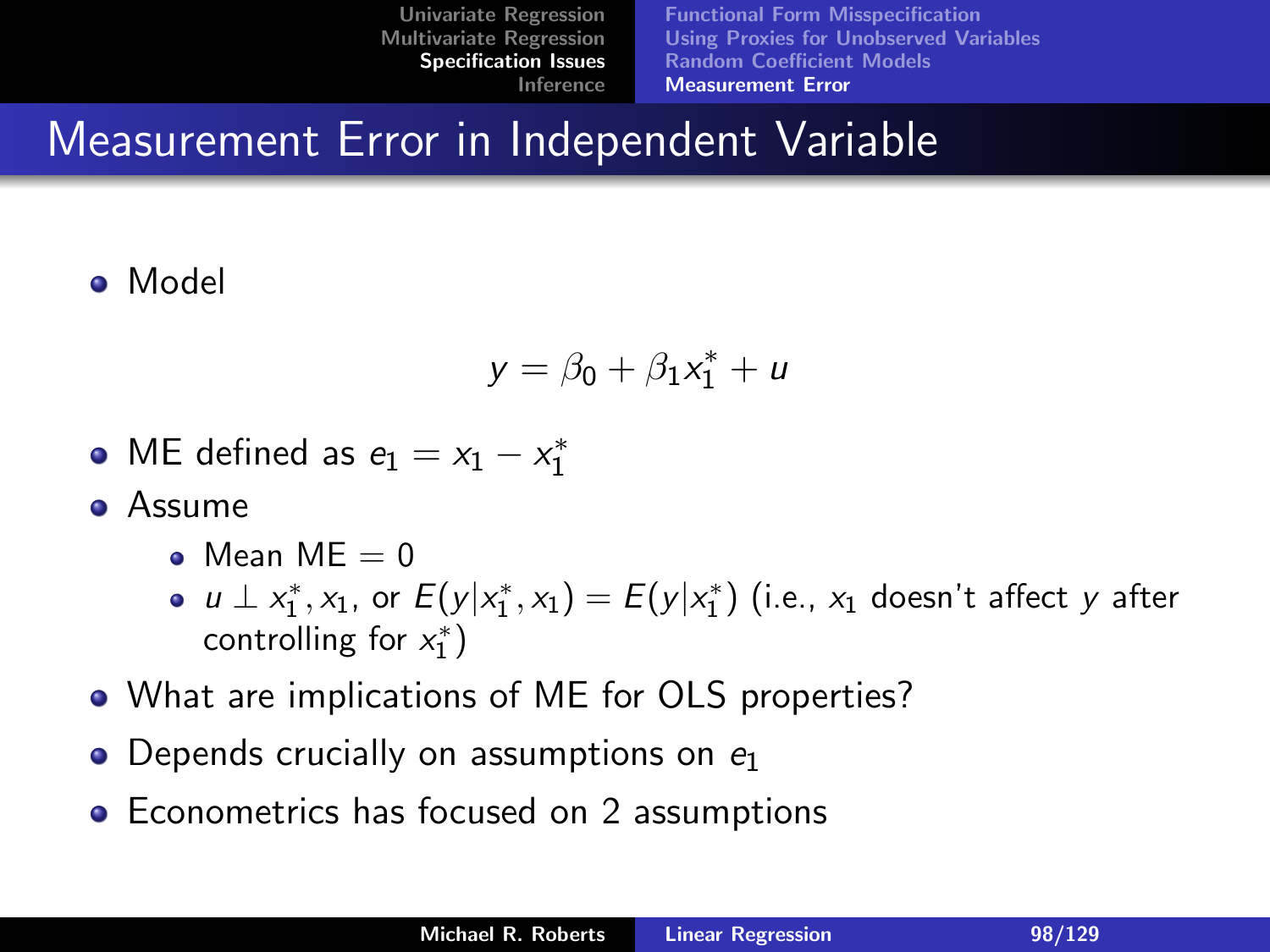Measurement Error in Independent Variable

#### Model

$$
y = \beta_0 + \beta_1 x_1^* + u
$$

- ME defined as  $e_1 = x_1 x_1^*$
- Assume
	- $\bullet$  Mean MF = 0
	- $u \perp x_1^*, x_1$ , or  $E(y|x_1^*, x_1) = E(y|x_1^*)$  (i.e.,  $x_1$  doesn't affect y after controlling for  $x_1^*$ )
- What are implications of ME for OLS properties?
- $\bullet$ Depends crucially on assumptions on  $e_1$
- Econometrics has focused on 2 assumptions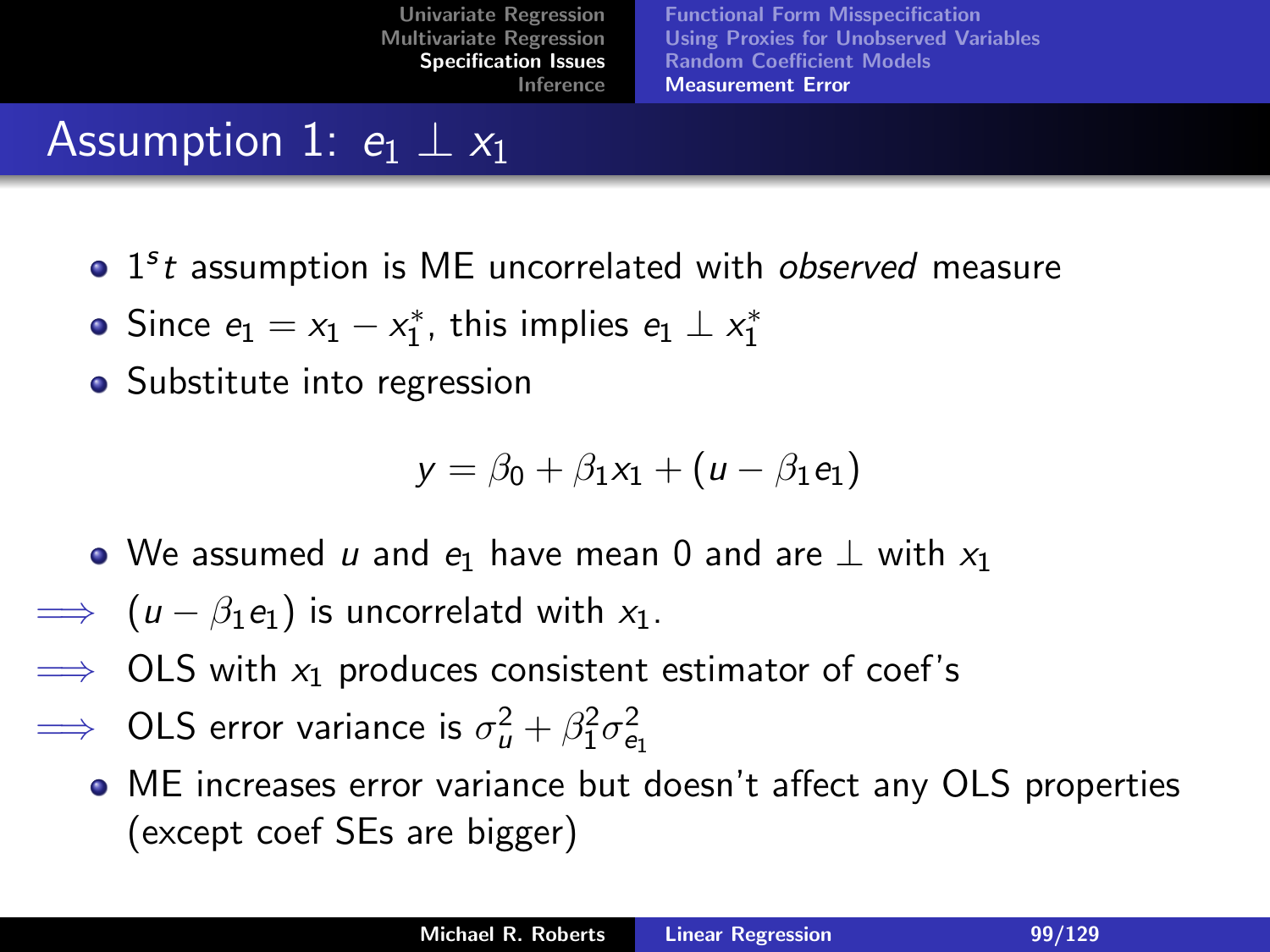| Univariate Regression          | <b>Functional Form Misspecification</b>       |
|--------------------------------|-----------------------------------------------|
| <b>Multivariate Regression</b> | <b>Using Proxies for Unobserved Variables</b> |
| <b>Specification Issues</b>    | <b>Random Coefficient Models</b>              |
| Inference                      | <b>Measurement Error</b>                      |

#### Assumption 1:  $e_1 \perp x_1$

- $1<sup>s</sup>t$  assumption is ME uncorrelated with observed measure
- Since  $e_1 = x_1 x_1^*$ , this implies  $e_1 \perp x_1^*$
- Substitute into regression

$$
y = \beta_0 + \beta_1 x_1 + (u - \beta_1 e_1)
$$

- We assumed u and  $e_1$  have mean 0 and are  $\perp$  with  $x_1$
- $\implies$   $(u \beta_1 e_1)$  is uncorrelatd with  $x_1$ .
- $\implies$  OLS with  $x_1$  produces consistent estimator of coef's
- $\implies$  OLS error variance is  $\sigma_u^2 + \beta_1^2 \sigma_{\mathsf{e}_1}^2$ 
	- ME increases error variance but doesn't affect any OLS properties (except coef SEs are bigger)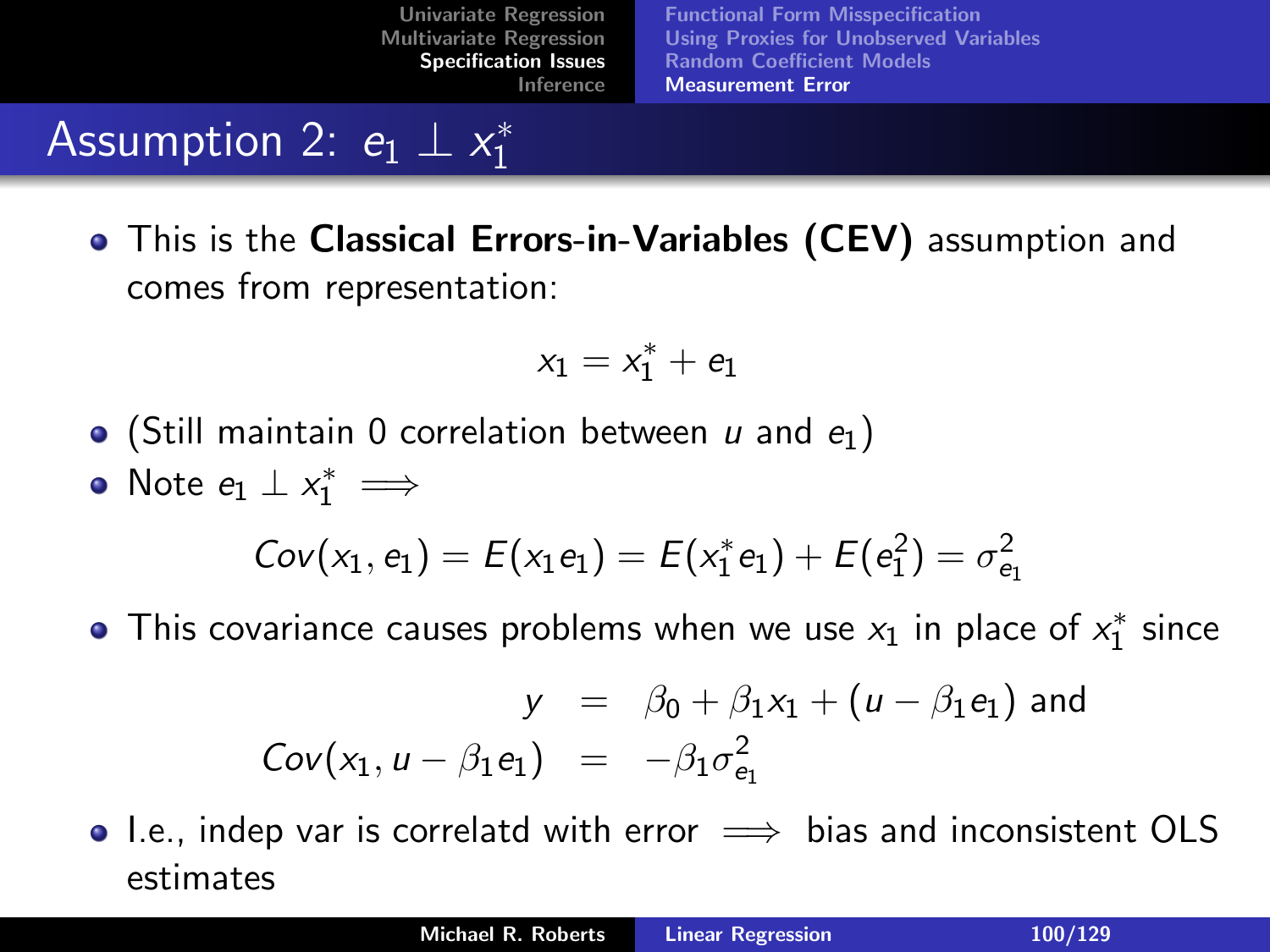| Univariate Regression       | <b>Functional Form Misspecification</b> |
|-----------------------------|-----------------------------------------|
| Multivariate Regression     | Using Proxies for Unobserved Variables  |
| <b>Specification Issues</b> | <b>Random Coefficient Models</b>        |
| Inference                   | <b>Measurement Error</b>                |

#### Assumption 2:  $e_1 \perp x_1^*$ 1

**•** This is the Classical Errors-in-Variables (CEV) assumption and comes from representation:

$$
x_1=x_1^*+e_1
$$

- (Still maintain 0 correlation between  $u$  and  $e_1$ )
- Note  $e_1 \perp x_1^* \implies$

$$
Cov(x_1, e_1) = E(x_1e_1) = E(x_1^*e_1) + E(e_1^2) = \sigma_{e_1}^2
$$

This covariance causes problems when we use  $x_1$  in place of  $x_1^*$  since

$$
y = \beta_0 + \beta_1 x_1 + (u - \beta_1 e_1)
$$
 and  

$$
Cov(x_1, u - \beta_1 e_1) = -\beta_1 \sigma_{e_1}^2
$$

 $\bullet$  I.e., indep var is correlatd with error  $\implies$  bias and inconsistent OLS estimates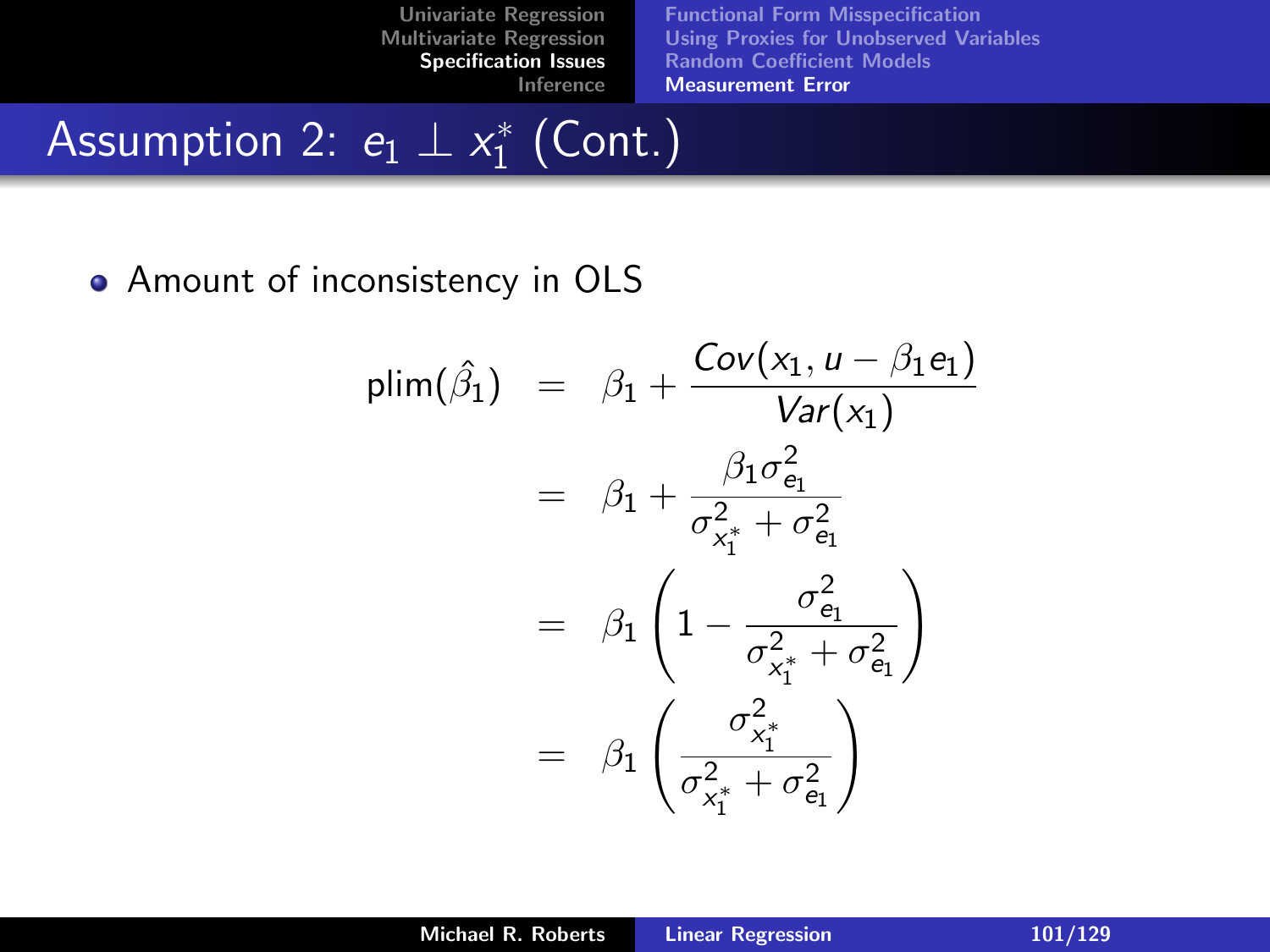[Functional Form Misspecification](#page-79-0) [Using Proxies for Unobserved Variables](#page-84-0) [Random Coefficient Models](#page-92-0) [Measurement Error](#page-94-0)

#### Assumption 2:  $e_1 \perp x_1^*$  $i_{1}^{*}$  (Cont.)

#### • Amount of inconsistency in OLS

$$
plim(\hat{\beta}_1) = \beta_1 + \frac{Cov(x_1, u - \beta_1 e_1)}{Var(x_1)}
$$
  
=  $\beta_1 + \frac{\beta_1 \sigma_{e_1}^2}{\sigma_{x_1}^2 + \sigma_{e_1}^2}$   
=  $\beta_1 \left(1 - \frac{\sigma_{e_1}^2}{\sigma_{x_1}^2 + \sigma_{e_1}^2}\right)$   
=  $\beta_1 \left(\frac{\sigma_{x_1}^2}{\sigma_{x_1}^2 + \sigma_{e_1}^2}\right)$ 

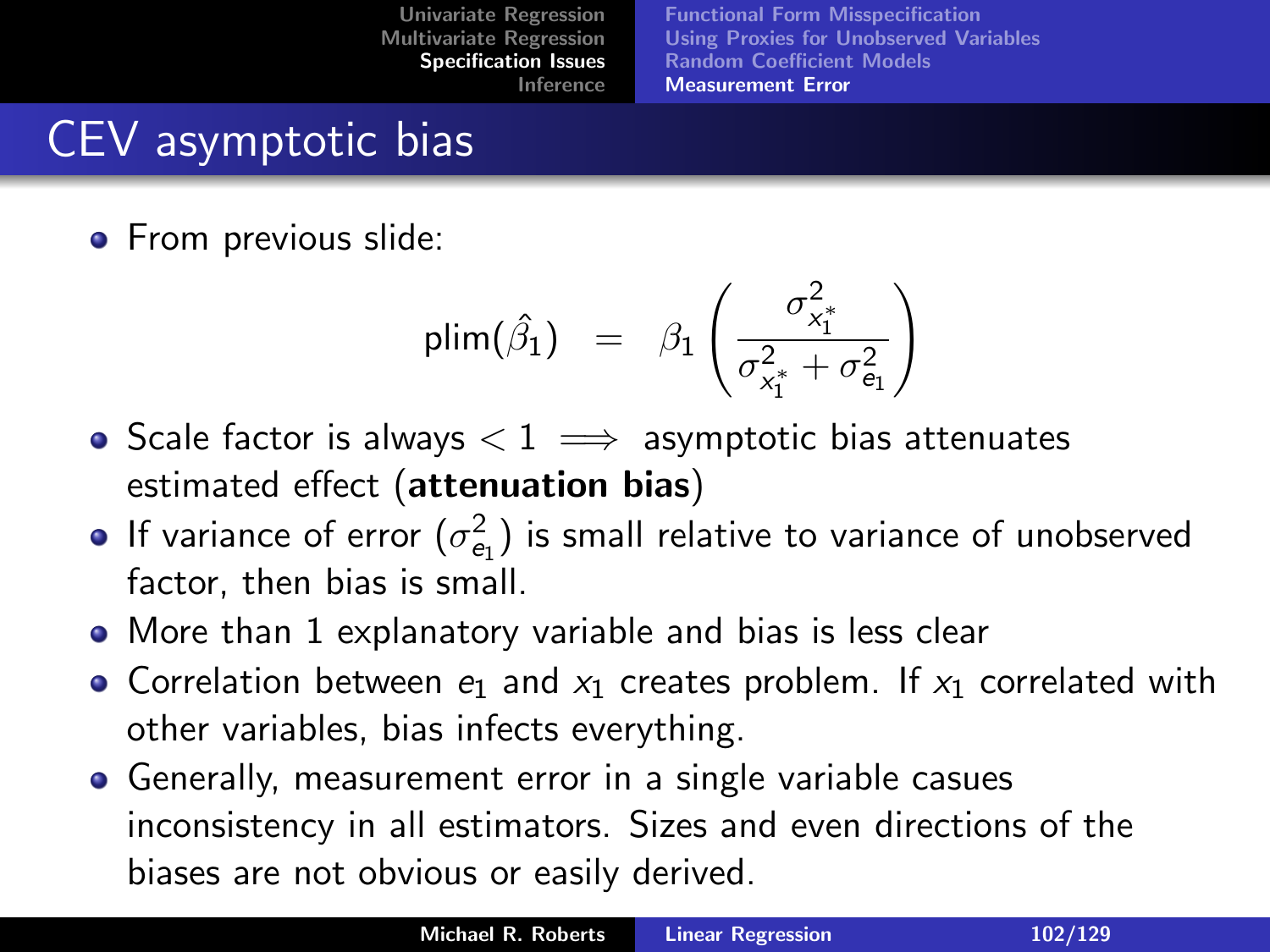# CEV asymptotic bias

**•** From previous slide:

$$
\text{plim}(\hat{\beta}_1) = \beta_1 \left( \frac{\sigma_{x_1^*}^2}{\sigma_{x_1^*}^2 + \sigma_{e_1}^2} \right)
$$

- Scale factor is always  $< 1 \implies$  asymptotic bias attenuates estimated effect (attenuation bias)
- If variance of error  $(\sigma^2_{\mathsf{e}_1})$  is small relative to variance of unobserved factor, then bias is small.
- More than 1 explanatory variable and bias is less clear
- Correlation between  $e_1$  and  $x_1$  creates problem. If  $x_1$  correlated with other variables, bias infects everything.
- Generally, measurement error in a single variable casues inconsistency in all estimators. Sizes and even directions of the biases are not obvious or easily derived.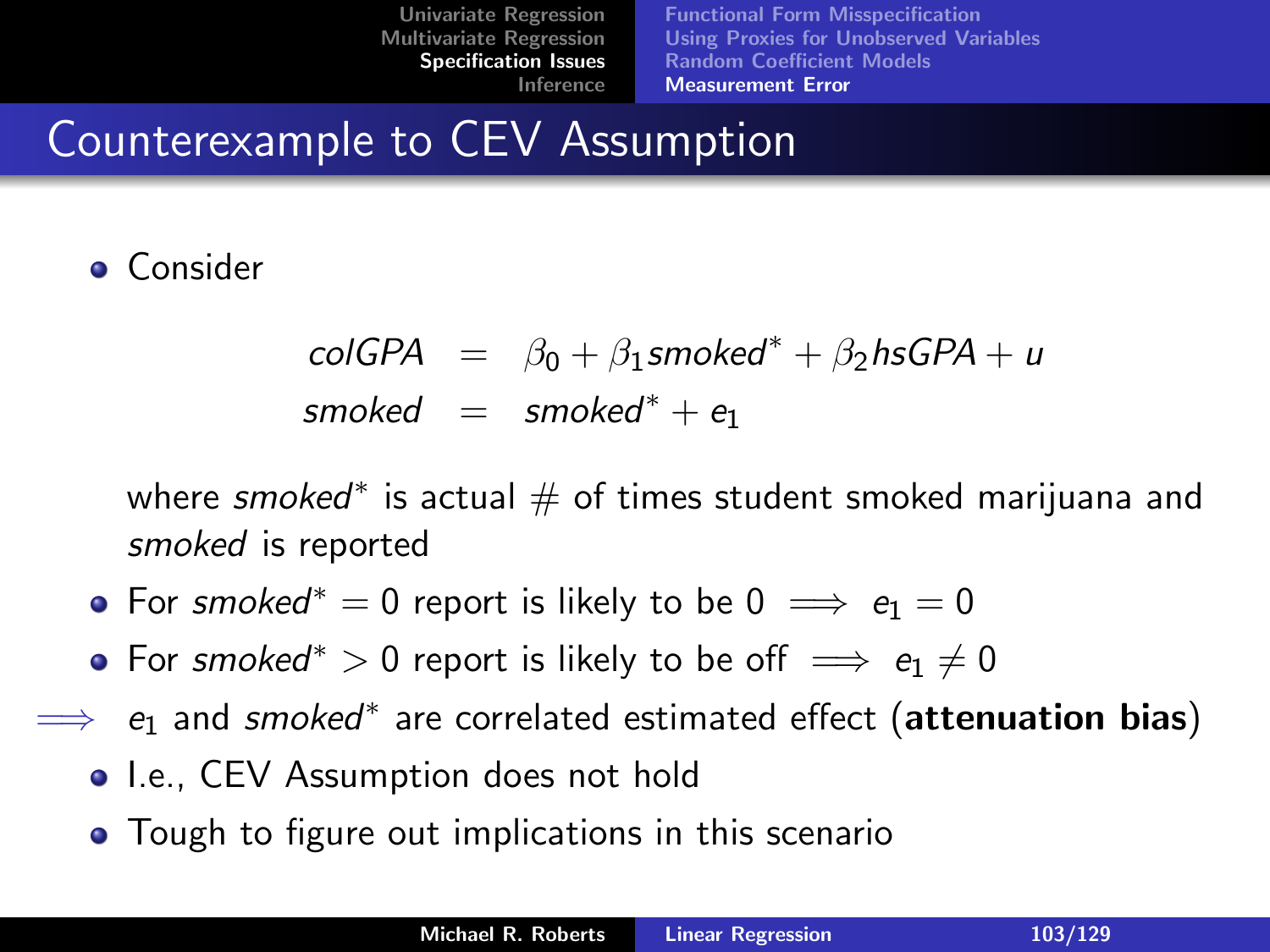[Functional Form Misspecification](#page-79-0) [Using Proxies for Unobserved Variables](#page-84-0) [Random Coefficient Models](#page-92-0) [Measurement Error](#page-94-0)

## Counterexample to CEV Assumption

#### **o** Consider

$$
colGPA = \beta_0 + \beta_1 \text{smoked}^* + \beta_2 \text{hs} GPA + u
$$
  
smoked = smoked\* + e<sub>1</sub>

where s $m$ o $k$ e $d^*$  is actual  $\#$  of times student smoked marijuana and smoked is reported

- For smoked<sup>\*</sup> = 0 report is likely to be  $0 \implies e_1 = 0$
- For smoked<sup>\*</sup> > 0 report is likely to be off  $\implies e_1 \neq 0$
- $\implies$   $e_1$  and smoked $^*$  are correlated estimated effect ( $\bm{attention\ bias)}$ 
	- I.e., CEV Assumption does not hold
	- Tough to figure out implications in this scenario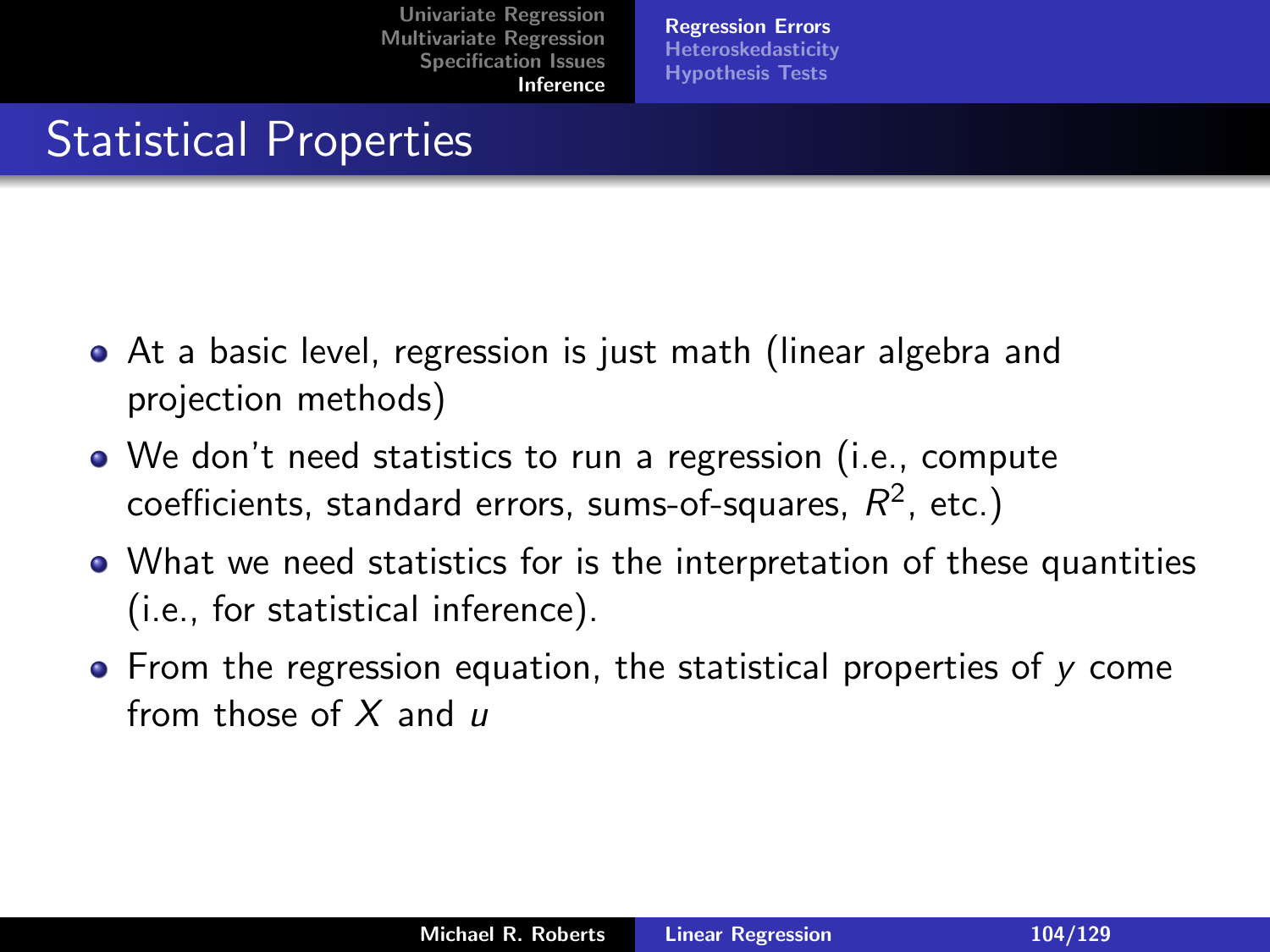<span id="page-103-0"></span>[Regression Errors](#page-103-0) [Heteroskedasticity](#page-104-0) [Hypothesis Tests](#page-112-0)

## Statistical Properties

- At a basic level, regression is just math (linear algebra and projection methods)
- We don't need statistics to run a regression (i.e., compute coefficients, standard errors, sums-of-squares,  $R^2$ , etc.)
- What we need statistics for is the interpretation of these quantities (i.e., for statistical inference).
- $\bullet$  From the regression equation, the statistical properties of y come from those of  $X$  and  $\mu$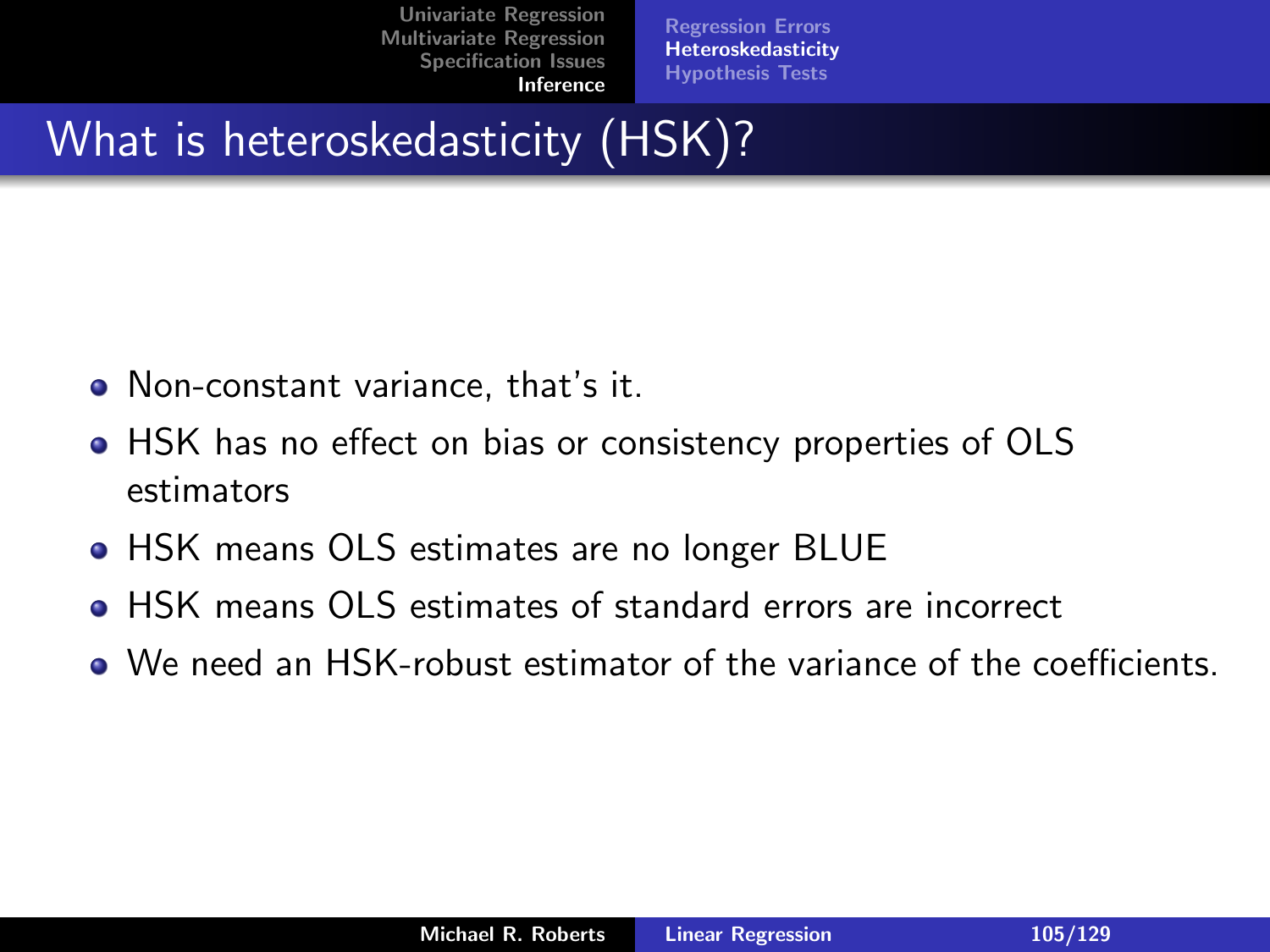<span id="page-104-0"></span>[Regression Errors](#page-103-0) **[Heteroskedasticity](#page-104-0)** [Hypothesis Tests](#page-112-0)

# What is heteroskedasticity (HSK)?

- Non-constant variance, that's it.
- HSK has no effect on bias or consistency properties of OLS estimators
- HSK means OLS estimates are no longer BLUE
- HSK means OLS estimates of standard errors are incorrect
- We need an HSK-robust estimator of the variance of the coefficients.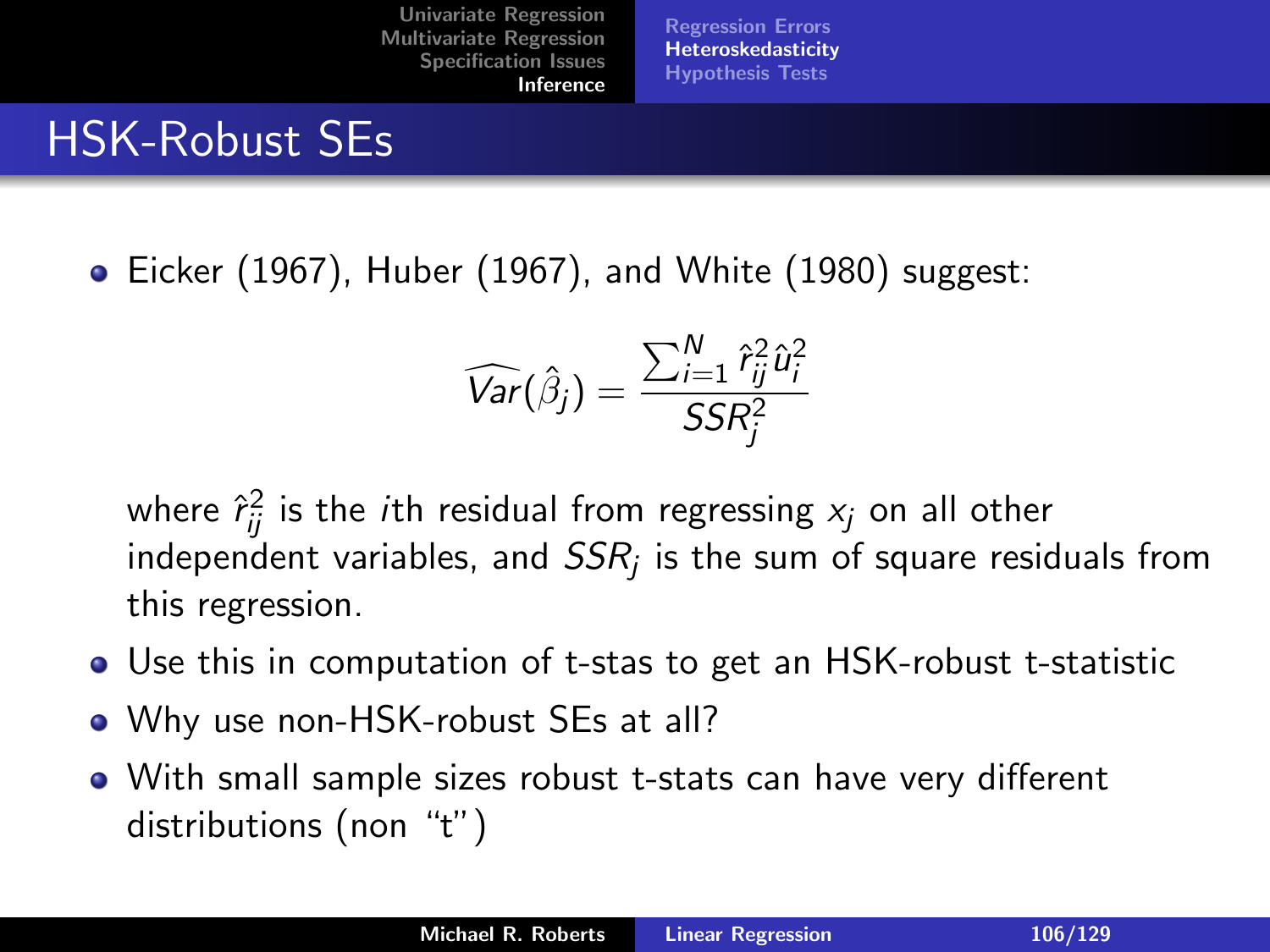[Regression Errors](#page-103-0) [Heteroskedasticity](#page-104-0) [Hypothesis Tests](#page-112-0)

## HSK-Robust SEs

 $\bullet$  Eicker (1967), Huber (1967), and White (1980) suggest:

$$
\widehat{Var}(\hat{\beta}_j) = \frac{\sum_{i=1}^{N} \hat{r}_{ij}^2 \hat{u}_i^2}{SSR_j^2}
$$

where  $\hat{r}_{\vec{i}\vec{j}}^2$  is the  $i$ th residual from regressing  $x_j$  on all other independent variables, and  $\mathcal{S}$ S $R_j$  is the sum of square residuals from this regression.

- Use this in computation of t-stas to get an HSK-robust t-statistic
- Why use non-HSK-robust SEs at all?
- With small sample sizes robust t-stats can have very different distributions (non "t")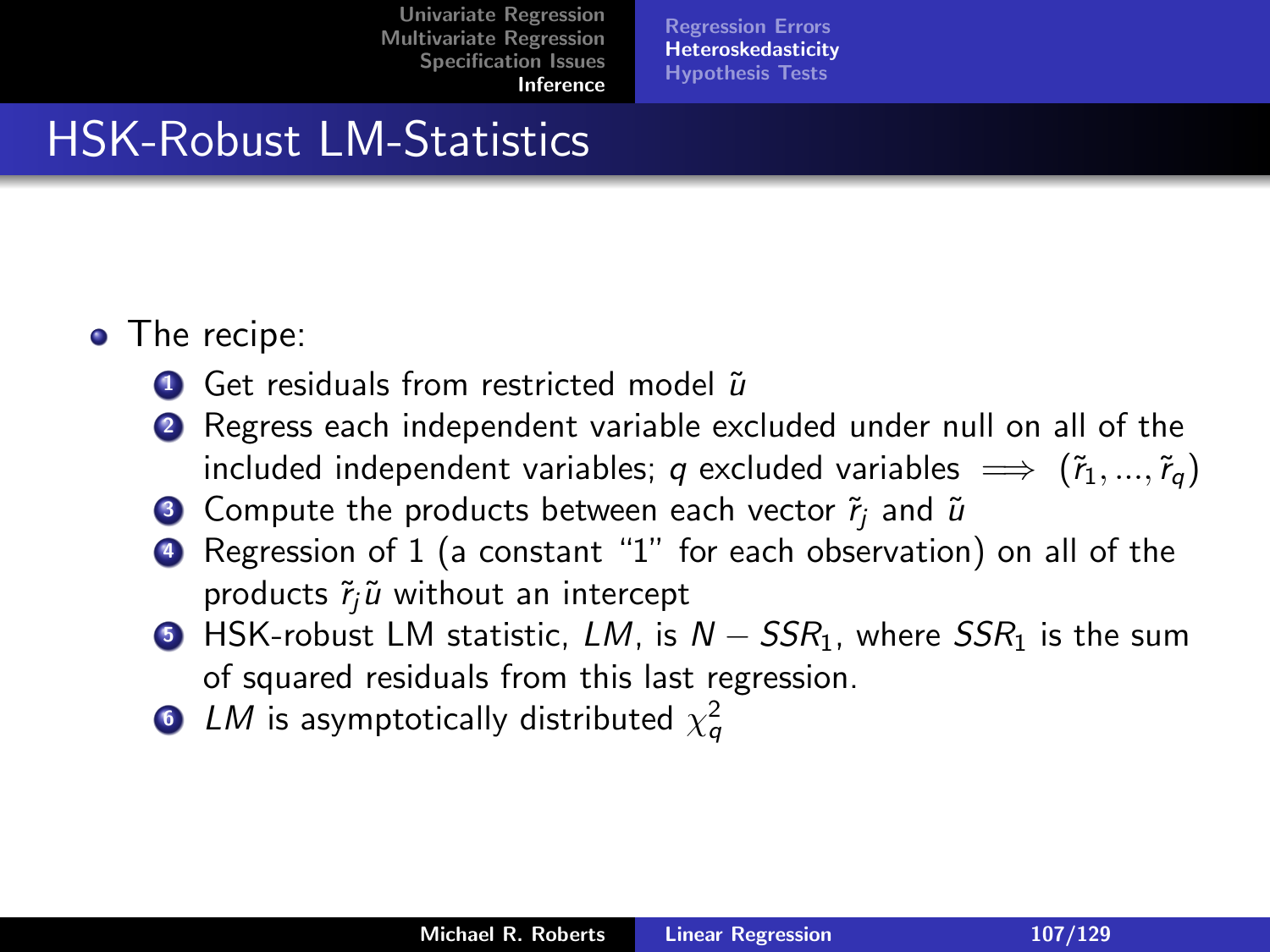[Regression Errors](#page-103-0) [Heteroskedasticity](#page-104-0) [Hypothesis Tests](#page-112-0)

## HSK-Robust LM-Statistics

- The recipe:
	- $\bullet$  Get residuals from restricted model  $\tilde{u}$
	- 2 Regress each independent variable excluded under null on all of the included independent variables; q excluded variables  $\implies$   $(\tilde{r}_1, ..., \tilde{r}_q)$
	- **3** Compute the products between each vector  $\tilde{r}_i$  and  $\tilde{u}$
	- <sup>4</sup> Regression of 1 (a constant "1" for each observation) on all of the products  $\tilde{r}_i \tilde{u}$  without an intercept
	- **5** HSK-robust LM statistic, LM, is  $N SSR_1$ , where  $SSR_1$  is the sum of squared residuals from this last regression.
	- $\bullet$  LM is asymptotically distributed  $\chi_q^2$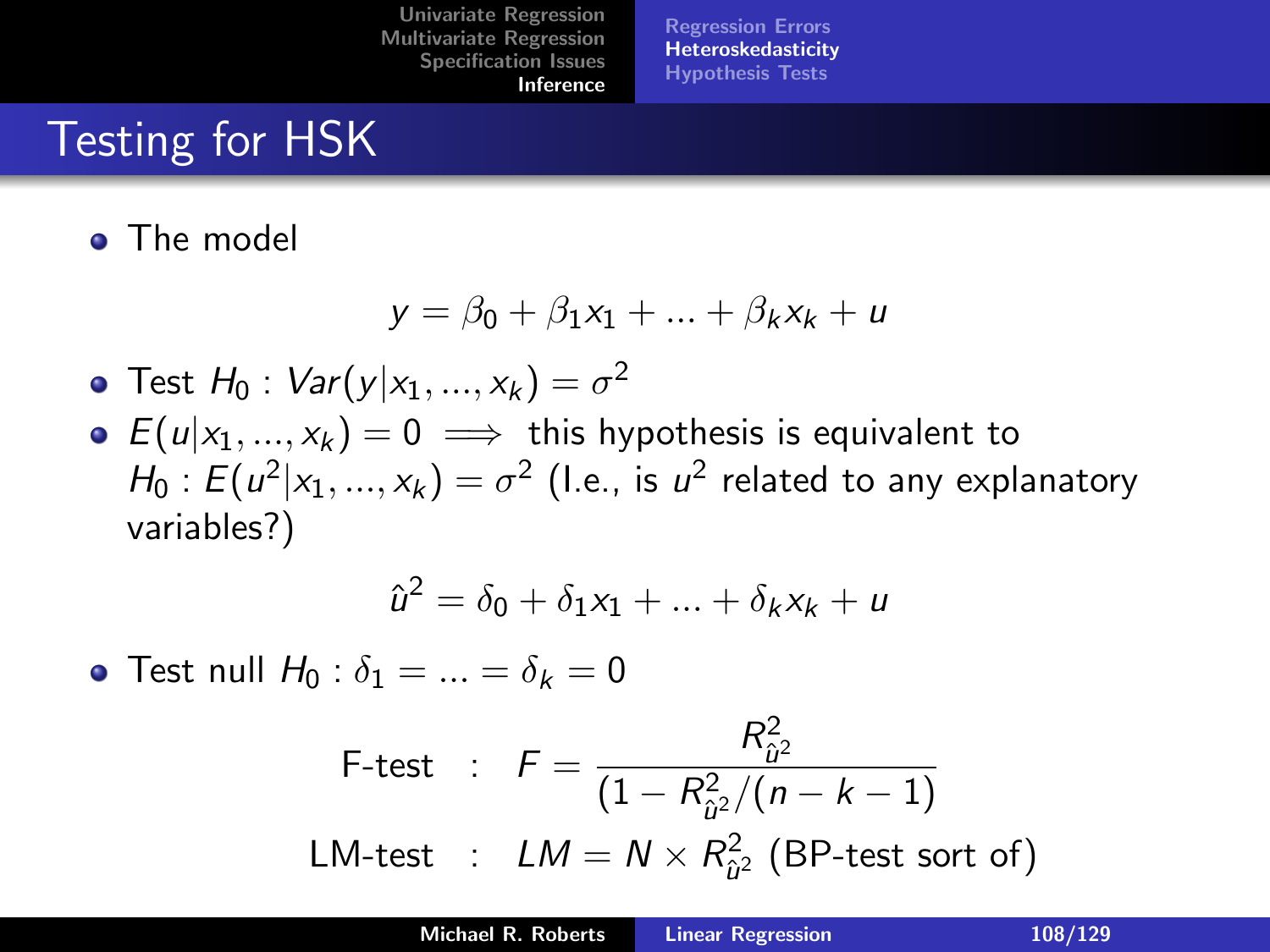[Regression Errors](#page-103-0) [Heteroskedasticity](#page-104-0) [Hypothesis Tests](#page-112-0)

# Testing for HSK

#### • The model

$$
y = \beta_0 + \beta_1 x_1 + \dots + \beta_k x_k + u
$$

• Test 
$$
H_0
$$
:  $Var(y|x_1, ..., x_k) = \sigma^2$ 

•  $E(u|x_1, ..., x_k) = 0 \implies$  this hypothesis is equivalent to  $H_0: E(u^2 | x_1,...,x_k) = \sigma^2$  (I.e., is  $u^2$  related to any explanatory variables?)

$$
\hat{u}^2 = \delta_0 + \delta_1 x_1 + \dots + \delta_k x_k + u
$$

• Test null  $H_0$ :  $\delta_1 = ... = \delta_k = 0$ 

$$
\begin{array}{rcl}\n\text{F-test} & : & \mathsf{F} = \frac{R_{\hat{u}^2}^2}{(1 - R_{\hat{u}^2}^2 / (n - k - 1)} \\
\text{LM-test} & : & LM = N \times R_{\hat{u}^2}^2 \text{ (BP-test sort of)}\n\end{array}
$$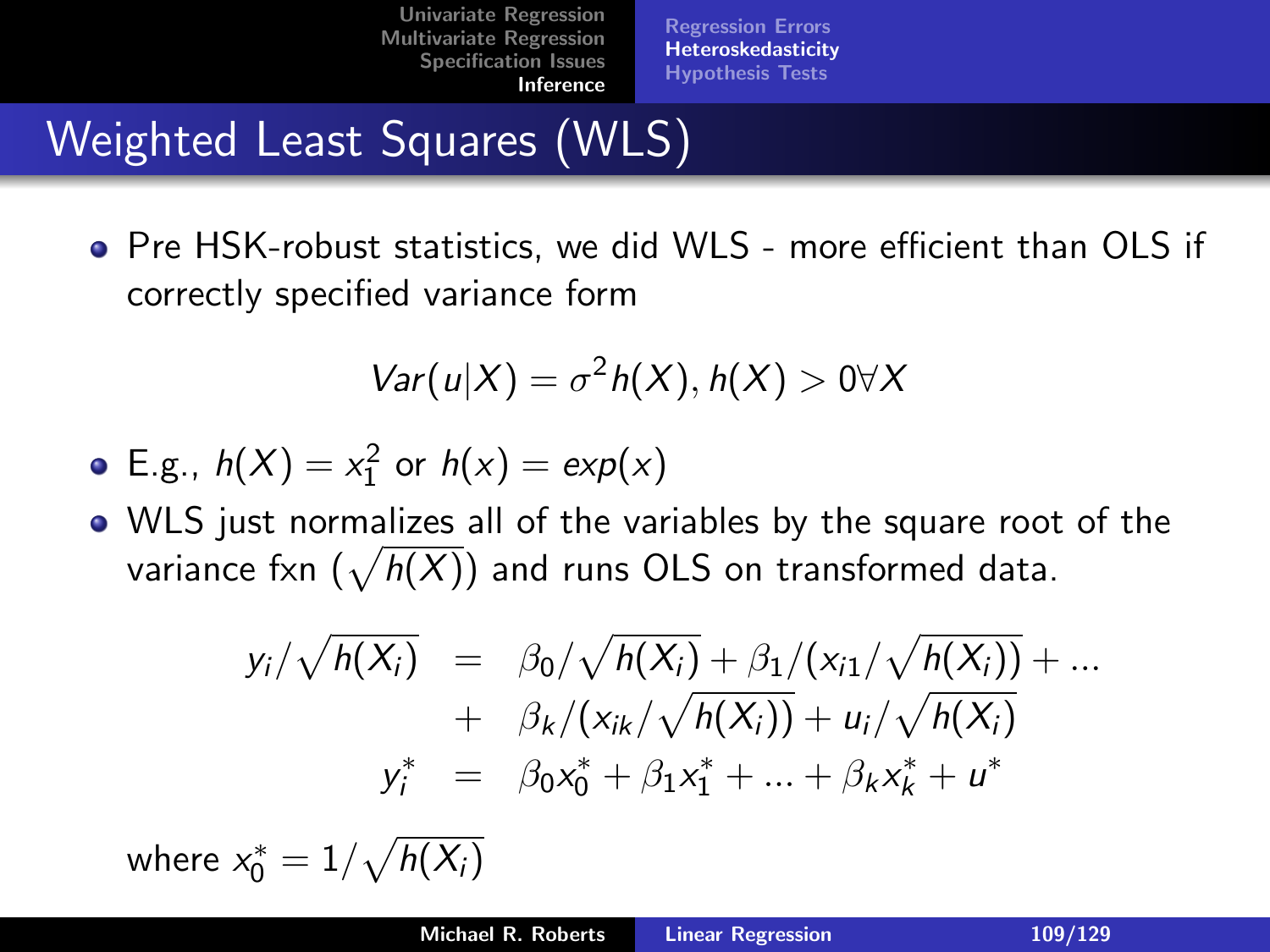[Regression Errors](#page-103-0) [Heteroskedasticity](#page-104-0) [Hypothesis Tests](#page-112-0)

# Weighted Least Squares (WLS)

• Pre HSK-robust statistics, we did WLS - more efficient than OLS if correctly specified variance form

$$
Var(u|X) = \sigma^2 h(X), h(X) > 0 \forall X
$$

• E.g., 
$$
h(X) = x_1^2
$$
 or  $h(x) = exp(x)$ 

WLS just normalizes all of the variables by the square root of the variance fxn  $(\sqrt{h(X)})$  and runs OLS on transformed data.

$$
y_i/\sqrt{h(X_i)} = \beta_0/\sqrt{h(X_i)} + \beta_1/(x_{i1}/\sqrt{h(X_i)}) + ... + \beta_k/(x_{ik}/\sqrt{h(X_i)}) + u_i/\sqrt{h(X_i)} y_i^* = \beta_0x_0^* + \beta_1x_1^* + ... + \beta_kx_k^* + u^*
$$

where  $x_0^* = 1/\sqrt{h(X_i)}$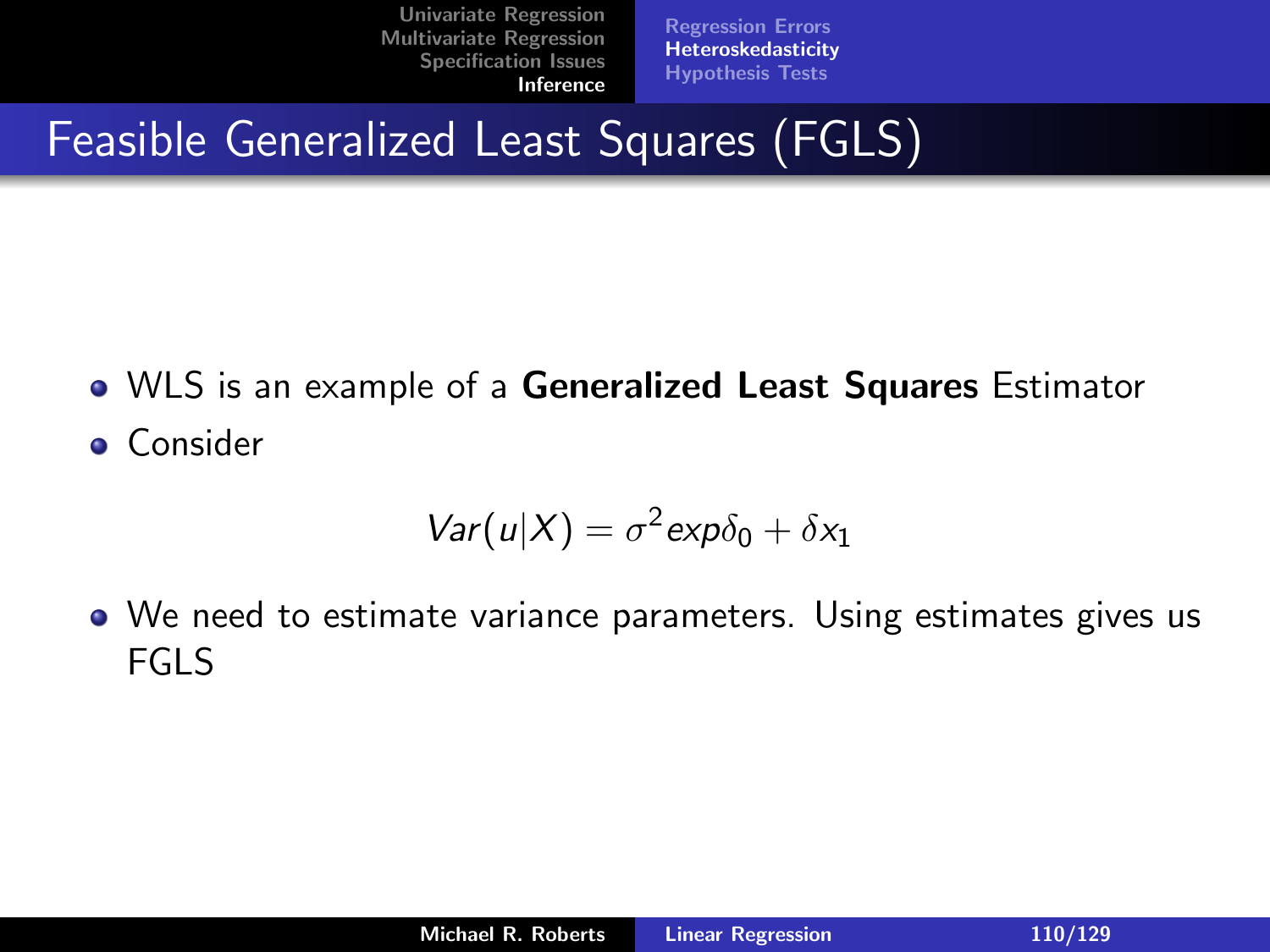[Regression Errors](#page-103-0) **[Heteroskedasticity](#page-104-0)** [Hypothesis Tests](#page-112-0)

Feasible Generalized Least Squares (FGLS)

• WLS is an example of a Generalized Least Squares Estimator **• Consider** 

$$
Var(u|X) = \sigma^2 exp \delta_0 + \delta x_1
$$

We need to estimate variance parameters. Using estimates gives us FGLS

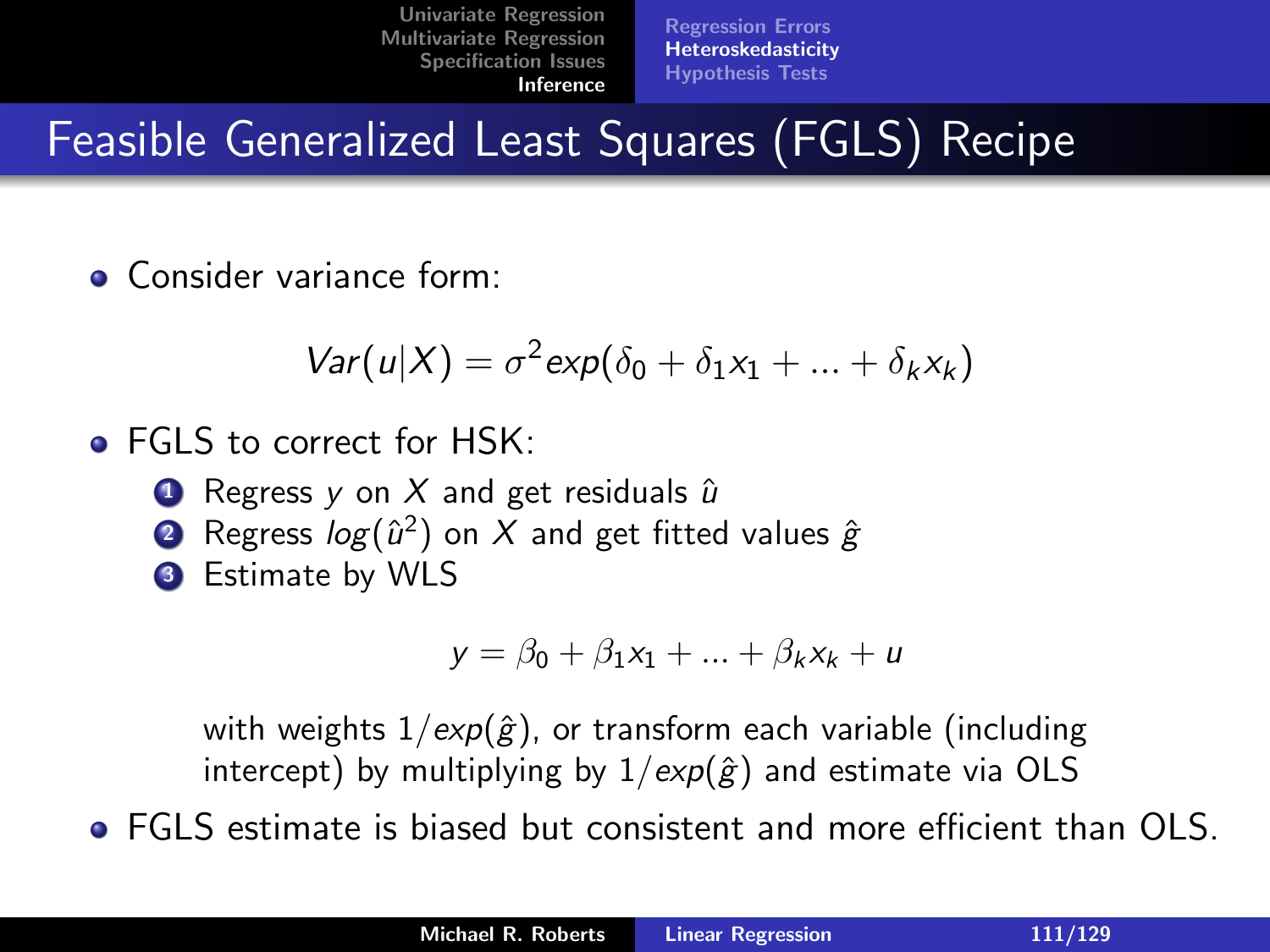[Regression Errors](#page-103-0) **[Heteroskedasticity](#page-104-0)** [Hypothesis Tests](#page-112-0)

Feasible Generalized Least Squares (FGLS) Recipe

**• Consider variance form:** 

$$
Var(u|X) = \sigma^2 exp(\delta_0 + \delta_1 x_1 + \dots + \delta_k x_k)
$$

- **e** FGLS to correct for HSK:
	- $\bullet$  Regress y on X and get residuals  $\hat{u}$
	- $\bm{2}$  Regress  $\mathit{log}(\hat{\mathit{u}}^2)$  on  $X$  and get fitted values  $\hat{\mathit{g}}$
	- **3** Estimate by WLS

$$
y = \beta_0 + \beta_1 x_1 + \dots + \beta_k x_k + u
$$

with weights  $1/\exp(\hat{g})$ , or transform each variable (including intercept) by multiplying by  $1/exp(\hat{g})$  and estimate via OLS

FGLS estimate is biased but consistent and more efficient than OLS.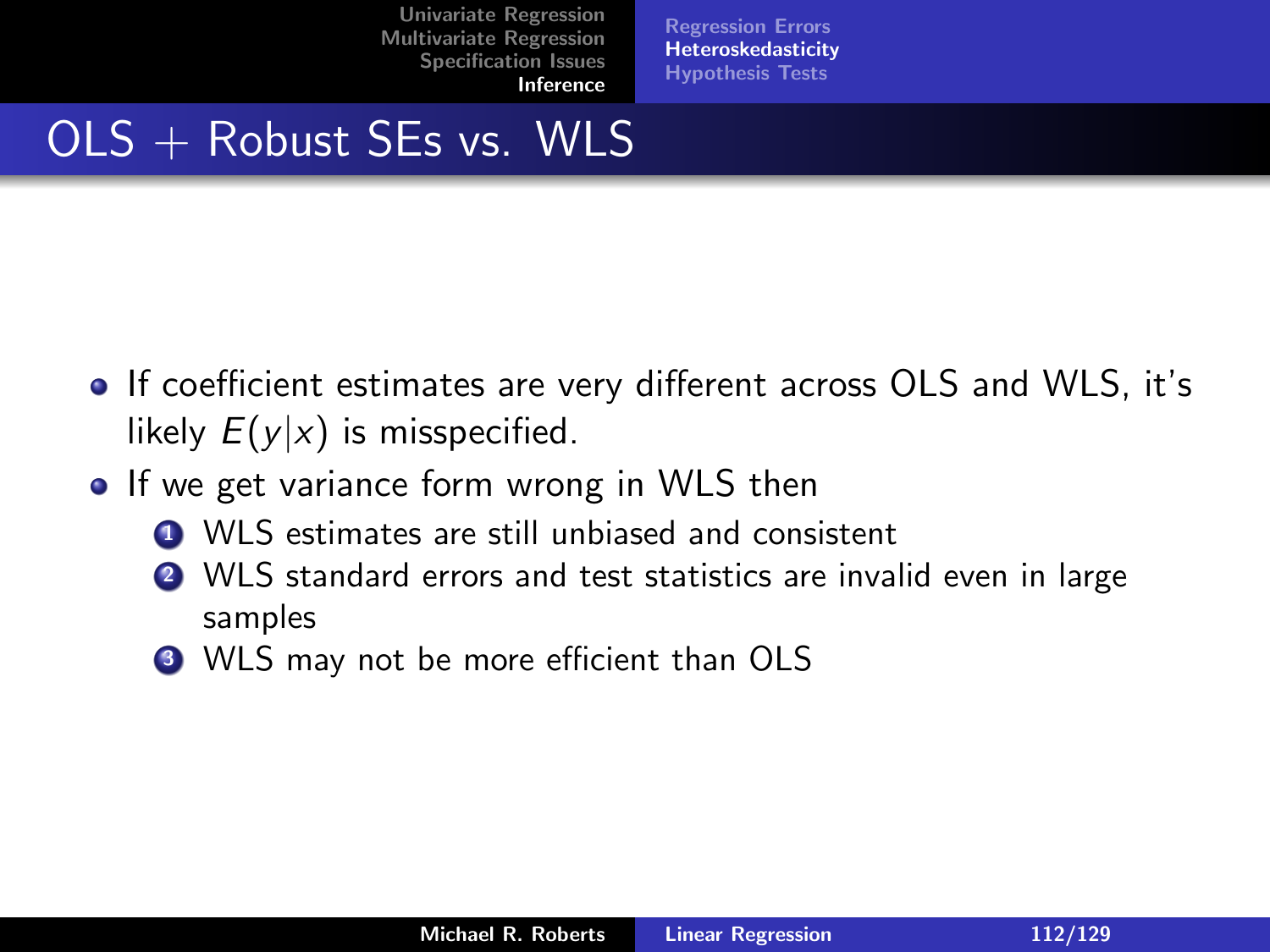[Regression Errors](#page-103-0) **[Heteroskedasticity](#page-104-0)** [Hypothesis Tests](#page-112-0)

#### $OLS$  + Robust SEs vs. WLS

- If coefficient estimates are very different across OLS and WLS, it's likely  $E(y|x)$  is misspecified.
- If we get variance form wrong in WLS then
	- **1** WLS estimates are still unbiased and consistent
	- <sup>2</sup> WLS standard errors and test statistics are invalid even in large samples
	- <sup>3</sup> WLS may not be more efficient than OLS

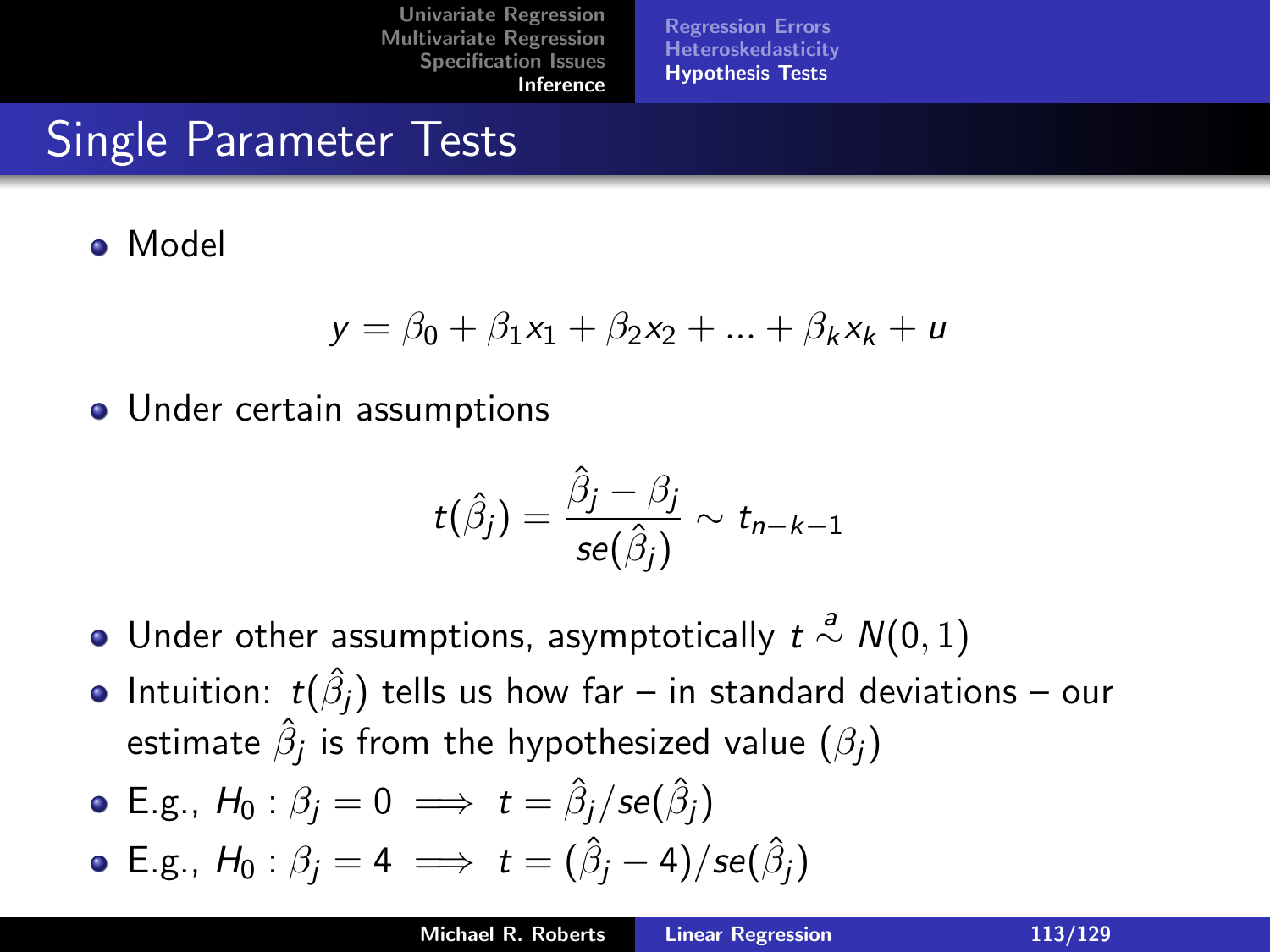[Regression Errors](#page-103-0) [Heteroskedasticity](#page-104-0) [Hypothesis Tests](#page-112-0)

# Single Parameter Tests

Model

$$
y = \beta_0 + \beta_1 x_1 + \beta_2 x_2 + \dots + \beta_k x_k + u
$$

• Under certain assumptions

<span id="page-112-0"></span>
$$
t(\hat{\beta}_j) = \frac{\hat{\beta}_j - \beta_j}{se(\hat{\beta}_j)} \sim t_{n-k-1}
$$

- Under other assumptions, asymptotically  $t \stackrel{a}{\sim} N(0,1)$
- Intuition:  $t(\hat{\beta}_j)$  tells us how far in standard deviations our estimate  $\hat{\beta}_j$  is from the hypothesized value  $(\beta_j)$
- E.g.,  $H_0: \beta_j = 0 \implies t = \hat{\beta}_j / se(\hat{\beta}_j)$

• E.g., 
$$
H_0: \beta_j = 4 \implies t = (\hat{\beta}_j - 4)/se(\hat{\beta}_j)
$$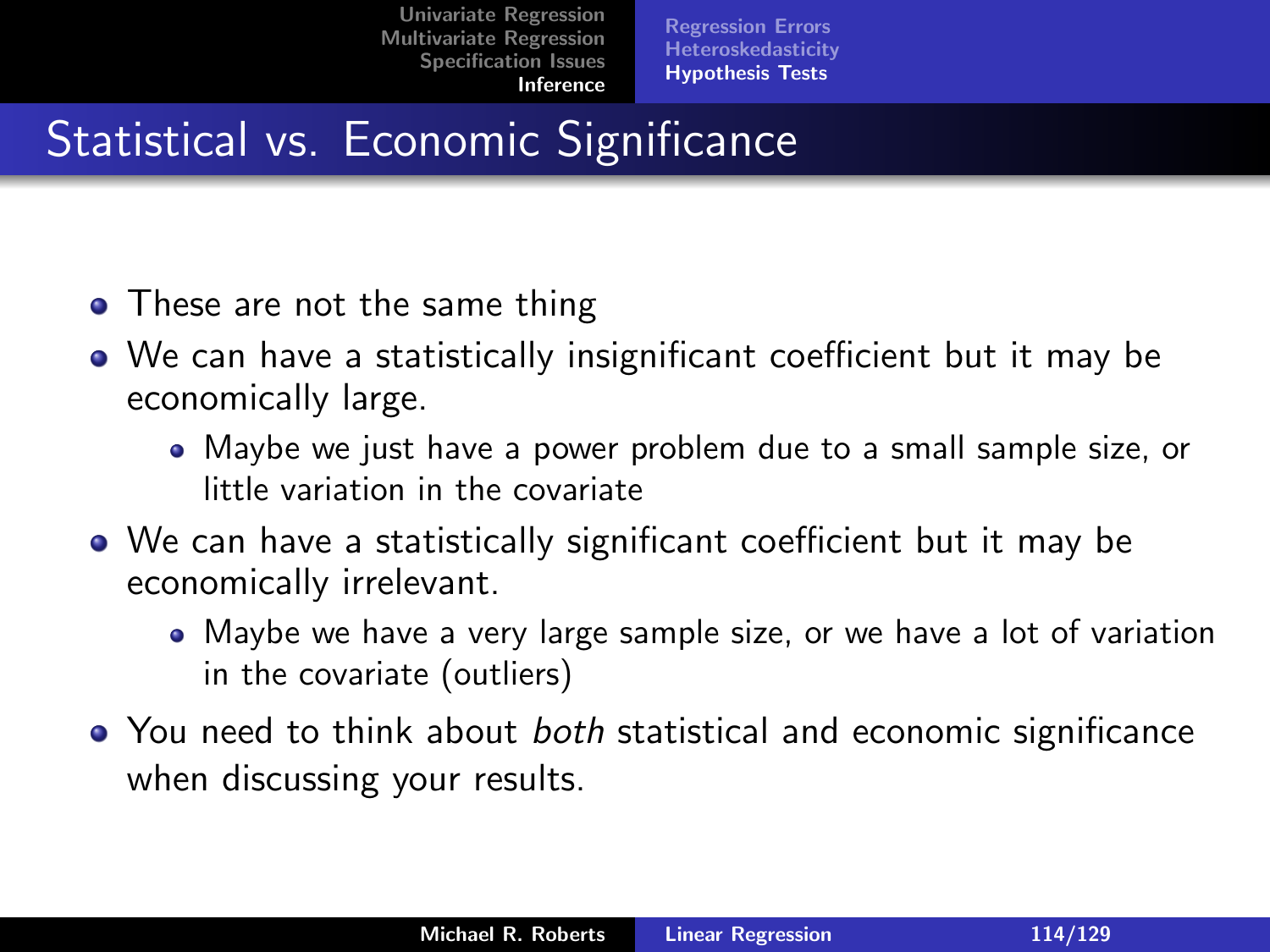[Regression Errors](#page-103-0) [Heteroskedasticity](#page-104-0) [Hypothesis Tests](#page-112-0)

# Statistical vs. Economic Significance

- These are not the same thing
- We can have a statistically insignificant coefficient but it may be economically large.
	- Maybe we just have a power problem due to a small sample size, or little variation in the covariate
- We can have a statistically significant coefficient but it may be economically irrelevant.
	- Maybe we have a very large sample size, or we have a lot of variation in the covariate (outliers)
- You need to think about both statistical and economic significance when discussing your results.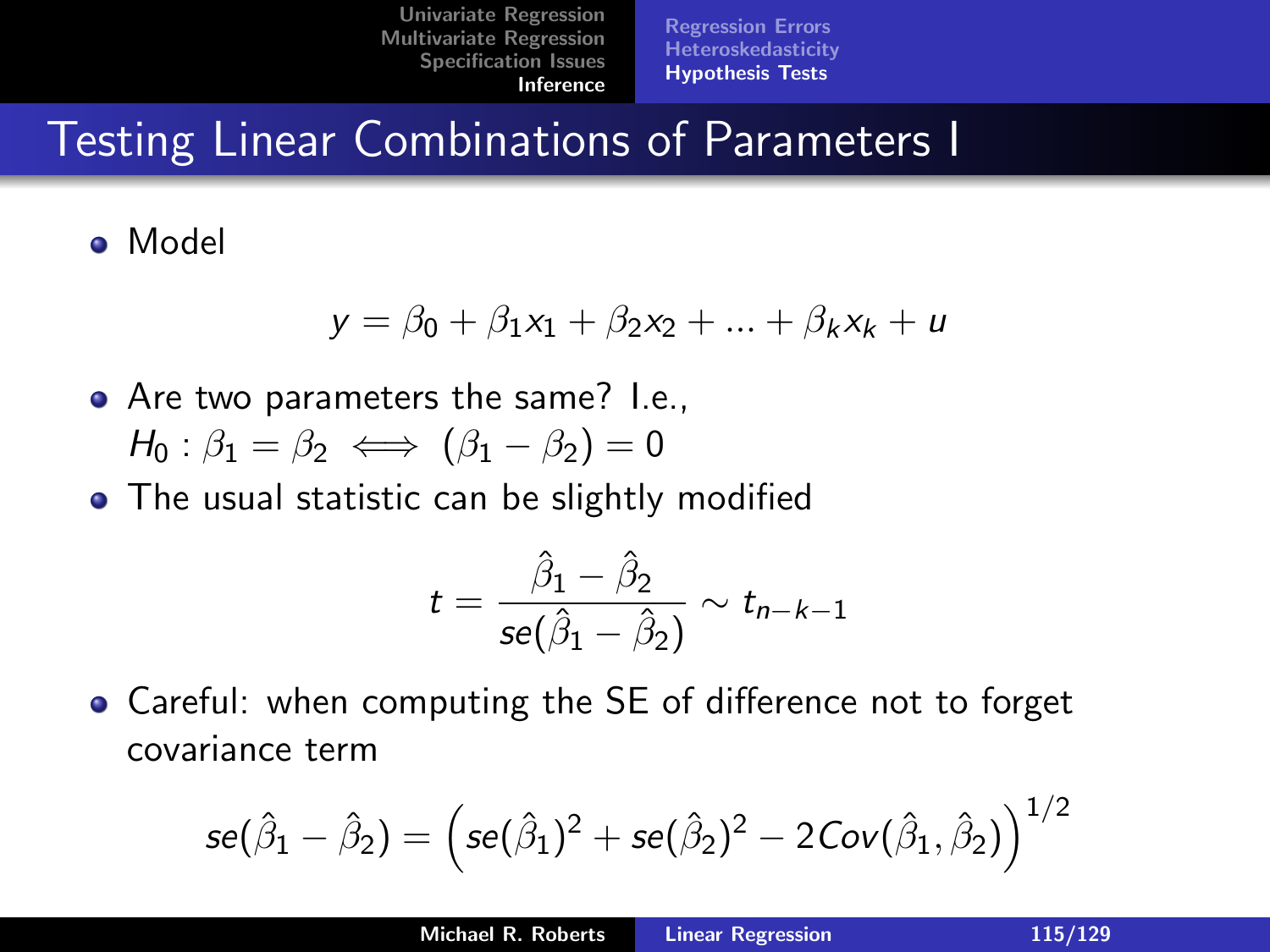[Regression Errors](#page-103-0) [Heteroskedasticity](#page-104-0) [Hypothesis Tests](#page-112-0)

## Testing Linear Combinations of Parameters I

Model

$$
y = \beta_0 + \beta_1 x_1 + \beta_2 x_2 + \dots + \beta_k x_k + u
$$

- Are two parameters the same? I.e.,  $H_0$ :  $\beta_1 = \beta_2 \iff (\beta_1 - \beta_2) = 0$
- The usual statistic can be slightly modified

$$
t = \frac{\hat{\beta}_1 - \hat{\beta}_2}{\text{se}(\hat{\beta}_1 - \hat{\beta}_2)} \sim t_{n-k-1}
$$

Careful: when computing the SE of difference not to forget covariance term

$$
\mathit{se}(\hat{\beta}_1-\hat{\beta}_2)=\left(\mathit{se}(\hat{\beta}_1)^2+\mathit{se}(\hat{\beta}_2)^2-2\mathit{Cov}(\hat{\beta}_1,\hat{\beta}_2)\right)^{1/2}
$$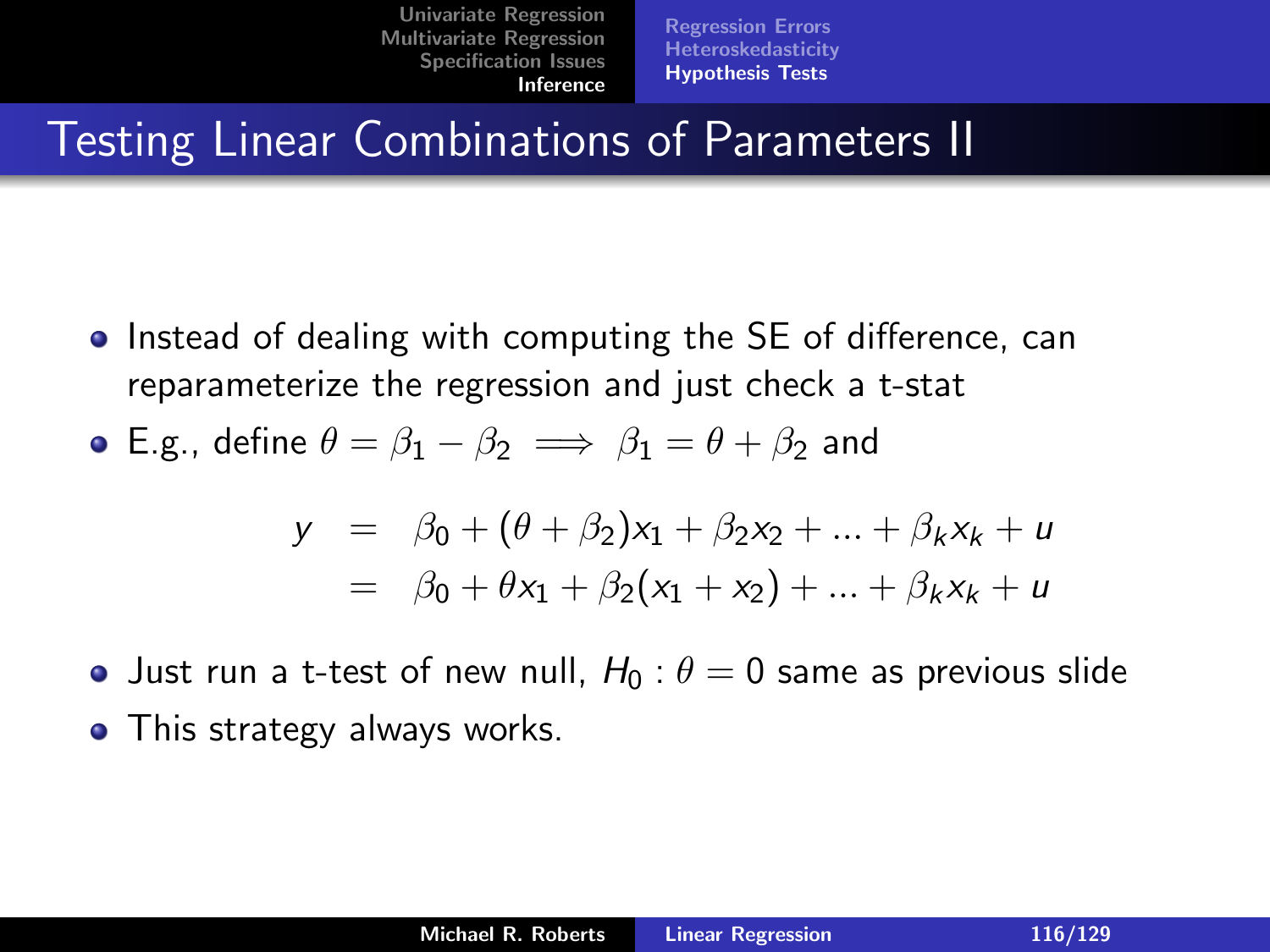[Regression Errors](#page-103-0) [Heteroskedasticity](#page-104-0) [Hypothesis Tests](#page-112-0)

#### Testing Linear Combinations of Parameters II

• Instead of dealing with computing the SE of difference, can reparameterize the regression and just check a t-stat

• E.g., define 
$$
\theta = \beta_1 - \beta_2 \implies \beta_1 = \theta + \beta_2
$$
 and

$$
y = \beta_0 + (\theta + \beta_2)x_1 + \beta_2x_2 + ... + \beta_kx_k + u
$$
  
=  $\beta_0 + \theta x_1 + \beta_2(x_1 + x_2) + ... + \beta_kx_k + u$ 

- **•** Just run a t-test of new null,  $H_0$  :  $\theta = 0$  same as previous slide
- This strategy always works.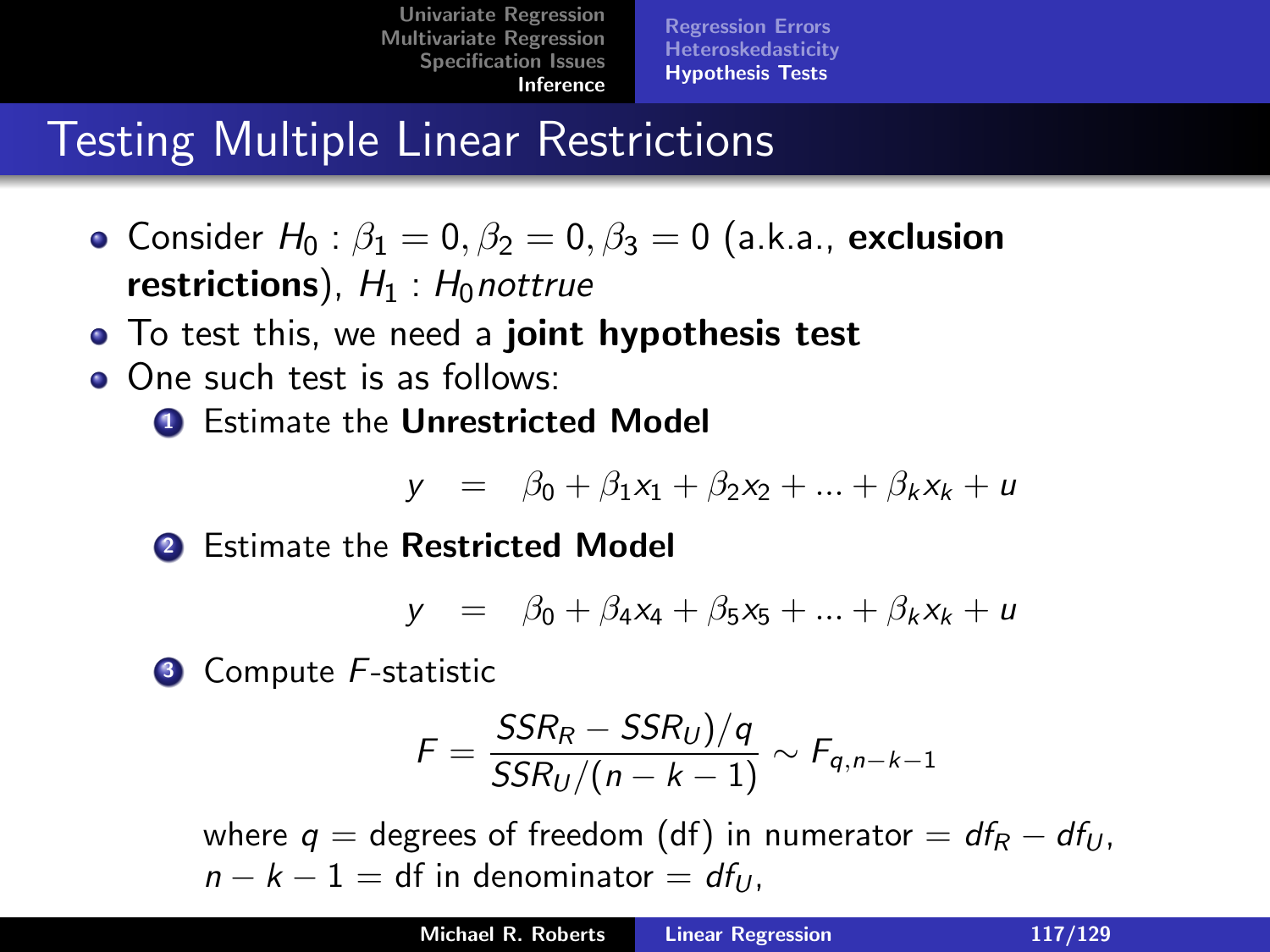[Regression Errors](#page-103-0) [Heteroskedasticity](#page-104-0) [Hypothesis Tests](#page-112-0)

## Testing Multiple Linear Restrictions

• Consider  $H_0$ :  $\beta_1 = 0$ ,  $\beta_2 = 0$ ,  $\beta_3 = 0$  (a.k.a., exclusion restrictions),  $H_1$  :  $H_0$ nottrue

- To test this, we need a joint hypothesis test
- One such test is as follows:
	- **1** Estimate the Unrestricted Model

$$
y = \beta_0 + \beta_1 x_1 + \beta_2 x_2 + \dots + \beta_k x_k + u
$$

**2** Estimate the Restricted Model

$$
y = \beta_0 + \beta_4 x_4 + \beta_5 x_5 + \dots + \beta_k x_k + u
$$

**3** Compute F-statistic

$$
F = \frac{SSR_R - SSR_U)/q}{SSR_U/(n-k-1)} \sim F_{q,n-k-1}
$$

where  $q =$  degrees of freedom (df) in numerator =  $df_R - df_U$ .  $n - k - 1 = df$  in denominator =  $df_{11}$ .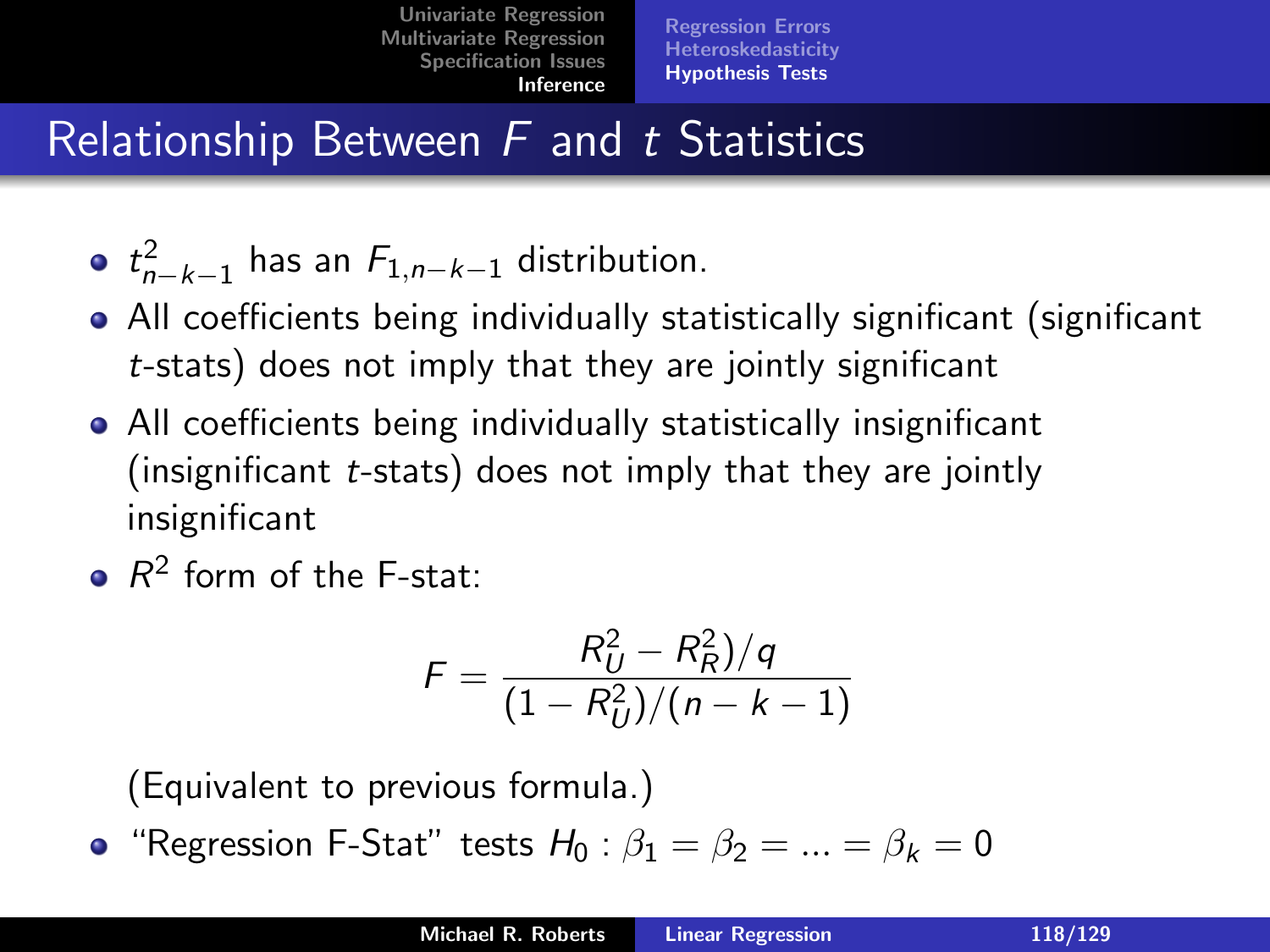# Relationship Between  $F$  and  $t$  Statistics

- $t_{n-k-1}^2$  has an  $F_{1,n-k-1}$  distribution.
- All coefficients being individually statistically significant (significant t-stats) does not imply that they are jointly significant
- All coefficients being individually statistically insignificant (insignificant t-stats) does not imply that they are jointly insignificant
- $R<sup>2</sup>$  form of the F-stat:

$$
F = \frac{R_U^2 - R_R^2)/q}{(1 - R_U^2)/(n - k - 1)}
$$

(Equivalent to previous formula.)

• "Regression F-Stat" tests  $H_0$ :  $\beta_1 = \beta_2 = ... = \beta_k = 0$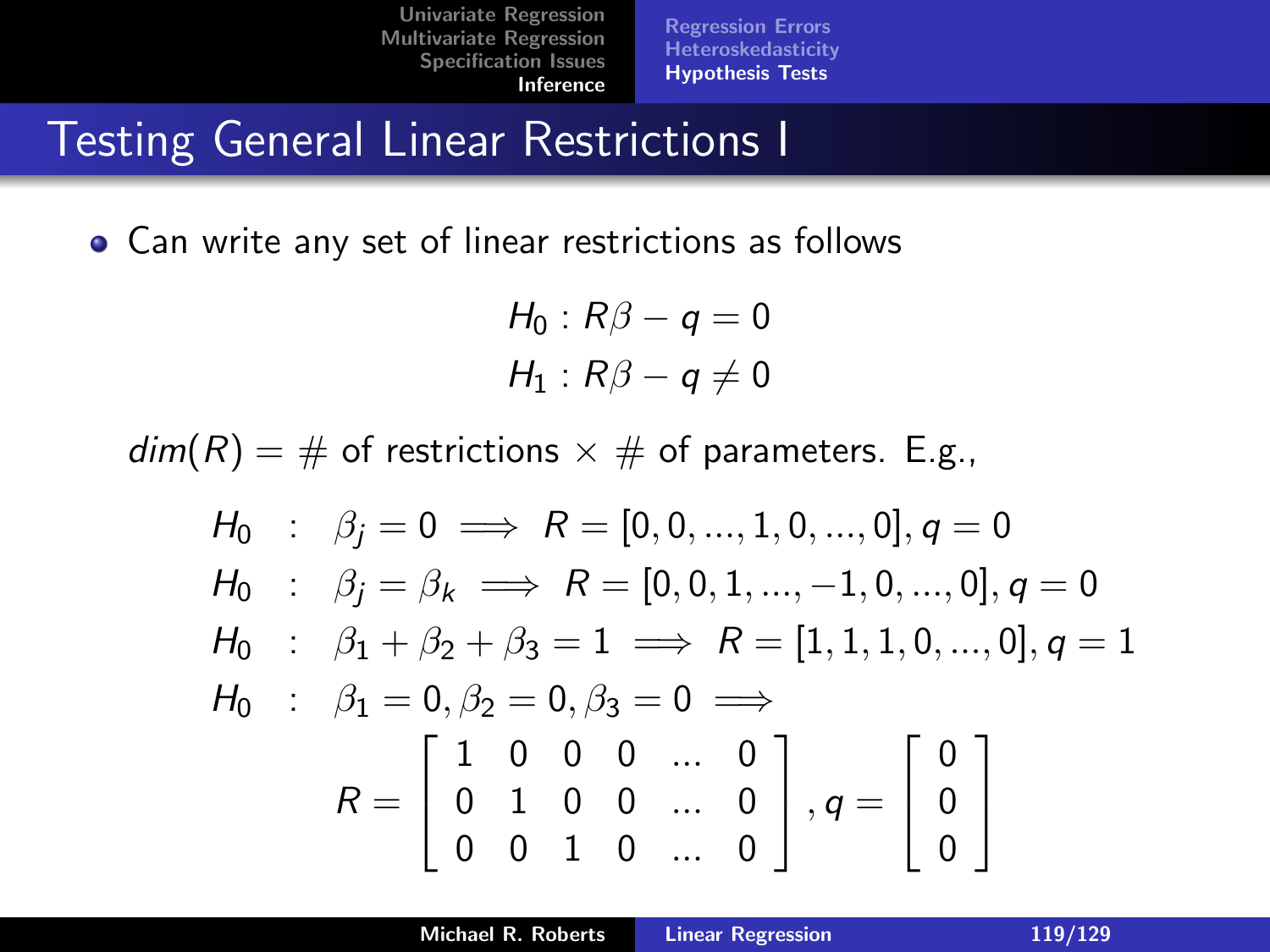[Regression Errors](#page-103-0) [Heteroskedasticity](#page-104-0) [Hypothesis Tests](#page-112-0)

## Testing General Linear Restrictions I

Can write any set of linear restrictions as follows

$$
H_0: R\beta - q = 0
$$
  

$$
H_1: R\beta - q \neq 0
$$

 $dim(R) = #$  of restrictions  $\times #$  of parameters. E.g.,

$$
H_0: \beta_j = 0 \implies R = [0, 0, ..., 1, 0, ..., 0], q = 0
$$
  
\n
$$
H_0: \beta_j = \beta_k \implies R = [0, 0, 1, ..., -1, 0, ..., 0], q = 0
$$
  
\n
$$
H_0: \beta_1 + \beta_2 + \beta_3 = 1 \implies R = [1, 1, 1, 0, ..., 0], q = 1
$$
  
\n
$$
H_0: \beta_1 = 0, \beta_2 = 0, \beta_3 = 0 \implies
$$
  
\n
$$
R = \begin{bmatrix} 1 & 0 & 0 & 0 & ... & 0 \\ 0 & 1 & 0 & 0 & ... & 0 \\ 0 & 0 & 1 & 0 & ... & 0 \end{bmatrix}, q = \begin{bmatrix} 0 \\ 0 \\ 0 \end{bmatrix}
$$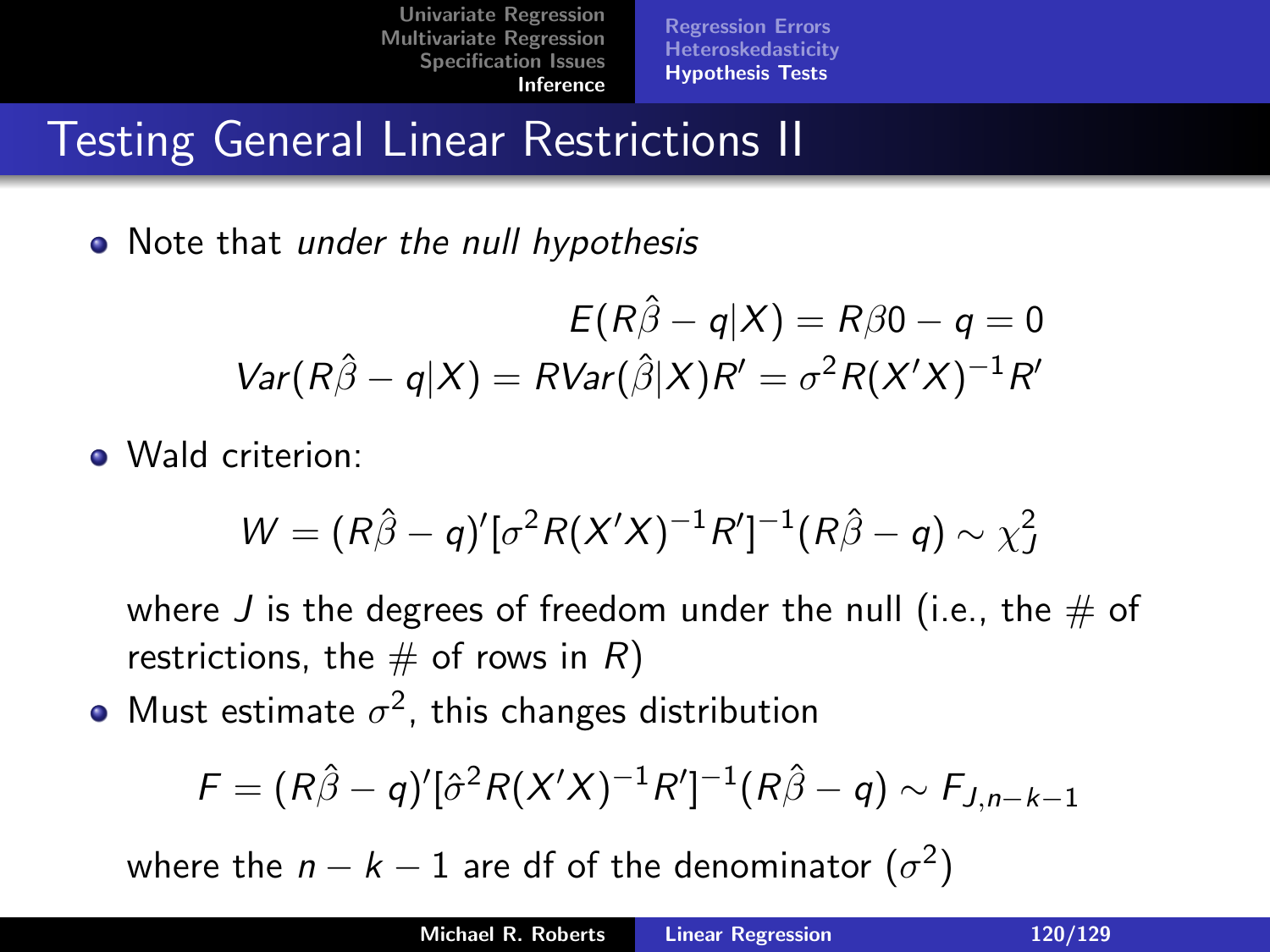[Regression Errors](#page-103-0) [Heteroskedasticity](#page-104-0) [Hypothesis Tests](#page-112-0)

# Testing General Linear Restrictions II

• Note that under the null hypothesis

$$
E(R\hat{\beta} - q|X) = R\beta 0 - q = 0
$$
  
Var(R\hat{\beta} - q|X) = RVar(\hat{\beta}|X)R' = \sigma^2 R(X'X)^{-1}R'

• Wald criterion:

$$
W = (R\hat{\beta} - q)^{r} [\sigma^{2} R(X^{\prime} X)^{-1} R^{\prime}]^{-1} (R\hat{\beta} - q) \sim \chi^{2}_{J}
$$

where J is the degrees of freedom under the null (i.e., the  $\#$  of restrictions, the  $\#$  of rows in R)

Must estimate  $\sigma^2$ , this changes distribution

$$
F = (R\hat{\beta} - q)^{r} [\hat{\sigma}^{2} R(X^{\prime} X)^{-1} R^{\prime}]^{-1} (R\hat{\beta} - q) \sim F_{J, n-k-1}
$$

where the  $n-k-1$  are df of the denominator  $(\sigma^2)$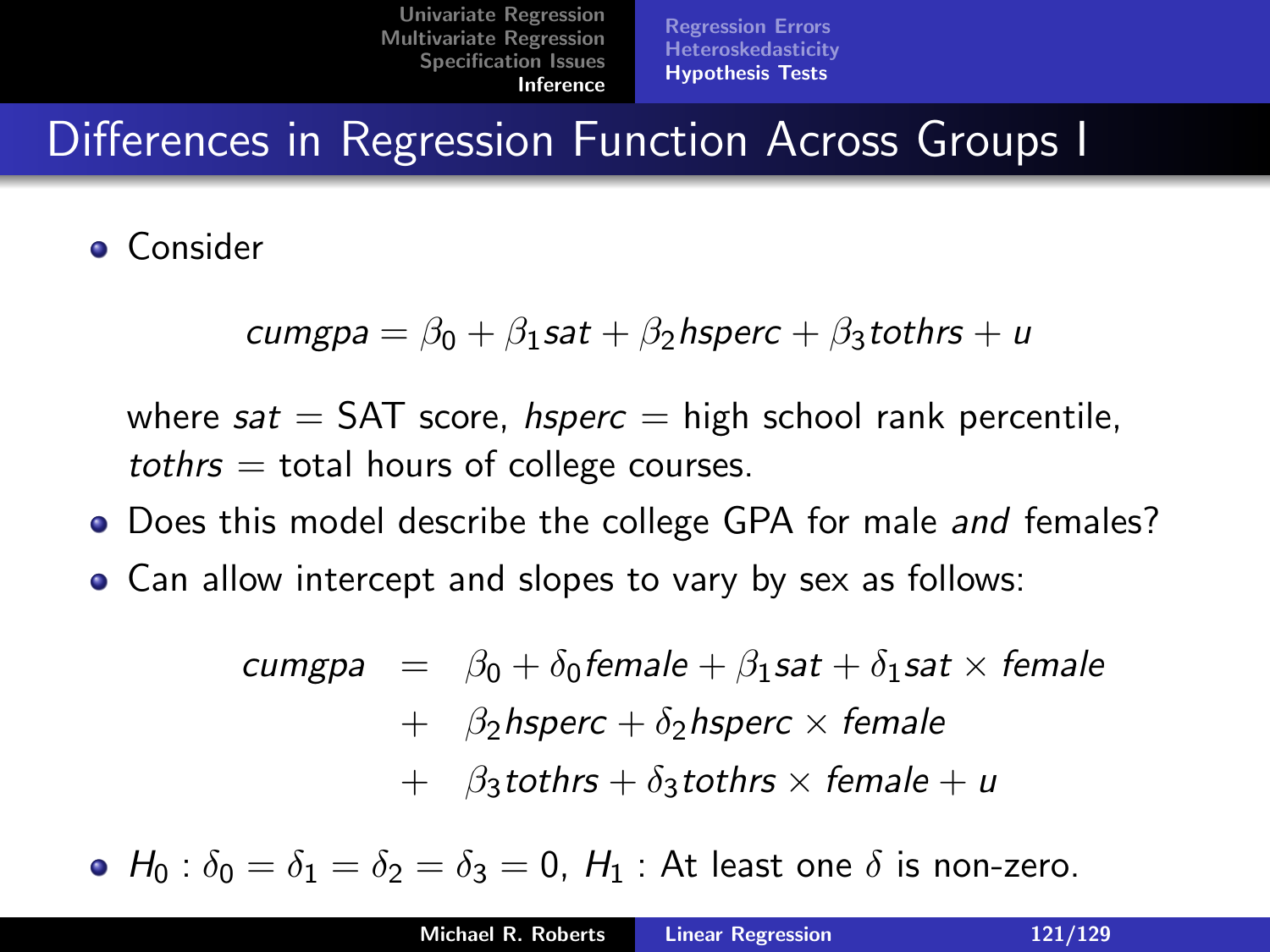# Differences in Regression Function Across Groups I

**• Consider** 

cumgpa =  $\beta_0 + \beta_1$ sat +  $\beta_2$ hsperc +  $\beta_3$ tothrs + u

where  $sat = SAT$  score, hsperc  $=$  high school rank percentile,  $tothrs = total hours of college courses.$ 

- Does this model describe the college GPA for male and females?
- Can allow intercept and slopes to vary by sex as follows:

$$
cumgpa = \beta_0 + \delta_0 female + \beta_1 sat + \delta_1 sat \times female
$$
  
+  $\beta_2 hsperc + \delta_2 hsperc \times female$   
+  $\beta_3 tothrs + \delta_3 tothrs \times female + u$ 

 $\bullet$   $H_0$ :  $\delta_0 = \delta_1 = \delta_2 = \delta_3 = 0$ ,  $H_1$ : At least one  $\delta$  is non-zero.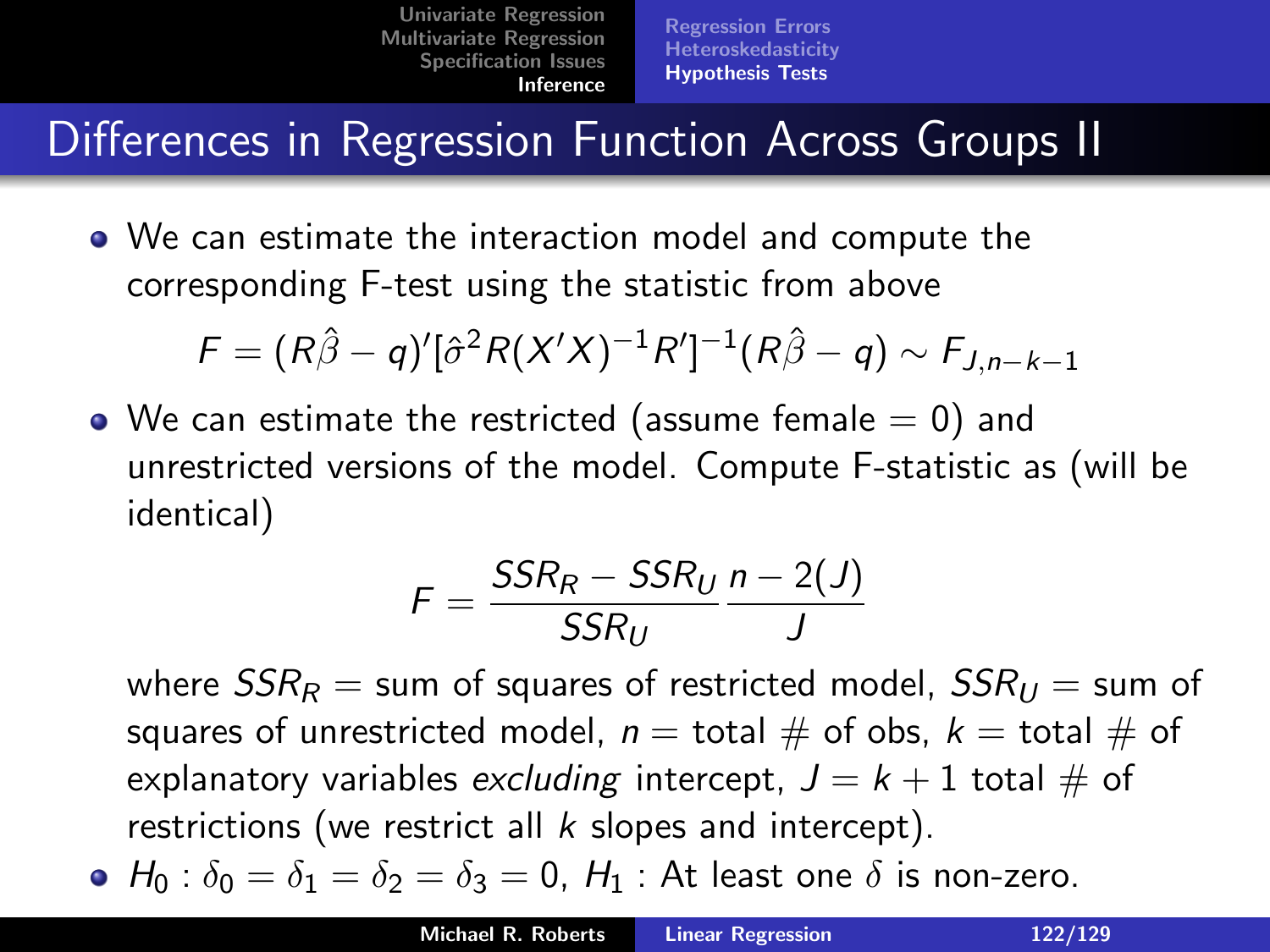[Regression Errors](#page-103-0) [Heteroskedasticity](#page-104-0) [Hypothesis Tests](#page-112-0)

# Differences in Regression Function Across Groups II

We can estimate the interaction model and compute the corresponding F-test using the statistic from above

$$
\digamma = (R\hat{\beta} - q)^{\prime}[\hat{\sigma}^2 R(X^{\prime}X)^{-1}R^{\prime}]^{-1}(R\hat{\beta} - q) \sim F_{J,n-k-1}
$$

 $\bullet$  We can estimate the restricted (assume female  $= 0$ ) and unrestricted versions of the model. Compute F-statistic as (will be identical)

$$
F = \frac{SSR_R - SSR_U}{SSR_U} \frac{n - 2(J)}{J}
$$

where  $SSR_R =$  sum of squares of restricted model,  $SSR_U =$  sum of squares of unrestricted model,  $n =$  total  $\#$  of obs,  $k =$  total  $\#$  of explanatory variables excluding intercept,  $J = k + 1$  total  $\#$  of restrictions (we restrict all  $k$  slopes and intercept).

• 
$$
H_0: \delta_0 = \delta_1 = \delta_2 = \delta_3 = 0
$$
,  $H_1$ : At least one  $\delta$  is non-zero.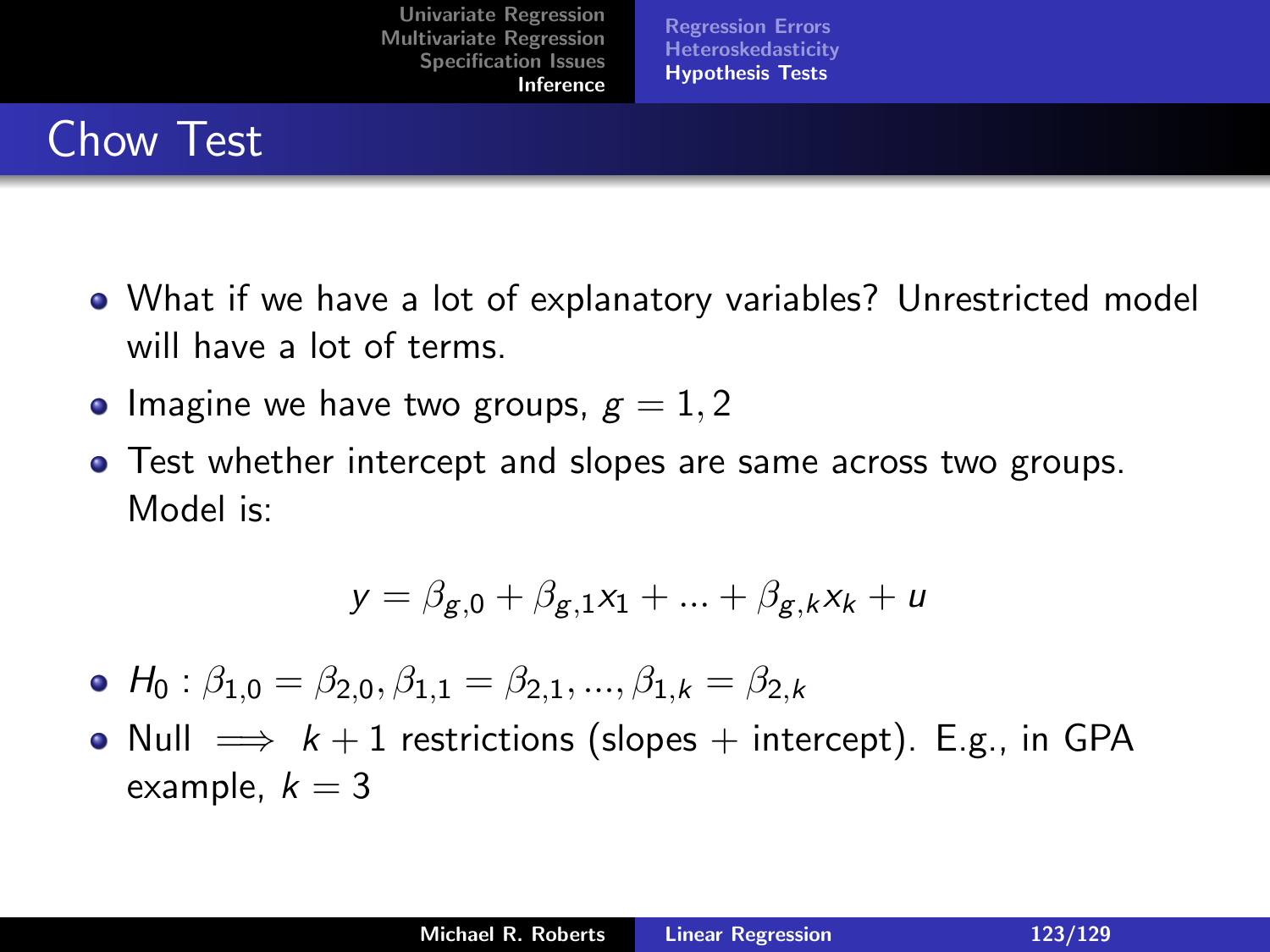[Univariate Regression](#page-1-0) [Multivariate Regression](#page-31-0) [Specification Issues](#page-79-0) [Inference](#page-103-0) [Regression Errors](#page-103-0) [Heteroskedasticity](#page-104-0) [Hypothesis Tests](#page-112-0)

# Chow Test

- What if we have a lot of explanatory variables? Unrestricted model will have a lot of terms.
- Imagine we have two groups,  $g = 1, 2$
- Test whether intercept and slopes are same across two groups. Model is:

$$
y = \beta_{g,0} + \beta_{g,1}x_1 + \dots + \beta_{g,k}x_k + u
$$

- $H_0: \beta_{1,0} = \beta_{2,0}, \beta_{1,1} = \beta_{2,1}, ..., \beta_{1,k} = \beta_{2,k}$
- Null  $\implies k+1$  restrictions (slopes + intercept). E.g., in GPA example,  $k = 3$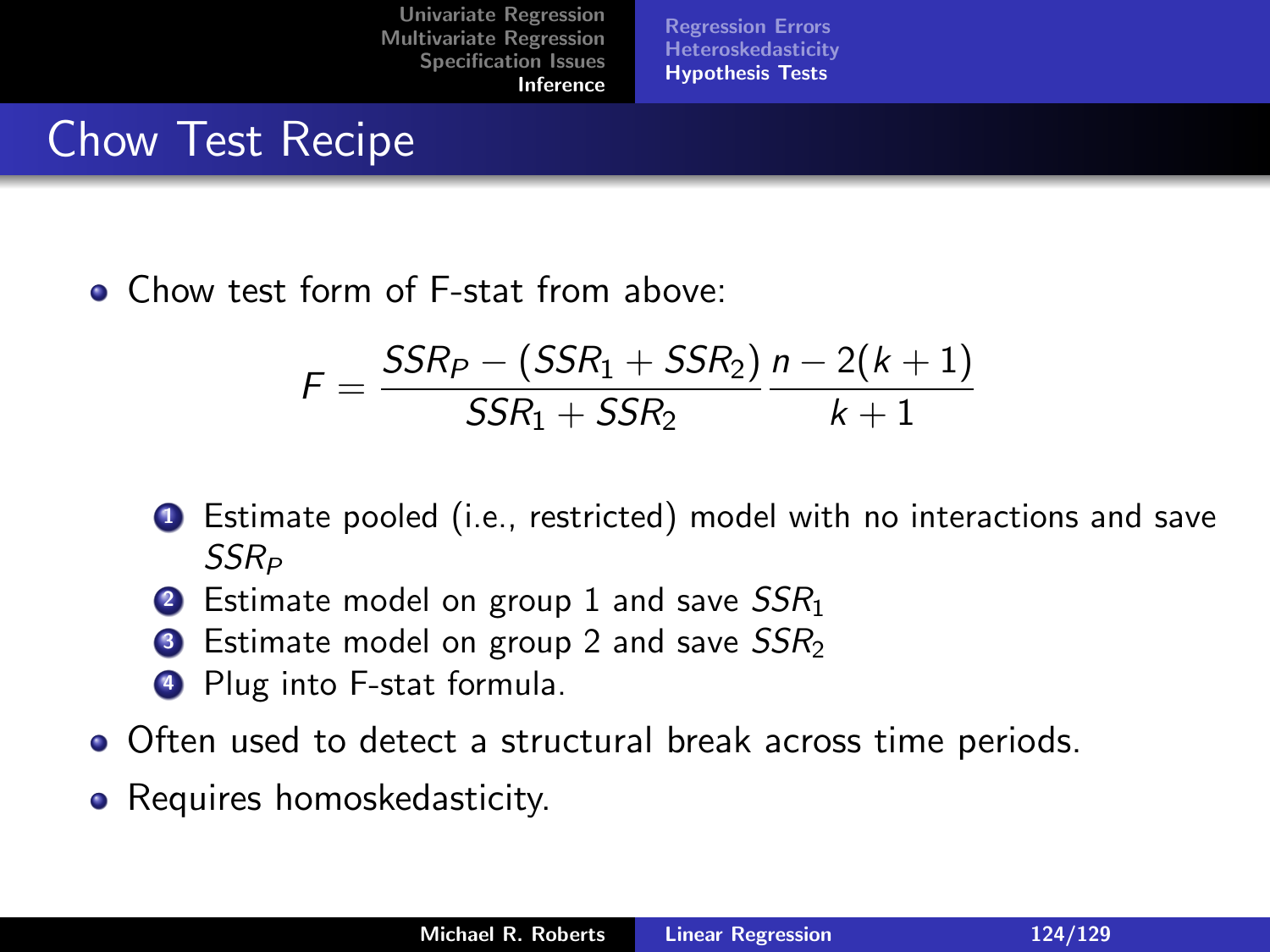[Regression Errors](#page-103-0) [Heteroskedasticity](#page-104-0) [Hypothesis Tests](#page-112-0)

#### Chow Test Recipe

**Chow test form of F-stat from above:** 

$$
F = \frac{SSR_P - (SSR_1 + SSR_2)}{SSR_1 + SSR_2} \frac{n - 2(k + 1)}{k + 1}
$$

- **1** Estimate pooled (i.e., restricted) model with no interactions and save SSR<sup>P</sup>
- **2** Estimate model on group 1 and save  $SSR_1$
- Estimate model on group 2 and save  $SSR<sub>2</sub>$
- **4** Plug into F-stat formula.
- Often used to detect a structural break across time periods.
- Requires homoskedasticity.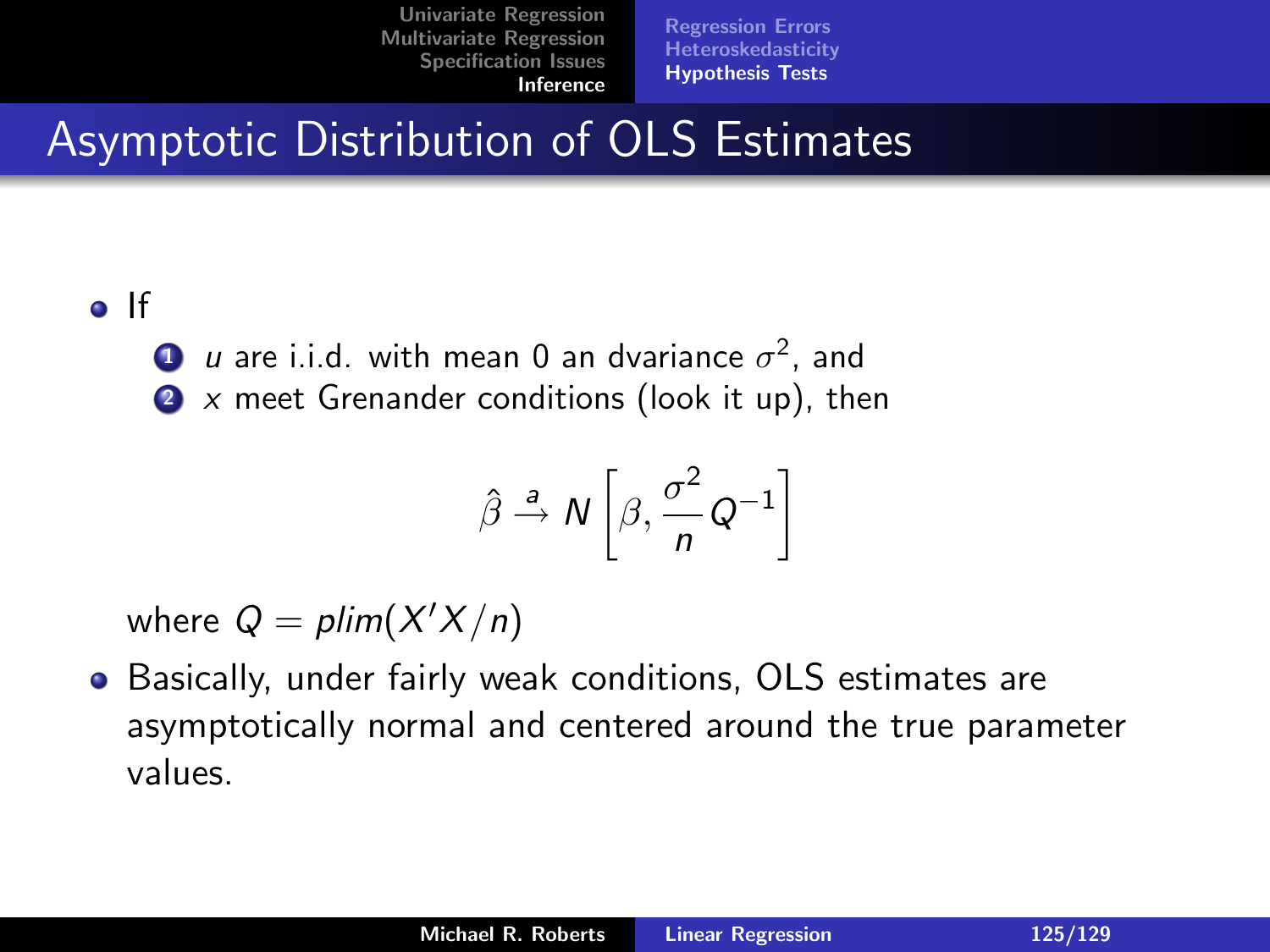[Regression Errors](#page-103-0) [Heteroskedasticity](#page-104-0) [Hypothesis Tests](#page-112-0)

#### Asymptotic Distribution of OLS Estimates

#### o If

- $\bf{D}$   $\bf{\it{u}}$  are i.i.d. with mean 0 an dvariance  $\sigma^2$ , and
- $\bullet$  x meet Grenander conditions (look it up), then

$$
\hat{\beta} \stackrel{a}{\rightarrow} N\left[\beta, \frac{\sigma^2}{n} Q^{-1}\right]
$$

where  $Q = \text{plim}(X'X/n)$ 

**•** Basically, under fairly weak conditions, OLS estimates are asymptotically normal and centered around the true parameter values.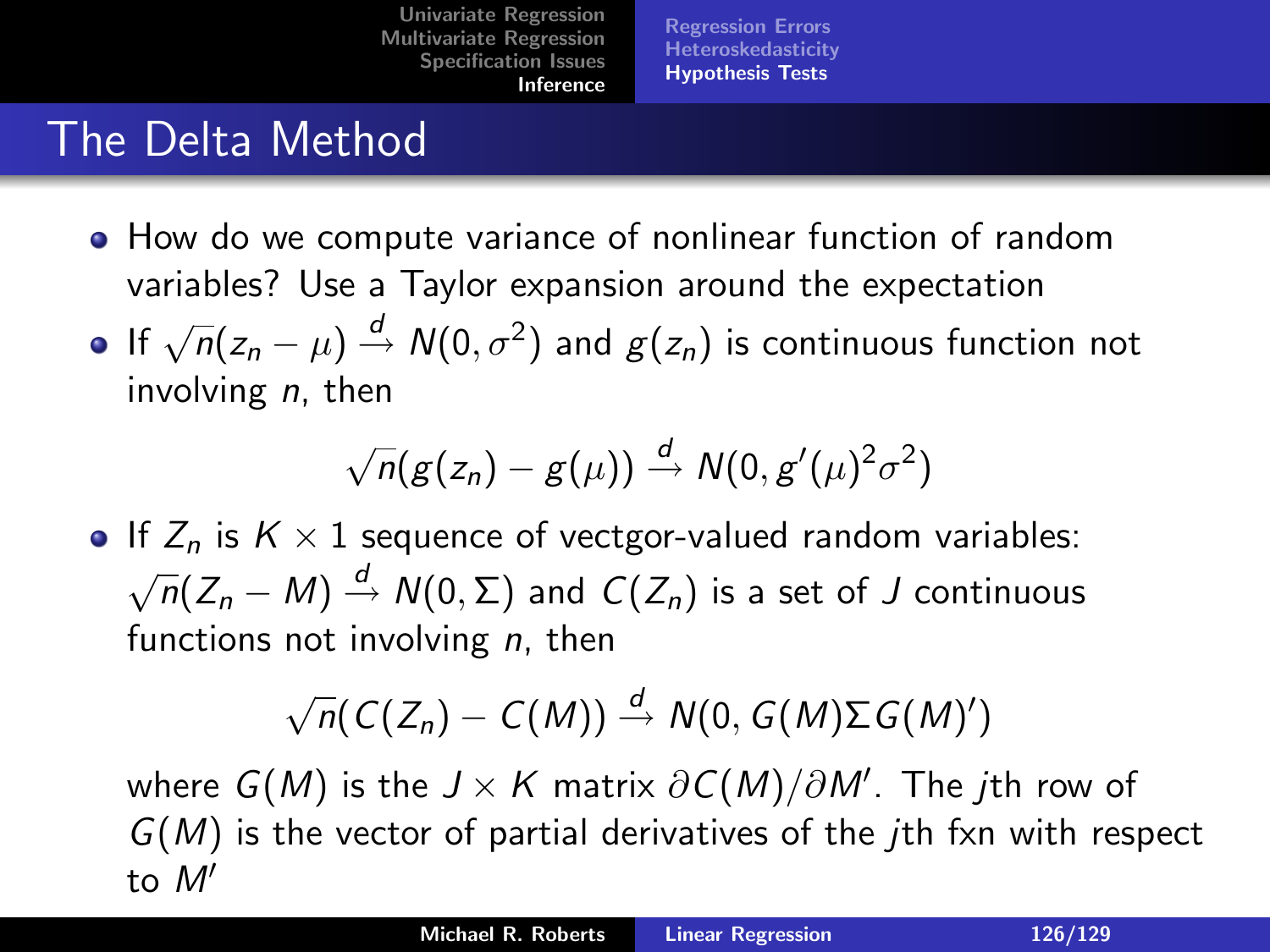[Regression Errors](#page-103-0) **[Heteroskedasticity](#page-104-0)** [Hypothesis Tests](#page-112-0)

#### The Delta Method

How do we compute variance of nonlinear function of random variables? Use a Taylor expansion around the expectation If  $\sqrt{n}(z_n - \mu) \stackrel{d}{\rightarrow} N(0, \sigma^2)$  and  $g(z_n)$  is continuous function not

involving  $n$ , then

$$
\sqrt{n}(g(z_n)-g(\mu)) \stackrel{d}{\rightarrow} N(0,g'(\mu)^2\sigma^2)
$$

• If  $Z_n$  is  $K \times 1$  sequence of vectgor-valued random variables:  $\sqrt{n}(Z_n - M) \stackrel{d}{\rightarrow} N(0, \Sigma)$  and  $C(Z_n)$  is a set of J continuous functions not involving  $n$ , then

$$
\sqrt{n}(C(Z_n)-C(M))\stackrel{d}{\rightarrow} N(0,G(M)\Sigma G(M)')
$$

where  $G(M)$  is the  $J\times K$  matrix  $\partial C(M)/\partial M'$ . The  $j$ th row of  $G(M)$  is the vector of partial derivatives of the *j*th fxn with respect to  $M'$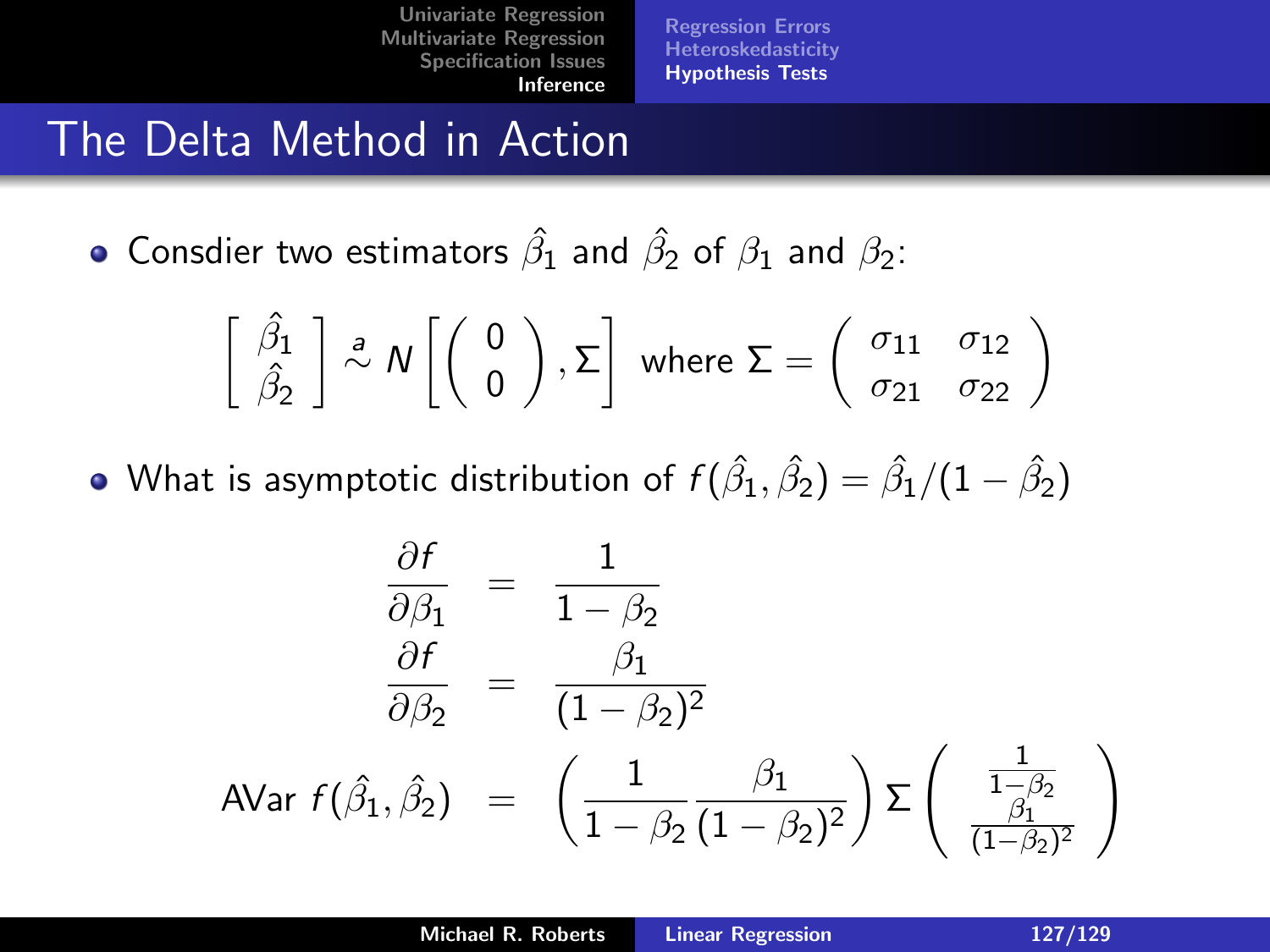[Regression Errors](#page-103-0) [Heteroskedasticity](#page-104-0) [Hypothesis Tests](#page-112-0)

#### The Delta Method in Action

Consdier two estimators  $\hat{\beta_1}$  and  $\hat{\beta_2}$  of  $\beta_1$  and  $\beta_2$ :

$$
\left[\begin{array}{c}\hat{\beta_1}\\\hat{\beta_2}\end{array}\right]\stackrel{a}{\sim} N\left[\left(\begin{array}{c}0\\0\end{array}\right),\Sigma\right]\text{ where }\Sigma=\left(\begin{array}{cc}\sigma_{11}&\sigma_{12}\\ \sigma_{21}&\sigma_{22}\end{array}\right)
$$

What is asymptotic distribution of  $f(\hat{\beta_1},\hat{\beta_2})=\hat{\beta_1}/(1-\hat{\beta_2})$ 

$$
\frac{\partial f}{\partial \beta_1} = \frac{1}{1 - \beta_2}
$$
\n
$$
\frac{\partial f}{\partial \beta_2} = \frac{\beta_1}{(1 - \beta_2)^2}
$$
\n
$$
\text{AVar } f(\hat{\beta}_1, \hat{\beta}_2) = \left(\frac{1}{1 - \beta_2} \frac{\beta_1}{(1 - \beta_2)^2}\right) \Sigma \left(\frac{\frac{1}{1 - \beta_2}}{(1 - \beta_2)^2}\right)
$$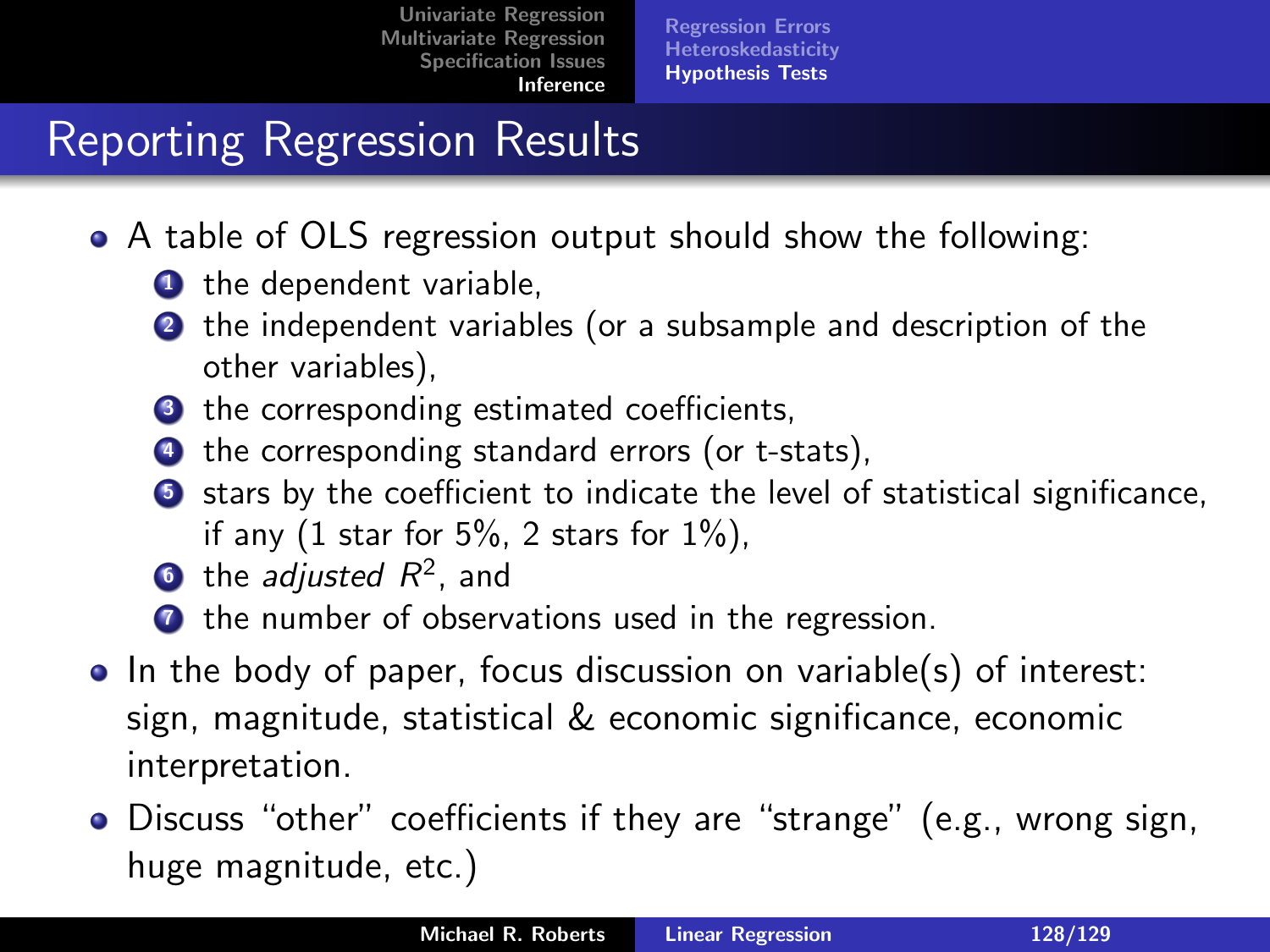[Regression Errors](#page-103-0) [Heteroskedasticity](#page-104-0) [Hypothesis Tests](#page-112-0)

## Reporting Regression Results

- A table of OLS regression output should show the following:
	- **1** the dependent variable,
	- <sup>2</sup> the independent variables (or a subsample and description of the other variables),
	- <sup>3</sup> the corresponding estimated coefficients,
	- 4 the corresponding standard errors (or t-stats),
	- **3** stars by the coefficient to indicate the level of statistical significance, if any  $(1 \text{ star for } 5\%, 2 \text{ stars for } 1\%)$ ,
	- $\bullet$  the *adjusted R*<sup>2</sup>, and
	- **1** the number of observations used in the regression.
- $\bullet$  In the body of paper, focus discussion on variable(s) of interest: sign, magnitude, statistical & economic significance, economic interpretation.
- Discuss "other" coefficients if they are "strange" (e.g., wrong sign, huge magnitude, etc.)